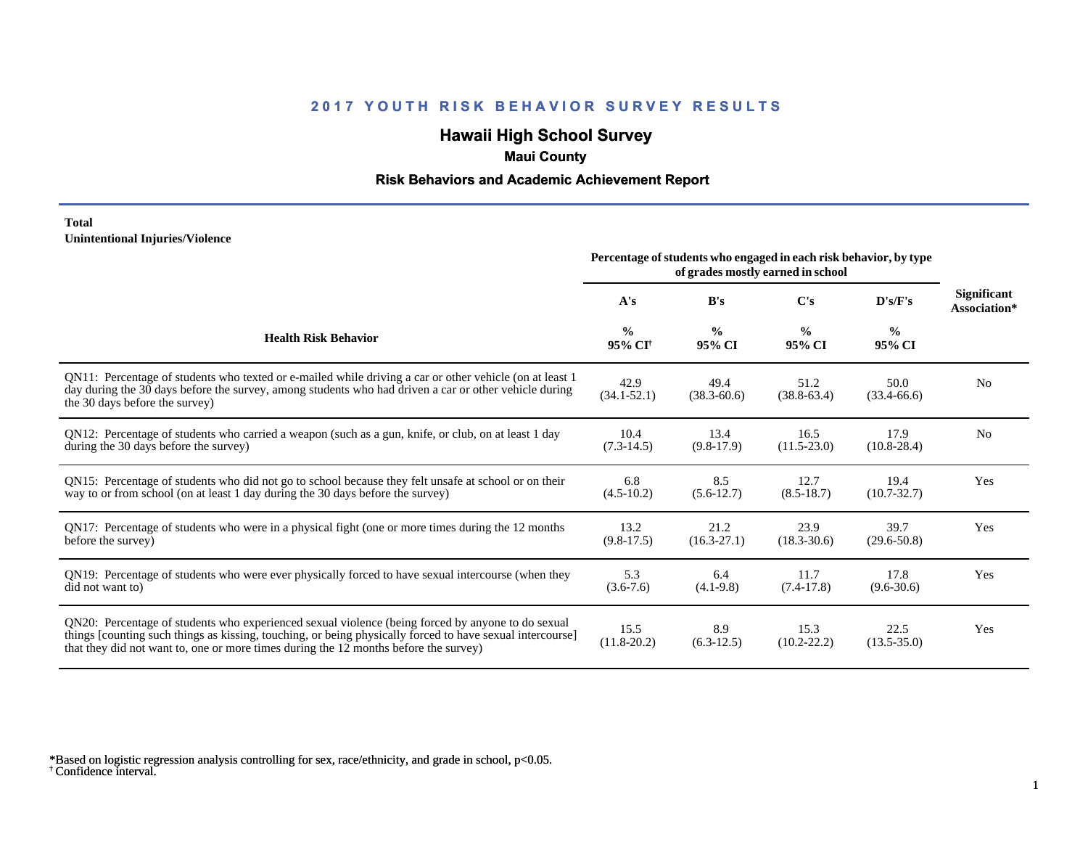# **Hawaii High School Survey**

### **Maui County**

#### **Risk Behaviors and Academic Achievement Report**

#### **Total Unintentional Injuries/Violence**

|                                                                                                                                                                                                                                                                                                        | Percentage of students who engaged in each risk behavior, by type |                         |                         |                         |                                    |
|--------------------------------------------------------------------------------------------------------------------------------------------------------------------------------------------------------------------------------------------------------------------------------------------------------|-------------------------------------------------------------------|-------------------------|-------------------------|-------------------------|------------------------------------|
|                                                                                                                                                                                                                                                                                                        | A's                                                               | B's                     | C's                     | D's/F's                 | <b>Significant</b><br>Association* |
| <b>Health Risk Behavior</b>                                                                                                                                                                                                                                                                            | $\frac{0}{0}$<br>95% CI <sup>+</sup>                              | $\frac{0}{0}$<br>95% CI | $\frac{0}{0}$<br>95% CI | $\frac{0}{0}$<br>95% CI |                                    |
| QN11: Percentage of students who texted or e-mailed while driving a car or other vehicle (on at least 1<br>day during the 30 days before the survey, among students who had driven a car or other vehicle during<br>the 30 days before the survey)                                                     | 42.9<br>$(34.1 - 52.1)$                                           | 49.4<br>$(38.3 - 60.6)$ | 51.2<br>$(38.8-63.4)$   | 50.0<br>$(33.4 - 66.6)$ | N <sub>0</sub>                     |
| QN12: Percentage of students who carried a weapon (such as a gun, knife, or club, on at least 1 day<br>during the 30 days before the survey)                                                                                                                                                           | 10.4<br>$(7.3-14.5)$                                              | 13.4<br>$(9.8-17.9)$    | 16.5<br>$(11.5-23.0)$   | 17.9<br>$(10.8 - 28.4)$ | N <sub>0</sub>                     |
| QN15: Percentage of students who did not go to school because they felt unsafe at school or on their<br>way to or from school (on at least 1 day during the 30 days before the survey)                                                                                                                 | 6.8<br>$(4.5-10.2)$                                               | 8.5<br>$(5.6-12.7)$     | 12.7<br>$(8.5-18.7)$    | 19.4<br>$(10.7 - 32.7)$ | Yes                                |
| QN17: Percentage of students who were in a physical fight (one or more times during the 12 months<br>before the survey)                                                                                                                                                                                | 13.2<br>$(9.8-17.5)$                                              | 21.2<br>$(16.3 - 27.1)$ | 23.9<br>$(18.3 - 30.6)$ | 39.7<br>$(29.6 - 50.8)$ | Yes                                |
| QN19: Percentage of students who were ever physically forced to have sexual intercourse (when they<br>did not want to)                                                                                                                                                                                 | 5.3<br>$(3.6 - 7.6)$                                              | 6.4<br>$(4.1-9.8)$      | 11.7<br>$(7.4-17.8)$    | 17.8<br>$(9.6 - 30.6)$  | Yes                                |
| QN20: Percentage of students who experienced sexual violence (being forced by anyone to do sexual<br>things [counting such things as kissing, touching, or being physically forced to have sexual intercourse]<br>that they did not want to, one or more times during the 12 months before the survey) | 15.5<br>$(11.8 - 20.2)$                                           | 8.9<br>$(6.3-12.5)$     | 15.3<br>$(10.2 - 22.2)$ | 22.5<br>$(13.5 - 35.0)$ | Yes                                |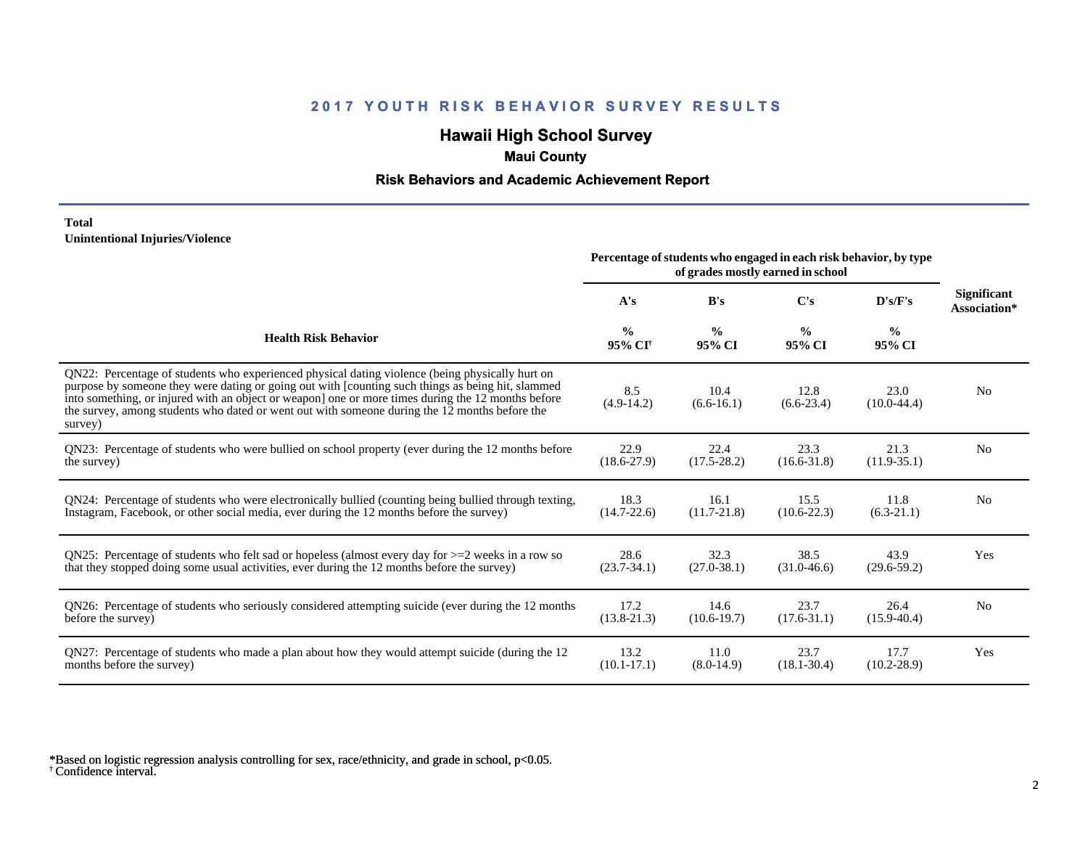# **Hawaii High School Survey**

## **Maui County**

#### **Risk Behaviors and Academic Achievement Report**

#### **Total Unintentional Injuries/Violence**

|                                                                                                                                                                                                                                                                                                                                                                                                                        | Percentage of students who engaged in each risk behavior, by type<br>of grades mostly earned in school |                         |                         |                         |                             |
|------------------------------------------------------------------------------------------------------------------------------------------------------------------------------------------------------------------------------------------------------------------------------------------------------------------------------------------------------------------------------------------------------------------------|--------------------------------------------------------------------------------------------------------|-------------------------|-------------------------|-------------------------|-----------------------------|
|                                                                                                                                                                                                                                                                                                                                                                                                                        | A's                                                                                                    | B's                     | C's                     | D's/F's                 | Significant<br>Association* |
| <b>Health Risk Behavior</b>                                                                                                                                                                                                                                                                                                                                                                                            | $\frac{0}{0}$<br>95% CI <sup>+</sup>                                                                   | $\frac{0}{0}$<br>95% CI | $\frac{0}{0}$<br>95% CI | $\frac{0}{0}$<br>95% CI |                             |
| QN22: Percentage of students who experienced physical dating violence (being physically hurt on<br>purpose by someone they were dating or going out with [counting such things as being hit, slammed<br>into something, or injured with an object or weapon] one or more times during the 12 months before<br>the survey, among students who dated or went out with someone during the 12 months before the<br>survey) | 8.5<br>$(4.9-14.2)$                                                                                    | 10.4<br>$(6.6-16.1)$    | 12.8<br>$(6.6-23.4)$    | 23.0<br>$(10.0-44.4)$   | N <sub>0</sub>              |
| QN23: Percentage of students who were bullied on school property (ever during the 12 months before                                                                                                                                                                                                                                                                                                                     | 22.9                                                                                                   | 22.4                    | 23.3                    | 21.3                    | N <sub>0</sub>              |
| the survey)                                                                                                                                                                                                                                                                                                                                                                                                            | $(18.6 - 27.9)$                                                                                        | $(17.5 - 28.2)$         | $(16.6 - 31.8)$         | $(11.9-35.1)$           |                             |
| QN24: Percentage of students who were electronically bullied (counting being bullied through texting,                                                                                                                                                                                                                                                                                                                  | 18.3                                                                                                   | 16.1                    | 15.5                    | 11.8                    | N <sub>0</sub>              |
| Instagram, Facebook, or other social media, ever during the 12 months before the survey)                                                                                                                                                                                                                                                                                                                               | $(14.7 - 22.6)$                                                                                        | $(11.7 - 21.8)$         | $(10.6 - 22.3)$         | $(6.3-21.1)$            |                             |
| QN25: Percentage of students who felt sad or hopeless (almost every day for $>=$ 2 weeks in a row so                                                                                                                                                                                                                                                                                                                   | 28.6                                                                                                   | 32.3                    | 38.5                    | 43.9                    | Yes                         |
| that they stopped doing some usual activities, ever during the 12 months before the survey)                                                                                                                                                                                                                                                                                                                            | $(23.7 - 34.1)$                                                                                        | $(27.0 - 38.1)$         | $(31.0 - 46.6)$         | $(29.6 - 59.2)$         |                             |
| QN26: Percentage of students who seriously considered attempting suicide (ever during the 12 months                                                                                                                                                                                                                                                                                                                    | 17.2                                                                                                   | 14.6                    | 23.7                    | 26.4                    | N <sub>0</sub>              |
| before the survey)                                                                                                                                                                                                                                                                                                                                                                                                     | $(13.8 - 21.3)$                                                                                        | $(10.6 - 19.7)$         | $(17.6 - 31.1)$         | $(15.9 - 40.4)$         |                             |
| QN27: Percentage of students who made a plan about how they would attempt suicide (during the 12                                                                                                                                                                                                                                                                                                                       | 13.2                                                                                                   | 11.0                    | 23.7                    | 17.7                    | Yes                         |
| months before the survey)                                                                                                                                                                                                                                                                                                                                                                                              | $(10.1 - 17.1)$                                                                                        | $(8.0-14.9)$            | $(18.1 - 30.4)$         | $(10.2 - 28.9)$         |                             |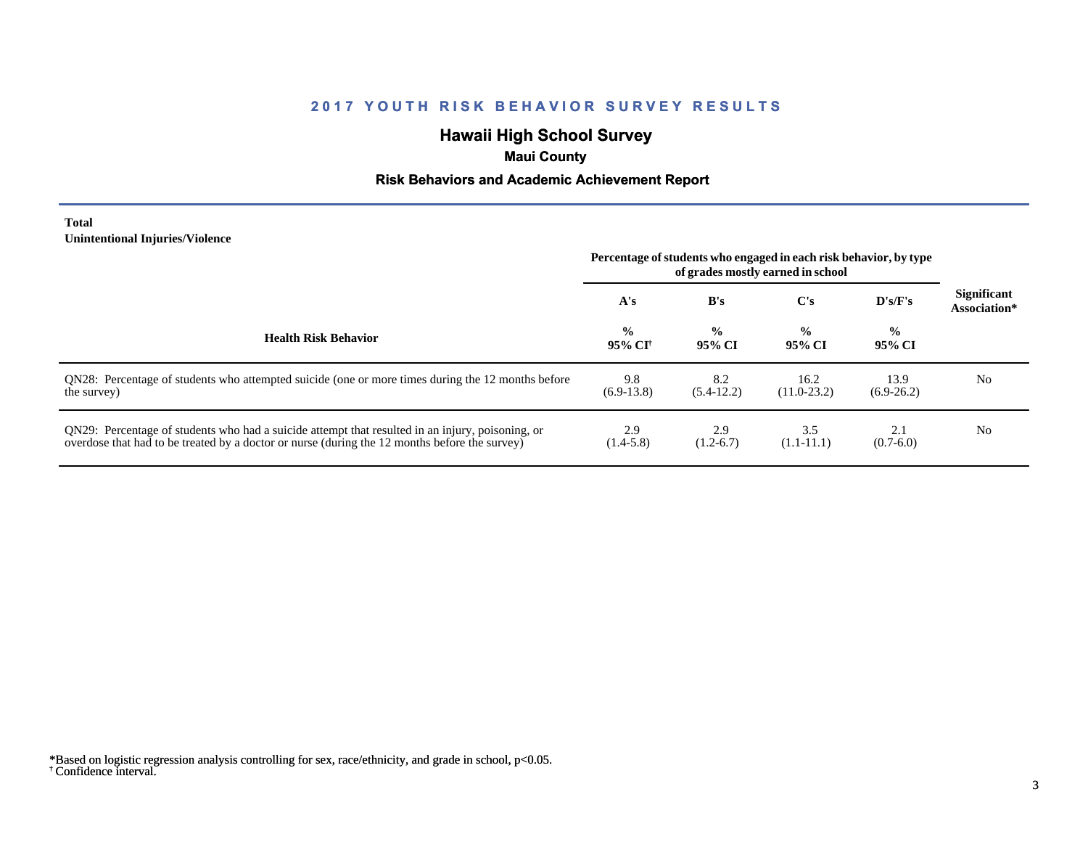# **Hawaii High School Survey**

## **Maui County**

#### **Risk Behaviors and Academic Achievement Report**

#### **Total Unintentional Injuries/Violence**

|                                                                                                                                                                                                   | Percentage of students who engaged in each risk behavior, by type<br>of grades mostly earned in school |                         |                         |                         |                                    |
|---------------------------------------------------------------------------------------------------------------------------------------------------------------------------------------------------|--------------------------------------------------------------------------------------------------------|-------------------------|-------------------------|-------------------------|------------------------------------|
|                                                                                                                                                                                                   | A's                                                                                                    | B's                     | $\bf C's$               | D's/F's                 | <b>Significant</b><br>Association* |
| <b>Health Risk Behavior</b>                                                                                                                                                                       | $\frac{0}{0}$<br>95% CI†                                                                               | $\frac{6}{9}$<br>95% CI | $\frac{0}{0}$<br>95% CI | $\frac{0}{0}$<br>95% CI |                                    |
| QN28: Percentage of students who attempted suicide (one or more times during the 12 months before<br>the survey)                                                                                  | 9.8<br>$(6.9-13.8)$                                                                                    | 8.2<br>$(5.4-12.2)$     | 16.2<br>$(11.0-23.2)$   | 13.9<br>$(6.9-26.2)$    | No                                 |
| QN29: Percentage of students who had a suicide attempt that resulted in an injury, poisoning, or<br>overdose that had to be treated by a doctor or nurse (during the 12 months before the survey) | 2.9<br>$(1.4-5.8)$                                                                                     | 2.9<br>$(1.2-6.7)$      | 3.5<br>$(1.1-11.1)$     | 2.1<br>$(0.7-6.0)$      | N <sub>0</sub>                     |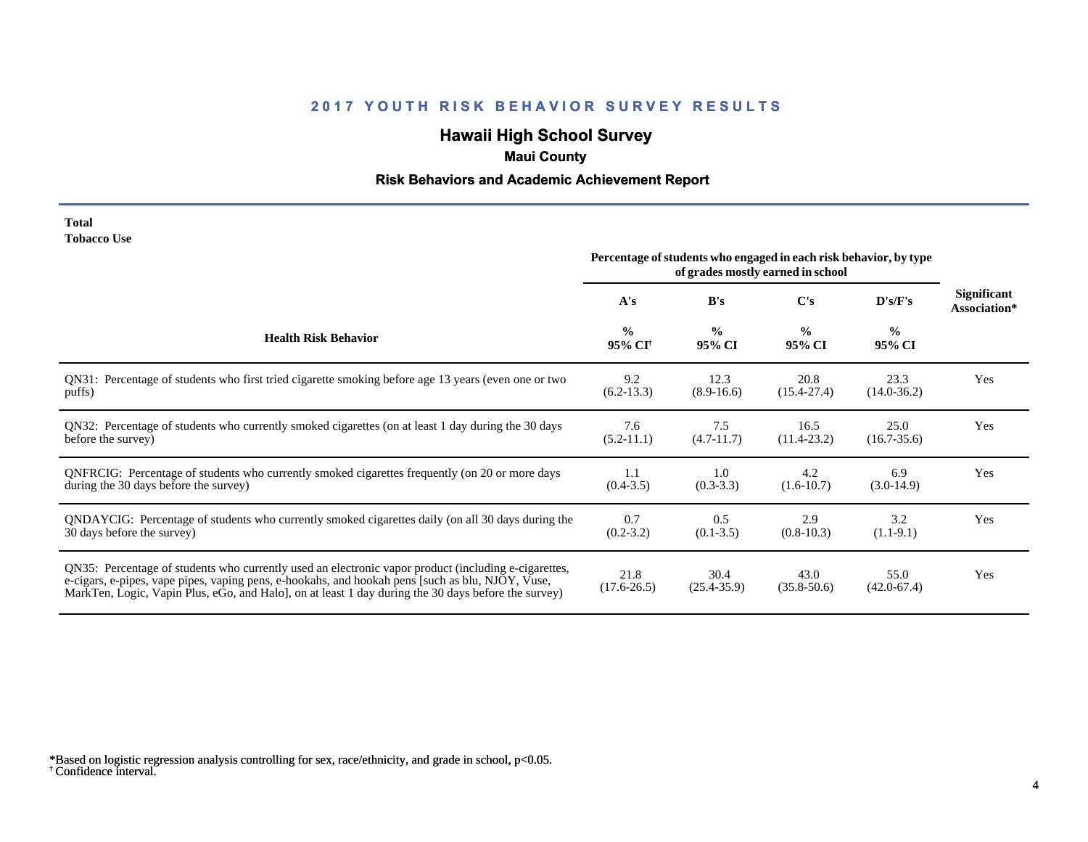# **Hawaii High School Survey**

# **Maui County**

## **Risk Behaviors and Academic Achievement Report**

| <b>Total</b>       |  |
|--------------------|--|
| <b>Tobacco Use</b> |  |

|                                                                                                                                                                                                                                                                                                                | Percentage of students who engaged in each risk behavior, by type<br>of grades mostly earned in school |                         |                         |                         |                                    |
|----------------------------------------------------------------------------------------------------------------------------------------------------------------------------------------------------------------------------------------------------------------------------------------------------------------|--------------------------------------------------------------------------------------------------------|-------------------------|-------------------------|-------------------------|------------------------------------|
|                                                                                                                                                                                                                                                                                                                | A's                                                                                                    | B's                     | $\bf C's$               | D's/F's                 | <b>Significant</b><br>Association* |
| <b>Health Risk Behavior</b>                                                                                                                                                                                                                                                                                    | $\frac{0}{0}$<br>95% CI <sup>+</sup>                                                                   | $\frac{0}{0}$<br>95% CI | $\frac{0}{0}$<br>95% CI | $\frac{0}{0}$<br>95% CI |                                    |
| QN31: Percentage of students who first tried cigarette smoking before age 13 years (even one or two                                                                                                                                                                                                            | 9.2                                                                                                    | 12.3                    | 20.8                    | 23.3                    | Yes                                |
| puffs)                                                                                                                                                                                                                                                                                                         | $(6.2-13.3)$                                                                                           | $(8.9-16.6)$            | $(15.4 - 27.4)$         | $(14.0 - 36.2)$         |                                    |
| QN32: Percentage of students who currently smoked cigarettes (on at least 1 day during the 30 days                                                                                                                                                                                                             | 7.6                                                                                                    | 7.5                     | 16.5                    | 25.0                    | Yes                                |
| before the survey)                                                                                                                                                                                                                                                                                             | $(5.2-11.1)$                                                                                           | $(4.7-11.7)$            | $(11.4 - 23.2)$         | $(16.7 - 35.6)$         |                                    |
| ONFRCIG: Percentage of students who currently smoked cigarettes frequently (on 20 or more days                                                                                                                                                                                                                 | 1.1                                                                                                    | 1.0                     | 4.2                     | 6.9                     | Yes                                |
| during the 30 days before the survey)                                                                                                                                                                                                                                                                          | $(0.4 - 3.5)$                                                                                          | $(0.3-3.3)$             | $(1.6-10.7)$            | $(3.0-14.9)$            |                                    |
| QNDAYCIG: Percentage of students who currently smoked cigarettes daily (on all 30 days during the                                                                                                                                                                                                              | 0.7                                                                                                    | 0.5                     | 2.9                     | 3.2                     | Yes                                |
| 30 days before the survey)                                                                                                                                                                                                                                                                                     | $(0.2 - 3.2)$                                                                                          | $(0.1 - 3.5)$           | $(0.8-10.3)$            | $(1.1-9.1)$             |                                    |
| QN35: Percentage of students who currently used an electronic vapor product (including e-cigarettes,<br>e-cigars, e-pipes, vape pipes, vaping pens, e-hookahs, and hookah pens [such as blu, NJOY, Vuse,<br>MarkTen, Logic, Vapin Plus, eGo, and Halo, on at least 1 day during the 30 days before the survey) | 21.8<br>$(17.6 - 26.5)$                                                                                | 30.4<br>$(25.4 - 35.9)$ | 43.0<br>$(35.8 - 50.6)$ | 55.0<br>$(42.0 - 67.4)$ | Yes                                |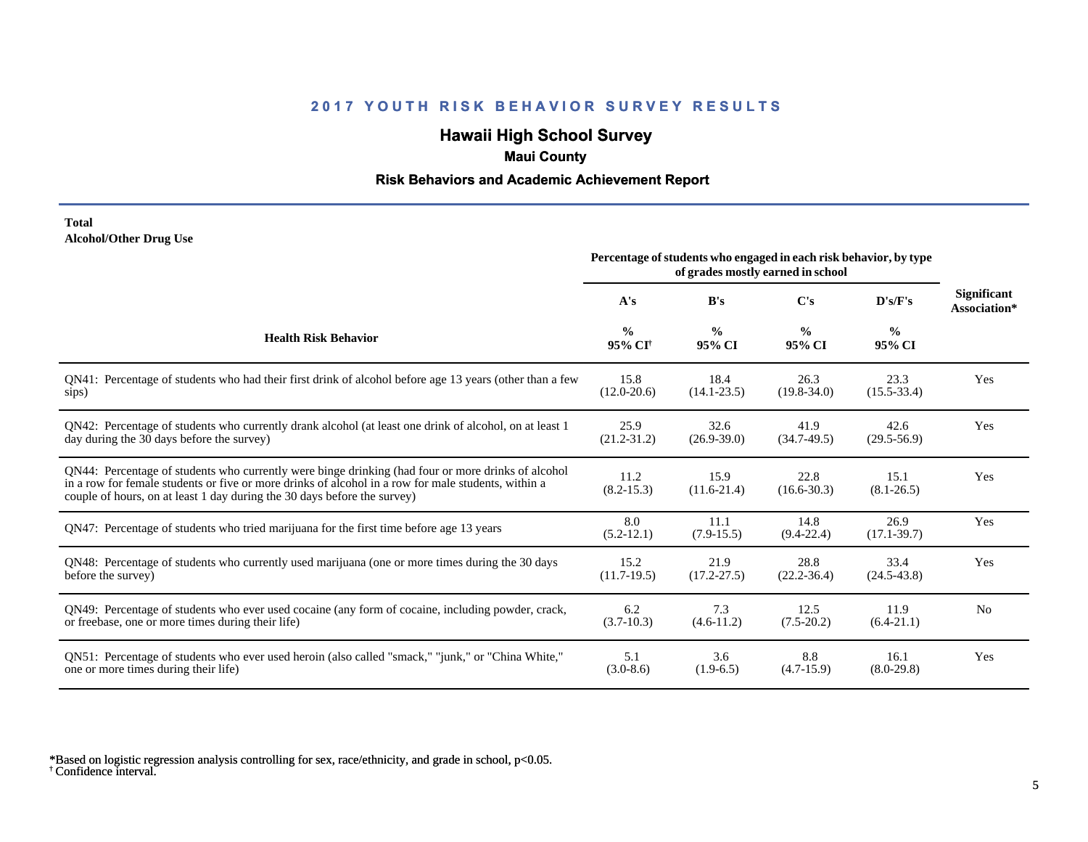# **Hawaii High School Survey**

### **Maui County**

#### **Risk Behaviors and Academic Achievement Report**

#### **Total Alcohol/Other Drug Use**

|                                                                                                                                                                                                                                                                                       | Percentage of students who engaged in each risk behavior, by type<br>of grades mostly earned in school |                         |                         |                         |                             |
|---------------------------------------------------------------------------------------------------------------------------------------------------------------------------------------------------------------------------------------------------------------------------------------|--------------------------------------------------------------------------------------------------------|-------------------------|-------------------------|-------------------------|-----------------------------|
|                                                                                                                                                                                                                                                                                       | A's                                                                                                    | B's                     | C's                     | D's/F's                 | Significant<br>Association* |
| <b>Health Risk Behavior</b>                                                                                                                                                                                                                                                           | $\frac{0}{0}$<br>95% CI <sup>+</sup>                                                                   | $\frac{0}{0}$<br>95% CI | $\frac{0}{0}$<br>95% CI | $\frac{0}{0}$<br>95% CI |                             |
| QN41: Percentage of students who had their first drink of alcohol before age 13 years (other than a few                                                                                                                                                                               | 15.8                                                                                                   | 18.4                    | 26.3                    | 23.3                    | Yes                         |
| sips)                                                                                                                                                                                                                                                                                 | $(12.0 - 20.6)$                                                                                        | $(14.1 - 23.5)$         | $(19.8 - 34.0)$         | $(15.5 - 33.4)$         |                             |
| QN42: Percentage of students who currently drank alcohol (at least one drink of alcohol, on at least 1                                                                                                                                                                                | 25.9                                                                                                   | 32.6                    | 41.9                    | 42.6                    | Yes                         |
| day during the 30 days before the survey)                                                                                                                                                                                                                                             | $(21.2 - 31.2)$                                                                                        | $(26.9 - 39.0)$         | $(34.7-49.5)$           | $(29.5 - 56.9)$         |                             |
| QN44: Percentage of students who currently were binge drinking (had four or more drinks of alcohol<br>in a row for female students or five or more drinks of alcohol in a row for male students, within a<br>couple of hours, on at least 1 day during the 30 days before the survey) | 11.2<br>$(8.2 - 15.3)$                                                                                 | 15.9<br>$(11.6-21.4)$   | 22.8<br>$(16.6 - 30.3)$ | 15.1<br>$(8.1 - 26.5)$  | Yes                         |
| QN47: Percentage of students who tried marijuana for the first time before age 13 years                                                                                                                                                                                               | 8.0<br>$(5.2 - 12.1)$                                                                                  | 11.1<br>$(7.9-15.5)$    | 14.8<br>$(9.4 - 22.4)$  | 26.9<br>$(17.1 - 39.7)$ | Yes                         |
| QN48: Percentage of students who currently used marijuana (one or more times during the 30 days                                                                                                                                                                                       | 15.2                                                                                                   | 21.9                    | 28.8                    | 33.4                    | Yes                         |
| before the survey)                                                                                                                                                                                                                                                                    | $(11.7-19.5)$                                                                                          | $(17.2 - 27.5)$         | $(22.2 - 36.4)$         | $(24.5 - 43.8)$         |                             |
| QN49: Percentage of students who ever used cocaine (any form of cocaine, including powder, crack,                                                                                                                                                                                     | 6.2                                                                                                    | 7.3                     | 12.5                    | 11.9                    | N <sub>0</sub>              |
| or freebase, one or more times during their life)                                                                                                                                                                                                                                     | $(3.7-10.3)$                                                                                           | $(4.6-11.2)$            | $(7.5-20.2)$            | $(6.4-21.1)$            |                             |
| QN51: Percentage of students who ever used heroin (also called "smack," "junk," or "China White,"                                                                                                                                                                                     | 5.1                                                                                                    | 3.6                     | 8.8                     | 16.1                    | Yes                         |
| one or more times during their life)                                                                                                                                                                                                                                                  | $(3.0-8.6)$                                                                                            | $(1.9-6.5)$             | $(4.7-15.9)$            | $(8.0-29.8)$            |                             |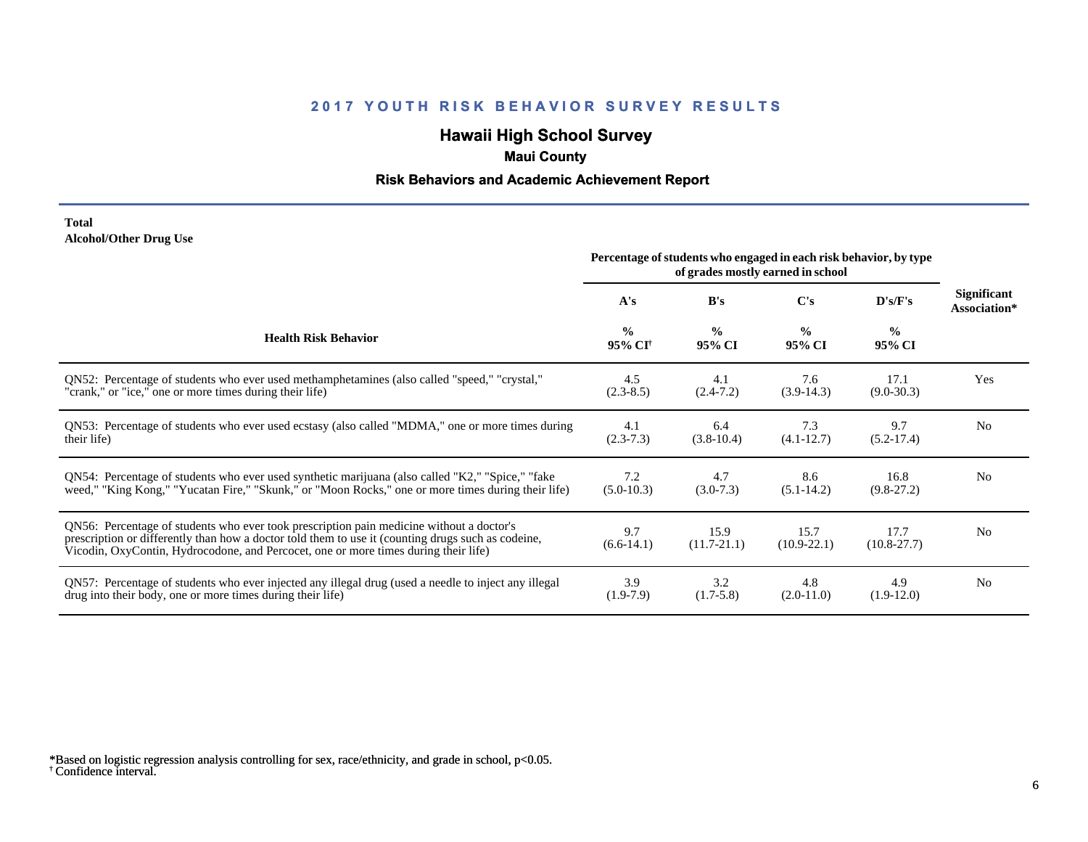# **Hawaii High School Survey**

### **Maui County**

#### **Risk Behaviors and Academic Achievement Report**

#### **Total Alcohol/Other Drug Use**

|                                                                                                                                                                                                                                                                                       | Percentage of students who engaged in each risk behavior, by type<br>of grades mostly earned in school |                         |                         |                         |                                    |
|---------------------------------------------------------------------------------------------------------------------------------------------------------------------------------------------------------------------------------------------------------------------------------------|--------------------------------------------------------------------------------------------------------|-------------------------|-------------------------|-------------------------|------------------------------------|
|                                                                                                                                                                                                                                                                                       | A's                                                                                                    | B's                     | C's                     | D's/F's                 | <b>Significant</b><br>Association* |
| <b>Health Risk Behavior</b>                                                                                                                                                                                                                                                           | $\frac{6}{6}$<br>95% CI <sup>+</sup>                                                                   | $\frac{0}{0}$<br>95% CI | $\frac{0}{0}$<br>95% CI | $\frac{0}{0}$<br>95% CI |                                    |
| ON52: Percentage of students who ever used methamphetamines (also called "speed," "crystal,"                                                                                                                                                                                          | 4.5                                                                                                    | 4.1                     | 7.6                     | 17.1                    | Yes                                |
| "crank," or "ice," one or more times during their life)                                                                                                                                                                                                                               | $(2.3-8.5)$                                                                                            | $(2.4 - 7.2)$           | $(3.9-14.3)$            | $(9.0 - 30.3)$          |                                    |
| QN53: Percentage of students who ever used ecstasy (also called "MDMA," one or more times during                                                                                                                                                                                      | 4.1                                                                                                    | 6.4                     | 7.3                     | 9.7                     | N <sub>0</sub>                     |
| their life)                                                                                                                                                                                                                                                                           | $(2.3-7.3)$                                                                                            | $(3.8-10.4)$            | $(4.1 - 12.7)$          | $(5.2-17.4)$            |                                    |
| QN54: Percentage of students who ever used synthetic marijuana (also called "K2," "Spice," "fake                                                                                                                                                                                      | 7.2                                                                                                    | 4.7                     | 8.6                     | 16.8                    | N <sub>0</sub>                     |
| weed," "King Kong," "Yucatan Fire," "Skunk," or "Moon Rocks," one or more times during their life)                                                                                                                                                                                    | $(5.0-10.3)$                                                                                           | $(3.0-7.3)$             | $(5.1 - 14.2)$          | $(9.8-27.2)$            |                                    |
| QN56: Percentage of students who ever took prescription pain medicine without a doctor's<br>prescription or differently than how a doctor told them to use it (counting drugs such as codeine,<br>Vicodin, OxyContin, Hydrocodone, and Percocet, one or more times during their life) | 9.7<br>$(6.6-14.1)$                                                                                    | 15.9<br>$(11.7 - 21.1)$ | 15.7<br>$(10.9 - 22.1)$ | 17.7<br>$(10.8 - 27.7)$ | N <sub>0</sub>                     |
| QN57: Percentage of students who ever injected any illegal drug (used a needle to inject any illegal                                                                                                                                                                                  | 3.9                                                                                                    | 3.2                     | 4.8                     | 4.9                     | N <sub>0</sub>                     |
| drug into their body, one or more times during their life)                                                                                                                                                                                                                            | $(1.9-7.9)$                                                                                            | $(1.7-5.8)$             | $(2.0-11.0)$            | $(1.9-12.0)$            |                                    |

<sup>†</sup> Confidence interval. \*Based on logistic regression analysis controlling for sex, race/ethnicity, and grade in school, p<0.05.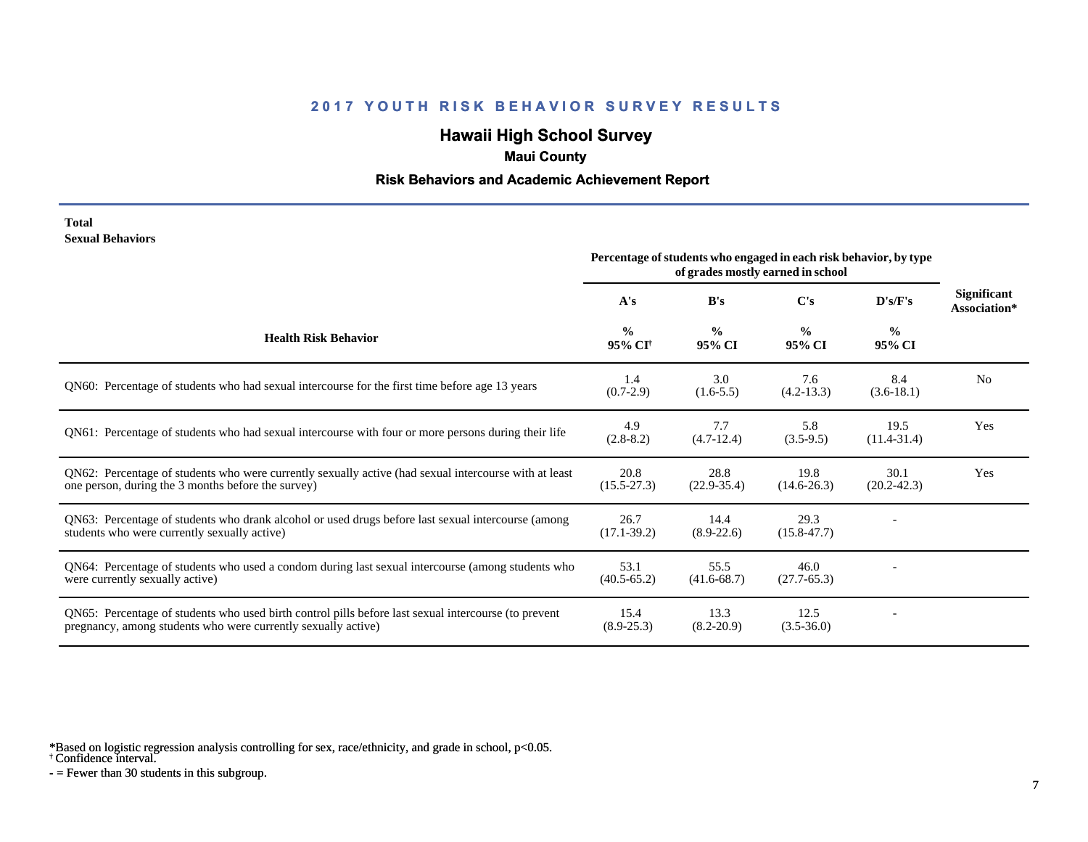# **Hawaii High School Survey**

## **Maui County**

#### **Risk Behaviors and Academic Achievement Report**

#### **Total Sexual Behaviors**

|                                                                                                                                                                       | Percentage of students who engaged in each risk behavior, by type<br>of grades mostly earned in school |                         |                         |                         |                                    |
|-----------------------------------------------------------------------------------------------------------------------------------------------------------------------|--------------------------------------------------------------------------------------------------------|-------------------------|-------------------------|-------------------------|------------------------------------|
|                                                                                                                                                                       | A's                                                                                                    | B's                     | C's                     | D's/F's                 | <b>Significant</b><br>Association* |
| <b>Health Risk Behavior</b>                                                                                                                                           | $\frac{0}{0}$<br>95% CI <sup>+</sup>                                                                   | $\frac{0}{0}$<br>95% CI | $\frac{0}{0}$<br>95% CI | $\frac{0}{0}$<br>95% CI |                                    |
| QN60: Percentage of students who had sexual intercourse for the first time before age 13 years                                                                        | 1.4<br>$(0.7-2.9)$                                                                                     | 3.0<br>$(1.6-5.5)$      | 7.6<br>$(4.2 - 13.3)$   | 8.4<br>$(3.6-18.1)$     | N <sub>0</sub>                     |
| QN61: Percentage of students who had sexual intercourse with four or more persons during their life                                                                   | 4.9<br>$(2.8-8.2)$                                                                                     | 7.7<br>$(4.7-12.4)$     | 5.8<br>$(3.5-9.5)$      | 19.5<br>$(11.4 - 31.4)$ | Yes                                |
| QN62: Percentage of students who were currently sexually active (had sexual intercourse with at least<br>one person, during the 3 months before the survey)           | 20.8<br>$(15.5 - 27.3)$                                                                                | 28.8<br>$(22.9-35.4)$   | 19.8<br>$(14.6 - 26.3)$ | 30.1<br>$(20.2 - 42.3)$ | Yes                                |
| QN63: Percentage of students who drank alcohol or used drugs before last sexual intercourse (among<br>students who were currently sexually active)                    | 26.7<br>$(17.1 - 39.2)$                                                                                | 14.4<br>$(8.9-22.6)$    | 29.3<br>$(15.8 - 47.7)$ |                         |                                    |
| QN64: Percentage of students who used a condom during last sexual intercourse (among students who<br>were currently sexually active)                                  | 53.1<br>$(40.5 - 65.2)$                                                                                | 55.5<br>$(41.6 - 68.7)$ | 46.0<br>$(27.7-65.3)$   |                         |                                    |
| QN65: Percentage of students who used birth control pills before last sexual intercourse (to prevent<br>pregnancy, among students who were currently sexually active) | 15.4<br>$(8.9 - 25.3)$                                                                                 | 13.3<br>$(8.2 - 20.9)$  | 12.5<br>$(3.5 - 36.0)$  |                         |                                    |

\*Based on logistic regression analysis controlling for sex, race/ethnicity, and grade in school, p<0.05.

† Confidence interval.

 $-$  = Fewer than 30 students in this subgroup.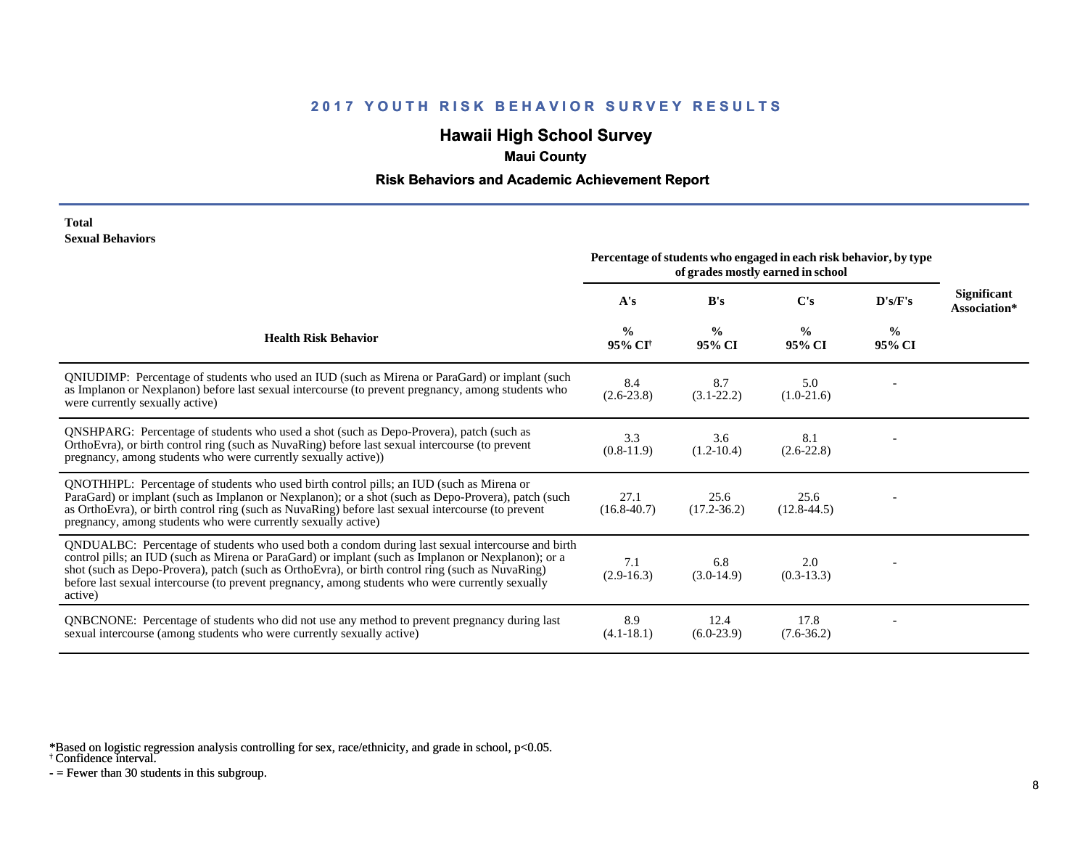# **Hawaii High School Survey**

### **Maui County**

#### **Risk Behaviors and Academic Achievement Report**

#### **Total Sexual Behaviors**

|                                                                                                                                                                                                                                                                                                                                                                                                                            | Percentage of students who engaged in each risk behavior, by type<br>of grades mostly earned in school |                         |                         |                         |                                    |
|----------------------------------------------------------------------------------------------------------------------------------------------------------------------------------------------------------------------------------------------------------------------------------------------------------------------------------------------------------------------------------------------------------------------------|--------------------------------------------------------------------------------------------------------|-------------------------|-------------------------|-------------------------|------------------------------------|
|                                                                                                                                                                                                                                                                                                                                                                                                                            | A's                                                                                                    | B's                     | $\bf C's$               | D's/F's                 | <b>Significant</b><br>Association* |
| <b>Health Risk Behavior</b>                                                                                                                                                                                                                                                                                                                                                                                                | $\frac{0}{0}$<br>95% CI <sup>+</sup>                                                                   | $\frac{0}{0}$<br>95% CI | $\frac{0}{0}$<br>95% CI | $\frac{6}{6}$<br>95% CI |                                    |
| QNIUDIMP: Percentage of students who used an IUD (such as Mirena or ParaGard) or implant (such<br>as Implanon or Nexplanon) before last sexual intercourse (to prevent pregnancy, among students who<br>were currently sexually active)                                                                                                                                                                                    | 8.4<br>$(2.6-23.8)$                                                                                    | 8.7<br>$(3.1 - 22.2)$   | 5.0<br>$(1.0-21.6)$     |                         |                                    |
| QNSHPARG: Percentage of students who used a shot (such as Depo-Provera), patch (such as<br>OrthoEvra), or birth control ring (such as NuvaRing) before last sexual intercourse (to prevent<br>pregnancy, among students who were currently sexually active))                                                                                                                                                               | 3.3<br>$(0.8-11.9)$                                                                                    | 3.6<br>$(1.2 - 10.4)$   | 8.1<br>$(2.6-22.8)$     |                         |                                    |
| QNOTHHPL: Percentage of students who used birth control pills; an IUD (such as Mirena or<br>ParaGard) or implant (such as Implanon or Nexplanon); or a shot (such as Depo-Provera), patch (such<br>as OrthoEvra), or birth control ring (such as NuvaRing) before last sexual intercourse (to prevent<br>pregnancy, among students who were currently sexually active)                                                     | 27.1<br>$(16.8 - 40.7)$                                                                                | 25.6<br>$(17.2 - 36.2)$ | 25.6<br>$(12.8 - 44.5)$ |                         |                                    |
| QNDUALBC: Percentage of students who used both a condom during last sexual intercourse and birth<br>control pills; an IUD (such as Mirena or ParaGard) or implant (such as Implanon or Nexplanon); or a<br>shot (such as Depo-Provera), patch (such as OrthoEvra), or birth control ring (such as NuvaRing)<br>before last sexual intercourse (to prevent pregnancy, among students who were currently sexually<br>active) | 7.1<br>$(2.9-16.3)$                                                                                    | 6.8<br>$(3.0-14.9)$     | 2.0<br>$(0.3-13.3)$     |                         |                                    |
| <b>QNBCNONE:</b> Percentage of students who did not use any method to prevent pregnancy during last<br>sexual intercourse (among students who were currently sexually active)                                                                                                                                                                                                                                              | 8.9<br>$(4.1 - 18.1)$                                                                                  | 12.4<br>$(6.0-23.9)$    | 17.8<br>$(7.6 - 36.2)$  |                         |                                    |

\*Based on logistic regression analysis controlling for sex, race/ethnicity, and grade in school, p<0.05.

† Confidence interval.

 $-$  = Fewer than 30 students in this subgroup.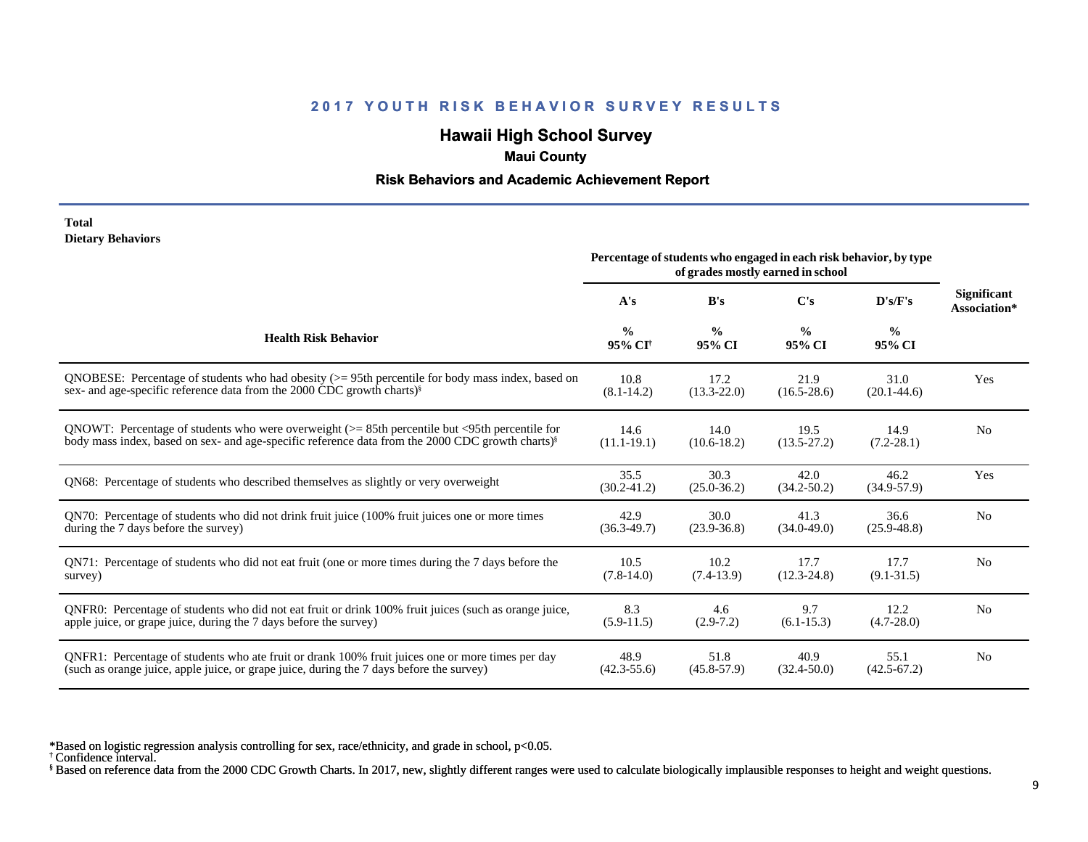## **Hawaii High School Survey**

#### **Maui County**

#### **Risk Behaviors and Academic Achievement Report**

#### **Total Dietary Behaviors**

|                                                                                                              | Percentage of students who engaged in each risk behavior, by type<br>of grades mostly earned in school |                         |                         |                         |                                    |
|--------------------------------------------------------------------------------------------------------------|--------------------------------------------------------------------------------------------------------|-------------------------|-------------------------|-------------------------|------------------------------------|
|                                                                                                              | A's                                                                                                    | B's                     | C's                     | D's/F's                 | <b>Significant</b><br>Association* |
| <b>Health Risk Behavior</b>                                                                                  | $\frac{0}{0}$<br>95% CI <sup>+</sup>                                                                   | $\frac{0}{0}$<br>95% CI | $\frac{0}{0}$<br>95% CI | $\frac{0}{0}$<br>95% CI |                                    |
| QNOBESE: Percentage of students who had obesity $(>= 95$ th percentile for body mass index, based on         | 10.8                                                                                                   | 17.2                    | 21.9                    | 31.0                    | Yes                                |
| sex- and age-specific reference data from the 2000 CDC growth charts) <sup>§</sup>                           | $(8.1 - 14.2)$                                                                                         | $(13.3 - 22.0)$         | $(16.5 - 28.6)$         | $(20.1 - 44.6)$         |                                    |
| QNOWT: Percentage of students who were overweight $(>= 85$ th percentile but <95th percentile for            | 14.6                                                                                                   | 14.0                    | 19.5                    | 14.9                    | N <sub>0</sub>                     |
| body mass index, based on sex- and age-specific reference data from the 2000 CDC growth charts) <sup>§</sup> | $(11.1 - 19.1)$                                                                                        | $(10.6 - 18.2)$         | $(13.5 - 27.2)$         | $(7.2 - 28.1)$          |                                    |
| QN68: Percentage of students who described themselves as slightly or very overweight                         | 35.5<br>$(30.2 - 41.2)$                                                                                | 30.3<br>$(25.0 - 36.2)$ | 42.0<br>$(34.2 - 50.2)$ | 46.2<br>$(34.9 - 57.9)$ | Yes                                |
| QN70: Percentage of students who did not drink fruit juice (100% fruit juices one or more times              | 42.9                                                                                                   | 30.0                    | 41.3                    | 36.6                    | N <sub>0</sub>                     |
| during the 7 days before the survey)                                                                         | $(36.3 - 49.7)$                                                                                        | $(23.9 - 36.8)$         | $(34.0 - 49.0)$         | $(25.9 - 48.8)$         |                                    |
| QN71: Percentage of students who did not eat fruit (one or more times during the 7 days before the           | 10.5                                                                                                   | 10.2                    | 17.7                    | 17.7                    | N <sub>0</sub>                     |
| survey)                                                                                                      | $(7.8-14.0)$                                                                                           | $(7.4-13.9)$            | $(12.3 - 24.8)$         | $(9.1 - 31.5)$          |                                    |
| QNFR0: Percentage of students who did not eat fruit or drink 100% fruit juices (such as orange juice,        | 8.3                                                                                                    | 4.6                     | 9.7                     | 12.2                    | N <sub>0</sub>                     |
| apple juice, or grape juice, during the 7 days before the survey)                                            | $(5.9-11.5)$                                                                                           | $(2.9-7.2)$             | $(6.1 - 15.3)$          | $(4.7 - 28.0)$          |                                    |
| QNFR1: Percentage of students who ate fruit or drank 100% fruit juices one or more times per day             | 48.9                                                                                                   | 51.8                    | 40.9                    | 55.1                    | N <sub>0</sub>                     |
| (such as orange juice, apple juice, or grape juice, during the 7 days before the survey)                     | $(42.3 - 55.6)$                                                                                        | $(45.8 - 57.9)$         | $(32.4 - 50.0)$         | $(42.5 - 67.2)$         |                                    |

\*Based on logistic regression analysis controlling for sex, race/ethnicity, and grade in school, p<0.05.

† Confidence interval.

§ Based on reference data from the 2000 CDC Growth Charts. In 2017, new, slightly different ranges were used to calculate biologically implausible responses to height and weight questions.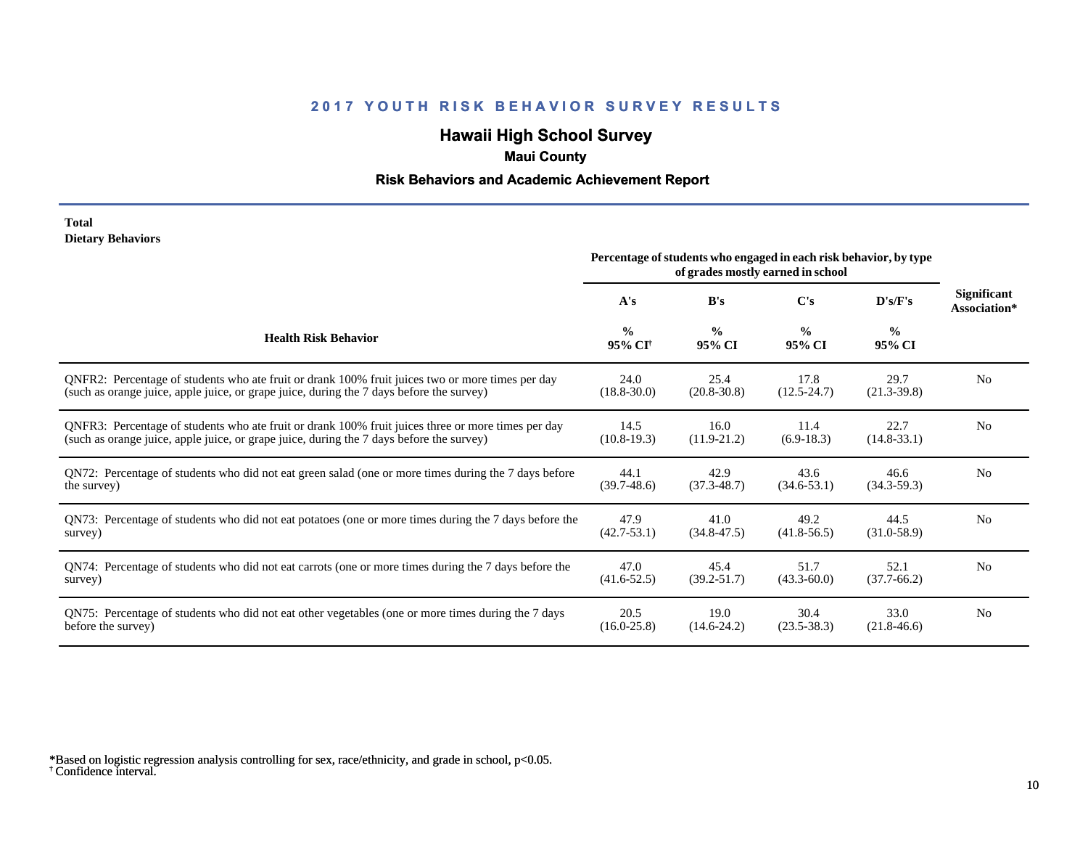# **Hawaii High School Survey**

## **Maui County**

#### **Risk Behaviors and Academic Achievement Report**

#### **Total Dietary Behaviors**

|                                                                                                       | Percentage of students who engaged in each risk behavior, by type<br>of grades mostly earned in school |                         |                         |                         |                             |
|-------------------------------------------------------------------------------------------------------|--------------------------------------------------------------------------------------------------------|-------------------------|-------------------------|-------------------------|-----------------------------|
|                                                                                                       | A's                                                                                                    | B's                     | C's                     | D's/F's                 | Significant<br>Association* |
| <b>Health Risk Behavior</b>                                                                           | $\frac{0}{0}$<br>95% CI <sup>+</sup>                                                                   | $\frac{0}{0}$<br>95% CI | $\frac{0}{0}$<br>95% CI | $\frac{0}{0}$<br>95% CI |                             |
| ONFR2: Percentage of students who ate fruit or drank 100% fruit juices two or more times per day      | 24.0                                                                                                   | 25.4                    | 17.8                    | 29.7                    | N <sub>0</sub>              |
| (such as orange juice, apple juice, or grape juice, during the 7 days before the survey)              | $(18.8 - 30.0)$                                                                                        | $(20.8 - 30.8)$         | $(12.5 - 24.7)$         | $(21.3-39.8)$           |                             |
| QNFR3: Percentage of students who ate fruit or drank 100% fruit juices three or more times per day    | 14.5                                                                                                   | 16.0                    | 11.4                    | 22.7                    | N <sub>o</sub>              |
| (such as orange juice, apple juice, or grape juice, during the 7 days before the survey)              | $(10.8-19.3)$                                                                                          | $(11.9-21.2)$           | $(6.9-18.3)$            | $(14.8-33.1)$           |                             |
| QN72: Percentage of students who did not eat green salad (one or more times during the 7 days before  | 44.1                                                                                                   | 42.9                    | 43.6                    | 46.6                    | N <sub>0</sub>              |
| the survey)                                                                                           | $(39.7-48.6)$                                                                                          | $(37.3 - 48.7)$         | $(34.6 - 53.1)$         | $(34.3-59.3)$           |                             |
| QN73: Percentage of students who did not eat potatoes (one or more times during the 7 days before the | 47.9                                                                                                   | 41.0                    | 49.2                    | 44.5                    | N <sub>0</sub>              |
| survey)                                                                                               | $(42.7 - 53.1)$                                                                                        | $(34.8 - 47.5)$         | $(41.8 - 56.5)$         | $(31.0-58.9)$           |                             |
| QN74: Percentage of students who did not eat carrots (one or more times during the 7 days before the  | 47.0                                                                                                   | 45.4                    | 51.7                    | 52.1                    | N <sub>0</sub>              |
| survey)                                                                                               | $(41.6 - 52.5)$                                                                                        | $(39.2 - 51.7)$         | $(43.3 - 60.0)$         | $(37.7-66.2)$           |                             |
| QN75: Percentage of students who did not eat other vegetables (one or more times during the 7 days    | 20.5                                                                                                   | 19.0                    | 30.4                    | 33.0                    | N <sub>0</sub>              |
| before the survey)                                                                                    | $(16.0 - 25.8)$                                                                                        | $(14.6-24.2)$           | $(23.5 - 38.3)$         | $(21.8-46.6)$           |                             |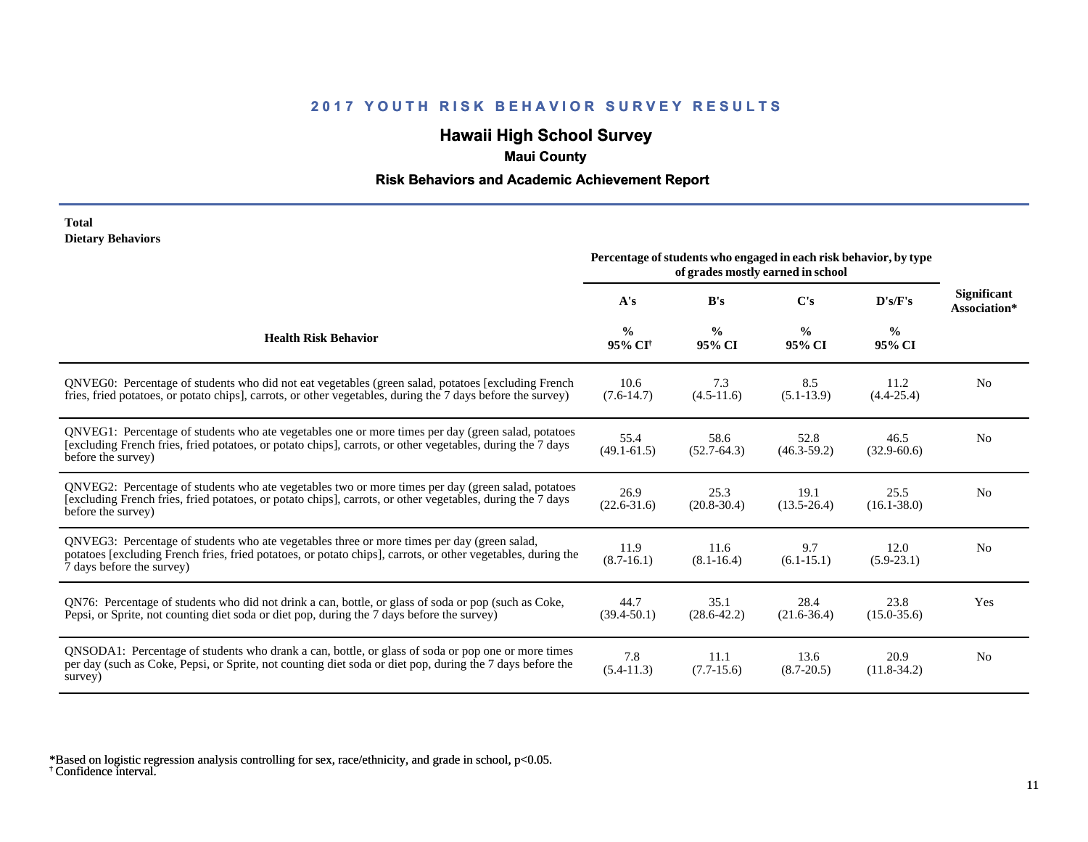## **Hawaii High School Survey**

### **Maui County**

#### **Risk Behaviors and Academic Achievement Report**

#### **Total Dietary Behaviors**

|                                                                                                                                                                                                                                          | Percentage of students who engaged in each risk behavior, by type<br>of grades mostly earned in school |                         |                         |                         |                                    |
|------------------------------------------------------------------------------------------------------------------------------------------------------------------------------------------------------------------------------------------|--------------------------------------------------------------------------------------------------------|-------------------------|-------------------------|-------------------------|------------------------------------|
|                                                                                                                                                                                                                                          | A's                                                                                                    | B's                     | C's                     | D's/F's                 | <b>Significant</b><br>Association* |
| <b>Health Risk Behavior</b>                                                                                                                                                                                                              | $\frac{0}{0}$<br>95% CI <sup>+</sup>                                                                   | $\frac{0}{0}$<br>95% CI | $\frac{0}{0}$<br>95% CI | $\frac{0}{0}$<br>95% CI |                                    |
| QNVEG0: Percentage of students who did not eat vegetables (green salad, potatoes [excluding French<br>fries, fried potatoes, or potato chips], carrots, or other vegetables, during the 7 days before the survey)                        | 10.6<br>$(7.6-14.7)$                                                                                   | 7.3<br>$(4.5-11.6)$     | 8.5<br>$(5.1-13.9)$     | 11.2<br>$(4.4 - 25.4)$  | N <sub>0</sub>                     |
| QNVEG1: Percentage of students who ate vegetables one or more times per day (green salad, potatoes<br>[excluding French fries, fried potatoes, or potato chips], carrots, or other vegetables, during the 7 days<br>before the survey)   | 55.4<br>$(49.1 - 61.5)$                                                                                | 58.6<br>$(52.7-64.3)$   | 52.8<br>$(46.3 - 59.2)$ | 46.5<br>$(32.9 - 60.6)$ | N <sub>0</sub>                     |
| QNVEG2: Percentage of students who ate vegetables two or more times per day (green salad, potatoes<br>[excluding French fries, fried potatoes, or potato chips], carrots, or other vegetables, during the 7 days<br>before the survey)   | 26.9<br>$(22.6 - 31.6)$                                                                                | 25.3<br>$(20.8 - 30.4)$ | 19.1<br>$(13.5 - 26.4)$ | 25.5<br>$(16.1 - 38.0)$ | N <sub>0</sub>                     |
| QNVEG3: Percentage of students who ate vegetables three or more times per day (green salad,<br>potatoes [excluding French fries, fried potatoes, or potato chips], carrots, or other vegetables, during the<br>7 days before the survey) | 11.9<br>$(8.7-16.1)$                                                                                   | 11.6<br>$(8.1 - 16.4)$  | 9.7<br>$(6.1 - 15.1)$   | 12.0<br>$(5.9-23.1)$    | N <sub>0</sub>                     |
| QN76: Percentage of students who did not drink a can, bottle, or glass of soda or pop (such as Coke,<br>Pepsi, or Sprite, not counting diet soda or diet pop, during the 7 days before the survey)                                       | 44.7<br>$(39.4 - 50.1)$                                                                                | 35.1<br>$(28.6 - 42.2)$ | 28.4<br>$(21.6 - 36.4)$ | 23.8<br>$(15.0 - 35.6)$ | Yes                                |
| QNSODA1: Percentage of students who drank a can, bottle, or glass of soda or pop one or more times<br>per day (such as Coke, Pepsi, or Sprite, not counting diet soda or diet pop, during the 7 days before the<br>survey)               | 7.8<br>$(5.4-11.3)$                                                                                    | 11.1<br>$(7.7-15.6)$    | 13.6<br>$(8.7 - 20.5)$  | 20.9<br>$(11.8-34.2)$   | N <sub>0</sub>                     |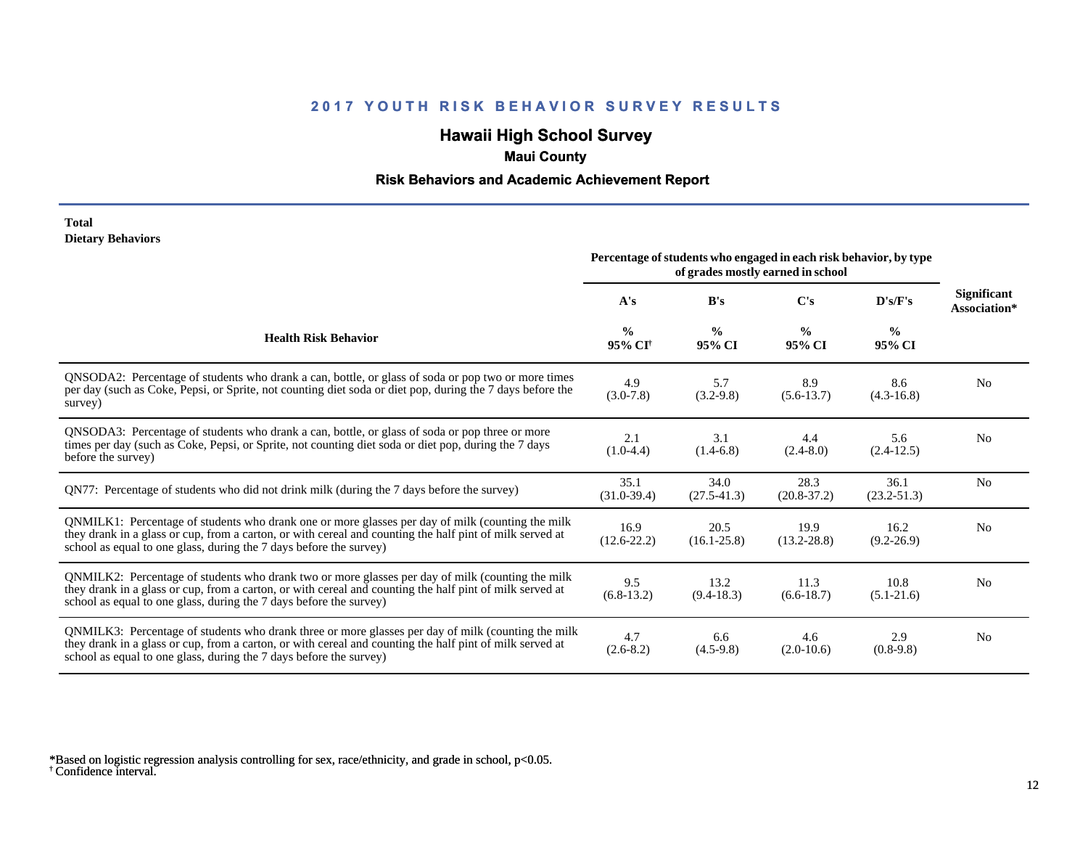## **Hawaii High School Survey**

### **Maui County**

#### **Risk Behaviors and Academic Achievement Report**

#### **Total Dietary Behaviors**

|                                                                                                                                                                                                                                                                                      | Percentage of students who engaged in each risk behavior, by type<br>of grades mostly earned in school |                         |                         |                         |                                    |
|--------------------------------------------------------------------------------------------------------------------------------------------------------------------------------------------------------------------------------------------------------------------------------------|--------------------------------------------------------------------------------------------------------|-------------------------|-------------------------|-------------------------|------------------------------------|
|                                                                                                                                                                                                                                                                                      | A's                                                                                                    | B's                     | $\bf C's$               | D's/F's                 | <b>Significant</b><br>Association* |
| <b>Health Risk Behavior</b>                                                                                                                                                                                                                                                          | $\frac{0}{0}$<br>95% CI <sup>†</sup>                                                                   | $\frac{0}{0}$<br>95% CI | $\frac{0}{0}$<br>95% CI | $\frac{0}{0}$<br>95% CI |                                    |
| QNSODA2: Percentage of students who drank a can, bottle, or glass of soda or pop two or more times<br>per day (such as Coke, Pepsi, or Sprite, not counting diet soda or diet pop, during the 7 days before the<br>survey)                                                           | 4.9<br>$(3.0 - 7.8)$                                                                                   | 5.7<br>$(3.2 - 9.8)$    | 8.9<br>$(5.6-13.7)$     | 8.6<br>$(4.3 - 16.8)$   | N <sub>0</sub>                     |
| QNSODA3: Percentage of students who drank a can, bottle, or glass of soda or pop three or more<br>times per day (such as Coke, Pepsi, or Sprite, not counting diet soda or diet pop, during the 7 days<br>before the survey)                                                         | 2.1<br>$(1.0-4.4)$                                                                                     | 3.1<br>$(1.4-6.8)$      | 4.4<br>$(2.4 - 8.0)$    | 5.6<br>$(2.4-12.5)$     | N <sub>0</sub>                     |
| QN77: Percentage of students who did not drink milk (during the 7 days before the survey)                                                                                                                                                                                            | 35.1<br>$(31.0-39.4)$                                                                                  | 34.0<br>$(27.5-41.3)$   | 28.3<br>$(20.8-37.2)$   | 36.1<br>$(23.2 - 51.3)$ | N <sub>0</sub>                     |
| QNMILK1: Percentage of students who drank one or more glasses per day of milk (counting the milk<br>they drank in a glass or cup, from a carton, or with cereal and counting the half pint of milk served at<br>school as equal to one glass, during the 7 days before the survey)   | 16.9<br>$(12.6 - 22.2)$                                                                                | 20.5<br>$(16.1 - 25.8)$ | 19.9<br>$(13.2 - 28.8)$ | 16.2<br>$(9.2 - 26.9)$  | N <sub>0</sub>                     |
| QNMILK2: Percentage of students who drank two or more glasses per day of milk (counting the milk<br>they drank in a glass or cup, from a carton, or with cereal and counting the half pint of milk served at<br>school as equal to one glass, during the 7 days before the survey)   | 9.5<br>$(6.8-13.2)$                                                                                    | 13.2<br>$(9.4-18.3)$    | 11.3<br>$(6.6-18.7)$    | 10.8<br>$(5.1-21.6)$    | N <sub>0</sub>                     |
| QNMILK3: Percentage of students who drank three or more glasses per day of milk (counting the milk<br>they drank in a glass or cup, from a carton, or with cereal and counting the half pint of milk served at<br>school as equal to one glass, during the 7 days before the survey) | 4.7<br>$(2.6-8.2)$                                                                                     | 6.6<br>$(4.5-9.8)$      | 4.6<br>$(2.0-10.6)$     | 2.9<br>$(0.8-9.8)$      | N <sub>0</sub>                     |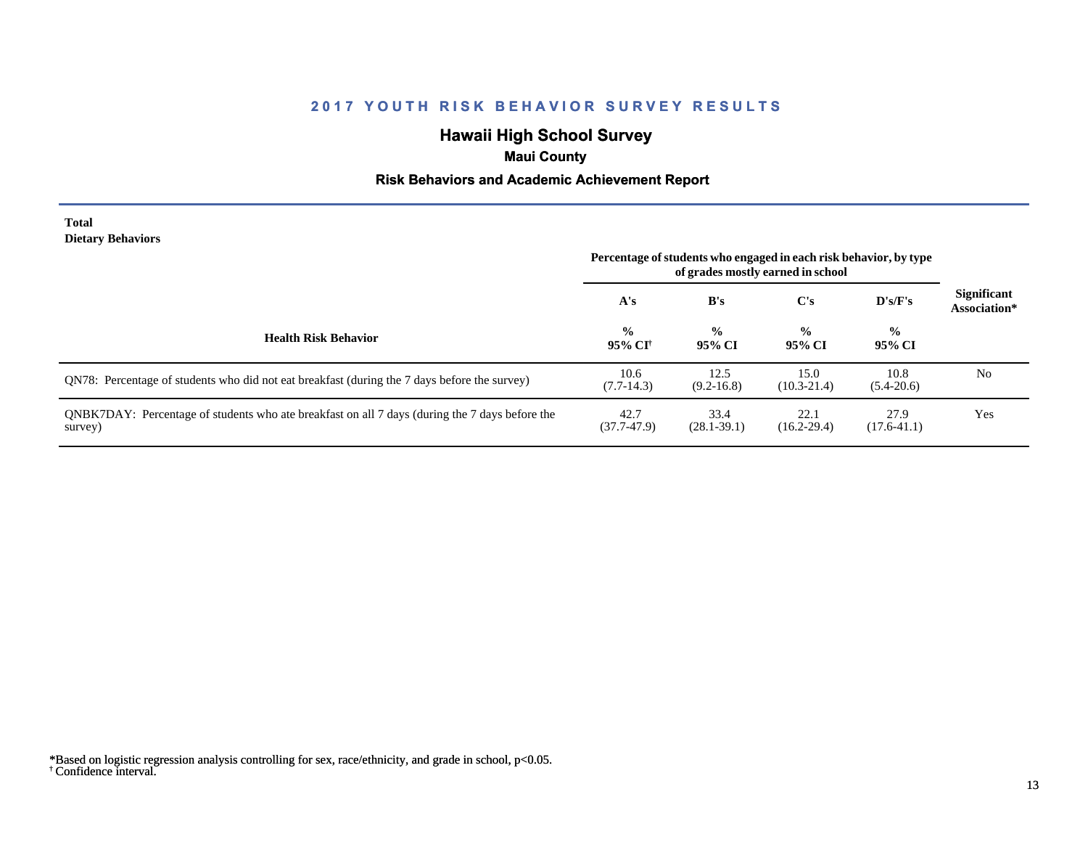# **Hawaii High School Survey**

## **Maui County**

#### **Risk Behaviors and Academic Achievement Report**

#### **Total Dietary Behaviors**

|                                                                                                           | Percentage of students who engaged in each risk behavior, by type<br>of grades mostly earned in school |                         |                         |                         |                                    |
|-----------------------------------------------------------------------------------------------------------|--------------------------------------------------------------------------------------------------------|-------------------------|-------------------------|-------------------------|------------------------------------|
|                                                                                                           | A's                                                                                                    | B's                     | $\bf C's$               | D's/F's                 | <b>Significant</b><br>Association* |
| <b>Health Risk Behavior</b>                                                                               | $\frac{0}{0}$<br>95% CI <sup>+</sup>                                                                   | $\frac{0}{0}$<br>95% CI | $\frac{0}{0}$<br>95% CI | $\frac{0}{0}$<br>95% CI |                                    |
| QN78: Percentage of students who did not eat breakfast (during the 7 days before the survey)              | 10.6<br>$(7.7-14.3)$                                                                                   | 12.5<br>$(9.2 - 16.8)$  | 15.0<br>$(10.3 - 21.4)$ | 10.8<br>$(5.4-20.6)$    | N <sub>0</sub>                     |
| QNBK7DAY: Percentage of students who ate breakfast on all 7 days (during the 7 days before the<br>survey) | 42.7<br>$(37.7 - 47.9)$                                                                                | 33.4<br>$(28.1 - 39.1)$ | 22.1<br>$(16.2 - 29.4)$ | 27.9<br>$(17.6 - 41.1)$ | Yes                                |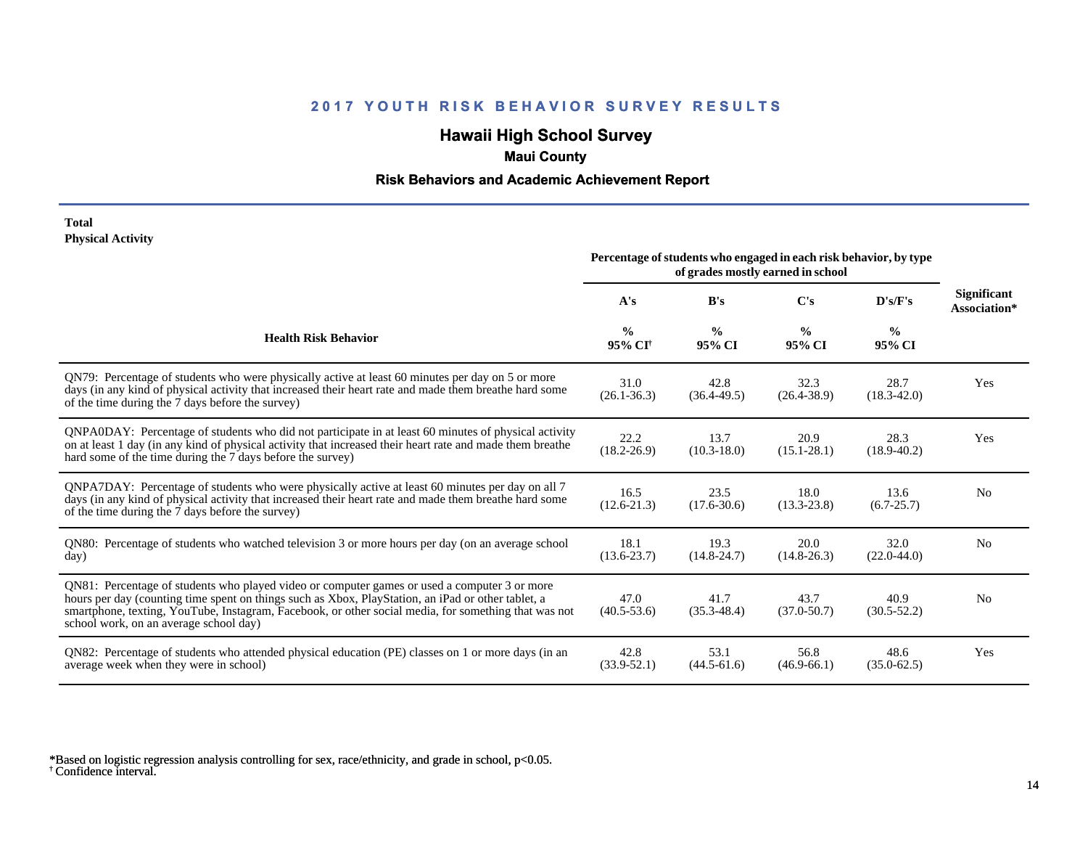# **Hawaii High School Survey**

## **Maui County**

#### **Risk Behaviors and Academic Achievement Report**

#### **Total Physical Activity**

|                                                                                                                                                                                                                                                                                                                                                      | Percentage of students who engaged in each risk behavior, by type<br>of grades mostly earned in school |                         |                         |                         |                                    |
|------------------------------------------------------------------------------------------------------------------------------------------------------------------------------------------------------------------------------------------------------------------------------------------------------------------------------------------------------|--------------------------------------------------------------------------------------------------------|-------------------------|-------------------------|-------------------------|------------------------------------|
|                                                                                                                                                                                                                                                                                                                                                      | A's                                                                                                    | B's                     | C's                     | D's/F's                 | <b>Significant</b><br>Association* |
| <b>Health Risk Behavior</b>                                                                                                                                                                                                                                                                                                                          | $\frac{0}{0}$<br>95% CI <sup>+</sup>                                                                   | $\frac{6}{9}$<br>95% CI | $\frac{0}{0}$<br>95% CI | $\frac{0}{0}$<br>95% CI |                                    |
| QN79: Percentage of students who were physically active at least 60 minutes per day on 5 or more<br>days (in any kind of physical activity that increased their heart rate and made them breathe hard some<br>of the time during the 7 days before the survey)                                                                                       | 31.0<br>$(26.1 - 36.3)$                                                                                | 42.8<br>$(36.4 - 49.5)$ | 32.3<br>$(26.4 - 38.9)$ | 28.7<br>$(18.3 - 42.0)$ | Yes                                |
| QNPA0DAY: Percentage of students who did not participate in at least 60 minutes of physical activity<br>on at least 1 day (in any kind of physical activity that increased their heart rate and made them breathe<br>hard some of the time during the 7 days before the survey)                                                                      | 22.2<br>$(18.2 - 26.9)$                                                                                | 13.7<br>$(10.3 - 18.0)$ | 20.9<br>$(15.1 - 28.1)$ | 28.3<br>$(18.9 - 40.2)$ | Yes                                |
| ONPA7DAY: Percentage of students who were physically active at least 60 minutes per day on all 7<br>days (in any kind of physical activity that increased their heart rate and made them breathe hard some<br>of the time during the 7 days before the survey)                                                                                       | 16.5<br>$(12.6 - 21.3)$                                                                                | 23.5<br>$(17.6 - 30.6)$ | 18.0<br>$(13.3 - 23.8)$ | 13.6<br>$(6.7 - 25.7)$  | N <sub>0</sub>                     |
| QN80: Percentage of students who watched television 3 or more hours per day (on an average school<br>day)                                                                                                                                                                                                                                            | 18.1<br>$(13.6 - 23.7)$                                                                                | 19.3<br>$(14.8 - 24.7)$ | 20.0<br>$(14.8 - 26.3)$ | 32.0<br>$(22.0 - 44.0)$ | N <sub>0</sub>                     |
| QN81: Percentage of students who played video or computer games or used a computer 3 or more<br>hours per day (counting time spent on things such as Xbox, PlayStation, an iPad or other tablet, a<br>smartphone, texting, YouTube, Instagram, Facebook, or other social media, for something that was not<br>school work, on an average school day) | 47.0<br>$(40.5 - 53.6)$                                                                                | 41.7<br>$(35.3 - 48.4)$ | 43.7<br>$(37.0 - 50.7)$ | 40.9<br>$(30.5 - 52.2)$ | N <sub>0</sub>                     |
| QN82: Percentage of students who attended physical education (PE) classes on 1 or more days (in an<br>average week when they were in school)                                                                                                                                                                                                         | 42.8<br>$(33.9 - 52.1)$                                                                                | 53.1<br>$(44.5 - 61.6)$ | 56.8<br>$(46.9 - 66.1)$ | 48.6<br>$(35.0 - 62.5)$ | Yes                                |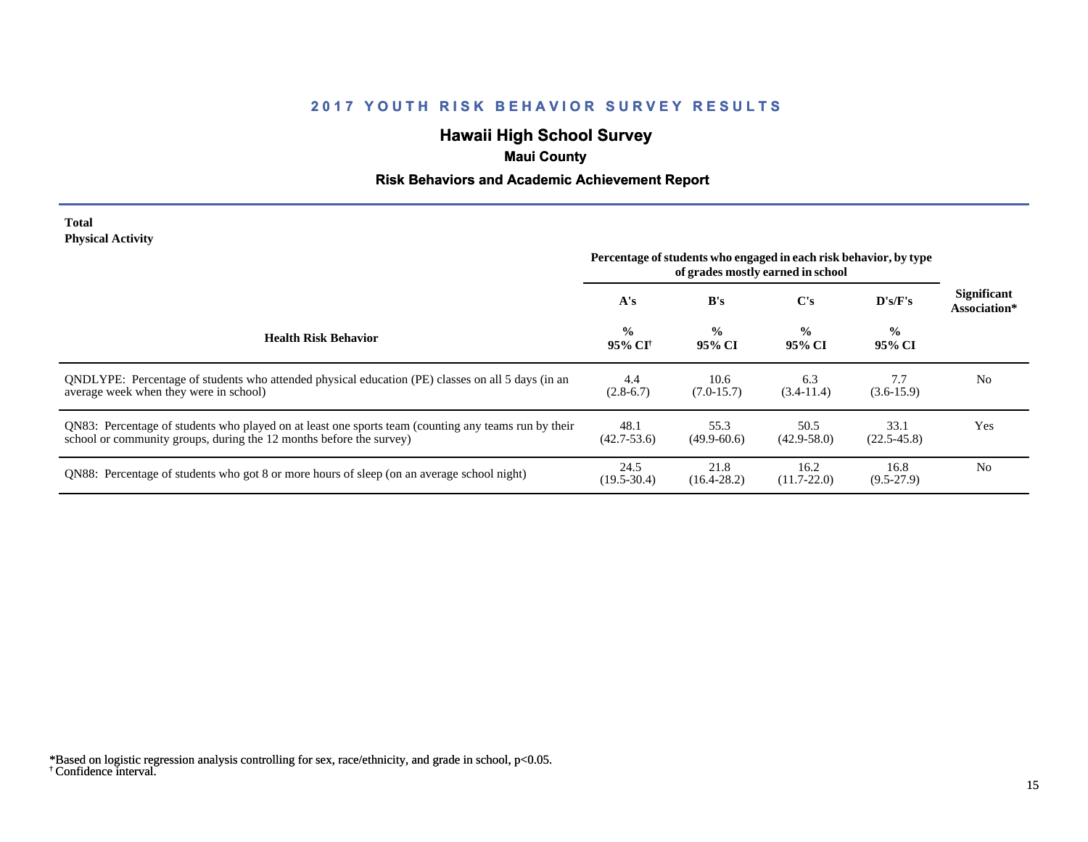# **Hawaii High School Survey**

## **Maui County**

#### **Risk Behaviors and Academic Achievement Report**

#### **Total Physical Activity**

|                                                                                                                                                                             | Percentage of students who engaged in each risk behavior, by type<br>of grades mostly earned in school |                         |                         |                         |                                    |
|-----------------------------------------------------------------------------------------------------------------------------------------------------------------------------|--------------------------------------------------------------------------------------------------------|-------------------------|-------------------------|-------------------------|------------------------------------|
|                                                                                                                                                                             | A's                                                                                                    | B's                     | C's                     | $\bf{D's/F's}$          | <b>Significant</b><br>Association* |
| <b>Health Risk Behavior</b>                                                                                                                                                 | $\frac{0}{0}$<br>95% CI†                                                                               | $\frac{0}{0}$<br>95% CI | $\frac{0}{0}$<br>95% CI | $\frac{0}{0}$<br>95% CI |                                    |
| ONDLYPE: Percentage of students who attended physical education (PE) classes on all 5 days (in an<br>average week when they were in school)                                 | 4.4<br>$(2.8-6.7)$                                                                                     | 10.6<br>$(7.0-15.7)$    | 6.3<br>$(3.4-11.4)$     | 7.7<br>$(3.6-15.9)$     | N <sub>0</sub>                     |
| QN83: Percentage of students who played on at least one sports team (counting any teams run by their<br>school or community groups, during the 12 months before the survey) | 48.1<br>$(42.7 - 53.6)$                                                                                | 55.3<br>$(49.9 - 60.6)$ | 50.5<br>$(42.9 - 58.0)$ | 33.1<br>$(22.5 - 45.8)$ | Yes                                |
| QN88: Percentage of students who got 8 or more hours of sleep (on an average school night)                                                                                  | 24.5<br>$(19.5 - 30.4)$                                                                                | 21.8<br>$(16.4 - 28.2)$ | 16.2<br>$(11.7 - 22.0)$ | 16.8<br>$(9.5-27.9)$    | N <sub>0</sub>                     |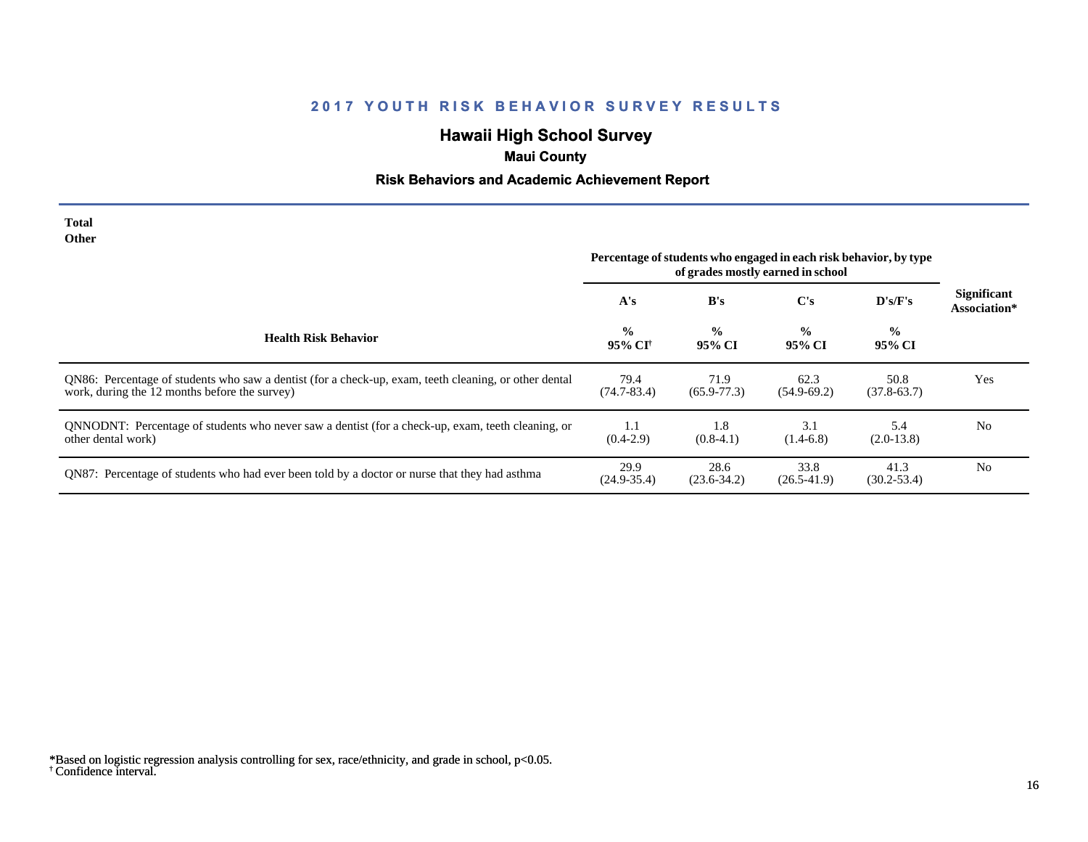# **Hawaii High School Survey**

## **Maui County**

# **Risk Behaviors and Academic Achievement Report**

| Total<br>Other                                                                                                                                         | Percentage of students who engaged in each risk behavior, by type |                         |                         |                         |                             |
|--------------------------------------------------------------------------------------------------------------------------------------------------------|-------------------------------------------------------------------|-------------------------|-------------------------|-------------------------|-----------------------------|
|                                                                                                                                                        | A's                                                               | B's                     | C's                     | D's/F's                 | Significant<br>Association* |
| <b>Health Risk Behavior</b>                                                                                                                            | $\frac{0}{0}$<br>95% CI†                                          | $\frac{0}{0}$<br>95% CI | $\frac{0}{0}$<br>95% CI | $\frac{0}{0}$<br>95% CI |                             |
| QN86: Percentage of students who saw a dentist (for a check-up, exam, teeth cleaning, or other dental<br>work, during the 12 months before the survey) | 79.4<br>$(74.7 - 83.4)$                                           | 71.9<br>$(65.9 - 77.3)$ | 62.3<br>$(54.9-69.2)$   | 50.8<br>$(37.8-63.7)$   | Yes                         |
| QNNODNT: Percentage of students who never saw a dentist (for a check-up, exam, teeth cleaning, or<br>other dental work)                                | 1.1<br>$(0.4-2.9)$                                                | 1.8<br>$(0.8-4.1)$      | 3.1<br>$(1.4-6.8)$      | 5.4<br>$(2.0-13.8)$     | N <sub>0</sub>              |
| QN87: Percentage of students who had ever been told by a doctor or nurse that they had asthma                                                          | 29.9<br>$(24.9 - 35.4)$                                           | 28.6<br>$(23.6 - 34.2)$ | 33.8<br>$(26.5-41.9)$   | 41.3<br>$(30.2 - 53.4)$ | N <sub>0</sub>              |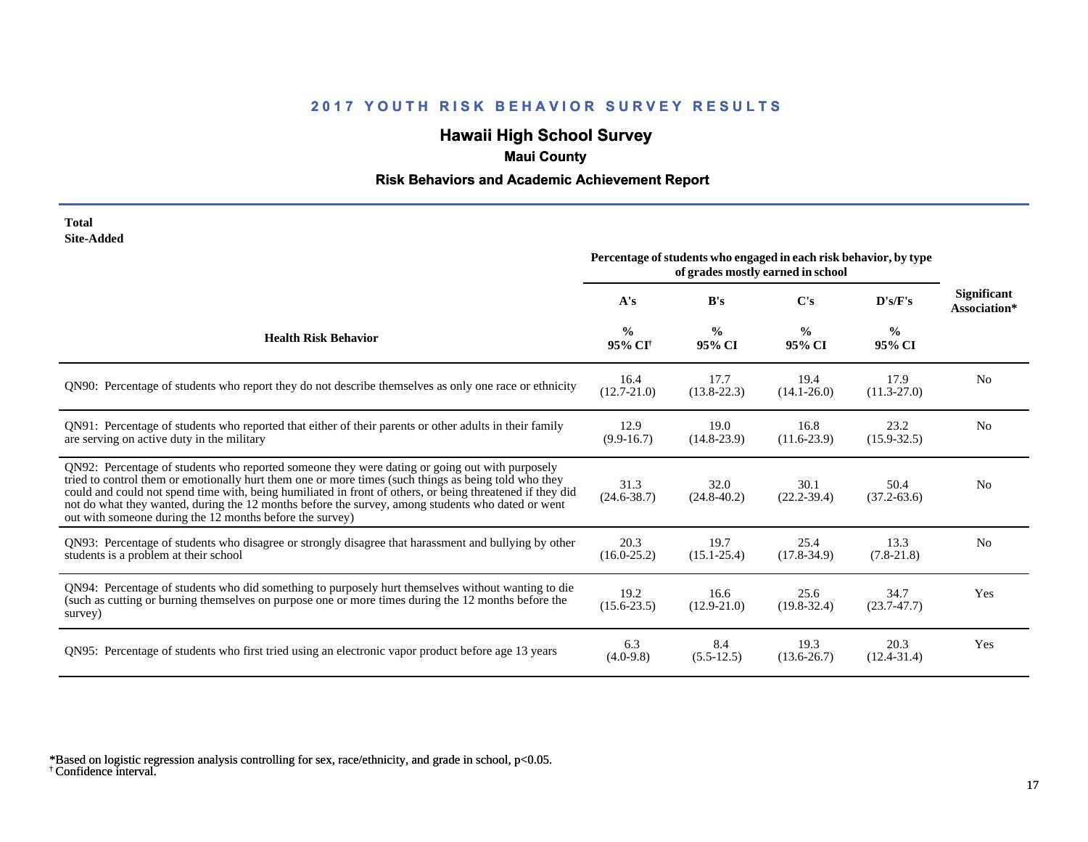# **Hawaii High School Survey**

# **Maui County**

## **Risk Behaviors and Academic Achievement Report**

| Total      |
|------------|
| Site-Added |

|                                                                                                                                                                                                                                                                                                                                                                                                                                                                                      | Percentage of students who engaged in each risk behavior, by type<br>of grades mostly earned in school |                         |                         |                         |                                    |
|--------------------------------------------------------------------------------------------------------------------------------------------------------------------------------------------------------------------------------------------------------------------------------------------------------------------------------------------------------------------------------------------------------------------------------------------------------------------------------------|--------------------------------------------------------------------------------------------------------|-------------------------|-------------------------|-------------------------|------------------------------------|
|                                                                                                                                                                                                                                                                                                                                                                                                                                                                                      | A's                                                                                                    | B's                     | C's                     | D's/F's                 | <b>Significant</b><br>Association* |
| <b>Health Risk Behavior</b>                                                                                                                                                                                                                                                                                                                                                                                                                                                          | $\frac{0}{0}$<br>95% CI <sup>+</sup>                                                                   | $\frac{0}{0}$<br>95% CI | $\frac{0}{0}$<br>95% CI | $\frac{6}{6}$<br>95% CI |                                    |
| QN90: Percentage of students who report they do not describe themselves as only one race or ethnicity                                                                                                                                                                                                                                                                                                                                                                                | 16.4<br>$(12.7 - 21.0)$                                                                                | 17.7<br>$(13.8-22.3)$   | 19.4<br>$(14.1 - 26.0)$ | 17.9<br>$(11.3-27.0)$   | N <sub>0</sub>                     |
| QN91: Percentage of students who reported that either of their parents or other adults in their family<br>are serving on active duty in the military                                                                                                                                                                                                                                                                                                                                 | 12.9<br>$(9.9-16.7)$                                                                                   | 19.0<br>$(14.8 - 23.9)$ | 16.8<br>$(11.6 - 23.9)$ | 23.2<br>$(15.9 - 32.5)$ | N <sub>0</sub>                     |
| QN92: Percentage of students who reported someone they were dating or going out with purposely<br>tried to control them or emotionally hurt them one or more times (such things as being told who they<br>could and could not spend time with, being humiliated in front of others, or being threatened if they did<br>not do what they wanted, during the 12 months before the survey, among students who dated or went<br>out with someone during the 12 months before the survey) | 31.3<br>$(24.6 - 38.7)$                                                                                | 32.0<br>$(24.8 - 40.2)$ | 30.1<br>$(22.2 - 39.4)$ | 50.4<br>$(37.2 - 63.6)$ | N <sub>0</sub>                     |
| QN93: Percentage of students who disagree or strongly disagree that harassment and bullying by other<br>students is a problem at their school                                                                                                                                                                                                                                                                                                                                        | 20.3<br>$(16.0 - 25.2)$                                                                                | 19.7<br>$(15.1 - 25.4)$ | 25.4<br>$(17.8 - 34.9)$ | 13.3<br>$(7.8-21.8)$    | N <sub>o</sub>                     |
| QN94: Percentage of students who did something to purposely hurt themselves without wanting to die<br>(such as cutting or burning themselves on purpose one or more times during the 12 months before the<br>survey)                                                                                                                                                                                                                                                                 | 19.2<br>$(15.6 - 23.5)$                                                                                | 16.6<br>$(12.9 - 21.0)$ | 25.6<br>$(19.8 - 32.4)$ | 34.7<br>$(23.7 - 47.7)$ | Yes                                |
| QN95: Percentage of students who first tried using an electronic vapor product before age 13 years                                                                                                                                                                                                                                                                                                                                                                                   | 6.3<br>$(4.0-9.8)$                                                                                     | 8.4<br>$(5.5-12.5)$     | 19.3<br>$(13.6 - 26.7)$ | 20.3<br>$(12.4 - 31.4)$ | Yes                                |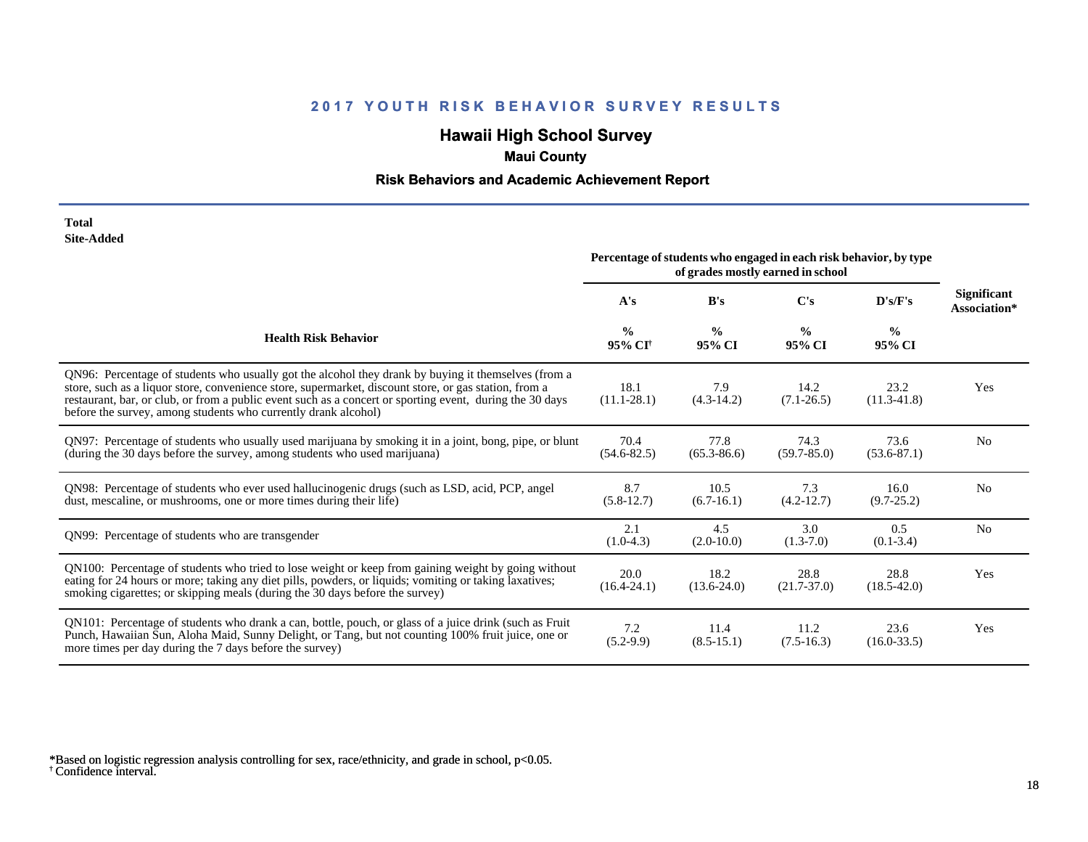# **Hawaii High School Survey**

## **Maui County**

#### **Risk Behaviors and Academic Achievement Report**

#### **Total Site-Added**

|                                                                                                                                                                                                                                                                                                                                                                                            | Percentage of students who engaged in each risk behavior, by type<br>of grades mostly earned in school |                         |                         |                         |                                    |
|--------------------------------------------------------------------------------------------------------------------------------------------------------------------------------------------------------------------------------------------------------------------------------------------------------------------------------------------------------------------------------------------|--------------------------------------------------------------------------------------------------------|-------------------------|-------------------------|-------------------------|------------------------------------|
|                                                                                                                                                                                                                                                                                                                                                                                            | A's                                                                                                    | B's                     | C's                     | D's/F's                 | <b>Significant</b><br>Association* |
| <b>Health Risk Behavior</b>                                                                                                                                                                                                                                                                                                                                                                | $\frac{0}{0}$<br>95% CI <sup>†</sup>                                                                   | $\frac{0}{0}$<br>95% CI | $\frac{0}{0}$<br>95% CI | $\frac{0}{0}$<br>95% CI |                                    |
| QN96: Percentage of students who usually got the alcohol they drank by buying it themselves (from a<br>store, such as a liquor store, convenience store, supermarket, discount store, or gas station, from a<br>restaurant, bar, or club, or from a public event such as a concert or sporting event, during the 30 days<br>before the survey, among students who currently drank alcohol) | 18.1<br>$(11.1 - 28.1)$                                                                                | 7.9<br>$(4.3-14.2)$     | 14.2<br>$(7.1 - 26.5)$  | 23.2<br>$(11.3-41.8)$   | Yes                                |
| QN97: Percentage of students who usually used marijuana by smoking it in a joint, bong, pipe, or blunt<br>(during the 30 days before the survey, among students who used marijuana)                                                                                                                                                                                                        | 70.4<br>$(54.6 - 82.5)$                                                                                | 77.8<br>$(65.3 - 86.6)$ | 74.3<br>$(59.7 - 85.0)$ | 73.6<br>$(53.6 - 87.1)$ | N <sub>0</sub>                     |
| QN98: Percentage of students who ever used hallucinogenic drugs (such as LSD, acid, PCP, angel<br>dust, mescaline, or mushrooms, one or more times during their life)                                                                                                                                                                                                                      | 8.7<br>$(5.8-12.7)$                                                                                    | 10.5<br>$(6.7-16.1)$    | 7.3<br>$(4.2 - 12.7)$   | 16.0<br>$(9.7 - 25.2)$  | N <sub>o</sub>                     |
| QN99: Percentage of students who are transgender                                                                                                                                                                                                                                                                                                                                           | 2.1<br>$(1.0-4.3)$                                                                                     | 4.5<br>$(2.0-10.0)$     | 3.0<br>$(1.3-7.0)$      | 0.5<br>$(0.1 - 3.4)$    | N <sub>o</sub>                     |
| QN100: Percentage of students who tried to lose weight or keep from gaining weight by going without<br>eating for 24 hours or more; taking any diet pills, powders, or liquids; vomiting or taking laxatives;<br>smoking cigarettes; or skipping meals (during the 30 days before the survey)                                                                                              | 20.0<br>$(16.4 - 24.1)$                                                                                | 18.2<br>$(13.6 - 24.0)$ | 28.8<br>$(21.7 - 37.0)$ | 28.8<br>$(18.5 - 42.0)$ | Yes                                |
| QN101: Percentage of students who drank a can, bottle, pouch, or glass of a juice drink (such as Fruit<br>Punch, Hawaiian Sun, Aloha Maid, Sunny Delight, or Tang, but not counting 100% fruit juice, one or<br>more times per day during the 7 days before the survey)                                                                                                                    | 7.2<br>$(5.2-9.9)$                                                                                     | 11.4<br>$(8.5 - 15.1)$  | 11.2<br>$(7.5-16.3)$    | 23.6<br>$(16.0 - 33.5)$ | Yes                                |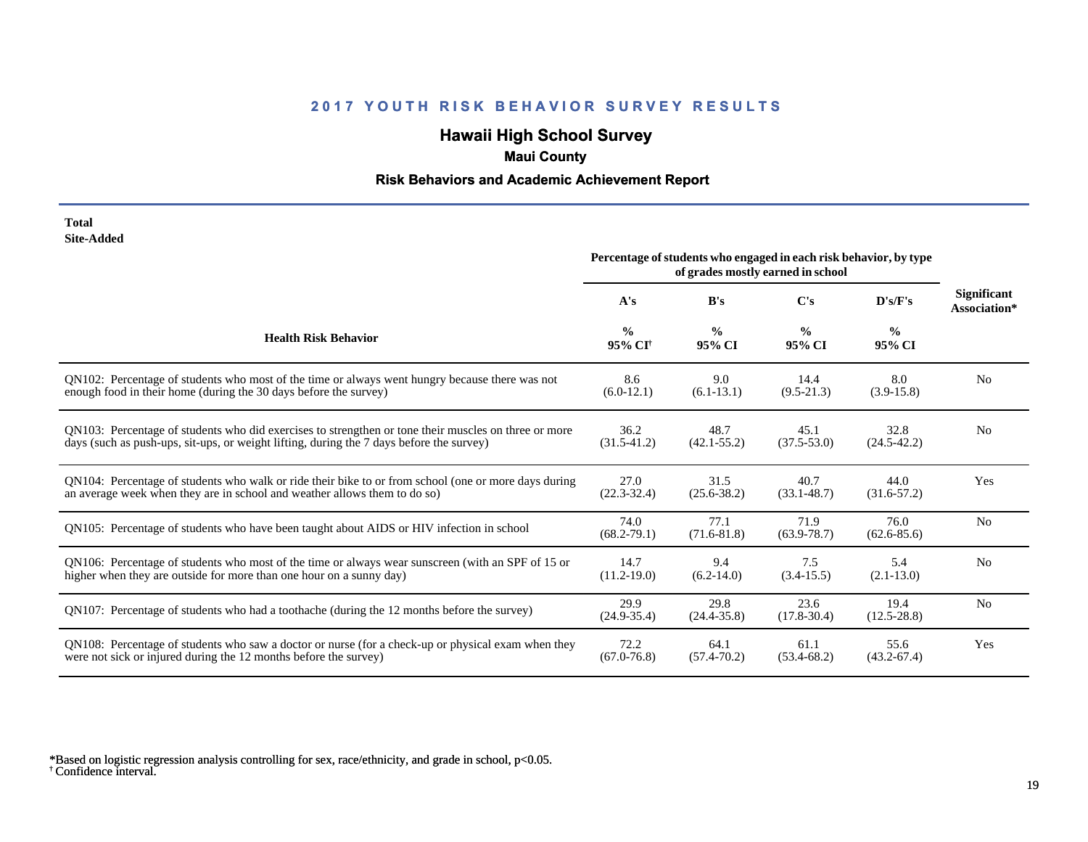# **Hawaii High School Survey**

## **Maui County**

#### **Risk Behaviors and Academic Achievement Report**

#### **Total Site-Added**

|                                                                                                      | Percentage of students who engaged in each risk behavior, by type<br>of grades mostly earned in school |                         |                         |                         |                                    |
|------------------------------------------------------------------------------------------------------|--------------------------------------------------------------------------------------------------------|-------------------------|-------------------------|-------------------------|------------------------------------|
|                                                                                                      | A's                                                                                                    | B's                     | $\bf C$ 's              | D's/F's                 | <b>Significant</b><br>Association* |
| <b>Health Risk Behavior</b>                                                                          | $\frac{0}{0}$<br>95% CI <sup>+</sup>                                                                   | $\frac{0}{0}$<br>95% CI | $\frac{0}{0}$<br>95% CI | $\frac{0}{0}$<br>95% CI |                                    |
| QN102: Percentage of students who most of the time or always went hungry because there was not       | 8.6                                                                                                    | 9.0                     | 14.4                    | 8.0                     | N <sub>0</sub>                     |
| enough food in their home (during the 30 days before the survey)                                     | $(6.0-12.1)$                                                                                           | $(6.1-13.1)$            | $(9.5-21.3)$            | $(3.9-15.8)$            |                                    |
| QN103: Percentage of students who did exercises to strengthen or tone their muscles on three or more | 36.2                                                                                                   | 48.7                    | 45.1                    | 32.8                    | N <sub>0</sub>                     |
| days (such as push-ups, sit-ups, or weight lifting, during the 7 days before the survey)             | $(31.5-41.2)$                                                                                          | $(42.1 - 55.2)$         | $(37.5 - 53.0)$         | $(24.5 - 42.2)$         |                                    |
| QN104: Percentage of students who walk or ride their bike to or from school (one or more days during | 27.0                                                                                                   | 31.5                    | 40.7                    | 44.0                    | Yes                                |
| an average week when they are in school and weather allows them to do so)                            | $(22.3 - 32.4)$                                                                                        | $(25.6 - 38.2)$         | $(33.1 - 48.7)$         | $(31.6 - 57.2)$         |                                    |
| QN105: Percentage of students who have been taught about AIDS or HIV infection in school             | 74.0<br>$(68.2 - 79.1)$                                                                                | 77.1<br>$(71.6 - 81.8)$ | 71.9<br>$(63.9 - 78.7)$ | 76.0<br>$(62.6 - 85.6)$ | N <sub>0</sub>                     |
| QN106: Percentage of students who most of the time or always wear sunscreen (with an SPF of 15 or    | 14.7                                                                                                   | 9.4                     | 7.5                     | 5.4                     | N <sub>0</sub>                     |
| higher when they are outside for more than one hour on a sunny day)                                  | $(11.2 - 19.0)$                                                                                        | $(6.2-14.0)$            | $(3.4-15.5)$            | $(2.1 - 13.0)$          |                                    |
| QN107: Percentage of students who had a toothache (during the 12 months before the survey)           | 29.9<br>$(24.9 - 35.4)$                                                                                | 29.8<br>$(24.4 - 35.8)$ | 23.6<br>$(17.8 - 30.4)$ | 19.4<br>$(12.5 - 28.8)$ | N <sub>o</sub>                     |
| QN108: Percentage of students who saw a doctor or nurse (for a check-up or physical exam when they   | 72.2                                                                                                   | 64.1                    | 61.1                    | 55.6                    | Yes                                |
| were not sick or injured during the 12 months before the survey)                                     | $(67.0 - 76.8)$                                                                                        | $(57.4 - 70.2)$         | $(53.4 - 68.2)$         | $(43.2 - 67.4)$         |                                    |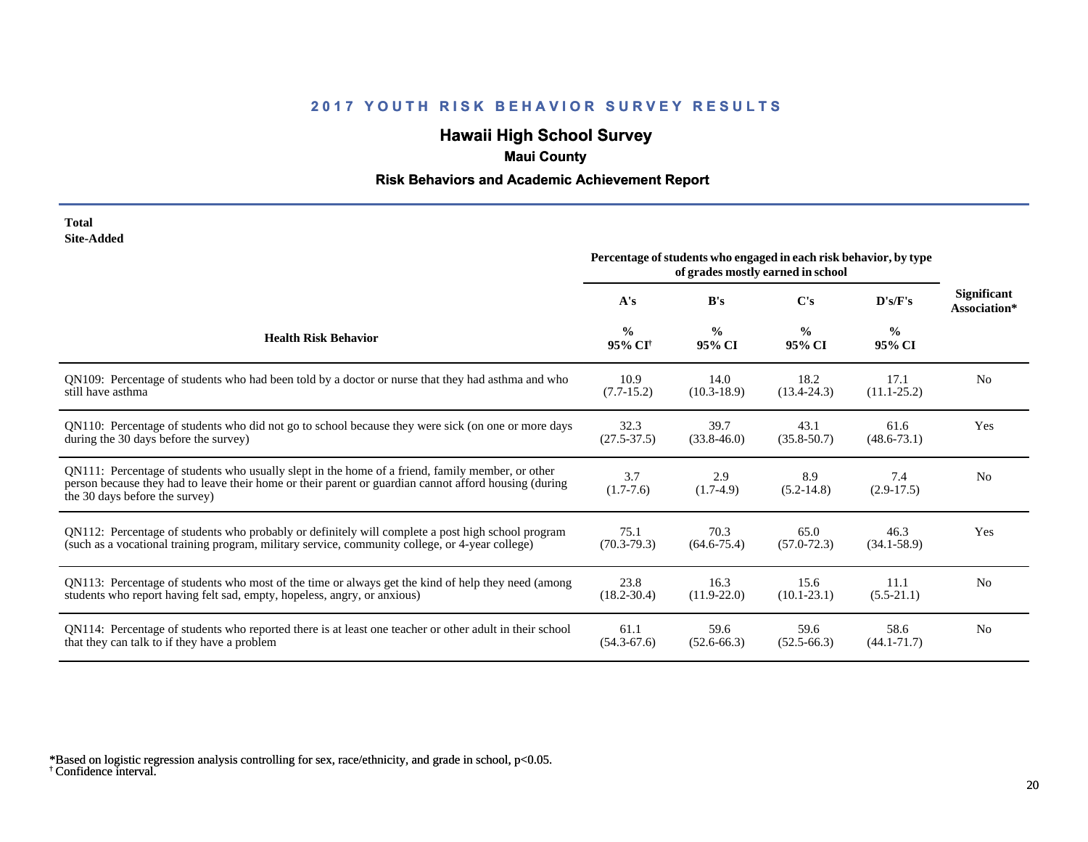# **Hawaii High School Survey**

### **Maui County**

#### **Risk Behaviors and Academic Achievement Report**

| Total      |
|------------|
| Site-Added |

|                                                                                                                                                                                                                                             | Percentage of students who engaged in each risk behavior, by type<br>of grades mostly earned in school |                         |                         |                         |                                    |
|---------------------------------------------------------------------------------------------------------------------------------------------------------------------------------------------------------------------------------------------|--------------------------------------------------------------------------------------------------------|-------------------------|-------------------------|-------------------------|------------------------------------|
|                                                                                                                                                                                                                                             | A's                                                                                                    | B's                     | $\bf C's$               | D's/F's                 | <b>Significant</b><br>Association* |
| <b>Health Risk Behavior</b>                                                                                                                                                                                                                 | $\frac{0}{0}$<br>95% CI <sup>+</sup>                                                                   | $\frac{0}{0}$<br>95% CI | $\frac{0}{0}$<br>95% CI | $\frac{0}{0}$<br>95% CI |                                    |
| QN109: Percentage of students who had been told by a doctor or nurse that they had asthma and who                                                                                                                                           | 10.9                                                                                                   | 14.0                    | 18.2                    | 17.1                    | N <sub>0</sub>                     |
| still have asthma                                                                                                                                                                                                                           | $(7.7-15.2)$                                                                                           | $(10.3 - 18.9)$         | $(13.4 - 24.3)$         | $(11.1 - 25.2)$         |                                    |
| QN110: Percentage of students who did not go to school because they were sick (on one or more days                                                                                                                                          | 32.3                                                                                                   | 39.7                    | 43.1                    | 61.6                    | Yes                                |
| during the 30 days before the survey)                                                                                                                                                                                                       | $(27.5 - 37.5)$                                                                                        | $(33.8 - 46.0)$         | $(35.8 - 50.7)$         | $(48.6 - 73.1)$         |                                    |
| QN111: Percentage of students who usually slept in the home of a friend, family member, or other<br>person because they had to leave their home or their parent or guardian cannot afford housing (during<br>the 30 days before the survey) | 3.7<br>$(1.7-7.6)$                                                                                     | 2.9<br>$(1.7-4.9)$      | 8.9<br>$(5.2 - 14.8)$   | 7.4<br>$(2.9-17.5)$     | N <sub>0</sub>                     |
| QN112: Percentage of students who probably or definitely will complete a post high school program                                                                                                                                           | 75.1                                                                                                   | 70.3                    | 65.0                    | 46.3                    | Yes                                |
| (such as a vocational training program, military service, community college, or 4-year college)                                                                                                                                             | $(70.3 - 79.3)$                                                                                        | $(64.6 - 75.4)$         | $(57.0 - 72.3)$         | $(34.1 - 58.9)$         |                                    |
| QN113: Percentage of students who most of the time or always get the kind of help they need (among                                                                                                                                          | 23.8                                                                                                   | 16.3                    | 15.6                    | 11.1                    | N <sub>0</sub>                     |
| students who report having felt sad, empty, hopeless, angry, or anxious)                                                                                                                                                                    | $(18.2 - 30.4)$                                                                                        | $(11.9-22.0)$           | $(10.1 - 23.1)$         | $(5.5-21.1)$            |                                    |
| QN114: Percentage of students who reported there is at least one teacher or other adult in their school                                                                                                                                     | 61.1                                                                                                   | 59.6                    | 59.6                    | 58.6                    | N <sub>0</sub>                     |
| that they can talk to if they have a problem                                                                                                                                                                                                | $(54.3 - 67.6)$                                                                                        | $(52.6 - 66.3)$         | $(52.5 - 66.3)$         | $(44.1 - 71.7)$         |                                    |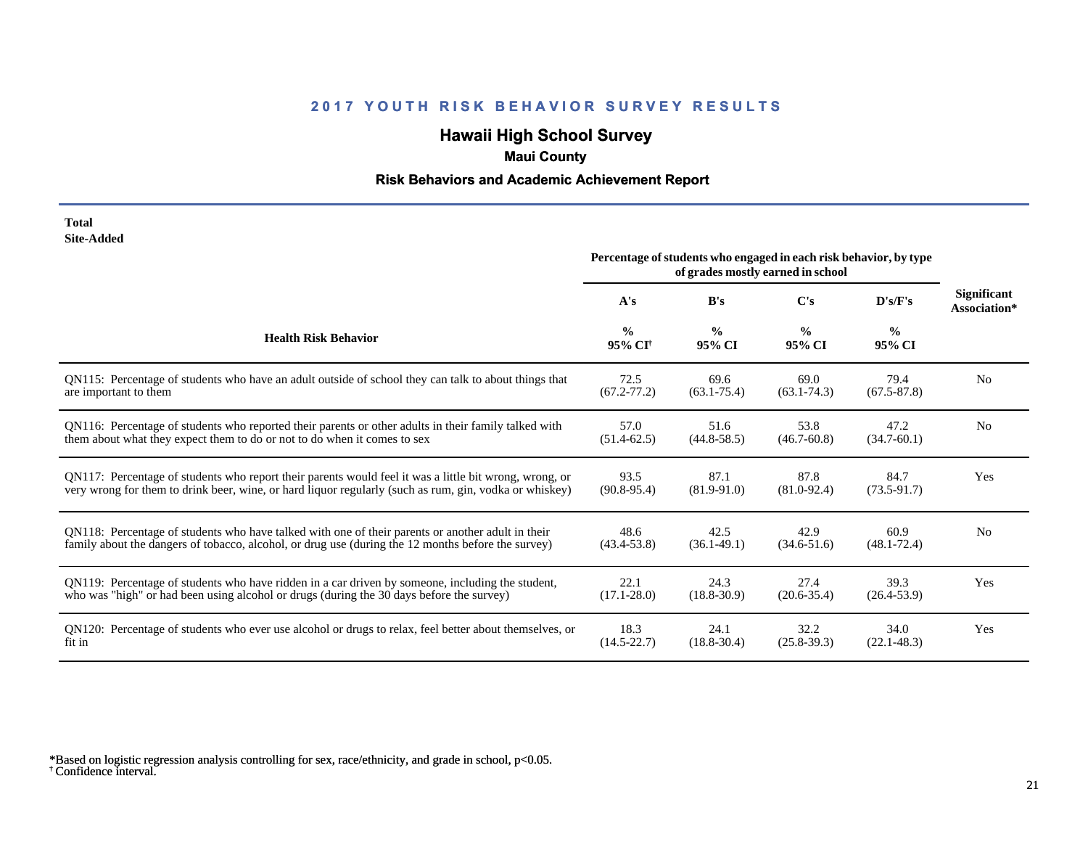# **Hawaii High School Survey**

### **Maui County**

#### **Risk Behaviors and Academic Achievement Report**

#### **Total Site-Added**

|                                                                                                        | Percentage of students who engaged in each risk behavior, by type<br>of grades mostly earned in school |                         |                         |                         |                                    |
|--------------------------------------------------------------------------------------------------------|--------------------------------------------------------------------------------------------------------|-------------------------|-------------------------|-------------------------|------------------------------------|
|                                                                                                        | A's                                                                                                    | B's                     | $\bf C's$               | D's/F's                 | <b>Significant</b><br>Association* |
| <b>Health Risk Behavior</b>                                                                            | $\frac{0}{0}$<br>95% CI <sup>†</sup>                                                                   | $\frac{6}{6}$<br>95% CI | $\frac{0}{0}$<br>95% CI | $\frac{6}{6}$<br>95% CI |                                    |
| QN115: Percentage of students who have an adult outside of school they can talk to about things that   | 72.5                                                                                                   | 69.6                    | 69.0                    | 79.4                    | N <sub>0</sub>                     |
| are important to them                                                                                  | $(67.2 - 77.2)$                                                                                        | $(63.1 - 75.4)$         | $(63.1 - 74.3)$         | $(67.5 - 87.8)$         |                                    |
| QN116: Percentage of students who reported their parents or other adults in their family talked with   | 57.0                                                                                                   | 51.6                    | 53.8                    | 47.2                    | N <sub>0</sub>                     |
| them about what they expect them to do or not to do when it comes to sex                               | $(51.4 - 62.5)$                                                                                        | $(44.8 - 58.5)$         | $(46.7 - 60.8)$         | $(34.7-60.1)$           |                                    |
| QN117: Percentage of students who report their parents would feel it was a little bit wrong, wrong, or | 93.5                                                                                                   | 87.1                    | 87.8                    | 84.7                    | Yes                                |
| very wrong for them to drink beer, wine, or hard liquor regularly (such as rum, gin, vodka or whiskey) | $(90.8 - 95.4)$                                                                                        | $(81.9 - 91.0)$         | $(81.0 - 92.4)$         | $(73.5-91.7)$           |                                    |
| QN118: Percentage of students who have talked with one of their parents or another adult in their      | 48.6                                                                                                   | 42.5                    | 42.9                    | 60.9                    | N <sub>0</sub>                     |
| family about the dangers of tobacco, alcohol, or drug use (during the 12 months before the survey)     | $(43.4 - 53.8)$                                                                                        | $(36.1 - 49.1)$         | $(34.6 - 51.6)$         | $(48.1 - 72.4)$         |                                    |
| QN119: Percentage of students who have ridden in a car driven by someone, including the student,       | 22.1                                                                                                   | 24.3                    | 27.4                    | 39.3                    | Yes                                |
| who was "high" or had been using alcohol or drugs (during the 30 days before the survey)               | $(17.1 - 28.0)$                                                                                        | $(18.8 - 30.9)$         | $(20.6 - 35.4)$         | $(26.4 - 53.9)$         |                                    |
| QN120: Percentage of students who ever use alcohol or drugs to relax, feel better about themselves, or | 18.3                                                                                                   | 24.1                    | 32.2                    | 34.0                    | Yes                                |
| fit in                                                                                                 | $(14.5 - 22.7)$                                                                                        | $(18.8 - 30.4)$         | $(25.8 - 39.3)$         | $(22.1 - 48.3)$         |                                    |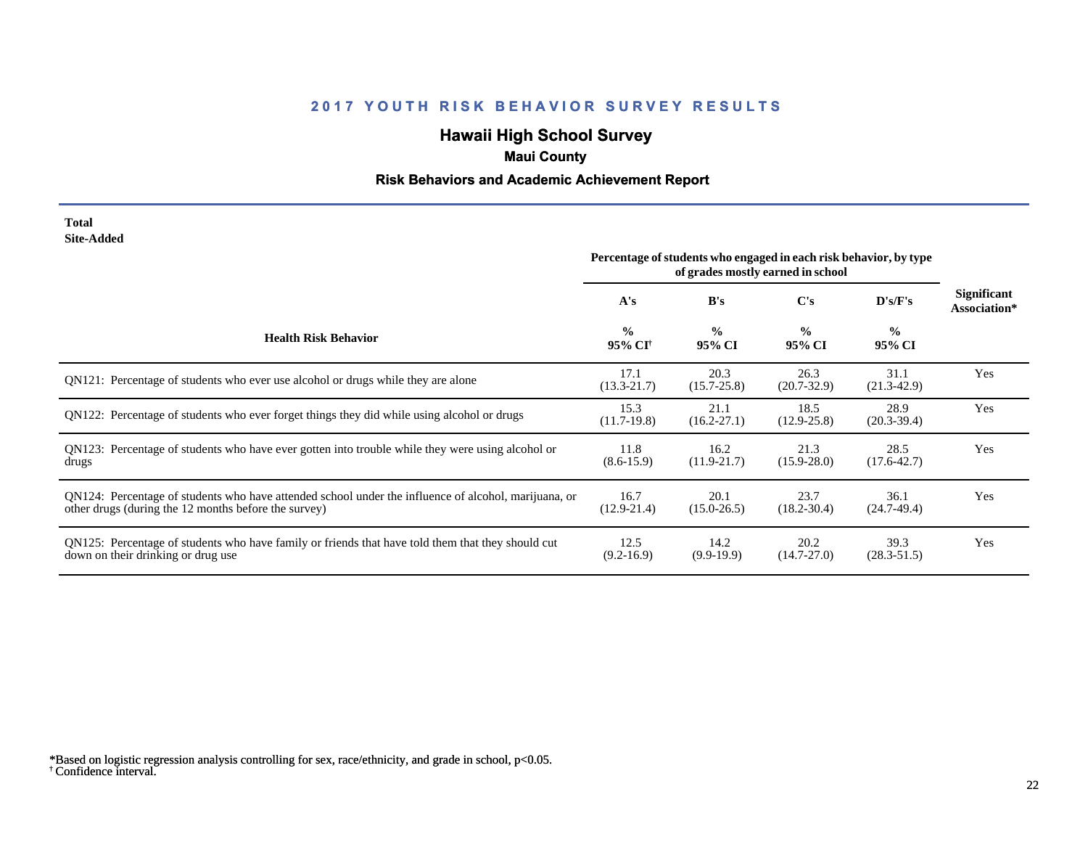# **Hawaii High School Survey**

## **Maui County**

#### **Risk Behaviors and Academic Achievement Report**

#### **Total Site-Added**

|                                                                                                                                                              | Percentage of students who engaged in each risk behavior, by type<br>of grades mostly earned in school |                         |                         |                         |                             |
|--------------------------------------------------------------------------------------------------------------------------------------------------------------|--------------------------------------------------------------------------------------------------------|-------------------------|-------------------------|-------------------------|-----------------------------|
|                                                                                                                                                              | A's                                                                                                    | B's                     | C's                     | D's/F's                 | Significant<br>Association* |
| <b>Health Risk Behavior</b>                                                                                                                                  | $\frac{0}{0}$<br>95% CI <sup>†</sup>                                                                   | $\frac{0}{0}$<br>95% CI | $\frac{0}{0}$<br>95% CI | $\frac{0}{0}$<br>95% CI |                             |
| QN121: Percentage of students who ever use alcohol or drugs while they are alone                                                                             | 17.1<br>$(13.3 - 21.7)$                                                                                | 20.3<br>$(15.7 - 25.8)$ | 26.3<br>$(20.7 - 32.9)$ | 31.1<br>$(21.3-42.9)$   | Yes                         |
| QN122: Percentage of students who ever forget things they did while using alcohol or drugs                                                                   | 15.3<br>$(11.7-19.8)$                                                                                  | 21.1<br>$(16.2 - 27.1)$ | 18.5<br>$(12.9 - 25.8)$ | 28.9<br>$(20.3 - 39.4)$ | Yes                         |
| QN123: Percentage of students who have ever gotten into trouble while they were using alcohol or<br>drugs                                                    | 11.8<br>$(8.6 - 15.9)$                                                                                 | 16.2<br>$(11.9-21.7)$   | 21.3<br>$(15.9 - 28.0)$ | 28.5<br>$(17.6 - 42.7)$ | Yes                         |
| QN124: Percentage of students who have attended school under the influence of alcohol, marijuana, or<br>other drugs (during the 12 months before the survey) | 16.7<br>$(12.9 - 21.4)$                                                                                | 20.1<br>$(15.0 - 26.5)$ | 23.7<br>$(18.2 - 30.4)$ | 36.1<br>$(24.7-49.4)$   | Yes                         |
| QN125: Percentage of students who have family or friends that have told them that they should cut<br>down on their drinking or drug use                      | 12.5<br>$(9.2 - 16.9)$                                                                                 | 14.2<br>$(9.9-19.9)$    | 20.2<br>$(14.7 - 27.0)$ | 39.3<br>$(28.3 - 51.5)$ | Yes                         |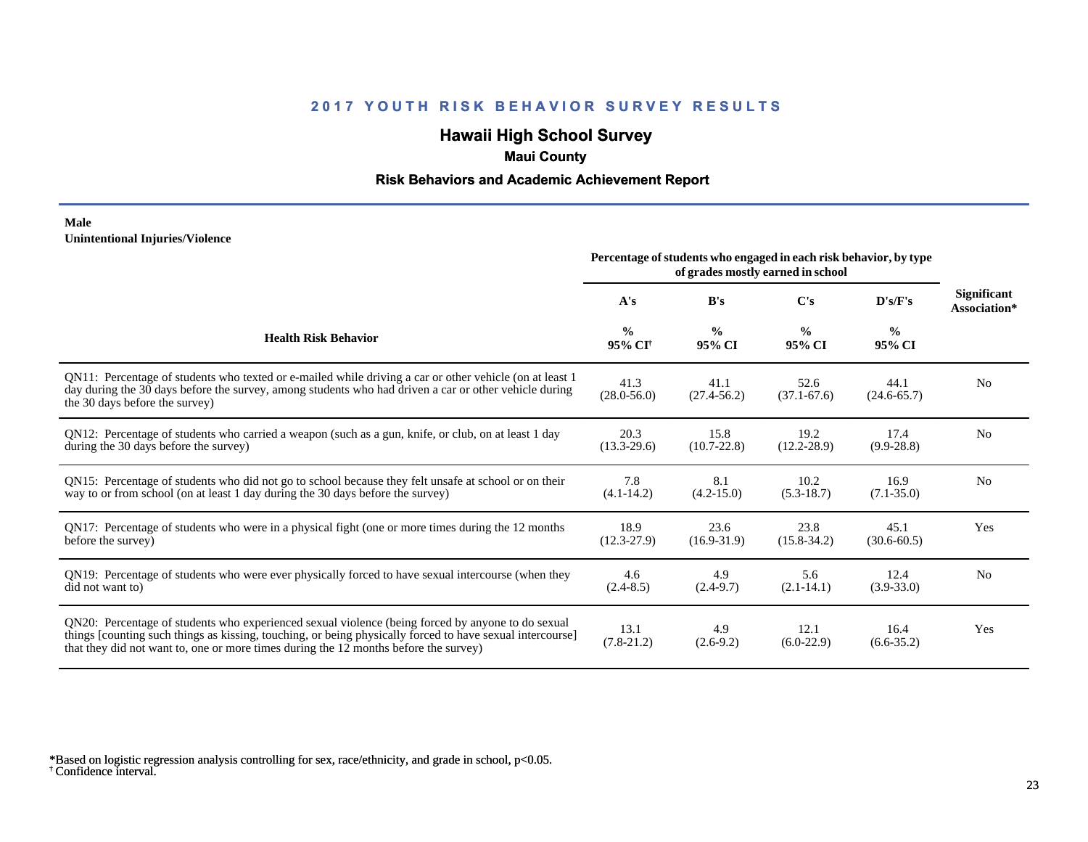# **Hawaii High School Survey**

### **Maui County**

#### **Risk Behaviors and Academic Achievement Report**

#### **Male Unintentional Injuries/Violence**

|                                                                                                                                                                                                                                                                                                        | Percentage of students who engaged in each risk behavior, by type |                         |                         |                         |                             |
|--------------------------------------------------------------------------------------------------------------------------------------------------------------------------------------------------------------------------------------------------------------------------------------------------------|-------------------------------------------------------------------|-------------------------|-------------------------|-------------------------|-----------------------------|
|                                                                                                                                                                                                                                                                                                        | A's                                                               | B's                     | C's                     | D's/F's                 | Significant<br>Association* |
| <b>Health Risk Behavior</b>                                                                                                                                                                                                                                                                            | $\frac{0}{0}$<br>95% CI <sup>+</sup>                              | $\frac{0}{0}$<br>95% CI | $\frac{6}{9}$<br>95% CI | $\frac{0}{0}$<br>95% CI |                             |
| QN11: Percentage of students who texted or e-mailed while driving a car or other vehicle (on at least 1<br>day during the 30 days before the survey, among students who had driven a car or other vehicle during<br>the 30 days before the survey)                                                     | 41.3<br>$(28.0 - 56.0)$                                           | 41.1<br>$(27.4 - 56.2)$ | 52.6<br>$(37.1 - 67.6)$ | 44.1<br>$(24.6 - 65.7)$ | N <sub>0</sub>              |
| QN12: Percentage of students who carried a weapon (such as a gun, knife, or club, on at least 1 day<br>during the 30 days before the survey)                                                                                                                                                           | 20.3<br>$(13.3 - 29.6)$                                           | 15.8<br>$(10.7 - 22.8)$ | 19.2<br>$(12.2 - 28.9)$ | 17.4<br>$(9.9 - 28.8)$  | N <sub>0</sub>              |
| QN15: Percentage of students who did not go to school because they felt unsafe at school or on their<br>way to or from school (on at least 1 day during the 30 days before the survey)                                                                                                                 | 7.8<br>$(4.1 - 14.2)$                                             | 8.1<br>$(4.2 - 15.0)$   | 10.2<br>$(5.3-18.7)$    | 16.9<br>$(7.1 - 35.0)$  | N <sub>0</sub>              |
| QN17: Percentage of students who were in a physical fight (one or more times during the 12 months<br>before the survey)                                                                                                                                                                                | 18.9<br>$(12.3-27.9)$                                             | 23.6<br>$(16.9 - 31.9)$ | 23.8<br>$(15.8 - 34.2)$ | 45.1<br>$(30.6 - 60.5)$ | Yes                         |
| QN19: Percentage of students who were ever physically forced to have sexual intercourse (when they<br>did not want to)                                                                                                                                                                                 | 4.6<br>$(2.4 - 8.5)$                                              | 4.9<br>$(2.4-9.7)$      | 5.6<br>$(2.1 - 14.1)$   | 12.4<br>$(3.9 - 33.0)$  | N <sub>0</sub>              |
| QN20: Percentage of students who experienced sexual violence (being forced by anyone to do sexual<br>things [counting such things as kissing, touching, or being physically forced to have sexual intercourse]<br>that they did not want to, one or more times during the 12 months before the survey) | 13.1<br>$(7.8-21.2)$                                              | 4.9<br>$(2.6-9.2)$      | 12.1<br>$(6.0-22.9)$    | 16.4<br>$(6.6 - 35.2)$  | Yes                         |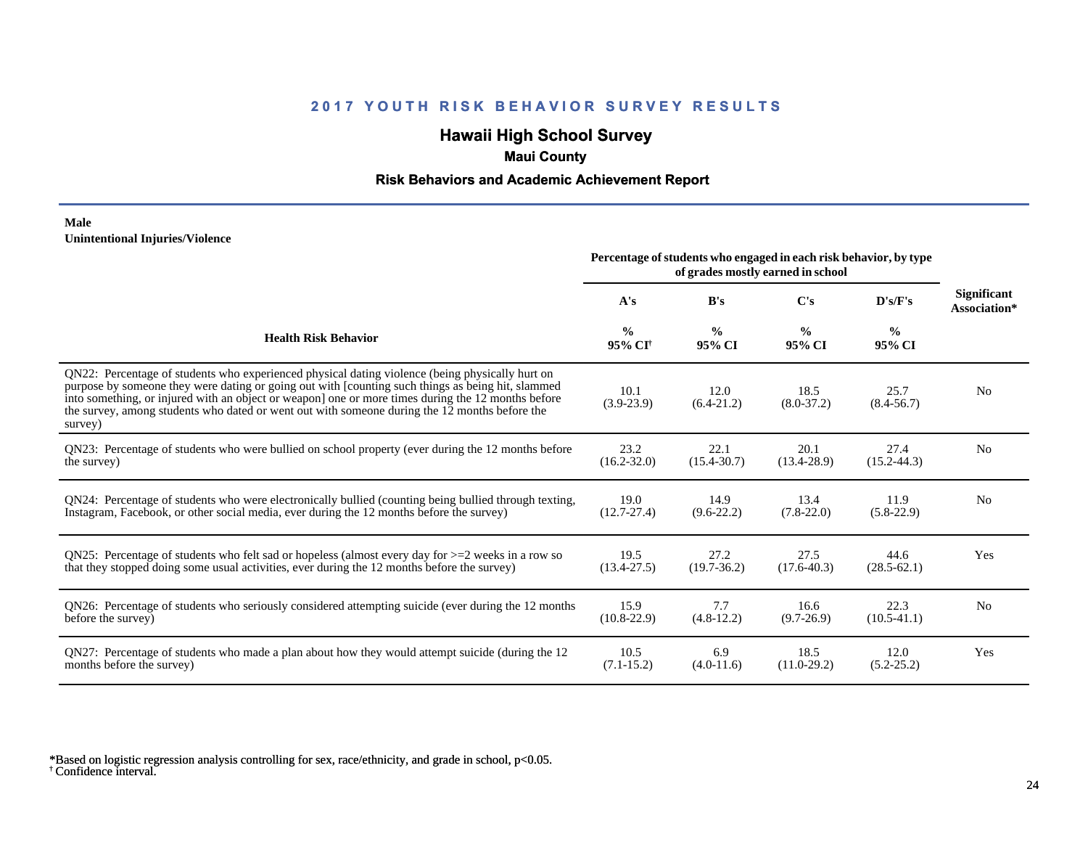## **Hawaii High School Survey**

### **Maui County**

#### **Risk Behaviors and Academic Achievement Report**

#### **Male Unintentional Injuries/Violence**

|                                                                                                                                                                                                                                                                                                                                                                                                                        | Percentage of students who engaged in each risk behavior, by type<br>of grades mostly earned in school |                         |                         |                         |                             |
|------------------------------------------------------------------------------------------------------------------------------------------------------------------------------------------------------------------------------------------------------------------------------------------------------------------------------------------------------------------------------------------------------------------------|--------------------------------------------------------------------------------------------------------|-------------------------|-------------------------|-------------------------|-----------------------------|
|                                                                                                                                                                                                                                                                                                                                                                                                                        | A's                                                                                                    | B's                     | C's                     | D's/F's                 | Significant<br>Association* |
| <b>Health Risk Behavior</b>                                                                                                                                                                                                                                                                                                                                                                                            | $\frac{0}{0}$<br>95% CI <sup>+</sup>                                                                   | $\frac{0}{0}$<br>95% CI | $\frac{0}{0}$<br>95% CI | $\frac{0}{0}$<br>95% CI |                             |
| QN22: Percentage of students who experienced physical dating violence (being physically hurt on<br>purpose by someone they were dating or going out with [counting such things as being hit, slammed<br>into something, or injured with an object or weapon] one or more times during the 12 months before<br>the survey, among students who dated or went out with someone during the 12 months before the<br>survey) | 10.1<br>$(3.9-23.9)$                                                                                   | 12.0<br>$(6.4-21.2)$    | 18.5<br>$(8.0 - 37.2)$  | 25.7<br>$(8.4 - 56.7)$  | N <sub>0</sub>              |
| QN23: Percentage of students who were bullied on school property (ever during the 12 months before                                                                                                                                                                                                                                                                                                                     | 23.2                                                                                                   | 22.1                    | 20.1                    | 27.4                    | N <sub>0</sub>              |
| the survey)                                                                                                                                                                                                                                                                                                                                                                                                            | $(16.2 - 32.0)$                                                                                        | $(15.4 - 30.7)$         | $(13.4 - 28.9)$         | $(15.2 - 44.3)$         |                             |
| QN24: Percentage of students who were electronically bullied (counting being bullied through texting,                                                                                                                                                                                                                                                                                                                  | 19.0                                                                                                   | 14.9                    | 13.4                    | 11.9                    | N <sub>0</sub>              |
| Instagram, Facebook, or other social media, ever during the 12 months before the survey)                                                                                                                                                                                                                                                                                                                               | $(12.7 - 27.4)$                                                                                        | $(9.6-22.2)$            | $(7.8-22.0)$            | $(5.8-22.9)$            |                             |
| QN25: Percentage of students who felt sad or hopeless (almost every day for $>=$ 2 weeks in a row so                                                                                                                                                                                                                                                                                                                   | 19.5                                                                                                   | 27.2                    | 27.5                    | 44.6                    | Yes                         |
| that they stopped doing some usual activities, ever during the 12 months before the survey)                                                                                                                                                                                                                                                                                                                            | $(13.4 - 27.5)$                                                                                        | $(19.7-36.2)$           | $(17.6 - 40.3)$         | $(28.5 - 62.1)$         |                             |
| QN26: Percentage of students who seriously considered attempting suicide (ever during the 12 months                                                                                                                                                                                                                                                                                                                    | 15.9                                                                                                   | 7.7                     | 16.6                    | 22.3                    | N <sub>0</sub>              |
| before the survey)                                                                                                                                                                                                                                                                                                                                                                                                     | $(10.8 - 22.9)$                                                                                        | $(4.8-12.2)$            | $(9.7-26.9)$            | $(10.5-41.1)$           |                             |
| QN27: Percentage of students who made a plan about how they would attempt suicide (during the 12                                                                                                                                                                                                                                                                                                                       | 10.5                                                                                                   | 6.9                     | 18.5                    | 12.0                    | Yes                         |
| months before the survey)                                                                                                                                                                                                                                                                                                                                                                                              | $(7.1 - 15.2)$                                                                                         | $(4.0-11.6)$            | $(11.0-29.2)$           | $(5.2 - 25.2)$          |                             |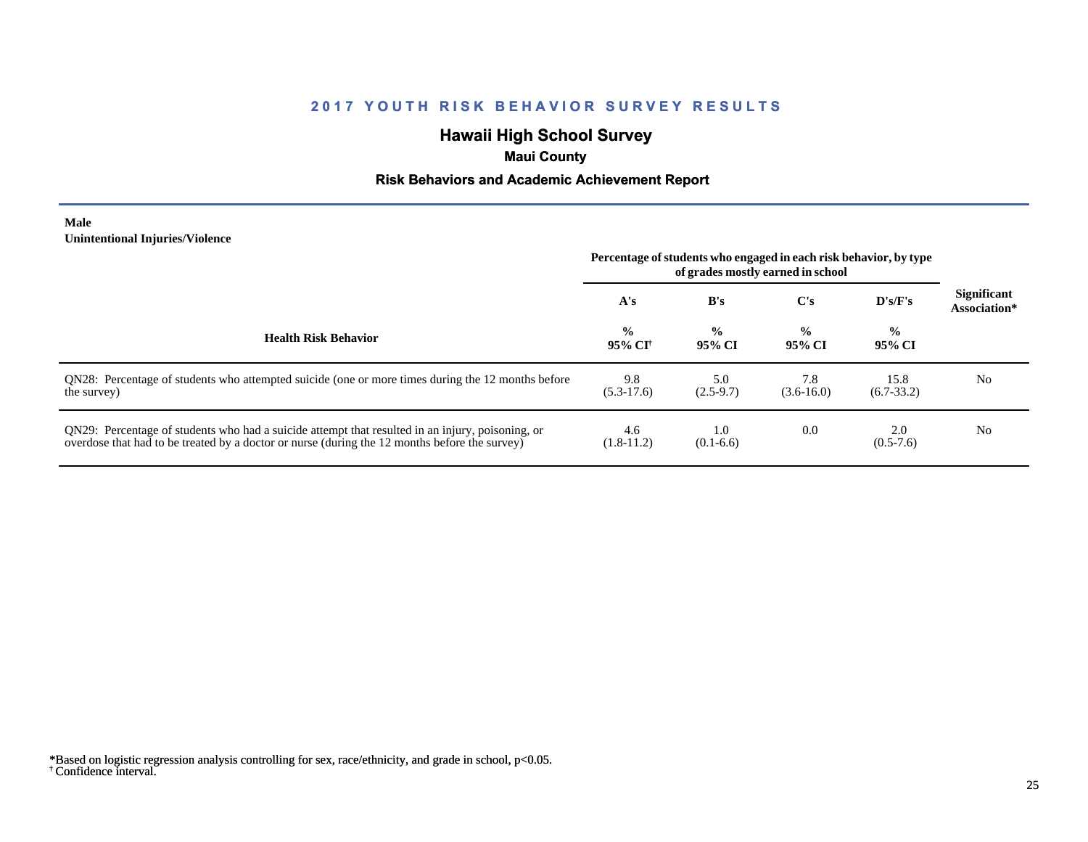# **Hawaii High School Survey**

## **Maui County**

#### **Risk Behaviors and Academic Achievement Report**

#### **Male Unintentional Injuries/Violence**

|                                                                                                                                                                                                   | Percentage of students who engaged in each risk behavior, by type<br>of grades mostly earned in school |                          |                         |                         |                                    |
|---------------------------------------------------------------------------------------------------------------------------------------------------------------------------------------------------|--------------------------------------------------------------------------------------------------------|--------------------------|-------------------------|-------------------------|------------------------------------|
|                                                                                                                                                                                                   | A's                                                                                                    | B's                      | $\bf C's$               | $\bf{D's/F's}$          | <b>Significant</b><br>Association* |
| <b>Health Risk Behavior</b>                                                                                                                                                                       | $\frac{0}{0}$<br>-95% CF                                                                               | $\frac{6}{10}$<br>95% CI | $\frac{0}{0}$<br>95% CI | $\frac{0}{0}$<br>95% CI |                                    |
| QN28: Percentage of students who attempted suicide (one or more times during the 12 months before<br>the survey)                                                                                  | 9.8<br>$(5.3-17.6)$                                                                                    | 5.0<br>$(2.5-9.7)$       | 7.8<br>$(3.6 - 16.0)$   | 15.8<br>$(6.7-33.2)$    | N <sub>0</sub>                     |
| QN29: Percentage of students who had a suicide attempt that resulted in an injury, poisoning, or<br>overdose that had to be treated by a doctor or nurse (during the 12 months before the survey) | 4.6<br>$(1.8-11.2)$                                                                                    | 1.0<br>$(0.1-6.6)$       | 0.0                     | 2.0<br>$(0.5-7.6)$      | N <sub>0</sub>                     |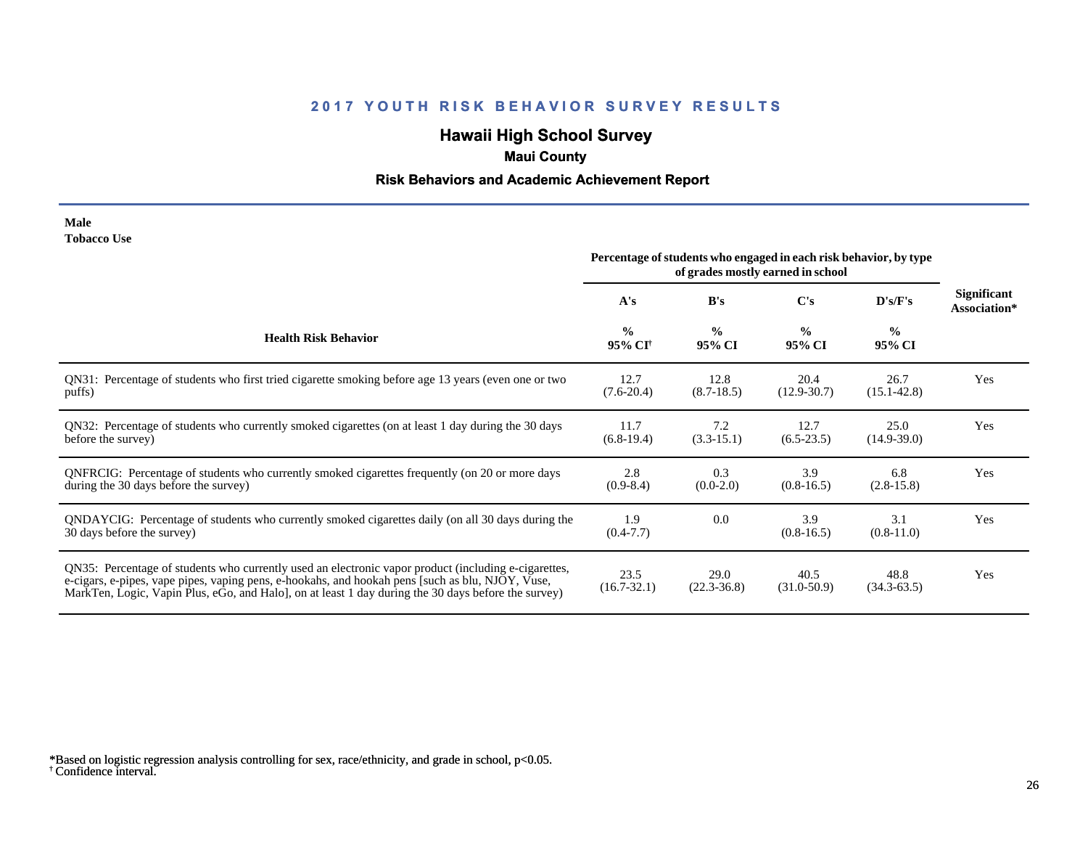# **Hawaii High School Survey**

## **Maui County**

#### **Risk Behaviors and Academic Achievement Report**

| Male               |  |
|--------------------|--|
| <b>Tobacco Use</b> |  |

|                                                                                                                                                                                                                                                                                                                 | Percentage of students who engaged in each risk behavior, by type<br>of grades mostly earned in school |                         |                         |                         |                                    |
|-----------------------------------------------------------------------------------------------------------------------------------------------------------------------------------------------------------------------------------------------------------------------------------------------------------------|--------------------------------------------------------------------------------------------------------|-------------------------|-------------------------|-------------------------|------------------------------------|
|                                                                                                                                                                                                                                                                                                                 | A's                                                                                                    | B's                     | $\bf C's$               | D's/F's                 | <b>Significant</b><br>Association* |
| <b>Health Risk Behavior</b>                                                                                                                                                                                                                                                                                     | $\frac{0}{0}$<br>95% CI <sup>+</sup>                                                                   | $\frac{0}{0}$<br>95% CI | $\frac{0}{0}$<br>95% CI | $\frac{0}{0}$<br>95% CI |                                    |
| QN31: Percentage of students who first tried cigarette smoking before age 13 years (even one or two<br>puffs)                                                                                                                                                                                                   | 12.7<br>$(7.6-20.4)$                                                                                   | 12.8<br>$(8.7-18.5)$    | 20.4<br>$(12.9 - 30.7)$ | 26.7<br>$(15.1 - 42.8)$ | Yes                                |
| QN32: Percentage of students who currently smoked cigarettes (on at least 1 day during the 30 days<br>before the survey)                                                                                                                                                                                        | 11.7<br>$(6.8-19.4)$                                                                                   | 7.2<br>$(3.3-15.1)$     | 12.7<br>$(6.5-23.5)$    | 25.0<br>$(14.9-39.0)$   | Yes                                |
| ONFRCIG: Percentage of students who currently smoked cigarettes frequently (on 20 or more days<br>during the 30 days before the survey)                                                                                                                                                                         | 2.8<br>$(0.9-8.4)$                                                                                     | 0.3<br>$(0.0-2.0)$      | 3.9<br>$(0.8-16.5)$     | 6.8<br>$(2.8-15.8)$     | Yes                                |
| QNDAYCIG: Percentage of students who currently smoked cigarettes daily (on all 30 days during the<br>30 days before the survey)                                                                                                                                                                                 | 1.9<br>$(0.4-7.7)$                                                                                     | 0.0                     | 3.9<br>$(0.8-16.5)$     | 3.1<br>$(0.8-11.0)$     | Yes                                |
| QN35: Percentage of students who currently used an electronic vapor product (including e-cigarettes,<br>e-cigars, e-pipes, vape pipes, vaping pens, e-hookahs, and hookah pens [such as blu, NJOY, Vuse,<br>MarkTen, Logic, Vapin Plus, eGo, and Halo], on at least 1 day during the 30 days before the survey) | 23.5<br>$(16.7 - 32.1)$                                                                                | 29.0<br>$(22.3 - 36.8)$ | 40.5<br>$(31.0 - 50.9)$ | 48.8<br>$(34.3 - 63.5)$ | Yes                                |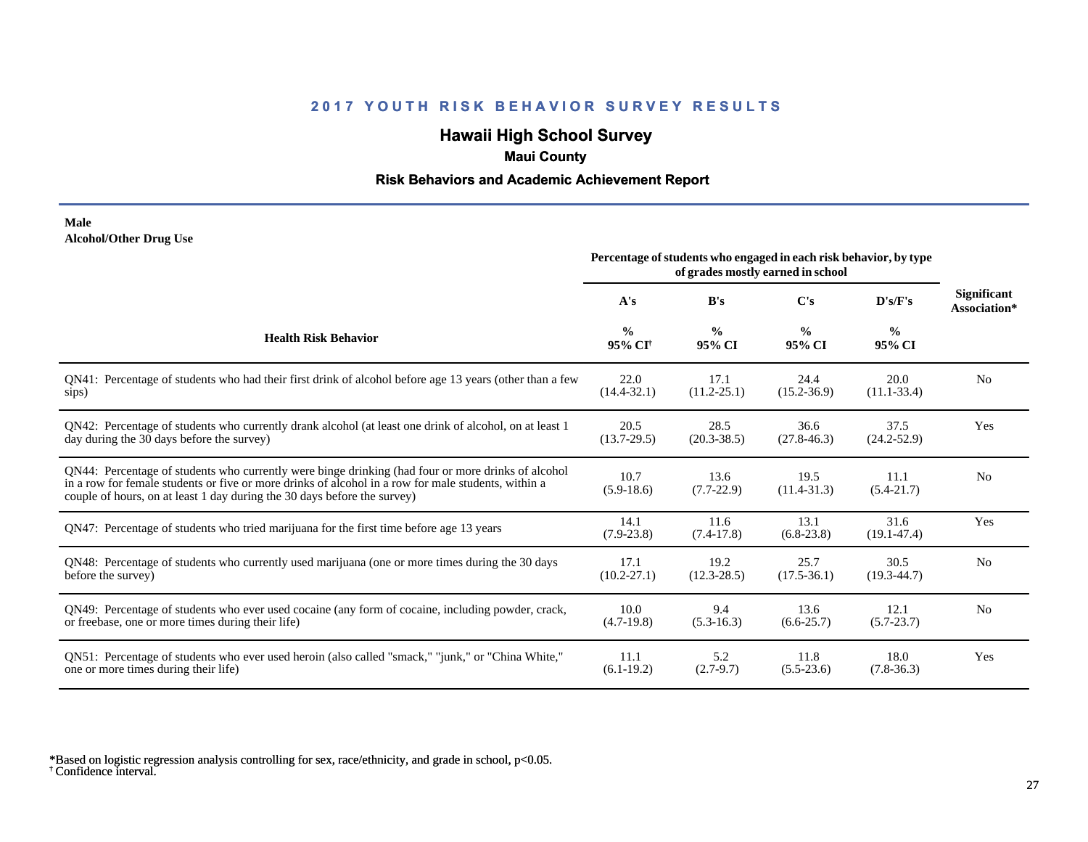## **Hawaii High School Survey**

### **Maui County**

#### **Risk Behaviors and Academic Achievement Report**

#### **Male Alcohol/Other Drug Use**

|                                                                                                                                                                                                                                                                                       | Percentage of students who engaged in each risk behavior, by type<br>of grades mostly earned in school |                         |                         |                         |                                    |
|---------------------------------------------------------------------------------------------------------------------------------------------------------------------------------------------------------------------------------------------------------------------------------------|--------------------------------------------------------------------------------------------------------|-------------------------|-------------------------|-------------------------|------------------------------------|
|                                                                                                                                                                                                                                                                                       | A's                                                                                                    | B's                     | C's                     | D's/F's                 | <b>Significant</b><br>Association* |
| <b>Health Risk Behavior</b>                                                                                                                                                                                                                                                           | $\frac{0}{0}$<br>95% CI <sup>+</sup>                                                                   | $\frac{0}{0}$<br>95% CI | $\frac{0}{0}$<br>95% CI | $\frac{6}{6}$<br>95% CI |                                    |
| QN41: Percentage of students who had their first drink of alcohol before age 13 years (other than a few                                                                                                                                                                               | 22.0                                                                                                   | 17.1                    | 24.4                    | 20.0                    | N <sub>0</sub>                     |
| sips)                                                                                                                                                                                                                                                                                 | $(14.4 - 32.1)$                                                                                        | $(11.2 - 25.1)$         | $(15.2 - 36.9)$         | $(11.1 - 33.4)$         |                                    |
| QN42: Percentage of students who currently drank alcohol (at least one drink of alcohol, on at least 1                                                                                                                                                                                | 20.5                                                                                                   | 28.5                    | 36.6                    | 37.5                    | Yes                                |
| day during the 30 days before the survey)                                                                                                                                                                                                                                             | $(13.7 - 29.5)$                                                                                        | $(20.3 - 38.5)$         | $(27.8 - 46.3)$         | $(24.2 - 52.9)$         |                                    |
| QN44: Percentage of students who currently were binge drinking (had four or more drinks of alcohol<br>in a row for female students or five or more drinks of alcohol in a row for male students, within a<br>couple of hours, on at least 1 day during the 30 days before the survey) | 10.7<br>$(5.9-18.6)$                                                                                   | 13.6<br>$(7.7-22.9)$    | 19.5<br>$(11.4 - 31.3)$ | 11.1<br>$(5.4 - 21.7)$  | N <sub>0</sub>                     |
| QN47: Percentage of students who tried marijuana for the first time before age 13 years                                                                                                                                                                                               | 14.1<br>$(7.9 - 23.8)$                                                                                 | 11.6<br>$(7.4-17.8)$    | 13.1<br>$(6.8-23.8)$    | 31.6<br>$(19.1 - 47.4)$ | Yes                                |
| QN48: Percentage of students who currently used marijuana (one or more times during the 30 days                                                                                                                                                                                       | 17.1                                                                                                   | 19.2                    | 25.7                    | 30.5                    | N <sub>0</sub>                     |
| before the survey)                                                                                                                                                                                                                                                                    | $(10.2 - 27.1)$                                                                                        | $(12.3 - 28.5)$         | $(17.5 - 36.1)$         | $(19.3 - 44.7)$         |                                    |
| QN49: Percentage of students who ever used cocaine (any form of cocaine, including powder, crack,                                                                                                                                                                                     | 10.0                                                                                                   | 9.4                     | 13.6                    | 12.1                    | N <sub>0</sub>                     |
| or freebase, one or more times during their life)                                                                                                                                                                                                                                     | $(4.7-19.8)$                                                                                           | $(5.3-16.3)$            | $(6.6 - 25.7)$          | $(5.7 - 23.7)$          |                                    |
| QN51: Percentage of students who ever used heroin (also called "smack," "junk," or "China White,"                                                                                                                                                                                     | 11.1                                                                                                   | 5.2                     | 11.8                    | 18.0                    | Yes                                |
| one or more times during their life)                                                                                                                                                                                                                                                  | $(6.1-19.2)$                                                                                           | $(2.7-9.7)$             | $(5.5-23.6)$            | $(7.8-36.3)$            |                                    |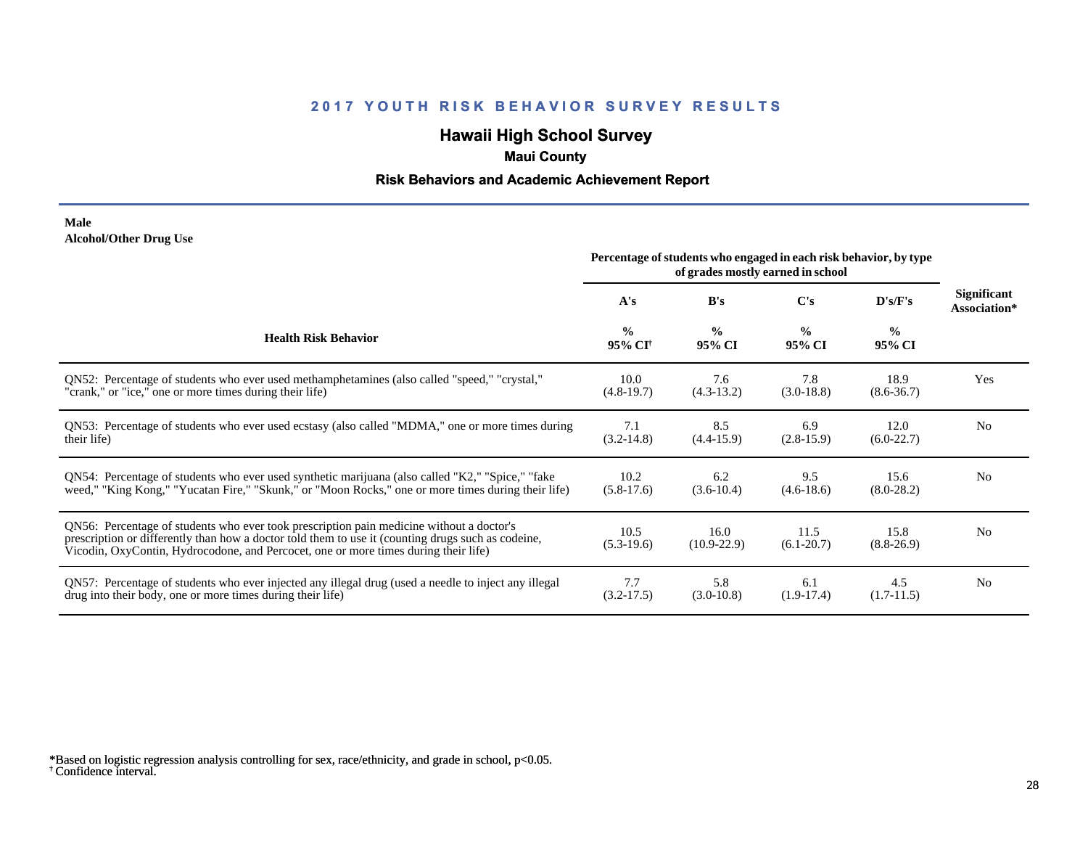# **Hawaii High School Survey**

### **Maui County**

#### **Risk Behaviors and Academic Achievement Report**

#### **Male Alcohol/Other Drug Use**

|                                                                                                                                                                                                                                                                                       | Percentage of students who engaged in each risk behavior, by type<br>of grades mostly earned in school |                         |                         |                         |                                    |
|---------------------------------------------------------------------------------------------------------------------------------------------------------------------------------------------------------------------------------------------------------------------------------------|--------------------------------------------------------------------------------------------------------|-------------------------|-------------------------|-------------------------|------------------------------------|
|                                                                                                                                                                                                                                                                                       | A's                                                                                                    | B's                     | C's                     | D's/F's                 | <b>Significant</b><br>Association* |
| <b>Health Risk Behavior</b>                                                                                                                                                                                                                                                           | $\frac{0}{0}$<br>95% CI <sup>+</sup>                                                                   | $\frac{0}{0}$<br>95% CI | $\frac{0}{0}$<br>95% CI | $\frac{0}{0}$<br>95% CI |                                    |
| QN52: Percentage of students who ever used methamphetamines (also called "speed," "crystal,"                                                                                                                                                                                          | 10.0                                                                                                   | 7.6                     | 7.8                     | 18.9                    | Yes                                |
| "crank," or "ice," one or more times during their life)                                                                                                                                                                                                                               | $(4.8-19.7)$                                                                                           | $(4.3-13.2)$            | $(3.0-18.8)$            | $(8.6 - 36.7)$          |                                    |
| QN53: Percentage of students who ever used ecstasy (also called "MDMA," one or more times during                                                                                                                                                                                      | 7.1                                                                                                    | 8.5                     | 6.9                     | 12.0                    | N <sub>0</sub>                     |
| their life)                                                                                                                                                                                                                                                                           | $(3.2 - 14.8)$                                                                                         | $(4.4 - 15.9)$          | $(2.8-15.9)$            | $(6.0-22.7)$            |                                    |
| QN54: Percentage of students who ever used synthetic marijuana (also called "K2," "Spice," "fake                                                                                                                                                                                      | 10.2                                                                                                   | 6.2                     | 9.5                     | 15.6                    | N <sub>0</sub>                     |
| weed," "King Kong," "Yucatan Fire," "Skunk," or "Moon Rocks," one or more times during their life)                                                                                                                                                                                    | $(5.8-17.6)$                                                                                           | $(3.6-10.4)$            | $(4.6-18.6)$            | $(8.0-28.2)$            |                                    |
| QN56: Percentage of students who ever took prescription pain medicine without a doctor's<br>prescription or differently than how a doctor told them to use it (counting drugs such as codeine,<br>Vicodin, OxyContin, Hydrocodone, and Percocet, one or more times during their life) | 10.5<br>$(5.3-19.6)$                                                                                   | 16.0<br>$(10.9 - 22.9)$ | 11.5<br>$(6.1-20.7)$    | 15.8<br>$(8.8-26.9)$    | N <sub>0</sub>                     |
| QN57: Percentage of students who ever injected any illegal drug (used a needle to inject any illegal                                                                                                                                                                                  | 7.7                                                                                                    | 5.8                     | 6.1                     | 4.5                     | N <sub>0</sub>                     |
| drug into their body, one or more times during their life)                                                                                                                                                                                                                            | $(3.2 - 17.5)$                                                                                         | $(3.0-10.8)$            | $(1.9-17.4)$            | $(1.7-11.5)$            |                                    |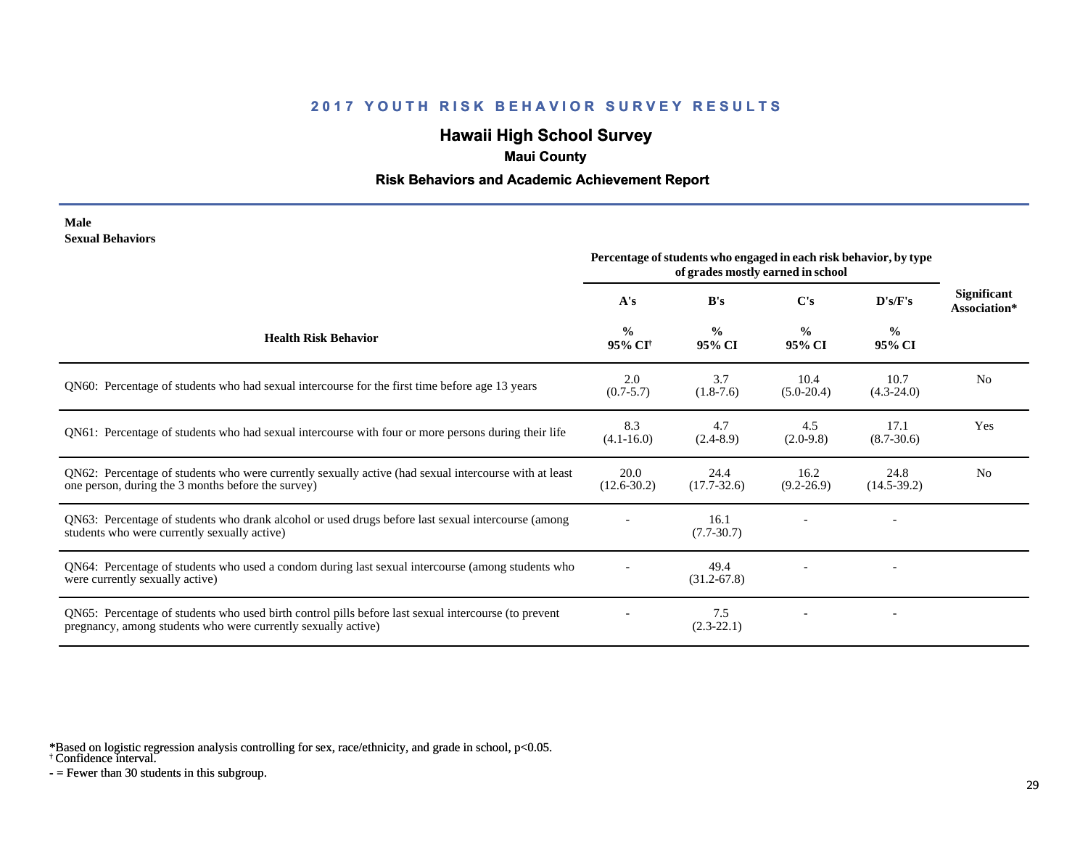# **Hawaii High School Survey**

### **Maui County**

#### **Risk Behaviors and Academic Achievement Report**

#### **Male Sexual Behaviors**

|                                                                                                                                                                       | Percentage of students who engaged in each risk behavior, by type<br>of grades mostly earned in school |                         |                         |                         |                                    |
|-----------------------------------------------------------------------------------------------------------------------------------------------------------------------|--------------------------------------------------------------------------------------------------------|-------------------------|-------------------------|-------------------------|------------------------------------|
|                                                                                                                                                                       | A's                                                                                                    | B's                     | $\bf C's$               | D's/F's                 | <b>Significant</b><br>Association* |
| <b>Health Risk Behavior</b>                                                                                                                                           | $\frac{0}{0}$<br>95% CI <sup>†</sup>                                                                   | $\frac{0}{0}$<br>95% CI | $\frac{0}{0}$<br>95% CI | $\frac{0}{0}$<br>95% CI |                                    |
| QN60: Percentage of students who had sexual intercourse for the first time before age 13 years                                                                        | 2.0<br>$(0.7 - 5.7)$                                                                                   | 3.7<br>$(1.8-7.6)$      | 10.4<br>$(5.0-20.4)$    | 10.7<br>$(4.3-24.0)$    | N <sub>0</sub>                     |
| QN61: Percentage of students who had sexual intercourse with four or more persons during their life                                                                   | 8.3<br>$(4.1 - 16.0)$                                                                                  | 4.7<br>$(2.4 - 8.9)$    | 4.5<br>$(2.0-9.8)$      | 17.1<br>$(8.7 - 30.6)$  | <b>Yes</b>                         |
| QN62: Percentage of students who were currently sexually active (had sexual intercourse with at least<br>one person, during the 3 months before the survey)           | 20.0<br>$(12.6 - 30.2)$                                                                                | 24.4<br>$(17.7 - 32.6)$ | 16.2<br>$(9.2 - 26.9)$  | 24.8<br>$(14.5-39.2)$   | N <sub>0</sub>                     |
| QN63: Percentage of students who drank alcohol or used drugs before last sexual intercourse (among<br>students who were currently sexually active)                    |                                                                                                        | 16.1<br>$(7.7 - 30.7)$  |                         |                         |                                    |
| QN64: Percentage of students who used a condom during last sexual intercourse (among students who<br>were currently sexually active)                                  |                                                                                                        | 49.4<br>$(31.2 - 67.8)$ |                         |                         |                                    |
| QN65: Percentage of students who used birth control pills before last sexual intercourse (to prevent<br>pregnancy, among students who were currently sexually active) |                                                                                                        | 7.5<br>$(2.3-22.1)$     |                         |                         |                                    |

\*Based on logistic regression analysis controlling for sex, race/ethnicity, and grade in school, p<0.05.

† Confidence interval.

 $-$  = Fewer than 30 students in this subgroup.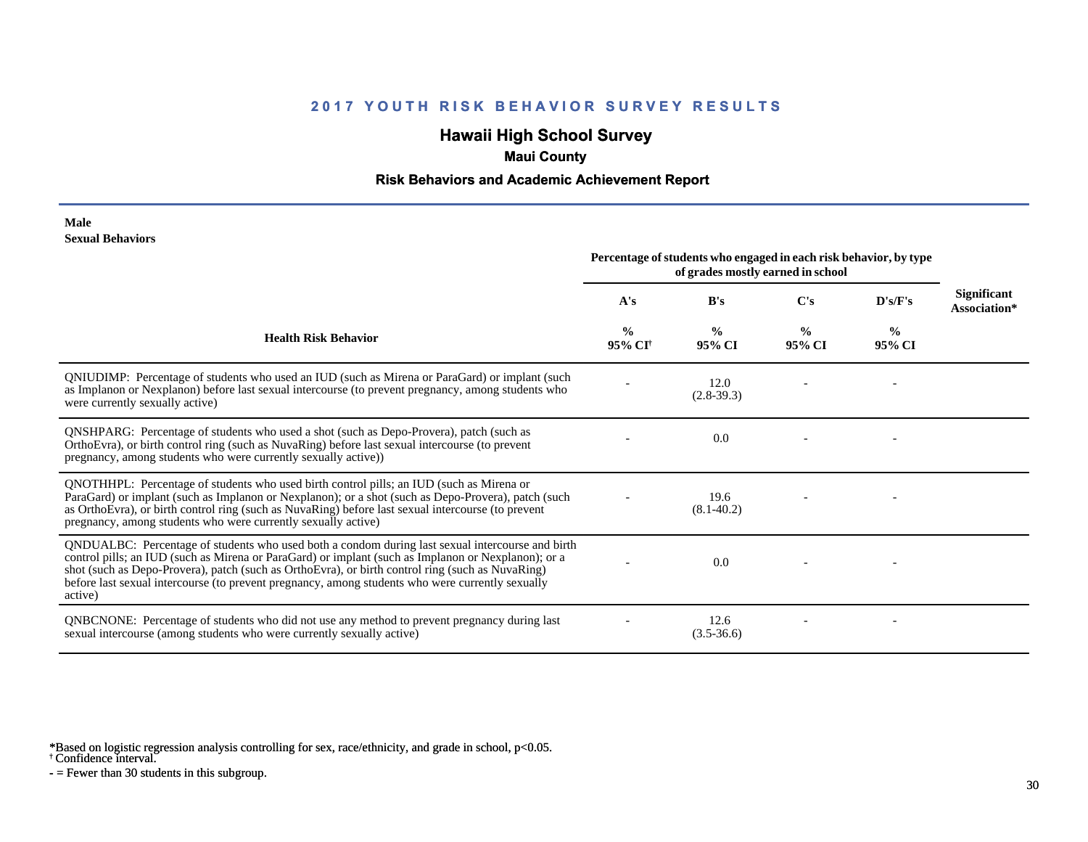# **Hawaii High School Survey**

### **Maui County**

#### **Risk Behaviors and Academic Achievement Report**

#### **Male Sexual Behaviors**

|                                                                                                                                                                                                                                                                                                                                                                                                                            | Percentage of students who engaged in each risk behavior, by type<br>of grades mostly earned in school |                         |                         |                         |                                    |
|----------------------------------------------------------------------------------------------------------------------------------------------------------------------------------------------------------------------------------------------------------------------------------------------------------------------------------------------------------------------------------------------------------------------------|--------------------------------------------------------------------------------------------------------|-------------------------|-------------------------|-------------------------|------------------------------------|
|                                                                                                                                                                                                                                                                                                                                                                                                                            | A's                                                                                                    | B's                     | C's                     | D's/F's                 | <b>Significant</b><br>Association* |
| <b>Health Risk Behavior</b>                                                                                                                                                                                                                                                                                                                                                                                                | $\frac{0}{0}$<br>95% CI†                                                                               | $\frac{0}{0}$<br>95% CI | $\frac{0}{0}$<br>95% CI | $\frac{0}{0}$<br>95% CI |                                    |
| QNIUDIMP: Percentage of students who used an IUD (such as Mirena or ParaGard) or implant (such<br>as Implanon or Nexplanon) before last sexual intercourse (to prevent pregnancy, among students who<br>were currently sexually active)                                                                                                                                                                                    |                                                                                                        | 12.0<br>$(2.8-39.3)$    |                         |                         |                                    |
| QNSHPARG: Percentage of students who used a shot (such as Depo-Provera), patch (such as<br>OrthoEvra), or birth control ring (such as NuvaRing) before last sexual intercourse (to prevent<br>pregnancy, among students who were currently sexually active))                                                                                                                                                               |                                                                                                        | 0.0                     |                         |                         |                                    |
| QNOTHHPL: Percentage of students who used birth control pills; an IUD (such as Mirena or<br>ParaGard) or implant (such as Implanon or Nexplanon); or a shot (such as Depo-Provera), patch (such<br>as OrthoEvra), or birth control ring (such as NuvaRing) before last sexual intercourse (to prevent<br>pregnancy, among students who were currently sexually active)                                                     |                                                                                                        | 19.6<br>$(8.1 - 40.2)$  |                         |                         |                                    |
| QNDUALBC: Percentage of students who used both a condom during last sexual intercourse and birth<br>control pills; an IUD (such as Mirena or ParaGard) or implant (such as Implanon or Nexplanon); or a<br>shot (such as Depo-Provera), patch (such as OrthoEvra), or birth control ring (such as NuvaRing)<br>before last sexual intercourse (to prevent pregnancy, among students who were currently sexually<br>active) |                                                                                                        | 0.0                     |                         |                         |                                    |
| QNBCNONE: Percentage of students who did not use any method to prevent pregnancy during last<br>sexual intercourse (among students who were currently sexually active)                                                                                                                                                                                                                                                     |                                                                                                        | 12.6<br>$(3.5-36.6)$    |                         |                         |                                    |

\*Based on logistic regression analysis controlling for sex, race/ethnicity, and grade in school, p<0.05.

† Confidence interval.

 $-$  = Fewer than 30 students in this subgroup.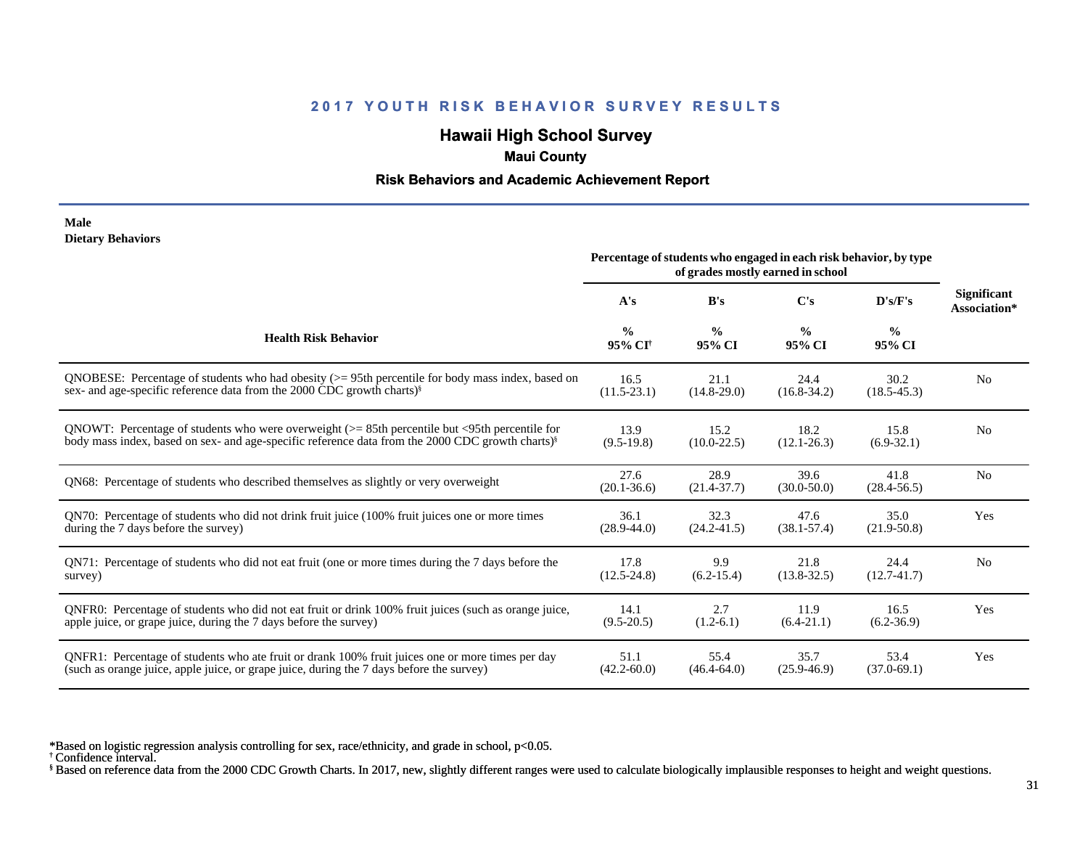## **Hawaii High School Survey**

#### **Maui County**

#### **Risk Behaviors and Academic Achievement Report**

#### **Male Dietary Behaviors**

|                                                                                                              | Percentage of students who engaged in each risk behavior, by type<br>of grades mostly earned in school |                         |                         |                         |                                    |
|--------------------------------------------------------------------------------------------------------------|--------------------------------------------------------------------------------------------------------|-------------------------|-------------------------|-------------------------|------------------------------------|
|                                                                                                              | A's                                                                                                    | B's                     | $\bf C's$               | D's/F's                 | <b>Significant</b><br>Association* |
| <b>Health Risk Behavior</b>                                                                                  | $\frac{0}{0}$<br>95% CI <sup>+</sup>                                                                   | $\frac{0}{0}$<br>95% CI | $\frac{0}{0}$<br>95% CI | $\frac{0}{0}$<br>95% CI |                                    |
| QNOBESE: Percentage of students who had obesity $(>= 95$ th percentile for body mass index, based on         | 16.5                                                                                                   | 21.1                    | 24.4                    | 30.2                    | N <sub>0</sub>                     |
| sex- and age-specific reference data from the 2000 CDC growth charts) <sup>§</sup>                           | $(11.5 - 23.1)$                                                                                        | $(14.8 - 29.0)$         | $(16.8 - 34.2)$         | $(18.5 - 45.3)$         |                                    |
| QNOWT: Percentage of students who were overweight $(>= 85$ th percentile but $\leq$ 95th percentile for      | 13.9                                                                                                   | 15.2                    | 18.2                    | 15.8                    | No                                 |
| body mass index, based on sex- and age-specific reference data from the 2000 CDC growth charts) <sup>§</sup> | $(9.5-19.8)$                                                                                           | $(10.0 - 22.5)$         | $(12.1 - 26.3)$         | $(6.9-32.1)$            |                                    |
| QN68: Percentage of students who described themselves as slightly or very overweight                         | 27.6<br>$(20.1 - 36.6)$                                                                                | 28.9<br>$(21.4 - 37.7)$ | 39.6<br>$(30.0 - 50.0)$ | 41.8<br>$(28.4 - 56.5)$ | N <sub>0</sub>                     |
| QN70: Percentage of students who did not drink fruit juice (100% fruit juices one or more times              | 36.1                                                                                                   | 32.3                    | 47.6                    | 35.0                    | Yes                                |
| during the 7 days before the survey)                                                                         | $(28.9 - 44.0)$                                                                                        | $(24.2 - 41.5)$         | $(38.1 - 57.4)$         | $(21.9 - 50.8)$         |                                    |
| QN71: Percentage of students who did not eat fruit (one or more times during the 7 days before the           | 17.8                                                                                                   | 9.9                     | 21.8                    | 24.4                    | N <sub>0</sub>                     |
| survey)                                                                                                      | $(12.5 - 24.8)$                                                                                        | $(6.2 - 15.4)$          | $(13.8 - 32.5)$         | $(12.7 - 41.7)$         |                                    |
| QNFR0: Percentage of students who did not eat fruit or drink 100% fruit juices (such as orange juice,        | 14.1                                                                                                   | 2.7                     | 11.9                    | 16.5                    | Yes                                |
| apple juice, or grape juice, during the 7 days before the survey)                                            | $(9.5 - 20.5)$                                                                                         | $(1.2-6.1)$             | $(6.4 - 21.1)$          | $(6.2 - 36.9)$          |                                    |
| QNFR1: Percentage of students who ate fruit or drank 100% fruit juices one or more times per day             | 51.1                                                                                                   | 55.4                    | 35.7                    | 53.4                    | Yes                                |
| (such as orange juice, apple juice, or grape juice, during the 7 days before the survey)                     | $(42.2 - 60.0)$                                                                                        | $(46.4 - 64.0)$         | $(25.9 - 46.9)$         | $(37.0 - 69.1)$         |                                    |

\*Based on logistic regression analysis controlling for sex, race/ethnicity, and grade in school, p<0.05.

† Confidence interval.

§ Based on reference data from the 2000 CDC Growth Charts. In 2017, new, slightly different ranges were used to calculate biologically implausible responses to height and weight questions.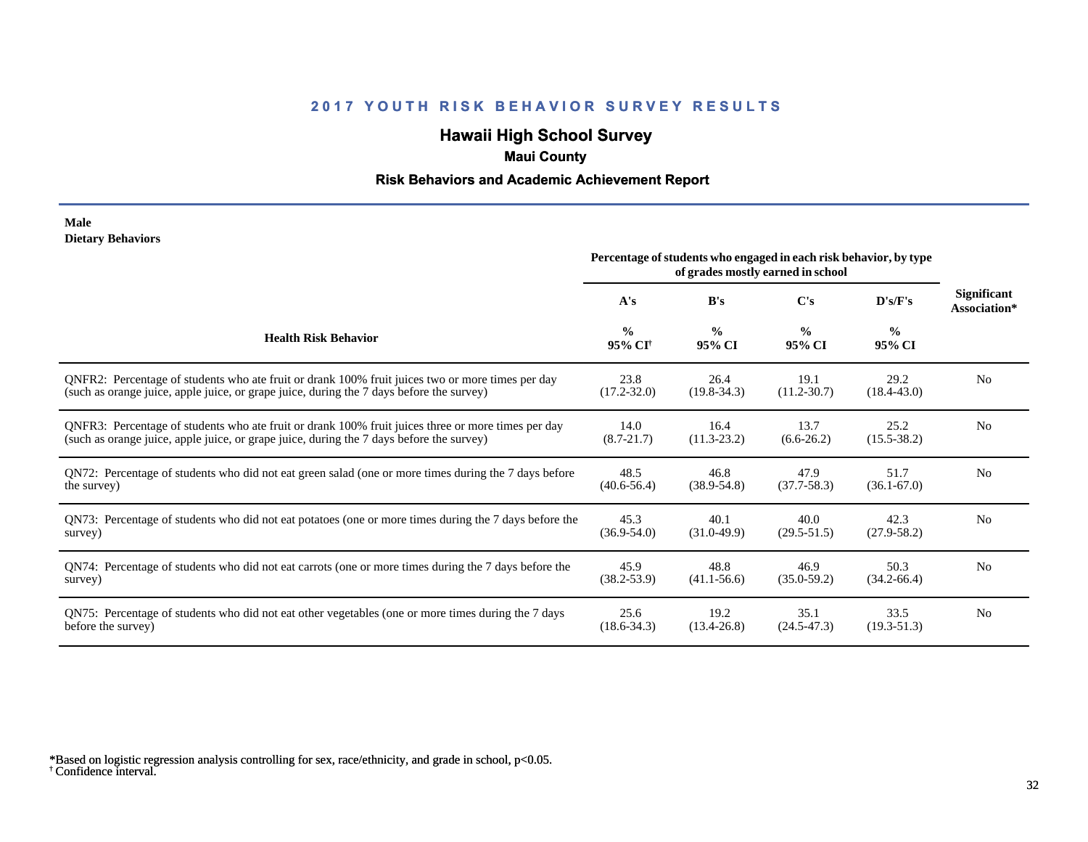# **Hawaii High School Survey**

### **Maui County**

#### **Risk Behaviors and Academic Achievement Report**

#### **Male Dietary Behaviors**

|                                                                                                       | Percentage of students who engaged in each risk behavior, by type<br>of grades mostly earned in school |                         |                         |                         |                                    |
|-------------------------------------------------------------------------------------------------------|--------------------------------------------------------------------------------------------------------|-------------------------|-------------------------|-------------------------|------------------------------------|
|                                                                                                       | A's                                                                                                    | B's                     | C's                     | D's/F's                 | <b>Significant</b><br>Association* |
| <b>Health Risk Behavior</b>                                                                           | $\frac{0}{0}$<br>95% CI <sup>†</sup>                                                                   | $\frac{0}{0}$<br>95% CI | $\frac{0}{0}$<br>95% CI | $\frac{0}{0}$<br>95% CI |                                    |
| ONFR2: Percentage of students who ate fruit or drank 100% fruit juices two or more times per day      | 23.8                                                                                                   | 26.4                    | 19.1                    | 29.2                    | N <sub>0</sub>                     |
| (such as orange juice, apple juice, or grape juice, during the 7 days before the survey)              | $(17.2 - 32.0)$                                                                                        | $(19.8 - 34.3)$         | $(11.2 - 30.7)$         | $(18.4 - 43.0)$         |                                    |
| QNFR3: Percentage of students who ate fruit or drank 100% fruit juices three or more times per day    | 14.0                                                                                                   | 16.4                    | 13.7                    | 25.2                    | N <sub>0</sub>                     |
| (such as orange juice, apple juice, or grape juice, during the 7 days before the survey)              | $(8.7 - 21.7)$                                                                                         | $(11.3 - 23.2)$         | $(6.6-26.2)$            | $(15.5 - 38.2)$         |                                    |
| QN72: Percentage of students who did not eat green salad (one or more times during the 7 days before  | 48.5                                                                                                   | 46.8                    | 47.9                    | 51.7                    | N <sub>0</sub>                     |
| the survey)                                                                                           | $(40.6 - 56.4)$                                                                                        | $(38.9 - 54.8)$         | $(37.7 - 58.3)$         | $(36.1 - 67.0)$         |                                    |
| QN73: Percentage of students who did not eat potatoes (one or more times during the 7 days before the | 45.3                                                                                                   | 40.1                    | 40.0                    | 42.3                    | N <sub>0</sub>                     |
| survey)                                                                                               | $(36.9 - 54.0)$                                                                                        | $(31.0-49.9)$           | $(29.5 - 51.5)$         | $(27.9 - 58.2)$         |                                    |
| QN74: Percentage of students who did not eat carrots (one or more times during the 7 days before the  | 45.9                                                                                                   | 48.8                    | 46.9                    | 50.3                    | N <sub>0</sub>                     |
| survey)                                                                                               | $(38.2 - 53.9)$                                                                                        | $(41.1 - 56.6)$         | $(35.0 - 59.2)$         | $(34.2 - 66.4)$         |                                    |
| QN75: Percentage of students who did not eat other vegetables (one or more times during the 7 days    | 25.6                                                                                                   | 19.2                    | 35.1                    | 33.5                    | N <sub>0</sub>                     |
| before the survey)                                                                                    | $(18.6 - 34.3)$                                                                                        | $(13.4 - 26.8)$         | $(24.5 - 47.3)$         | $(19.3 - 51.3)$         |                                    |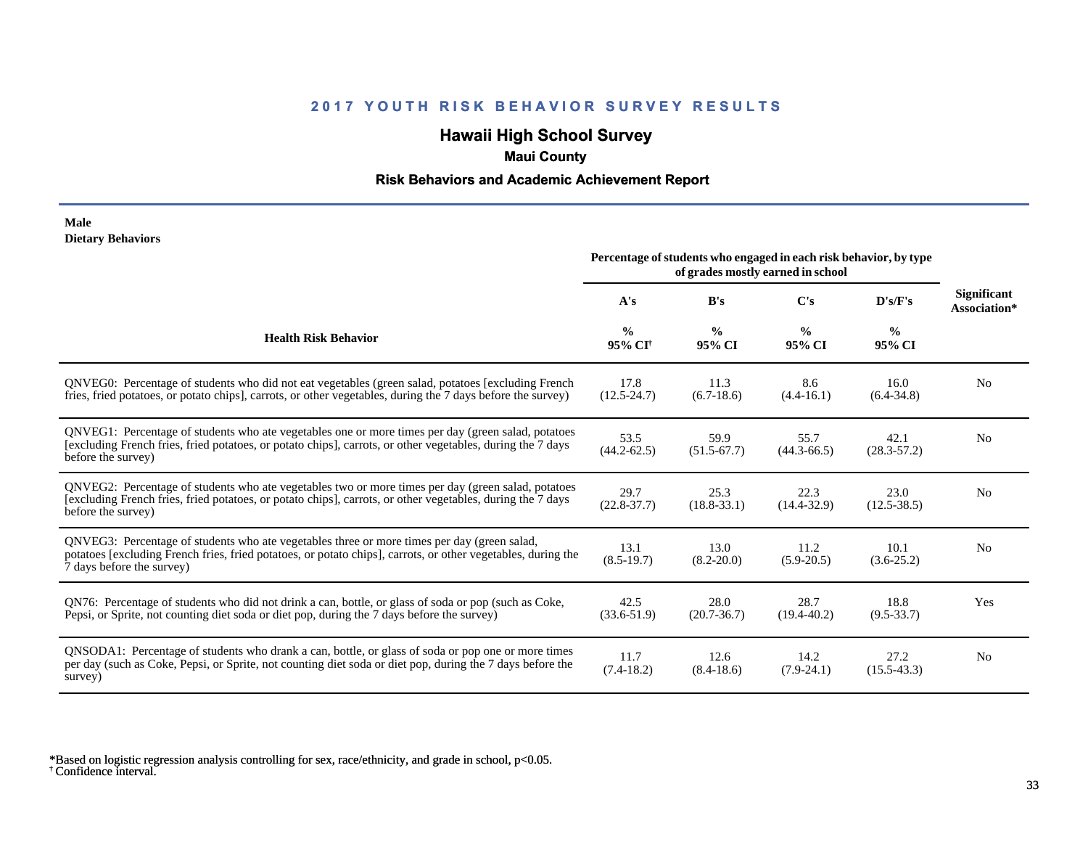# **Hawaii High School Survey**

### **Maui County**

#### **Risk Behaviors and Academic Achievement Report**

#### **Male Dietary Behaviors**

|                                                                                                                                                                                                                                          | Percentage of students who engaged in each risk behavior, by type<br>of grades mostly earned in school |                         |                         |                         |                                    |
|------------------------------------------------------------------------------------------------------------------------------------------------------------------------------------------------------------------------------------------|--------------------------------------------------------------------------------------------------------|-------------------------|-------------------------|-------------------------|------------------------------------|
|                                                                                                                                                                                                                                          | A's                                                                                                    | B's                     | C's                     | D's/F's                 | <b>Significant</b><br>Association* |
| <b>Health Risk Behavior</b>                                                                                                                                                                                                              | $\frac{0}{0}$<br>95% CI <sup>+</sup>                                                                   | $\frac{0}{0}$<br>95% CI | $\frac{0}{0}$<br>95% CI | $\frac{0}{0}$<br>95% CI |                                    |
| QNVEG0: Percentage of students who did not eat vegetables (green salad, potatoes [excluding French<br>fries, fried potatoes, or potato chips], carrots, or other vegetables, during the 7 days before the survey)                        | 17.8<br>$(12.5 - 24.7)$                                                                                | 11.3<br>$(6.7-18.6)$    | 8.6<br>$(4.4 - 16.1)$   | 16.0<br>$(6.4 - 34.8)$  | N <sub>0</sub>                     |
| QNVEG1: Percentage of students who ate vegetables one or more times per day (green salad, potatoes<br>[excluding French fries, fried potatoes, or potato chips], carrots, or other vegetables, during the 7 days<br>before the survey)   | 53.5<br>$(44.2 - 62.5)$                                                                                | 59.9<br>$(51.5-67.7)$   | 55.7<br>$(44.3 - 66.5)$ | 42.1<br>$(28.3 - 57.2)$ | N <sub>o</sub>                     |
| QNVEG2: Percentage of students who ate vegetables two or more times per day (green salad, potatoes<br>[excluding French fries, fried potatoes, or potato chips], carrots, or other vegetables, during the 7 days<br>before the survey)   | 29.7<br>$(22.8 - 37.7)$                                                                                | 25.3<br>$(18.8 - 33.1)$ | 22.3<br>$(14.4 - 32.9)$ | 23.0<br>$(12.5 - 38.5)$ | N <sub>o</sub>                     |
| QNVEG3: Percentage of students who ate vegetables three or more times per day (green salad,<br>potatoes [excluding French fries, fried potatoes, or potato chips], carrots, or other vegetables, during the<br>7 days before the survey) | 13.1<br>$(8.5-19.7)$                                                                                   | 13.0<br>$(8.2 - 20.0)$  | 11.2<br>$(5.9 - 20.5)$  | 10.1<br>$(3.6-25.2)$    | N <sub>0</sub>                     |
| QN76: Percentage of students who did not drink a can, bottle, or glass of soda or pop (such as Coke,<br>Pepsi, or Sprite, not counting diet soda or diet pop, during the 7 days before the survey)                                       | 42.5<br>$(33.6 - 51.9)$                                                                                | 28.0<br>$(20.7 - 36.7)$ | 28.7<br>$(19.4 - 40.2)$ | 18.8<br>$(9.5 - 33.7)$  | Yes                                |
| QNSODA1: Percentage of students who drank a can, bottle, or glass of soda or pop one or more times<br>per day (such as Coke, Pepsi, or Sprite, not counting diet soda or diet pop, during the 7 days before the<br>survey)               | 11.7<br>$(7.4-18.2)$                                                                                   | 12.6<br>$(8.4 - 18.6)$  | 14.2<br>$(7.9-24.1)$    | 27.2<br>$(15.5 - 43.3)$ | N <sub>0</sub>                     |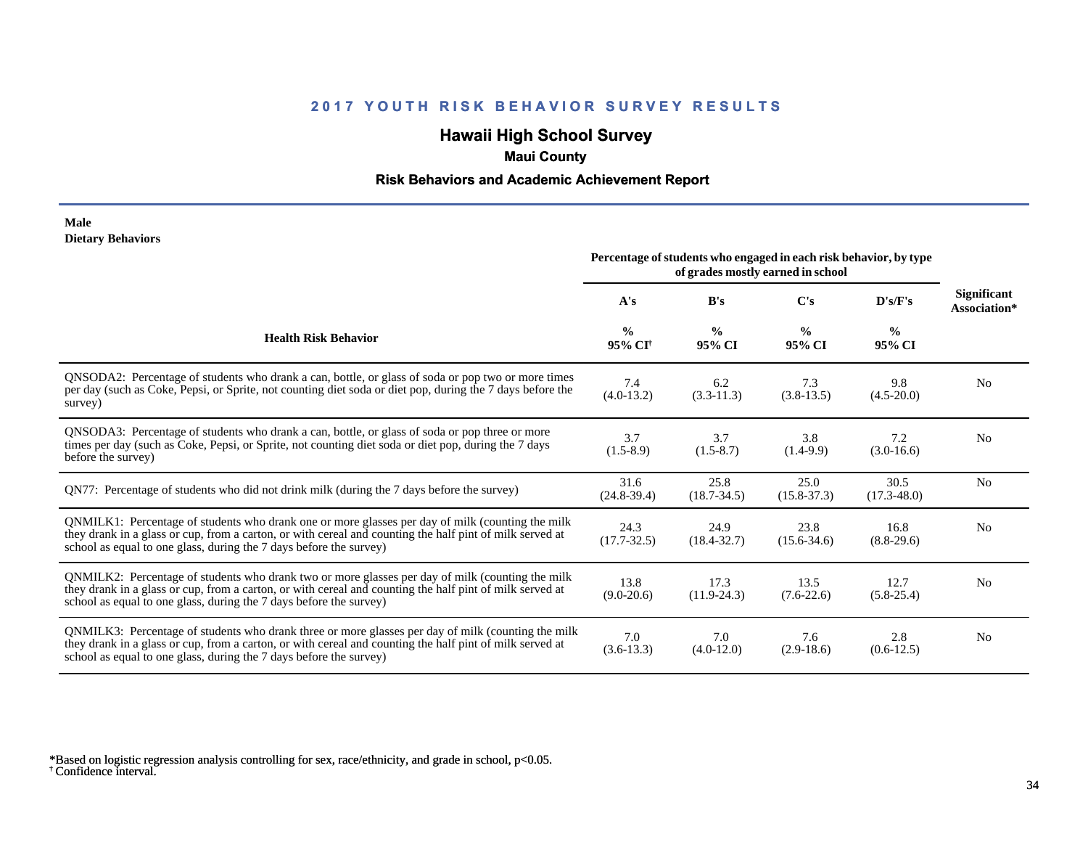## **Hawaii High School Survey**

### **Maui County**

#### **Risk Behaviors and Academic Achievement Report**

#### **Male Dietary Behaviors**

|                                                                                                                                                                                                                                                                                      | Percentage of students who engaged in each risk behavior, by type<br>of grades mostly earned in school |                         |                         |                         |                             |
|--------------------------------------------------------------------------------------------------------------------------------------------------------------------------------------------------------------------------------------------------------------------------------------|--------------------------------------------------------------------------------------------------------|-------------------------|-------------------------|-------------------------|-----------------------------|
|                                                                                                                                                                                                                                                                                      | A's                                                                                                    | B's                     | $\bf C's$               | D's/F's                 | Significant<br>Association* |
| <b>Health Risk Behavior</b>                                                                                                                                                                                                                                                          | $\frac{0}{0}$<br>95% CI <sup>+</sup>                                                                   | $\frac{0}{0}$<br>95% CI | $\frac{0}{0}$<br>95% CI | $\frac{0}{0}$<br>95% CI |                             |
| QNSODA2: Percentage of students who drank a can, bottle, or glass of soda or pop two or more times<br>per day (such as Coke, Pepsi, or Sprite, not counting diet soda or diet pop, during the 7 days before the<br>survey)                                                           | 7.4<br>$(4.0-13.2)$                                                                                    | 6.2<br>$(3.3-11.3)$     | 7.3<br>$(3.8-13.5)$     | 9.8<br>$(4.5 - 20.0)$   | N <sub>0</sub>              |
| QNSODA3: Percentage of students who drank a can, bottle, or glass of soda or pop three or more<br>times per day (such as Coke, Pepsi, or Sprite, not counting diet soda or diet pop, during the 7 days<br>before the survey)                                                         | 3.7<br>$(1.5-8.9)$                                                                                     | 3.7<br>$(1.5-8.7)$      | 3.8<br>$(1.4-9.9)$      | 7.2<br>$(3.0-16.6)$     | N <sub>0</sub>              |
| QN77: Percentage of students who did not drink milk (during the 7 days before the survey)                                                                                                                                                                                            | 31.6<br>$(24.8-39.4)$                                                                                  | 25.8<br>$(18.7 - 34.5)$ | 25.0<br>$(15.8 - 37.3)$ | 30.5<br>$(17.3 - 48.0)$ | N <sub>0</sub>              |
| QNMILK1: Percentage of students who drank one or more glasses per day of milk (counting the milk<br>they drank in a glass or cup, from a carton, or with cereal and counting the half pint of milk served at<br>school as equal to one glass, during the 7 days before the survey)   | 24.3<br>$(17.7 - 32.5)$                                                                                | 24.9<br>$(18.4 - 32.7)$ | 23.8<br>$(15.6 - 34.6)$ | 16.8<br>$(8.8-29.6)$    | N <sub>0</sub>              |
| QNMILK2: Percentage of students who drank two or more glasses per day of milk (counting the milk<br>they drank in a glass or cup, from a carton, or with cereal and counting the half pint of milk served at<br>school as equal to one glass, during the 7 days before the survey)   | 13.8<br>$(9.0-20.6)$                                                                                   | 17.3<br>$(11.9-24.3)$   | 13.5<br>$(7.6-22.6)$    | 12.7<br>$(5.8-25.4)$    | N <sub>0</sub>              |
| QNMILK3: Percentage of students who drank three or more glasses per day of milk (counting the milk<br>they drank in a glass or cup, from a carton, or with cereal and counting the half pint of milk served at<br>school as equal to one glass, during the 7 days before the survey) | 7.0<br>$(3.6-13.3)$                                                                                    | 7.0<br>$(4.0-12.0)$     | 7.6<br>$(2.9-18.6)$     | 2.8<br>$(0.6-12.5)$     | N <sub>0</sub>              |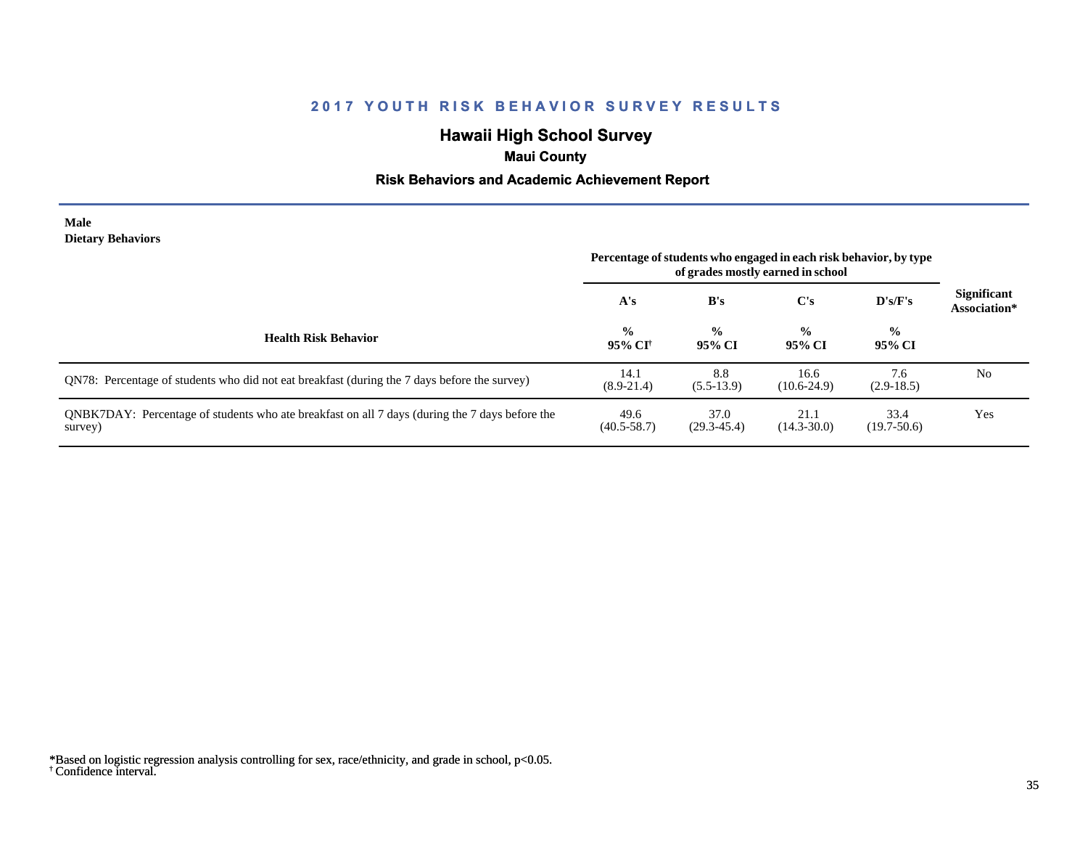# **Hawaii High School Survey**

## **Maui County**

#### **Risk Behaviors and Academic Achievement Report**

#### **Male Dietary Behaviors**

|                                                                                                           | Percentage of students who engaged in each risk behavior, by type<br>of grades mostly earned in school |                         |                         |                         |                                    |
|-----------------------------------------------------------------------------------------------------------|--------------------------------------------------------------------------------------------------------|-------------------------|-------------------------|-------------------------|------------------------------------|
|                                                                                                           | A's                                                                                                    | B's                     | C's                     | D's/F's                 | <b>Significant</b><br>Association* |
| <b>Health Risk Behavior</b>                                                                               | $\frac{0}{0}$<br>95% CI†                                                                               | $\frac{0}{0}$<br>95% CI | $\frac{0}{0}$<br>95% CI | $\frac{0}{0}$<br>95% CI |                                    |
| QN78: Percentage of students who did not eat breakfast (during the 7 days before the survey)              | 14.1<br>$(8.9-21.4)$                                                                                   | 8.8<br>$(5.5-13.9)$     | 16.6<br>$(10.6-24.9)$   | 7.6<br>$(2.9-18.5)$     | No                                 |
| QNBK7DAY: Percentage of students who ate breakfast on all 7 days (during the 7 days before the<br>survey) | 49.6<br>$(40.5 - 58.7)$                                                                                | 37.0<br>$(29.3 - 45.4)$ | 21.1<br>$(14.3 - 30.0)$ | 33.4<br>$(19.7-50.6)$   | Yes                                |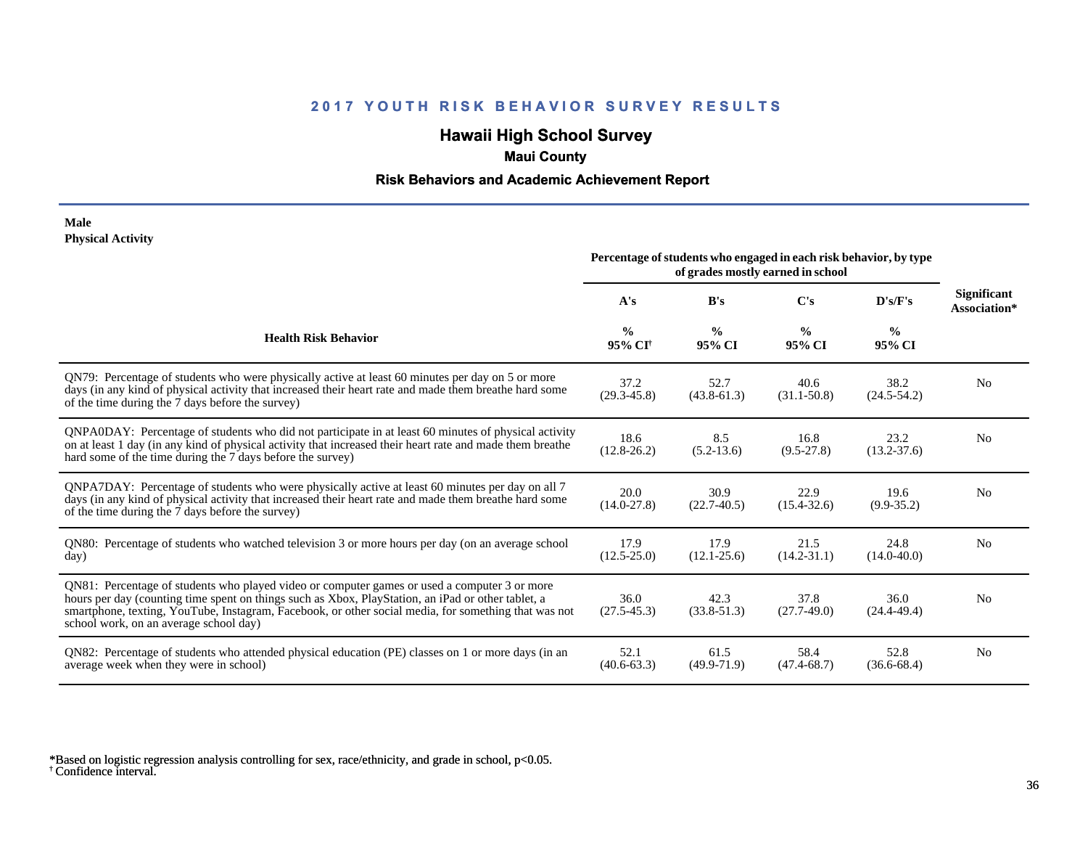# **Hawaii High School Survey**

## **Maui County**

#### **Risk Behaviors and Academic Achievement Report**

#### **Male Physical Activity**

|                                                                                                                                                                                                                                                                                                                                                      | Percentage of students who engaged in each risk behavior, by type<br>of grades mostly earned in school |                         |                         |                         |                                    |
|------------------------------------------------------------------------------------------------------------------------------------------------------------------------------------------------------------------------------------------------------------------------------------------------------------------------------------------------------|--------------------------------------------------------------------------------------------------------|-------------------------|-------------------------|-------------------------|------------------------------------|
|                                                                                                                                                                                                                                                                                                                                                      | A's                                                                                                    | B's                     | C's                     | D's/F's                 | <b>Significant</b><br>Association* |
| <b>Health Risk Behavior</b>                                                                                                                                                                                                                                                                                                                          | $\frac{0}{0}$<br>95% CI <sup>+</sup>                                                                   | $\frac{0}{0}$<br>95% CI | $\frac{0}{0}$<br>95% CI | $\frac{0}{0}$<br>95% CI |                                    |
| QN79: Percentage of students who were physically active at least 60 minutes per day on 5 or more<br>days (in any kind of physical activity that increased their heart rate and made them breathe hard some<br>of the time during the 7 days before the survey)                                                                                       | 37.2<br>$(29.3 - 45.8)$                                                                                | 52.7<br>$(43.8 - 61.3)$ | 40.6<br>$(31.1 - 50.8)$ | 38.2<br>$(24.5 - 54.2)$ | N <sub>0</sub>                     |
| QNPA0DAY: Percentage of students who did not participate in at least 60 minutes of physical activity<br>on at least 1 day (in any kind of physical activity that increased their heart rate and made them breathe<br>hard some of the time during the 7 days before the survey)                                                                      | 18.6<br>$(12.8 - 26.2)$                                                                                | 8.5<br>$(5.2 - 13.6)$   | 16.8<br>$(9.5 - 27.8)$  | 23.2<br>$(13.2 - 37.6)$ | N <sub>0</sub>                     |
| QNPA7DAY: Percentage of students who were physically active at least 60 minutes per day on all 7<br>days (in any kind of physical activity that increased their heart rate and made them breathe hard some<br>of the time during the 7 days before the survey)                                                                                       | 20.0<br>$(14.0 - 27.8)$                                                                                | 30.9<br>$(22.7-40.5)$   | 22.9<br>$(15.4 - 32.6)$ | 19.6<br>$(9.9 - 35.2)$  | N <sub>0</sub>                     |
| QN80: Percentage of students who watched television 3 or more hours per day (on an average school<br>day)                                                                                                                                                                                                                                            | 17.9<br>$(12.5 - 25.0)$                                                                                | 17.9<br>$(12.1 - 25.6)$ | 21.5<br>$(14.2 - 31.1)$ | 24.8<br>$(14.0 - 40.0)$ | No                                 |
| QN81: Percentage of students who played video or computer games or used a computer 3 or more<br>hours per day (counting time spent on things such as Xbox, PlayStation, an iPad or other tablet, a<br>smartphone, texting, YouTube, Instagram, Facebook, or other social media, for something that was not<br>school work, on an average school day) | 36.0<br>$(27.5 - 45.3)$                                                                                | 42.3<br>$(33.8 - 51.3)$ | 37.8<br>$(27.7-49.0)$   | 36.0<br>$(24.4 - 49.4)$ | N <sub>0</sub>                     |
| QN82: Percentage of students who attended physical education (PE) classes on 1 or more days (in an<br>average week when they were in school)                                                                                                                                                                                                         | 52.1<br>$(40.6 - 63.3)$                                                                                | 61.5<br>$(49.9 - 71.9)$ | 58.4<br>$(47.4 - 68.7)$ | 52.8<br>$(36.6 - 68.4)$ | N <sub>0</sub>                     |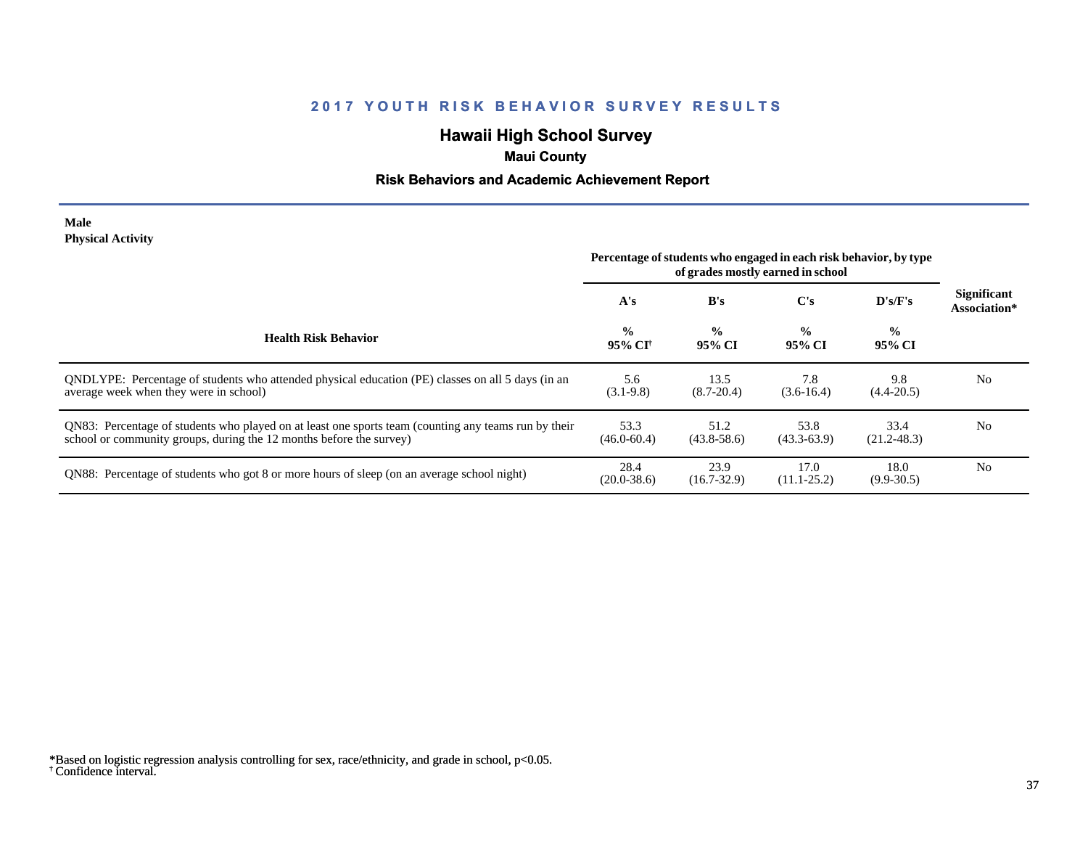# **Hawaii High School Survey**

## **Maui County**

### **Risk Behaviors and Academic Achievement Report**

#### **Male Physical Activity**

|                                                                                                                                                                             | Percentage of students who engaged in each risk behavior, by type |                         |                         |                         |                                    |
|-----------------------------------------------------------------------------------------------------------------------------------------------------------------------------|-------------------------------------------------------------------|-------------------------|-------------------------|-------------------------|------------------------------------|
|                                                                                                                                                                             | A's                                                               | B's                     | $\bf C's$               | D's/F's                 | <b>Significant</b><br>Association* |
| <b>Health Risk Behavior</b>                                                                                                                                                 | $\frac{0}{0}$<br>95% CI†                                          | $\frac{0}{0}$<br>95% CI | $\%$<br>95% CI          | $\frac{0}{0}$<br>95% CI |                                    |
| QNDLYPE: Percentage of students who attended physical education (PE) classes on all 5 days (in an<br>average week when they were in school)                                 | 5.6<br>$(3.1-9.8)$                                                | 13.5<br>$(8.7 - 20.4)$  | 7.8<br>$(3.6-16.4)$     | 9.8<br>$(4.4 - 20.5)$   | N <sub>0</sub>                     |
| QN83: Percentage of students who played on at least one sports team (counting any teams run by their<br>school or community groups, during the 12 months before the survey) | 53.3<br>$(46.0 - 60.4)$                                           | 51.2<br>$(43.8 - 58.6)$ | 53.8<br>$(43.3 - 63.9)$ | 33.4<br>$(21.2 - 48.3)$ | N <sub>0</sub>                     |
| QN88: Percentage of students who got 8 or more hours of sleep (on an average school night)                                                                                  | 28.4<br>$(20.0 - 38.6)$                                           | 23.9<br>$(16.7 - 32.9)$ | 17.0<br>$(11.1 - 25.2)$ | 18.0<br>$(9.9 - 30.5)$  | N <sub>0</sub>                     |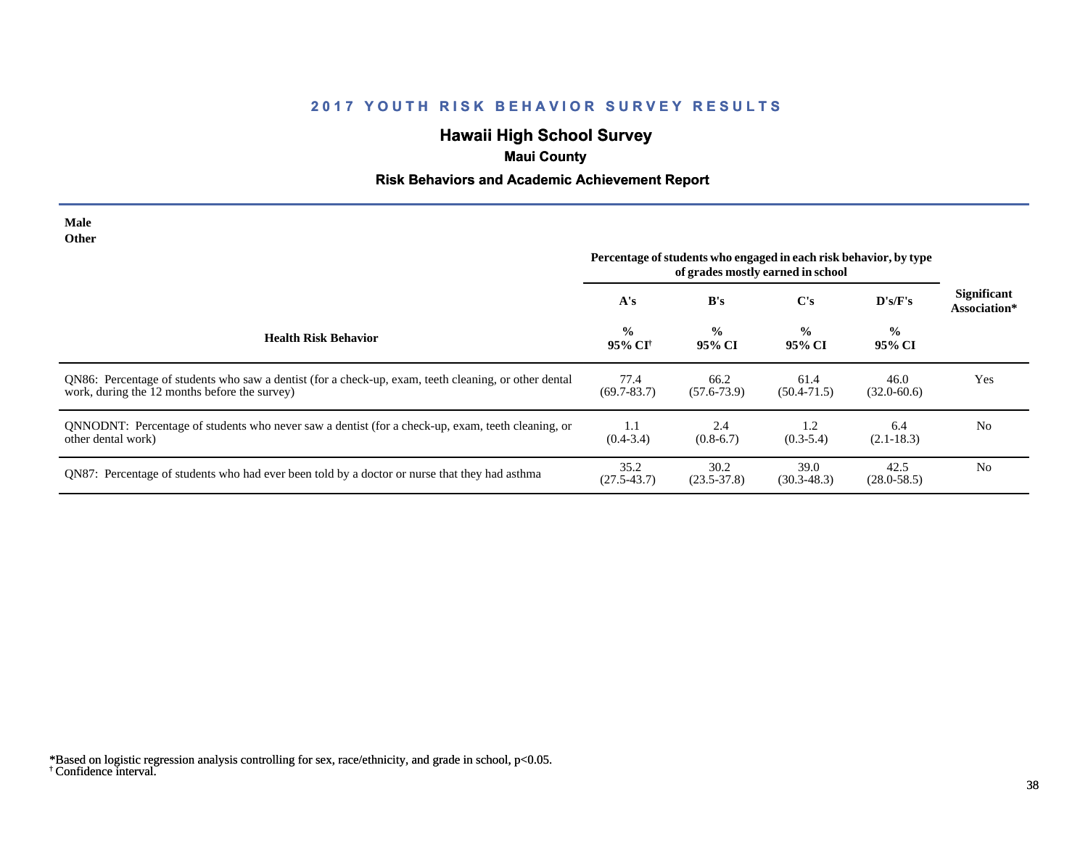# **Hawaii High School Survey**

## **Maui County**

# **Risk Behaviors and Academic Achievement Report**

| <b>Male</b><br><b>Other</b>                                                                                                                            |                                      |                                                                                                        |                         |                          |                                    |
|--------------------------------------------------------------------------------------------------------------------------------------------------------|--------------------------------------|--------------------------------------------------------------------------------------------------------|-------------------------|--------------------------|------------------------------------|
|                                                                                                                                                        |                                      | Percentage of students who engaged in each risk behavior, by type<br>of grades mostly earned in school |                         |                          |                                    |
|                                                                                                                                                        | A's                                  | B's                                                                                                    | $\bf C's$               | D's/F's                  | <b>Significant</b><br>Association* |
| <b>Health Risk Behavior</b>                                                                                                                            | $\frac{0}{0}$<br>95% CI <sup>†</sup> | $\frac{0}{0}$<br>95% CI                                                                                | $\frac{0}{0}$<br>95% CI | $\frac{6}{10}$<br>95% CI |                                    |
| QN86: Percentage of students who saw a dentist (for a check-up, exam, teeth cleaning, or other dental<br>work, during the 12 months before the survey) | 77.4<br>$(69.7 - 83.7)$              | 66.2<br>$(57.6 - 73.9)$                                                                                | 61.4<br>$(50.4 - 71.5)$ | 46.0<br>$(32.0 - 60.6)$  | Yes                                |
| QNNODNT: Percentage of students who never saw a dentist (for a check-up, exam, teeth cleaning, or<br>other dental work)                                | 1.1<br>$(0.4 - 3.4)$                 | 2.4<br>$(0.8-6.7)$                                                                                     | 1.2<br>$(0.3-5.4)$      | 6.4<br>$(2.1 - 18.3)$    | N <sub>0</sub>                     |
| QN87: Percentage of students who had ever been told by a doctor or nurse that they had asthma                                                          | 35.2<br>$(27.5 - 43.7)$              | 30.2<br>$(23.5 - 37.8)$                                                                                | 39.0<br>$(30.3 - 48.3)$ | 42.5<br>$(28.0 - 58.5)$  | N <sub>0</sub>                     |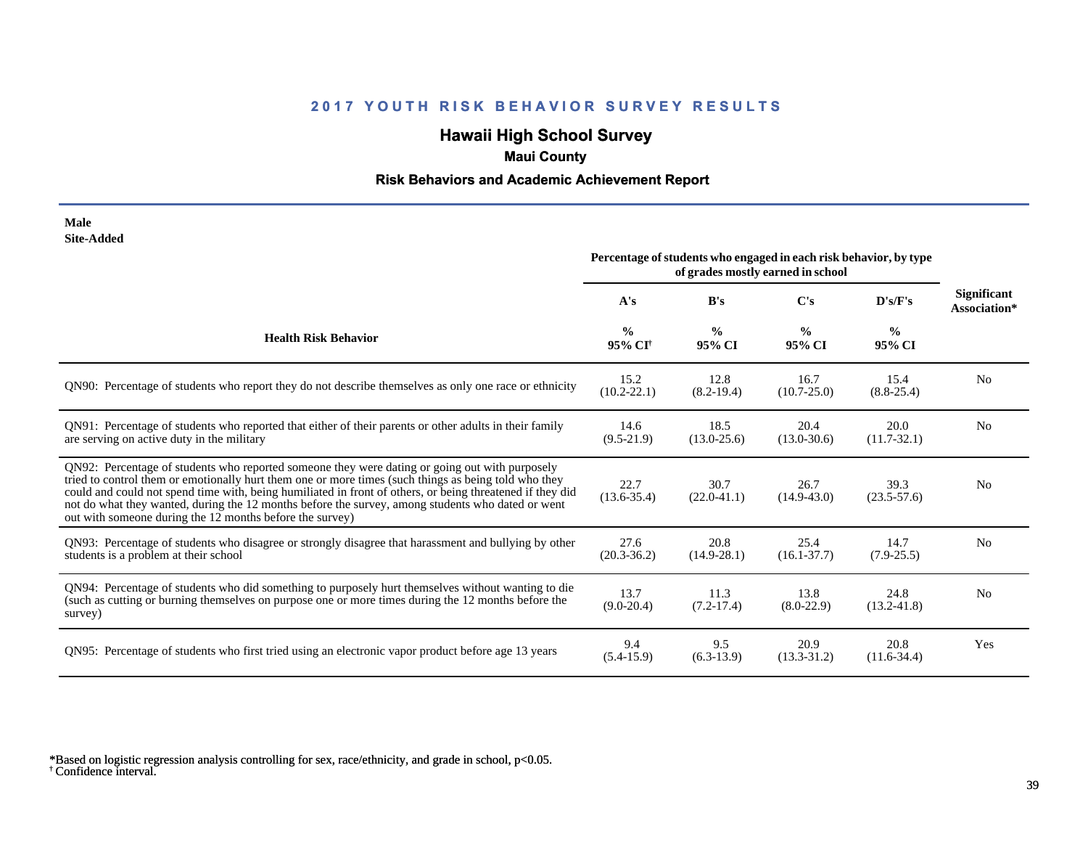# **Hawaii High School Survey**

# **Maui County**

### **Risk Behaviors and Academic Achievement Report**

| Male       |
|------------|
| Site-Added |

|                                                                                                                                                                                                                                                                                                                                                                                                                                                                                      | Percentage of students who engaged in each risk behavior, by type<br>of grades mostly earned in school |                         |                         |                         |                                    |
|--------------------------------------------------------------------------------------------------------------------------------------------------------------------------------------------------------------------------------------------------------------------------------------------------------------------------------------------------------------------------------------------------------------------------------------------------------------------------------------|--------------------------------------------------------------------------------------------------------|-------------------------|-------------------------|-------------------------|------------------------------------|
|                                                                                                                                                                                                                                                                                                                                                                                                                                                                                      | A's                                                                                                    | B's                     | $\bf C's$               | D's/F's                 | <b>Significant</b><br>Association* |
| <b>Health Risk Behavior</b>                                                                                                                                                                                                                                                                                                                                                                                                                                                          | $\frac{0}{0}$<br>95% CI <sup>+</sup>                                                                   | $\frac{0}{0}$<br>95% CI | $\frac{6}{9}$<br>95% CI | $\frac{0}{0}$<br>95% CI |                                    |
| QN90: Percentage of students who report they do not describe themselves as only one race or ethnicity                                                                                                                                                                                                                                                                                                                                                                                | 15.2<br>$(10.2 - 22.1)$                                                                                | 12.8<br>$(8.2 - 19.4)$  | 16.7<br>$(10.7 - 25.0)$ | 15.4<br>$(8.8 - 25.4)$  | N <sub>0</sub>                     |
| QN91: Percentage of students who reported that either of their parents or other adults in their family<br>are serving on active duty in the military                                                                                                                                                                                                                                                                                                                                 | 14.6<br>$(9.5-21.9)$                                                                                   | 18.5<br>$(13.0 - 25.6)$ | 20.4<br>$(13.0 - 30.6)$ | 20.0<br>$(11.7 - 32.1)$ | N <sub>0</sub>                     |
| QN92: Percentage of students who reported someone they were dating or going out with purposely<br>tried to control them or emotionally hurt them one or more times (such things as being told who they<br>could and could not spend time with, being humiliated in front of others, or being threatened if they did<br>not do what they wanted, during the 12 months before the survey, among students who dated or went<br>out with someone during the 12 months before the survey) | 22.7<br>$(13.6 - 35.4)$                                                                                | 30.7<br>$(22.0-41.1)$   | 26.7<br>$(14.9 - 43.0)$ | 39.3<br>$(23.5 - 57.6)$ | N <sub>0</sub>                     |
| QN93: Percentage of students who disagree or strongly disagree that harassment and bullying by other<br>students is a problem at their school                                                                                                                                                                                                                                                                                                                                        | 27.6<br>$(20.3 - 36.2)$                                                                                | 20.8<br>$(14.9 - 28.1)$ | 25.4<br>$(16.1 - 37.7)$ | 14.7<br>$(7.9 - 25.5)$  | N <sub>o</sub>                     |
| QN94: Percentage of students who did something to purposely hurt themselves without wanting to die<br>(such as cutting or burning themselves on purpose one or more times during the 12 months before the<br>survey)                                                                                                                                                                                                                                                                 | 13.7<br>$(9.0 - 20.4)$                                                                                 | 11.3<br>$(7.2-17.4)$    | 13.8<br>$(8.0-22.9)$    | 24.8<br>$(13.2 - 41.8)$ | N <sub>0</sub>                     |
| QN95: Percentage of students who first tried using an electronic vapor product before age 13 years                                                                                                                                                                                                                                                                                                                                                                                   | 9.4<br>$(5.4-15.9)$                                                                                    | 9.5<br>$(6.3-13.9)$     | 20.9<br>$(13.3 - 31.2)$ | 20.8<br>$(11.6-34.4)$   | Yes                                |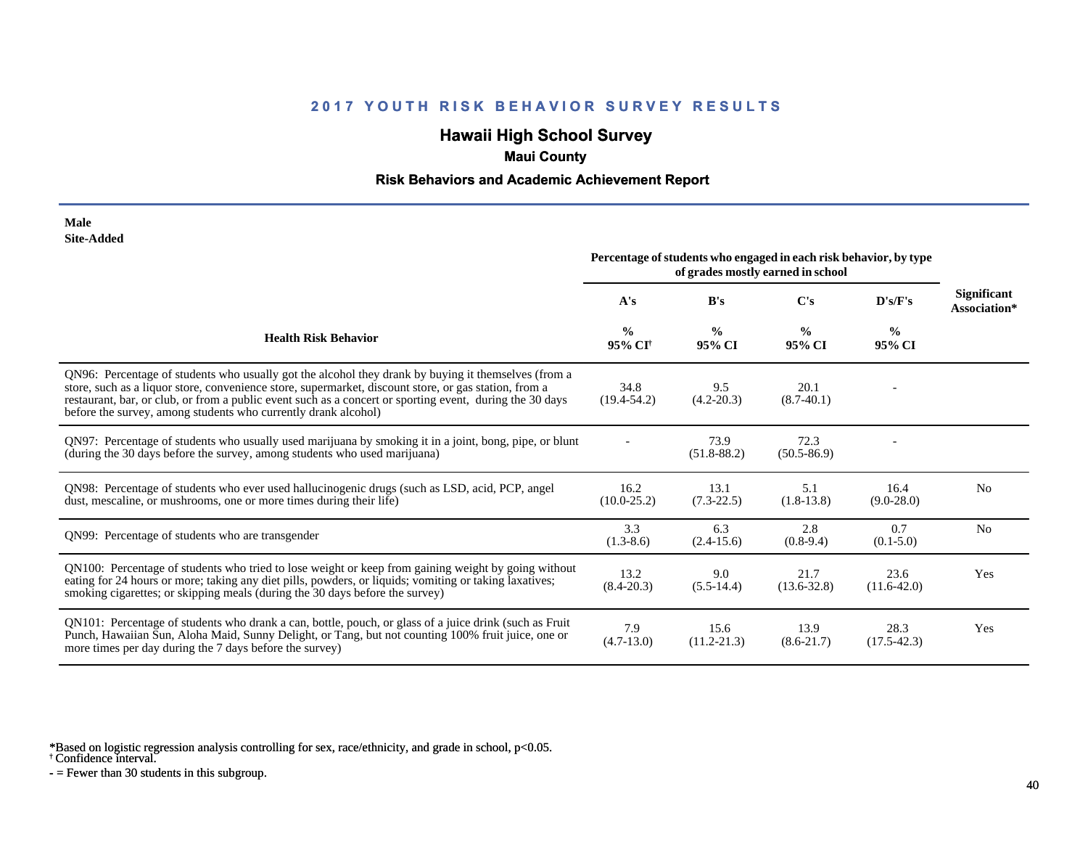# **Hawaii High School Survey**

## **Maui County**

### **Risk Behaviors and Academic Achievement Report**

#### **Male Site-Added**

|                                                                                                                                                                                                                                                                                                                                                                                            | Percentage of students who engaged in each risk behavior, by type |                         |                         |                         |                                    |
|--------------------------------------------------------------------------------------------------------------------------------------------------------------------------------------------------------------------------------------------------------------------------------------------------------------------------------------------------------------------------------------------|-------------------------------------------------------------------|-------------------------|-------------------------|-------------------------|------------------------------------|
|                                                                                                                                                                                                                                                                                                                                                                                            | A's                                                               | B's                     | $\bf C$ 's              | D's/F's                 | <b>Significant</b><br>Association* |
| <b>Health Risk Behavior</b>                                                                                                                                                                                                                                                                                                                                                                | $\frac{0}{0}$<br>95% CI <sup>+</sup>                              | $\frac{0}{0}$<br>95% CI | $\frac{0}{0}$<br>95% CI | $\frac{0}{0}$<br>95% CI |                                    |
| QN96: Percentage of students who usually got the alcohol they drank by buying it themselves (from a<br>store, such as a liquor store, convenience store, supermarket, discount store, or gas station, from a<br>restaurant, bar, or club, or from a public event such as a concert or sporting event, during the 30 days<br>before the survey, among students who currently drank alcohol) | 34.8<br>$(19.4 - 54.2)$                                           | 9.5<br>$(4.2 - 20.3)$   | 20.1<br>$(8.7-40.1)$    |                         |                                    |
| QN97: Percentage of students who usually used marijuana by smoking it in a joint, bong, pipe, or blunt<br>(during the 30 days before the survey, among students who used marijuana)                                                                                                                                                                                                        |                                                                   | 73.9<br>$(51.8 - 88.2)$ | 72.3<br>$(50.5 - 86.9)$ |                         |                                    |
| QN98: Percentage of students who ever used hallucinogenic drugs (such as LSD, acid, PCP, angel<br>dust, mescaline, or mushrooms, one or more times during their life)                                                                                                                                                                                                                      | 16.2<br>$(10.0 - 25.2)$                                           | 13.1<br>$(7.3-22.5)$    | 5.1<br>$(1.8-13.8)$     | 16.4<br>$(9.0-28.0)$    | N <sub>0</sub>                     |
| QN99: Percentage of students who are transgender                                                                                                                                                                                                                                                                                                                                           | 3.3<br>$(1.3-8.6)$                                                | 6.3<br>$(2.4-15.6)$     | 2.8<br>$(0.8-9.4)$      | 0.7<br>$(0.1 - 5.0)$    | N <sub>0</sub>                     |
| QN100: Percentage of students who tried to lose weight or keep from gaining weight by going without<br>eating for 24 hours or more; taking any diet pills, powders, or liquids; vomiting or taking laxatives;<br>smoking cigarettes; or skipping meals (during the 30 days before the survey)                                                                                              | 13.2<br>$(8.4 - 20.3)$                                            | 9.0<br>$(5.5-14.4)$     | 21.7<br>$(13.6 - 32.8)$ | 23.6<br>$(11.6-42.0)$   | Yes                                |
| QN101: Percentage of students who drank a can, bottle, pouch, or glass of a juice drink (such as Fruit<br>Punch, Hawaiian Sun, Aloha Maid, Sunny Delight, or Tang, but not counting 100% fruit juice, one or<br>more times per day during the 7 days before the survey)                                                                                                                    | 7.9<br>$(4.7-13.0)$                                               | 15.6<br>$(11.2 - 21.3)$ | 13.9<br>$(8.6 - 21.7)$  | 28.3<br>$(17.5 - 42.3)$ | Yes                                |

\*Based on logistic regression analysis controlling for sex, race/ethnicity, and grade in school, p<0.05.

† Confidence interval.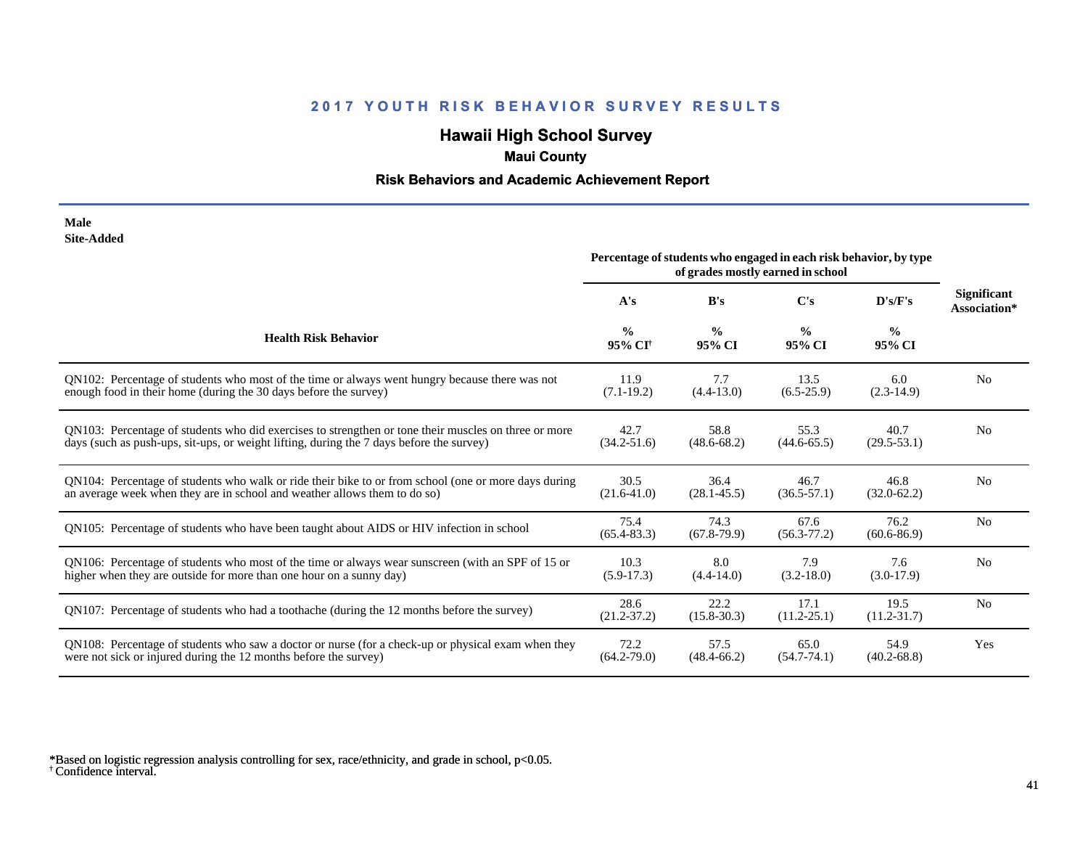## **Hawaii High School Survey**

## **Maui County**

### **Risk Behaviors and Academic Achievement Report**

#### **Male Site-Added**

|                                                                                                      | Percentage of students who engaged in each risk behavior, by type |                         |                         |                         |                                    |
|------------------------------------------------------------------------------------------------------|-------------------------------------------------------------------|-------------------------|-------------------------|-------------------------|------------------------------------|
|                                                                                                      | A's                                                               | B's                     | $\bf C's$               | D's/F's                 | <b>Significant</b><br>Association* |
| <b>Health Risk Behavior</b>                                                                          | $\frac{0}{0}$<br>95% CI <sup>+</sup>                              | $\frac{0}{0}$<br>95% CI | $\frac{0}{0}$<br>95% CI | $\frac{0}{0}$<br>95% CI |                                    |
| QN102: Percentage of students who most of the time or always went hungry because there was not       | 11.9                                                              | 7.7                     | 13.5                    | 6.0                     | N <sub>0</sub>                     |
| enough food in their home (during the 30 days before the survey)                                     | $(7.1-19.2)$                                                      | $(4.4 - 13.0)$          | $(6.5-25.9)$            | $(2.3-14.9)$            |                                    |
| QN103: Percentage of students who did exercises to strengthen or tone their muscles on three or more | 42.7                                                              | 58.8                    | 55.3                    | 40.7                    | N <sub>0</sub>                     |
| days (such as push-ups, sit-ups, or weight lifting, during the 7 days before the survey)             | $(34.2 - 51.6)$                                                   | $(48.6 - 68.2)$         | $(44.6 - 65.5)$         | $(29.5-53.1)$           |                                    |
| QN104: Percentage of students who walk or ride their bike to or from school (one or more days during | 30.5                                                              | 36.4                    | 46.7                    | 46.8                    | No                                 |
| an average week when they are in school and weather allows them to do so)                            | $(21.6 - 41.0)$                                                   | $(28.1 - 45.5)$         | $(36.5 - 57.1)$         | $(32.0 - 62.2)$         |                                    |
| QN105: Percentage of students who have been taught about AIDS or HIV infection in school             | 75.4<br>$(65.4 - 83.3)$                                           | 74.3<br>$(67.8-79.9)$   | 67.6<br>$(56.3 - 77.2)$ | 76.2<br>$(60.6 - 86.9)$ | N <sub>o</sub>                     |
| QN106: Percentage of students who most of the time or always wear sunscreen (with an SPF of 15 or    | 10.3                                                              | 8.0                     | 7.9                     | 7.6                     | N <sub>0</sub>                     |
| higher when they are outside for more than one hour on a sunny day)                                  | $(5.9-17.3)$                                                      | $(4.4 - 14.0)$          | $(3.2 - 18.0)$          | $(3.0-17.9)$            |                                    |
| QN107: Percentage of students who had a toothache (during the 12 months before the survey)           | 28.6<br>$(21.2 - 37.2)$                                           | 22.2<br>$(15.8 - 30.3)$ | 17.1<br>$(11.2 - 25.1)$ | 19.5<br>$(11.2 - 31.7)$ | N <sub>0</sub>                     |
| QN108: Percentage of students who saw a doctor or nurse (for a check-up or physical exam when they   | 72.2                                                              | 57.5                    | 65.0                    | 54.9                    | Yes                                |
| were not sick or injured during the 12 months before the survey)                                     | $(64.2 - 79.0)$                                                   | $(48.4 - 66.2)$         | $(54.7 - 74.1)$         | $(40.2 - 68.8)$         |                                    |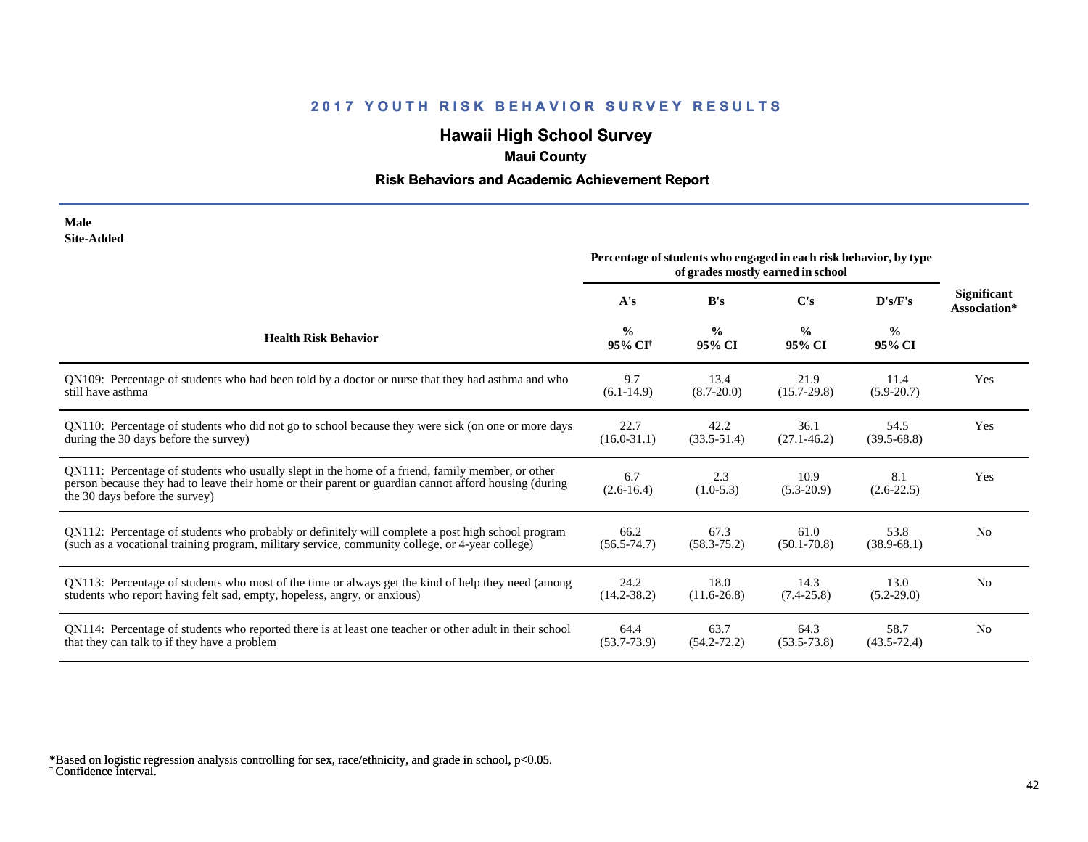# **Hawaii High School Survey**

## **Maui County**

### **Risk Behaviors and Academic Achievement Report**

| Male              |
|-------------------|
| <b>Site-Added</b> |

|                                                                                                                                                                                                                                             | Percentage of students who engaged in each risk behavior, by type<br>of grades mostly earned in school |                         |                         |                         |                             |
|---------------------------------------------------------------------------------------------------------------------------------------------------------------------------------------------------------------------------------------------|--------------------------------------------------------------------------------------------------------|-------------------------|-------------------------|-------------------------|-----------------------------|
|                                                                                                                                                                                                                                             | A's                                                                                                    | B's                     | C's                     | D's/F's                 | Significant<br>Association* |
| <b>Health Risk Behavior</b>                                                                                                                                                                                                                 | $\frac{0}{0}$<br>95% CI <sup>+</sup>                                                                   | $\frac{0}{0}$<br>95% CI | $\frac{0}{0}$<br>95% CI | $\frac{0}{0}$<br>95% CI |                             |
| QN109: Percentage of students who had been told by a doctor or nurse that they had asthma and who                                                                                                                                           | 9.7                                                                                                    | 13.4                    | 21.9                    | 11.4                    | Yes                         |
| still have asthma                                                                                                                                                                                                                           | $(6.1-14.9)$                                                                                           | $(8.7 - 20.0)$          | $(15.7 - 29.8)$         | $(5.9 - 20.7)$          |                             |
| QN110: Percentage of students who did not go to school because they were sick (on one or more days                                                                                                                                          | 22.7                                                                                                   | 42.2                    | 36.1                    | 54.5                    | Yes                         |
| during the 30 days before the survey)                                                                                                                                                                                                       | $(16.0-31.1)$                                                                                          | $(33.5 - 51.4)$         | $(27.1 - 46.2)$         | $(39.5 - 68.8)$         |                             |
| QN111: Percentage of students who usually slept in the home of a friend, family member, or other<br>person because they had to leave their home or their parent or guardian cannot afford housing (during<br>the 30 days before the survey) | 6.7<br>$(2.6 - 16.4)$                                                                                  | 2.3<br>$(1.0-5.3)$      | 10.9<br>$(5.3 - 20.9)$  | 8.1<br>$(2.6-22.5)$     | Yes                         |
| QN112: Percentage of students who probably or definitely will complete a post high school program                                                                                                                                           | 66.2                                                                                                   | 67.3                    | 61.0                    | 53.8                    | N <sub>0</sub>              |
| (such as a vocational training program, military service, community college, or 4-year college)                                                                                                                                             | $(56.5 - 74.7)$                                                                                        | $(58.3 - 75.2)$         | $(50.1 - 70.8)$         | $(38.9 - 68.1)$         |                             |
| QN113: Percentage of students who most of the time or always get the kind of help they need (among                                                                                                                                          | 24.2                                                                                                   | 18.0                    | 14.3                    | 13.0                    | N <sub>0</sub>              |
| students who report having felt sad, empty, hopeless, angry, or anxious)                                                                                                                                                                    | $(14.2 - 38.2)$                                                                                        | $(11.6 - 26.8)$         | $(7.4 - 25.8)$          | $(5.2-29.0)$            |                             |
| QN114: Percentage of students who reported there is at least one teacher or other adult in their school                                                                                                                                     | 64.4                                                                                                   | 63.7                    | 64.3                    | 58.7                    | N <sub>0</sub>              |
| that they can talk to if they have a problem                                                                                                                                                                                                | $(53.7 - 73.9)$                                                                                        | $(54.2 - 72.2)$         | $(53.5 - 73.8)$         | $(43.5 - 72.4)$         |                             |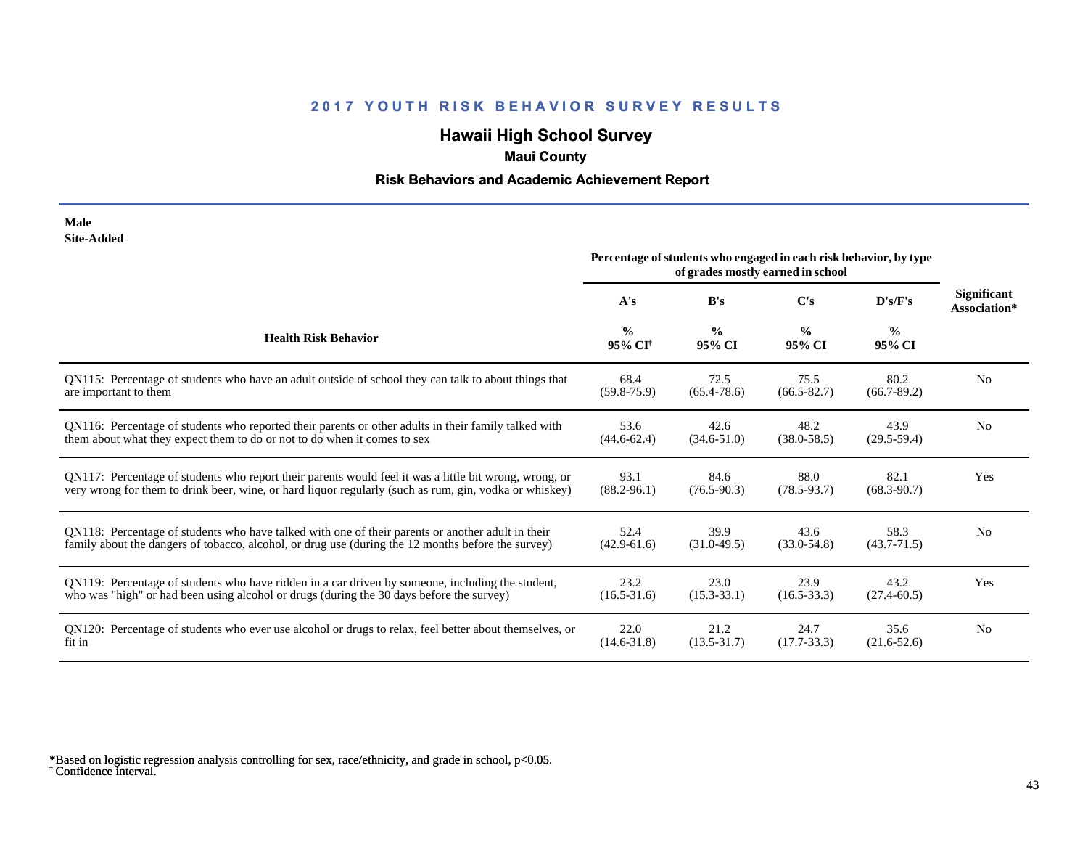# **Hawaii High School Survey**

## **Maui County**

### **Risk Behaviors and Academic Achievement Report**

#### **Male Site-Added**

|                                                                                                        | Percentage of students who engaged in each risk behavior, by type<br>of grades mostly earned in school |                         |                         |                         |                                    |
|--------------------------------------------------------------------------------------------------------|--------------------------------------------------------------------------------------------------------|-------------------------|-------------------------|-------------------------|------------------------------------|
|                                                                                                        | A's                                                                                                    | B's                     | $\bf C's$               | D's/F's                 | <b>Significant</b><br>Association* |
| <b>Health Risk Behavior</b>                                                                            | $\frac{0}{0}$<br>95% CI <sup>†</sup>                                                                   | $\frac{0}{0}$<br>95% CI | $\frac{0}{0}$<br>95% CI | $\frac{0}{0}$<br>95% CI |                                    |
| QN115: Percentage of students who have an adult outside of school they can talk to about things that   | 68.4                                                                                                   | 72.5                    | 75.5                    | 80.2                    | N <sub>0</sub>                     |
| are important to them                                                                                  | $(59.8 - 75.9)$                                                                                        | $(65.4 - 78.6)$         | $(66.5 - 82.7)$         | $(66.7 - 89.2)$         |                                    |
| QN116: Percentage of students who reported their parents or other adults in their family talked with   | 53.6                                                                                                   | 42.6                    | 48.2                    | 43.9                    | N <sub>o</sub>                     |
| them about what they expect them to do or not to do when it comes to sex                               | $(44.6 - 62.4)$                                                                                        | $(34.6 - 51.0)$         | $(38.0 - 58.5)$         | $(29.5-59.4)$           |                                    |
| QN117: Percentage of students who report their parents would feel it was a little bit wrong, wrong, or | 93.1                                                                                                   | 84.6                    | 88.0                    | 82.1                    | Yes                                |
| very wrong for them to drink beer, wine, or hard liquor regularly (such as rum, gin, vodka or whiskey) | $(88.2 - 96.1)$                                                                                        | $(76.5 - 90.3)$         | $(78.5 - 93.7)$         | $(68.3 - 90.7)$         |                                    |
| QN118: Percentage of students who have talked with one of their parents or another adult in their      | 52.4                                                                                                   | 39.9                    | 43.6                    | 58.3                    | N <sub>0</sub>                     |
| family about the dangers of tobacco, alcohol, or drug use (during the 12 months before the survey)     | $(42.9-61.6)$                                                                                          | $(31.0 - 49.5)$         | $(33.0 - 54.8)$         | $(43.7 - 71.5)$         |                                    |
| QN119: Percentage of students who have ridden in a car driven by someone, including the student,       | 23.2                                                                                                   | 23.0                    | 23.9                    | 43.2                    | Yes                                |
| who was "high" or had been using alcohol or drugs (during the 30 days before the survey)               | $(16.5 - 31.6)$                                                                                        | $(15.3 - 33.1)$         | $(16.5 - 33.3)$         | $(27.4 - 60.5)$         |                                    |
| QN120: Percentage of students who ever use alcohol or drugs to relax, feel better about themselves, or | 22.0                                                                                                   | 21.2                    | 24.7                    | 35.6                    | N <sub>0</sub>                     |
| fit in                                                                                                 | $(14.6 - 31.8)$                                                                                        | $(13.5 - 31.7)$         | $(17.7 - 33.3)$         | $(21.6 - 52.6)$         |                                    |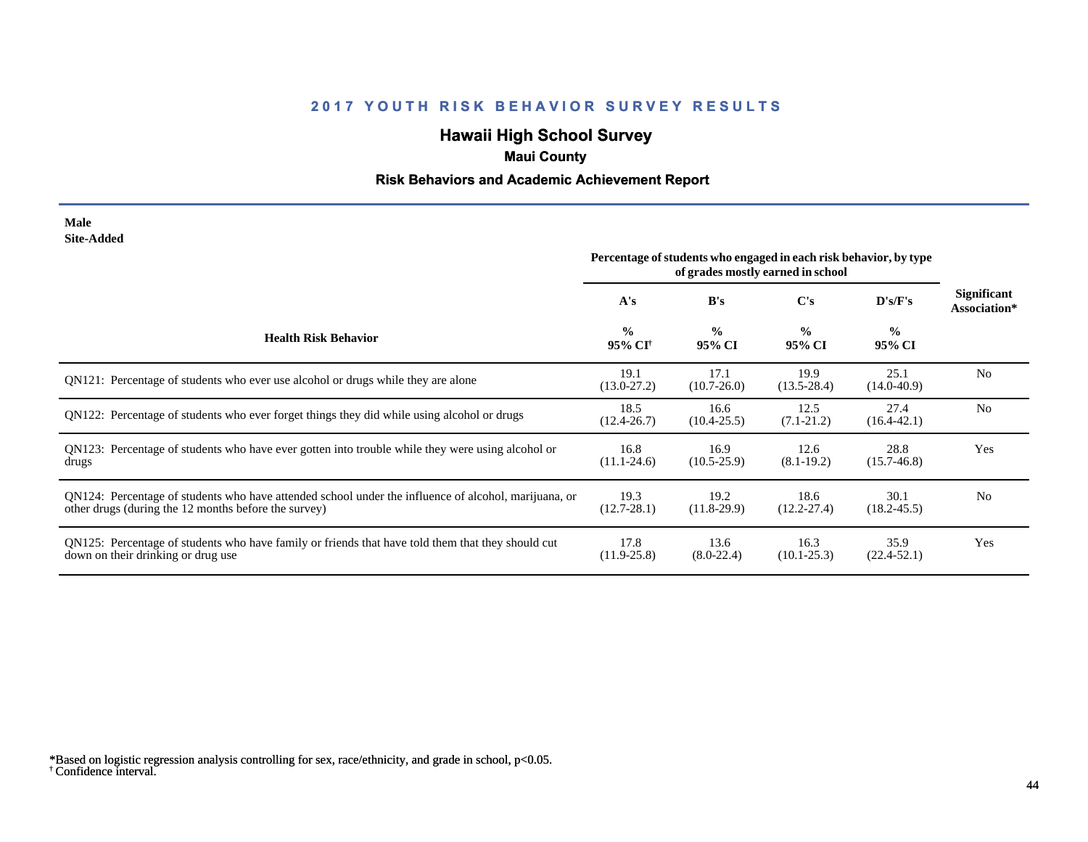# **Hawaii High School Survey**

## **Maui County**

### **Risk Behaviors and Academic Achievement Report**

#### **Male Site-Added**

|                                                                                                                                                              | Percentage of students who engaged in each risk behavior, by type<br>of grades mostly earned in school |                         |                         |                         |                             |
|--------------------------------------------------------------------------------------------------------------------------------------------------------------|--------------------------------------------------------------------------------------------------------|-------------------------|-------------------------|-------------------------|-----------------------------|
|                                                                                                                                                              | A's                                                                                                    | B's                     | C's                     | D's/F's                 | Significant<br>Association* |
| <b>Health Risk Behavior</b>                                                                                                                                  | $\frac{0}{0}$<br>95% CI <sup>†</sup>                                                                   | $\frac{0}{0}$<br>95% CI | $\frac{0}{0}$<br>95% CI | $\frac{0}{0}$<br>95% CI |                             |
| QN121: Percentage of students who ever use alcohol or drugs while they are alone                                                                             | 19.1<br>$(13.0 - 27.2)$                                                                                | 17.1<br>$(10.7 - 26.0)$ | 19.9<br>$(13.5 - 28.4)$ | 25.1<br>$(14.0 - 40.9)$ | N <sub>0</sub>              |
| QN122: Percentage of students who ever forget things they did while using alcohol or drugs                                                                   | 18.5<br>$(12.4 - 26.7)$                                                                                | 16.6<br>$(10.4 - 25.5)$ | 12.5<br>$(7.1 - 21.2)$  | 27.4<br>$(16.4 - 42.1)$ | N <sub>0</sub>              |
| QN123: Percentage of students who have ever gotten into trouble while they were using alcohol or<br>drugs                                                    | 16.8<br>$(11.1 - 24.6)$                                                                                | 16.9<br>$(10.5 - 25.9)$ | 12.6<br>$(8.1 - 19.2)$  | 28.8<br>$(15.7 - 46.8)$ | Yes                         |
| QN124: Percentage of students who have attended school under the influence of alcohol, marijuana, or<br>other drugs (during the 12 months before the survey) | 19.3<br>$(12.7 - 28.1)$                                                                                | 19.2<br>$(11.8-29.9)$   | 18.6<br>$(12.2 - 27.4)$ | 30.1<br>$(18.2 - 45.5)$ | N <sub>0</sub>              |
| QN125: Percentage of students who have family or friends that have told them that they should cut<br>down on their drinking or drug use                      | 17.8<br>$(11.9 - 25.8)$                                                                                | 13.6<br>$(8.0-22.4)$    | 16.3<br>$(10.1 - 25.3)$ | 35.9<br>$(22.4 - 52.1)$ | Yes                         |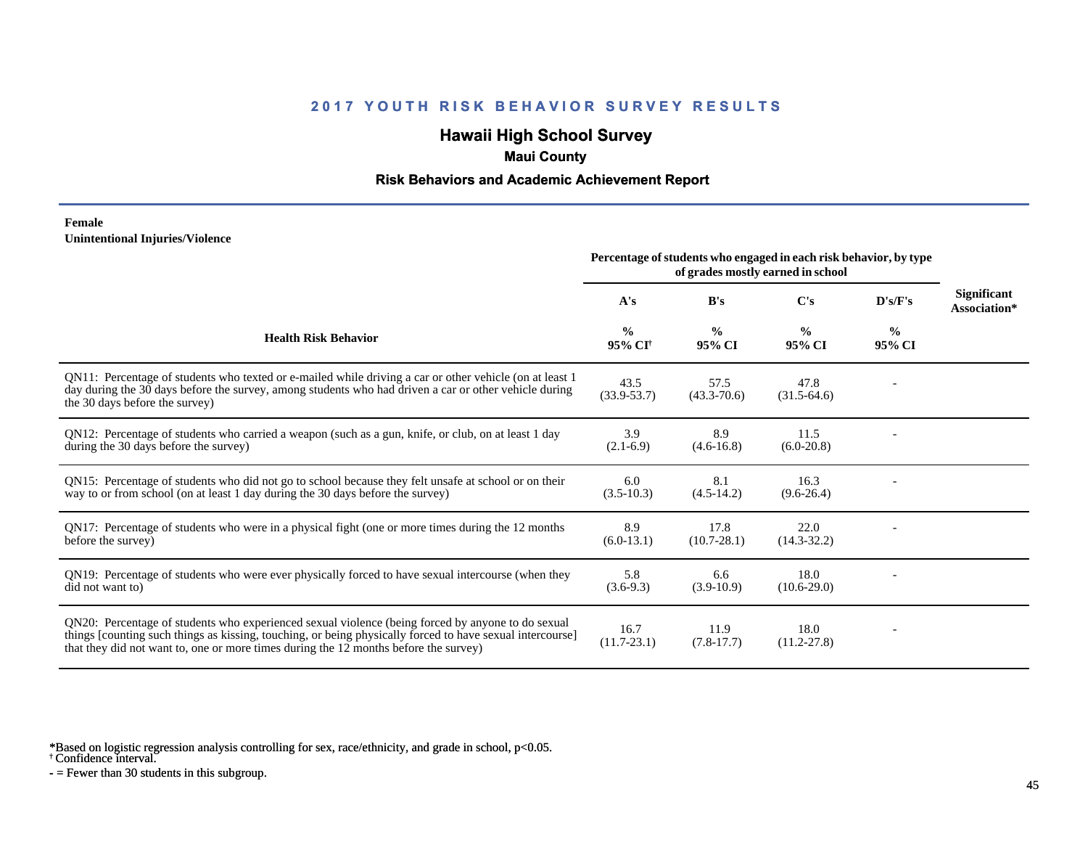# **Hawaii High School Survey**

## **Maui County**

### **Risk Behaviors and Academic Achievement Report**

#### **Female Unintentional Injuries/Violence**

|                                                                                                                                                                                                                                                                                                        | Percentage of students who engaged in each risk behavior, by type |                         |                         |                         |                                    |
|--------------------------------------------------------------------------------------------------------------------------------------------------------------------------------------------------------------------------------------------------------------------------------------------------------|-------------------------------------------------------------------|-------------------------|-------------------------|-------------------------|------------------------------------|
|                                                                                                                                                                                                                                                                                                        | A's                                                               | B's                     | C's                     | D's/F's                 | <b>Significant</b><br>Association* |
| <b>Health Risk Behavior</b>                                                                                                                                                                                                                                                                            | $\frac{0}{0}$<br>95% CI <sup>+</sup>                              | $\frac{0}{0}$<br>95% CI | $\frac{0}{0}$<br>95% CI | $\frac{0}{0}$<br>95% CI |                                    |
| QN11: Percentage of students who texted or e-mailed while driving a car or other vehicle (on at least 1<br>day during the 30 days before the survey, among students who had driven a car or other vehicle during<br>the 30 days before the survey)                                                     | 43.5<br>$(33.9 - 53.7)$                                           | 57.5<br>$(43.3 - 70.6)$ | 47.8<br>$(31.5-64.6)$   |                         |                                    |
| QN12: Percentage of students who carried a weapon (such as a gun, knife, or club, on at least 1 day<br>during the 30 days before the survey)                                                                                                                                                           | 3.9<br>$(2.1-6.9)$                                                | 8.9<br>$(4.6-16.8)$     | 11.5<br>$(6.0-20.8)$    |                         |                                    |
| QN15: Percentage of students who did not go to school because they felt unsafe at school or on their<br>way to or from school (on at least 1 day during the 30 days before the survey)                                                                                                                 | 6.0<br>$(3.5-10.3)$                                               | 8.1<br>$(4.5-14.2)$     | 16.3<br>$(9.6-26.4)$    |                         |                                    |
| QN17: Percentage of students who were in a physical fight (one or more times during the 12 months<br>before the survey)                                                                                                                                                                                | 8.9<br>$(6.0-13.1)$                                               | 17.8<br>$(10.7 - 28.1)$ | 22.0<br>$(14.3 - 32.2)$ |                         |                                    |
| QN19: Percentage of students who were ever physically forced to have sexual intercourse (when they<br>did not want to)                                                                                                                                                                                 | 5.8<br>$(3.6-9.3)$                                                | 6.6<br>$(3.9-10.9)$     | 18.0<br>$(10.6-29.0)$   |                         |                                    |
| QN20: Percentage of students who experienced sexual violence (being forced by anyone to do sexual<br>things [counting such things as kissing, touching, or being physically forced to have sexual intercourse]<br>that they did not want to, one or more times during the 12 months before the survey) | 16.7<br>$(11.7 - 23.1)$                                           | 11.9<br>$(7.8-17.7)$    | 18.0<br>$(11.2 - 27.8)$ |                         |                                    |

\*Based on logistic regression analysis controlling for sex, race/ethnicity, and grade in school, p<0.05.

† Confidence interval.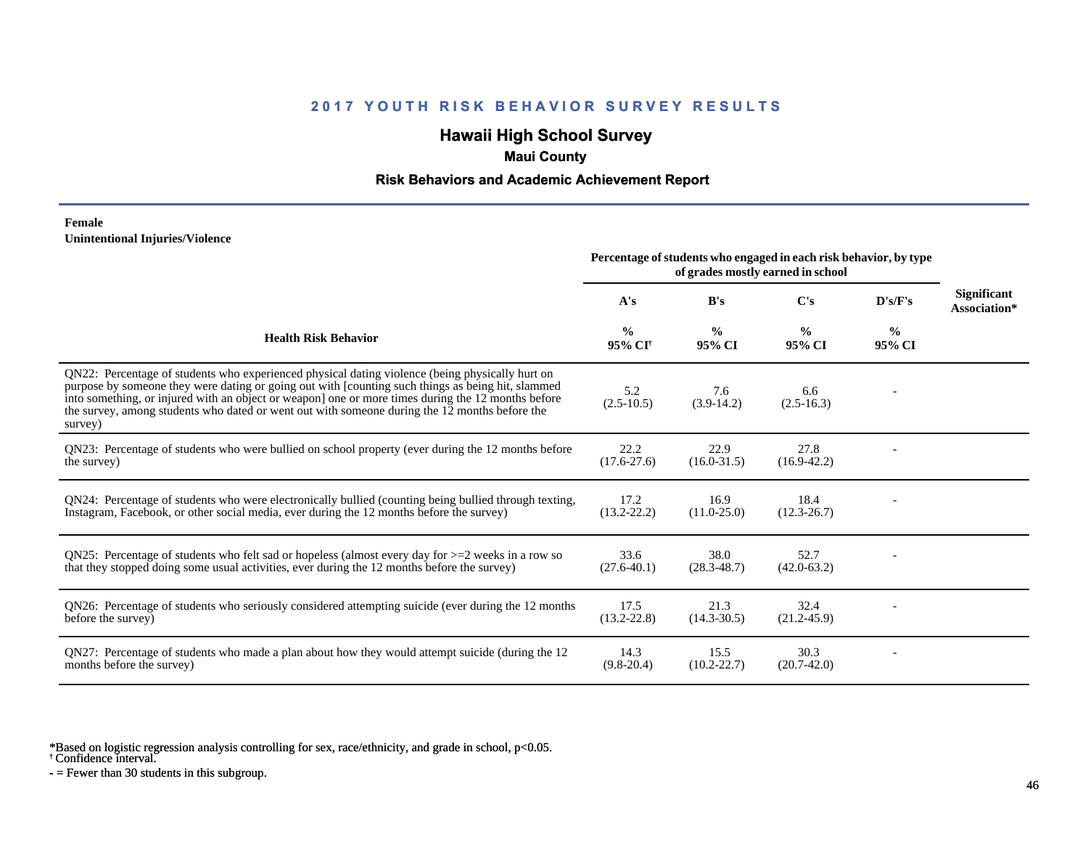# **Hawaii High School Survey**

## **Maui County**

### **Risk Behaviors and Academic Achievement Report**

#### **Female Unintentional Injuries/Violence**

|                                                                                                                                                                                                                                                                                                                                                                                                                        | Percentage of students who engaged in each risk behavior, by type<br>of grades mostly earned in school |                         |                         |                |                                    |
|------------------------------------------------------------------------------------------------------------------------------------------------------------------------------------------------------------------------------------------------------------------------------------------------------------------------------------------------------------------------------------------------------------------------|--------------------------------------------------------------------------------------------------------|-------------------------|-------------------------|----------------|------------------------------------|
|                                                                                                                                                                                                                                                                                                                                                                                                                        | A's                                                                                                    | B's                     | C's                     | D's/F's        | <b>Significant</b><br>Association* |
| <b>Health Risk Behavior</b>                                                                                                                                                                                                                                                                                                                                                                                            | $\frac{0}{0}$<br>95% CI <sup>†</sup>                                                                   | $\frac{0}{0}$<br>95% CI | $\frac{0}{0}$<br>95% CI | $\%$<br>95% CI |                                    |
| QN22: Percentage of students who experienced physical dating violence (being physically hurt on<br>purpose by someone they were dating or going out with [counting such things as being hit, slammed<br>into something, or injured with an object or weapon] one or more times during the 12 months before<br>the survey, among students who dated or went out with someone during the 12 months before the<br>survey) | 5.2<br>$(2.5 - 10.5)$                                                                                  | 7.6<br>$(3.9-14.2)$     | 6.6<br>$(2.5 - 16.3)$   |                |                                    |
| QN23: Percentage of students who were bullied on school property (ever during the 12 months before<br>the survey)                                                                                                                                                                                                                                                                                                      | 22.2<br>$(17.6 - 27.6)$                                                                                | 22.9<br>$(16.0 - 31.5)$ | 27.8<br>$(16.9-42.2)$   |                |                                    |
| QN24: Percentage of students who were electronically bullied (counting being bullied through texting,<br>Instagram, Facebook, or other social media, ever during the 12 months before the survey)                                                                                                                                                                                                                      | 17.2<br>$(13.2 - 22.2)$                                                                                | 16.9<br>$(11.0 - 25.0)$ | 18.4<br>$(12.3 - 26.7)$ |                |                                    |
| ON25: Percentage of students who felt sad or hopeless (almost every day for $>=$ 2 weeks in a row so<br>that they stopped doing some usual activities, ever during the 12 months before the survey)                                                                                                                                                                                                                    | 33.6<br>$(27.6 - 40.1)$                                                                                | 38.0<br>$(28.3 - 48.7)$ | 52.7<br>$(42.0 - 63.2)$ |                |                                    |
| QN26: Percentage of students who seriously considered attempting suicide (ever during the 12 months<br>before the survey)                                                                                                                                                                                                                                                                                              | 17.5<br>$(13.2 - 22.8)$                                                                                | 21.3<br>$(14.3 - 30.5)$ | 32.4<br>$(21.2 - 45.9)$ |                |                                    |
| QN27: Percentage of students who made a plan about how they would attempt suicide (during the 12<br>months before the survey)                                                                                                                                                                                                                                                                                          | 14.3<br>$(9.8-20.4)$                                                                                   | 15.5<br>$(10.2 - 22.7)$ | 30.3<br>$(20.7-42.0)$   |                |                                    |

\*Based on logistic regression analysis controlling for sex, race/ethnicity, and grade in school, p<0.05.

† Confidence interval.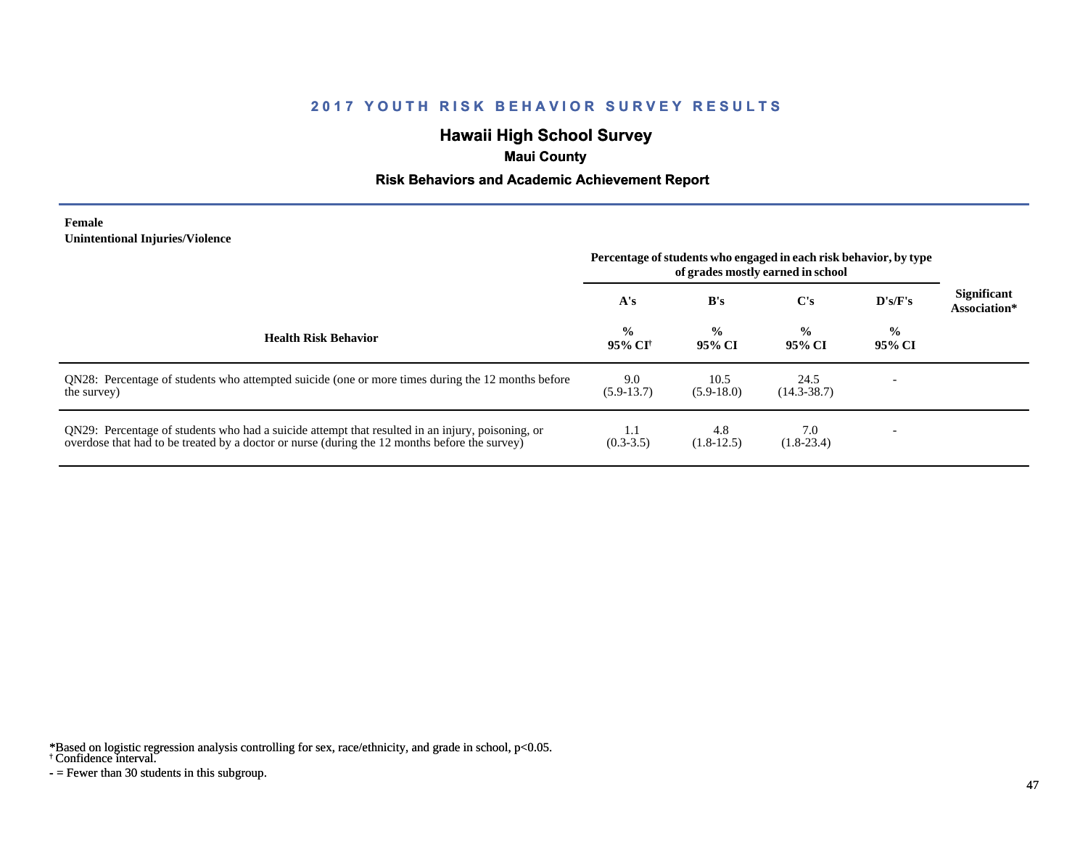# **Hawaii High School Survey**

## **Maui County**

### **Risk Behaviors and Academic Achievement Report**

#### **Female Unintentional Injuries/Violence**

|                                                                                                                                                                                                   | Percentage of students who engaged in each risk behavior, by type<br>of grades mostly earned in school |                         |                         |                         |                                    |
|---------------------------------------------------------------------------------------------------------------------------------------------------------------------------------------------------|--------------------------------------------------------------------------------------------------------|-------------------------|-------------------------|-------------------------|------------------------------------|
|                                                                                                                                                                                                   | A's                                                                                                    | B's                     | $\bf C's$               | $\bf{D's/F's}$          | <b>Significant</b><br>Association* |
| <b>Health Risk Behavior</b>                                                                                                                                                                       | $\frac{0}{0}$<br>95% CI†                                                                               | $\frac{0}{0}$<br>95% CI | $\frac{0}{0}$<br>95% CI | $\frac{0}{0}$<br>95% CI |                                    |
| QN28: Percentage of students who attempted suicide (one or more times during the 12 months before<br>the survey)                                                                                  | 9.0<br>$(5.9-13.7)$                                                                                    | 10.5<br>$(5.9-18.0)$    | 24.5<br>$(14.3 - 38.7)$ |                         |                                    |
| QN29: Percentage of students who had a suicide attempt that resulted in an injury, poisoning, or<br>overdose that had to be treated by a doctor or nurse (during the 12 months before the survey) | 1.1<br>$(0.3-3.5)$                                                                                     | 4.8<br>$(1.8-12.5)$     | 7.0<br>$(1.8-23.4)$     |                         |                                    |

\*Based on logistic regression analysis controlling for sex, race/ethnicity, and grade in school, p<0.05.

#### † Confidence interval.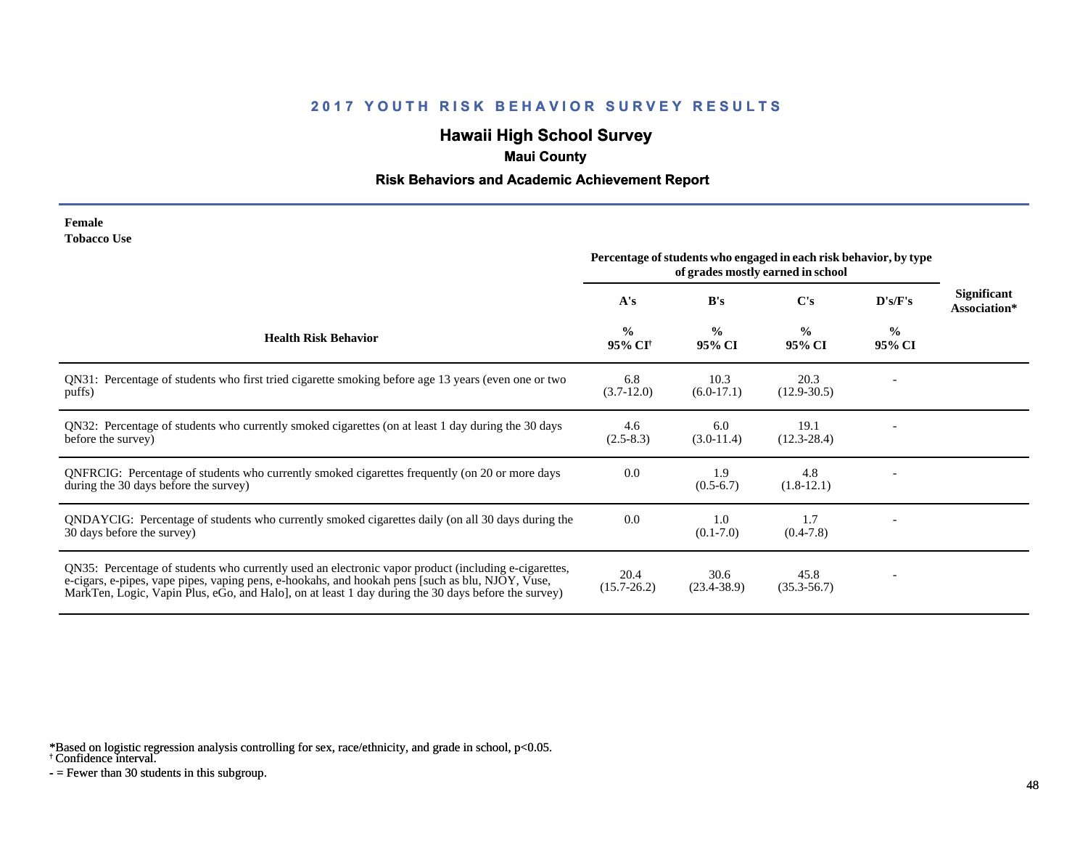# **Hawaii High School Survey**

## **Maui County**

### **Risk Behaviors and Academic Achievement Report**

| Female             |  |
|--------------------|--|
| <b>Tobacco Use</b> |  |

|                                                                                                                                                                                                                                                                                                                | Percentage of students who engaged in each risk behavior, by type<br>of grades mostly earned in school |                         |                         |                         |                                    |
|----------------------------------------------------------------------------------------------------------------------------------------------------------------------------------------------------------------------------------------------------------------------------------------------------------------|--------------------------------------------------------------------------------------------------------|-------------------------|-------------------------|-------------------------|------------------------------------|
|                                                                                                                                                                                                                                                                                                                | A's                                                                                                    | B's                     | $\bf C's$               | D's/F's                 | <b>Significant</b><br>Association* |
| <b>Health Risk Behavior</b>                                                                                                                                                                                                                                                                                    | $\frac{0}{0}$<br>95% CI <sup>†</sup>                                                                   | $\frac{0}{0}$<br>95% CI | $\frac{0}{0}$<br>95% CI | $\frac{0}{0}$<br>95% CI |                                    |
| QN31: Percentage of students who first tried cigarette smoking before age 13 years (even one or two<br>puffs)                                                                                                                                                                                                  | 6.8<br>$(3.7-12.0)$                                                                                    | 10.3<br>$(6.0-17.1)$    | 20.3<br>$(12.9 - 30.5)$ |                         |                                    |
| QN32: Percentage of students who currently smoked cigarettes (on at least 1 day during the 30 days<br>before the survey)                                                                                                                                                                                       | 4.6<br>$(2.5-8.3)$                                                                                     | 6.0<br>$(3.0-11.4)$     | 19.1<br>$(12.3 - 28.4)$ |                         |                                    |
| QNFRCIG: Percentage of students who currently smoked cigarettes frequently (on 20 or more days<br>during the 30 days before the survey)                                                                                                                                                                        | 0.0                                                                                                    | 1.9<br>$(0.5-6.7)$      | 4.8<br>$(1.8-12.1)$     |                         |                                    |
| QNDAYCIG: Percentage of students who currently smoked cigarettes daily (on all 30 days during the<br>30 days before the survey)                                                                                                                                                                                | 0.0                                                                                                    | 1.0<br>$(0.1 - 7.0)$    | 1.7<br>$(0.4-7.8)$      |                         |                                    |
| QN35: Percentage of students who currently used an electronic vapor product (including e-cigarettes,<br>e-cigars, e-pipes, vape pipes, vaping pens, e-hookahs, and hookah pens [such as blu, NJOY, Vuse,<br>MarkTen, Logic, Vapin Plus, eGo, and Halo, on at least 1 day during the 30 days before the survey) | 20.4<br>$(15.7 - 26.2)$                                                                                | 30.6<br>$(23.4 - 38.9)$ | 45.8<br>$(35.3 - 56.7)$ |                         |                                    |

\*Based on logistic regression analysis controlling for sex, race/ethnicity, and grade in school, p<0.05.

† Confidence interval.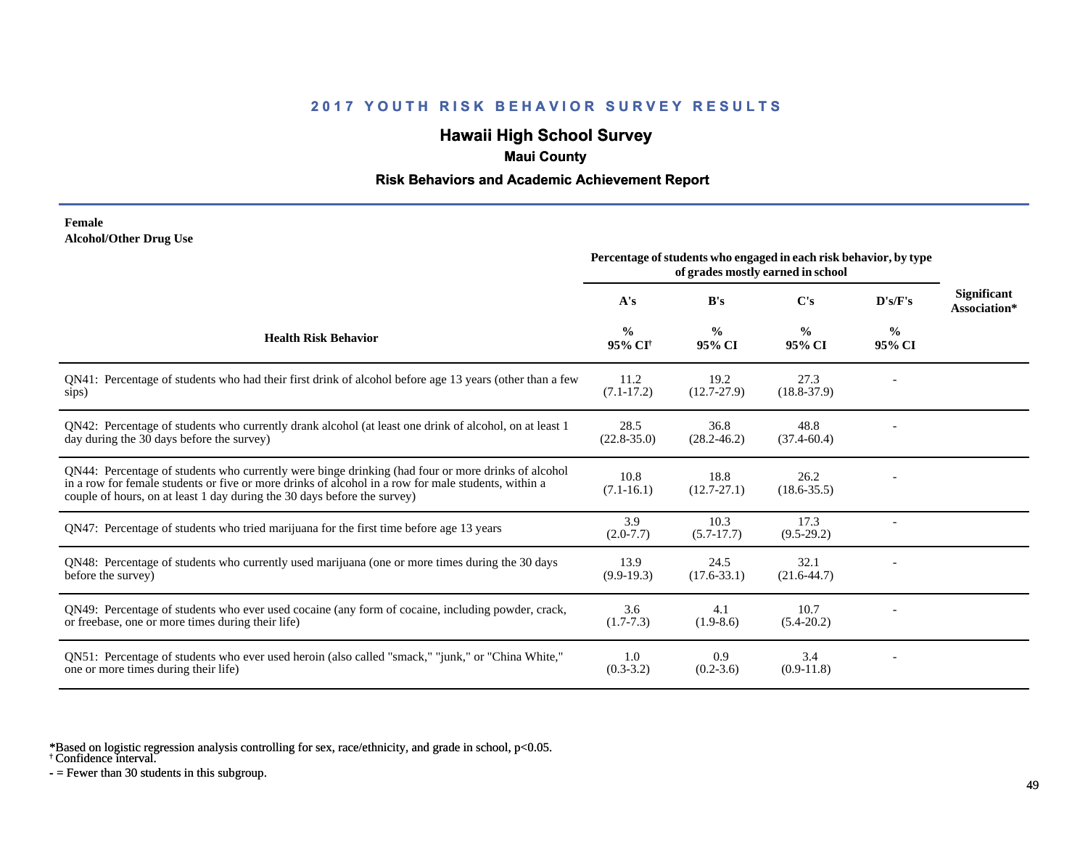# **Hawaii High School Survey**

## **Maui County**

### **Risk Behaviors and Academic Achievement Report**

#### **Female Alcohol/Other Drug Use**

|                                                                                                                                                                                                                                                                                       | Percentage of students who engaged in each risk behavior, by type<br>of grades mostly earned in school |                         |                         |                         |                             |
|---------------------------------------------------------------------------------------------------------------------------------------------------------------------------------------------------------------------------------------------------------------------------------------|--------------------------------------------------------------------------------------------------------|-------------------------|-------------------------|-------------------------|-----------------------------|
|                                                                                                                                                                                                                                                                                       | A's                                                                                                    | B's                     | $\bf C's$               | D's/F's                 | Significant<br>Association* |
| <b>Health Risk Behavior</b>                                                                                                                                                                                                                                                           | $\frac{0}{0}$<br>95% CI <sup>†</sup>                                                                   | $\frac{0}{0}$<br>95% CI | $\frac{0}{0}$<br>95% CI | $\frac{0}{0}$<br>95% CI |                             |
| QN41: Percentage of students who had their first drink of alcohol before age 13 years (other than a few<br>sips)                                                                                                                                                                      | 11.2<br>$(7.1 - 17.2)$                                                                                 | 19.2<br>$(12.7 - 27.9)$ | 27.3<br>$(18.8 - 37.9)$ |                         |                             |
| QN42: Percentage of students who currently drank alcohol (at least one drink of alcohol, on at least 1<br>day during the 30 days before the survey)                                                                                                                                   | 28.5<br>$(22.8 - 35.0)$                                                                                | 36.8<br>$(28.2 - 46.2)$ | 48.8<br>$(37.4 - 60.4)$ |                         |                             |
| QN44: Percentage of students who currently were binge drinking (had four or more drinks of alcohol<br>in a row for female students or five or more drinks of alcohol in a row for male students, within a<br>couple of hours, on at least 1 day during the 30 days before the survey) | 10.8<br>$(7.1 - 16.1)$                                                                                 | 18.8<br>$(12.7 - 27.1)$ | 26.2<br>$(18.6 - 35.5)$ |                         |                             |
| QN47: Percentage of students who tried marijuana for the first time before age 13 years                                                                                                                                                                                               | 3.9<br>$(2.0-7.7)$                                                                                     | 10.3<br>$(5.7-17.7)$    | 17.3<br>$(9.5-29.2)$    |                         |                             |
| QN48: Percentage of students who currently used marijuana (one or more times during the 30 days<br>before the survey)                                                                                                                                                                 | 13.9<br>$(9.9-19.3)$                                                                                   | 24.5<br>$(17.6 - 33.1)$ | 32.1<br>$(21.6 - 44.7)$ |                         |                             |
| QN49: Percentage of students who ever used cocaine (any form of cocaine, including powder, crack,<br>or freebase, one or more times during their life)                                                                                                                                | 3.6<br>$(1.7-7.3)$                                                                                     | 4.1<br>$(1.9-8.6)$      | 10.7<br>$(5.4-20.2)$    |                         |                             |
| ON51: Percentage of students who ever used heroin (also called "smack," "junk," or "China White,"<br>one or more times during their life)                                                                                                                                             | 1.0<br>$(0.3-3.2)$                                                                                     | 0.9<br>$(0.2 - 3.6)$    | 3.4<br>$(0.9-11.8)$     |                         |                             |

\*Based on logistic regression analysis controlling for sex, race/ethnicity, and grade in school, p<0.05.

† Confidence interval.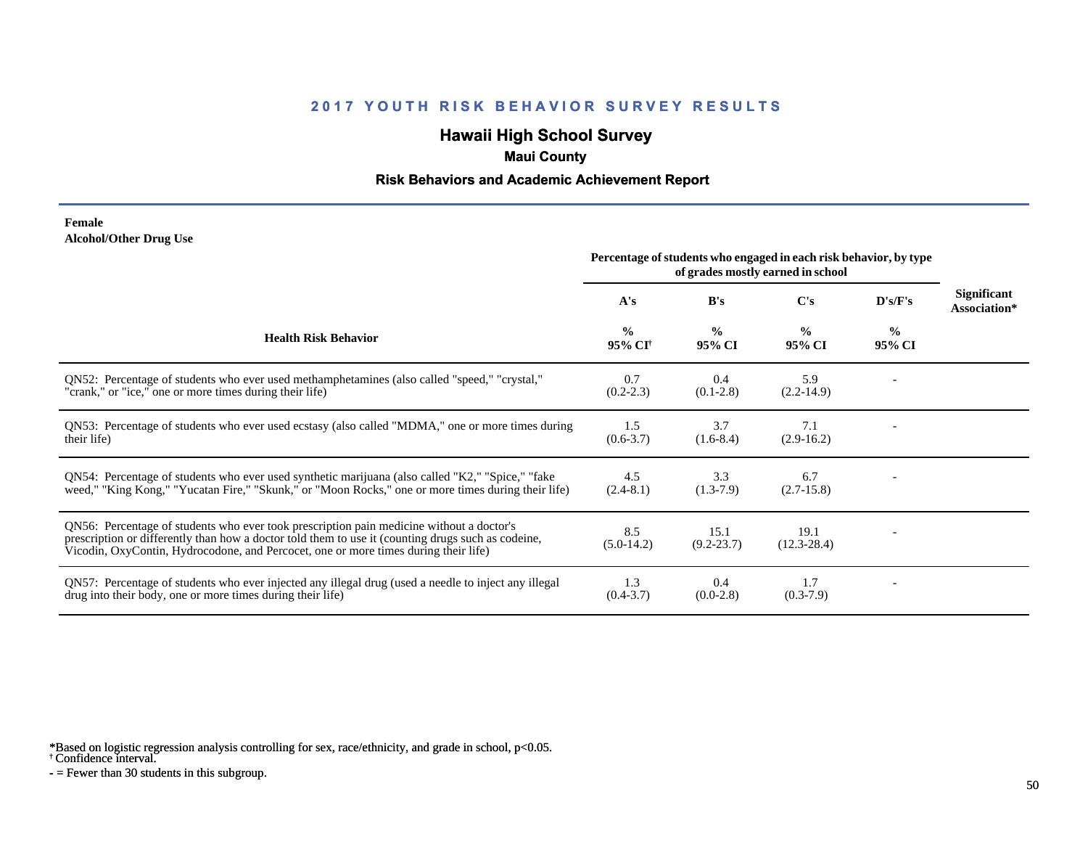# **Hawaii High School Survey**

## **Maui County**

### **Risk Behaviors and Academic Achievement Report**

#### **Female Alcohol/Other Drug Use**

|                                                                                                                                                                                                                                                                                       | Percentage of students who engaged in each risk behavior, by type<br>of grades mostly earned in school |                         |                         |                         |                                    |
|---------------------------------------------------------------------------------------------------------------------------------------------------------------------------------------------------------------------------------------------------------------------------------------|--------------------------------------------------------------------------------------------------------|-------------------------|-------------------------|-------------------------|------------------------------------|
|                                                                                                                                                                                                                                                                                       | A's                                                                                                    | B's                     | $\bf C's$               | D's/F's                 | <b>Significant</b><br>Association* |
| <b>Health Risk Behavior</b>                                                                                                                                                                                                                                                           | $\frac{0}{0}$<br>95% CI <sup>+</sup>                                                                   | $\frac{0}{0}$<br>95% CI | $\frac{0}{0}$<br>95% CI | $\frac{0}{0}$<br>95% CI |                                    |
| ON52: Percentage of students who ever used methamphetamines (also called "speed," "crystal,"<br>"crank," or "ice," one or more times during their life)                                                                                                                               | 0.7<br>$(0.2 - 2.3)$                                                                                   | 0.4<br>$(0.1-2.8)$      | 5.9<br>$(2.2-14.9)$     |                         |                                    |
| QN53: Percentage of students who ever used ecstasy (also called "MDMA," one or more times during<br>their life)                                                                                                                                                                       | 1.5<br>$(0.6 - 3.7)$                                                                                   | 3.7<br>$(1.6-8.4)$      | 7.1<br>$(2.9-16.2)$     |                         |                                    |
| QN54: Percentage of students who ever used synthetic marijuana (also called "K2," "Spice," "fake<br>weed," "King Kong," "Yucatan Fire," "Skunk," or "Moon Rocks," one or more times during their life)                                                                                | 4.5<br>$(2.4-8.1)$                                                                                     | 3.3<br>$(1.3-7.9)$      | 6.7<br>$(2.7-15.8)$     |                         |                                    |
| QN56: Percentage of students who ever took prescription pain medicine without a doctor's<br>prescription or differently than how a doctor told them to use it (counting drugs such as codeine,<br>Vicodin, OxyContin, Hydrocodone, and Percocet, one or more times during their life) | 8.5<br>$(5.0-14.2)$                                                                                    | 15.1<br>$(9.2 - 23.7)$  | 19.1<br>$(12.3 - 28.4)$ |                         |                                    |
| QN57: Percentage of students who ever injected any illegal drug (used a needle to inject any illegal<br>drug into their body, one or more times during their life)                                                                                                                    | 1.3<br>$(0.4-3.7)$                                                                                     | 0.4<br>$(0.0-2.8)$      | 1.7<br>$(0.3-7.9)$      |                         |                                    |

\*Based on logistic regression analysis controlling for sex, race/ethnicity, and grade in school, p<0.05.

† Confidence interval.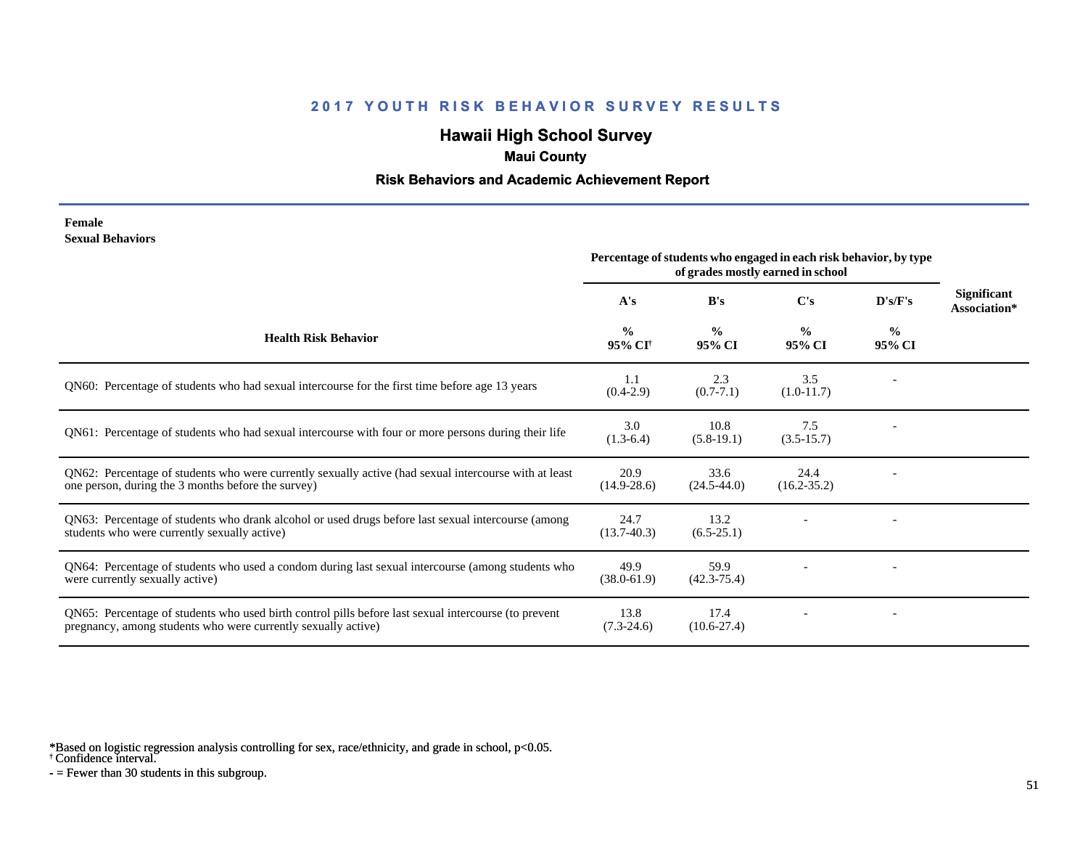# **Hawaii High School Survey**

## **Maui County**

### **Risk Behaviors and Academic Achievement Report**

#### **Female Sexual Behaviors**

|                                                                                                                                                                       | Percentage of students who engaged in each risk behavior, by type<br>of grades mostly earned in school |                         |                         |                |                             |
|-----------------------------------------------------------------------------------------------------------------------------------------------------------------------|--------------------------------------------------------------------------------------------------------|-------------------------|-------------------------|----------------|-----------------------------|
|                                                                                                                                                                       | A's                                                                                                    | B's                     | $\bf C's$               | D's/F's        | Significant<br>Association* |
| <b>Health Risk Behavior</b>                                                                                                                                           | $\frac{0}{0}$<br>95% CI <sup>+</sup>                                                                   | $\frac{0}{0}$<br>95% CI | $\frac{0}{0}$<br>95% CI | $\%$<br>95% CI |                             |
| QN60: Percentage of students who had sexual intercourse for the first time before age 13 years                                                                        | 1.1<br>$(0.4-2.9)$                                                                                     | 2.3<br>$(0.7 - 7.1)$    | 3.5<br>$(1.0-11.7)$     |                |                             |
| QN61: Percentage of students who had sexual intercourse with four or more persons during their life                                                                   | 3.0<br>$(1.3-6.4)$                                                                                     | 10.8<br>$(5.8-19.1)$    | 7.5<br>$(3.5-15.7)$     |                |                             |
| QN62: Percentage of students who were currently sexually active (had sexual intercourse with at least<br>one person, during the 3 months before the survey)           | 20.9<br>$(14.9 - 28.6)$                                                                                | 33.6<br>$(24.5 - 44.0)$ | 24.4<br>$(16.2 - 35.2)$ |                |                             |
| QN63: Percentage of students who drank alcohol or used drugs before last sexual intercourse (among<br>students who were currently sexually active)                    | 24.7<br>$(13.7-40.3)$                                                                                  | 13.2<br>$(6.5-25.1)$    |                         |                |                             |
| QN64: Percentage of students who used a condom during last sexual intercourse (among students who<br>were currently sexually active)                                  | 49.9<br>$(38.0 - 61.9)$                                                                                | 59.9<br>$(42.3 - 75.4)$ |                         |                |                             |
| QN65: Percentage of students who used birth control pills before last sexual intercourse (to prevent<br>pregnancy, among students who were currently sexually active) | 13.8<br>$(7.3-24.6)$                                                                                   | 17.4<br>$(10.6 - 27.4)$ |                         |                |                             |

\*Based on logistic regression analysis controlling for sex, race/ethnicity, and grade in school, p<0.05.

† Confidence interval.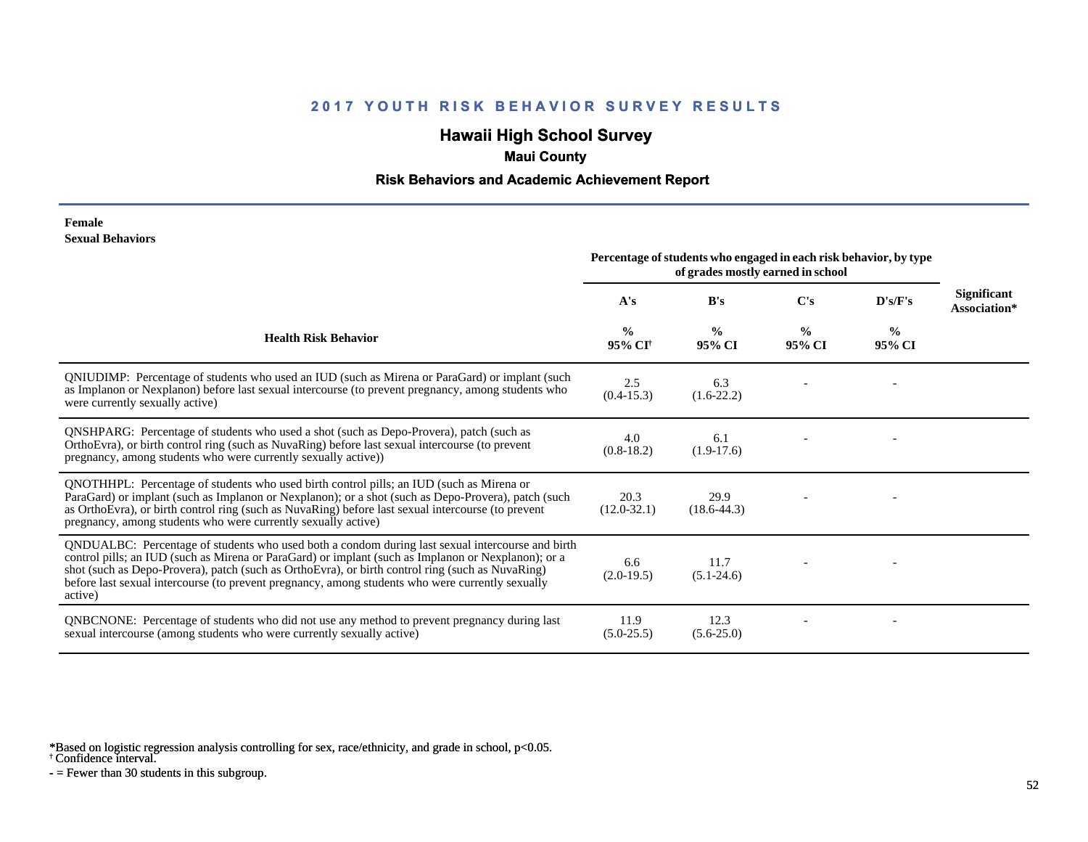# **Hawaii High School Survey**

## **Maui County**

### **Risk Behaviors and Academic Achievement Report**

#### **Female Sexual Behaviors**

|                                                                                                                                                                                                                                                                                                                                                                                                                            | Percentage of students who engaged in each risk behavior, by type<br>of grades mostly earned in school |                         |                         |                         |                             |
|----------------------------------------------------------------------------------------------------------------------------------------------------------------------------------------------------------------------------------------------------------------------------------------------------------------------------------------------------------------------------------------------------------------------------|--------------------------------------------------------------------------------------------------------|-------------------------|-------------------------|-------------------------|-----------------------------|
|                                                                                                                                                                                                                                                                                                                                                                                                                            | A's                                                                                                    | B's                     | C's                     | D's/F's                 | Significant<br>Association* |
| <b>Health Risk Behavior</b>                                                                                                                                                                                                                                                                                                                                                                                                | $\frac{0}{0}$<br>95% CI <sup>+</sup>                                                                   | $\frac{0}{0}$<br>95% CI | $\frac{0}{0}$<br>95% CI | $\frac{6}{9}$<br>95% CI |                             |
| QNIUDIMP: Percentage of students who used an IUD (such as Mirena or ParaGard) or implant (such<br>as Implanon or Nexplanon) before last sexual intercourse (to prevent pregnancy, among students who<br>were currently sexually active)                                                                                                                                                                                    | 2.5<br>$(0.4-15.3)$                                                                                    | 6.3<br>$(1.6-22.2)$     |                         |                         |                             |
| <b>QNSHPARG:</b> Percentage of students who used a shot (such as Depo-Provera), patch (such as<br>OrthoEvra), or birth control ring (such as NuvaRing) before last sexual intercourse (to prevent<br>pregnancy, among students who were currently sexually active))                                                                                                                                                        | 4.0<br>$(0.8-18.2)$                                                                                    | 6.1<br>$(1.9-17.6)$     |                         |                         |                             |
| QNOTHHPL: Percentage of students who used birth control pills; an IUD (such as Mirena or<br>ParaGard) or implant (such as Implanon or Nexplanon); or a shot (such as Depo-Provera), patch (such<br>as OrthoEvra), or birth control ring (such as NuvaRing) before last sexual intercourse (to prevent<br>pregnancy, among students who were currently sexually active)                                                     | 20.3<br>$(12.0-32.1)$                                                                                  | 29.9<br>$(18.6 - 44.3)$ |                         |                         |                             |
| QNDUALBC: Percentage of students who used both a condom during last sexual intercourse and birth<br>control pills; an IUD (such as Mirena or ParaGard) or implant (such as Implanon or Nexplanon); or a<br>shot (such as Depo-Provera), patch (such as OrthoEvra), or birth control ring (such as NuvaRing)<br>before last sexual intercourse (to prevent pregnancy, among students who were currently sexually<br>active) | 6.6<br>$(2.0-19.5)$                                                                                    | 11.7<br>$(5.1 - 24.6)$  |                         |                         |                             |
| QNBCNONE: Percentage of students who did not use any method to prevent pregnancy during last<br>sexual intercourse (among students who were currently sexually active)                                                                                                                                                                                                                                                     | 11.9<br>$(5.0-25.5)$                                                                                   | 12.3<br>$(5.6-25.0)$    |                         |                         |                             |

\*Based on logistic regression analysis controlling for sex, race/ethnicity, and grade in school, p<0.05.

† Confidence interval.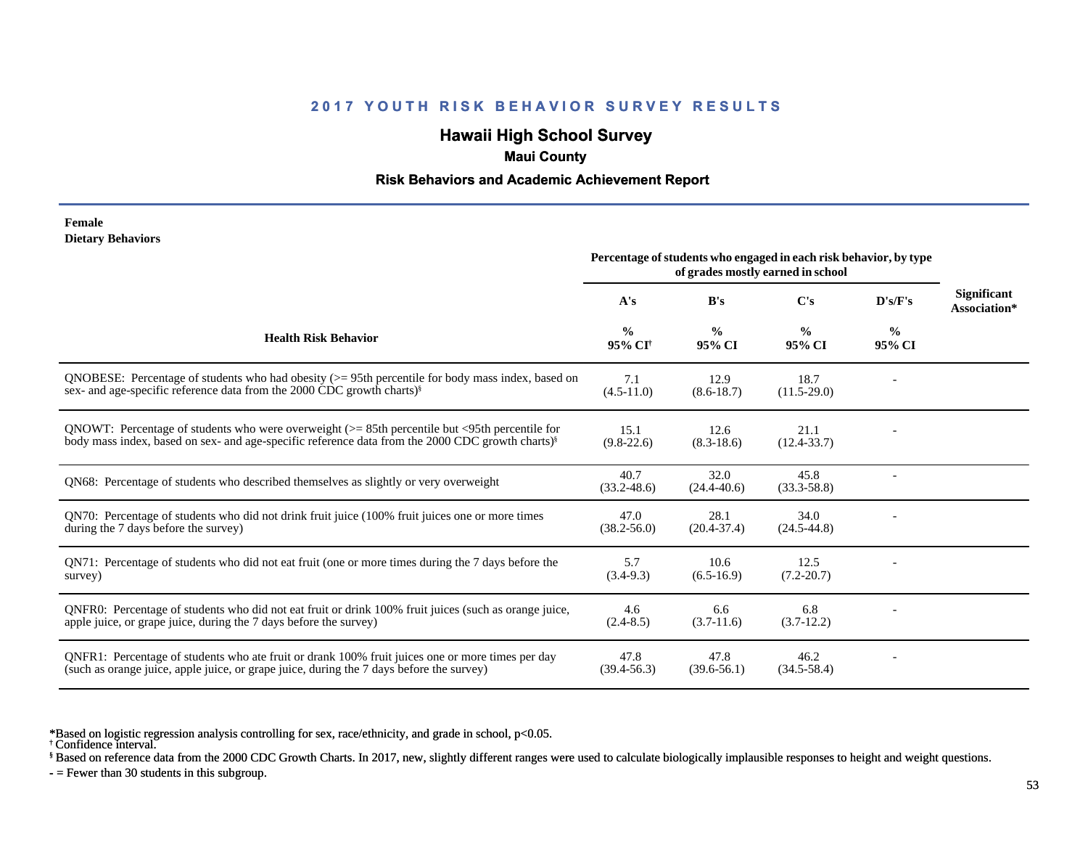# **Hawaii High School Survey**

### **Maui County**

#### **Risk Behaviors and Academic Achievement Report**

#### **Female Dietary Behaviors**

|                                                                                                                                                                                                                    | Percentage of students who engaged in each risk behavior, by type<br>of grades mostly earned in school |                         |                         |                         |                                    |
|--------------------------------------------------------------------------------------------------------------------------------------------------------------------------------------------------------------------|--------------------------------------------------------------------------------------------------------|-------------------------|-------------------------|-------------------------|------------------------------------|
|                                                                                                                                                                                                                    | A's                                                                                                    | B's                     | $\bf C's$               | D's/F's                 | <b>Significant</b><br>Association* |
| <b>Health Risk Behavior</b>                                                                                                                                                                                        | $\frac{0}{0}$<br>95% CI <sup>+</sup>                                                                   | $\frac{0}{0}$<br>95% CI | $\frac{0}{0}$<br>95% CI | $\frac{0}{0}$<br>95% CI |                                    |
| QNOBESE: Percentage of students who had obesity $(>= 95$ th percentile for body mass index, based on<br>sex- and age-specific reference data from the 2000 CDC growth charts) <sup>§</sup>                         | 7.1<br>$(4.5-11.0)$                                                                                    | 12.9<br>$(8.6 - 18.7)$  | 18.7<br>$(11.5-29.0)$   |                         |                                    |
| ONOWT: Percentage of students who were overweight ( $>$ = 85th percentile but <95th percentile for<br>body mass index, based on sex- and age-specific reference data from the 2000 CDC growth charts) <sup>§</sup> | 15.1<br>$(9.8-22.6)$                                                                                   | 12.6<br>$(8.3-18.6)$    | 21.1<br>$(12.4 - 33.7)$ |                         |                                    |
| QN68: Percentage of students who described themselves as slightly or very overweight                                                                                                                               | 40.7<br>$(33.2 - 48.6)$                                                                                | 32.0<br>$(24.4 - 40.6)$ | 45.8<br>$(33.3 - 58.8)$ |                         |                                    |
| QN70: Percentage of students who did not drink fruit juice (100% fruit juices one or more times<br>during the 7 days before the survey)                                                                            | 47.0<br>$(38.2 - 56.0)$                                                                                | 28.1<br>$(20.4 - 37.4)$ | 34.0<br>$(24.5 - 44.8)$ |                         |                                    |
| QN71: Percentage of students who did not eat fruit (one or more times during the 7 days before the<br>survey)                                                                                                      | 5.7<br>$(3.4-9.3)$                                                                                     | 10.6<br>$(6.5-16.9)$    | 12.5<br>$(7.2 - 20.7)$  |                         |                                    |
| QNFR0: Percentage of students who did not eat fruit or drink 100% fruit juices (such as orange juice,<br>apple juice, or grape juice, during the 7 days before the survey)                                         | 4.6<br>$(2.4 - 8.5)$                                                                                   | 6.6<br>$(3.7-11.6)$     | 6.8<br>$(3.7-12.2)$     |                         |                                    |
| QNFR1: Percentage of students who ate fruit or drank 100% fruit juices one or more times per day<br>(such as orange juice, apple juice, or grape juice, during the 7 days before the survey)                       | 47.8<br>$(39.4 - 56.3)$                                                                                | 47.8<br>$(39.6 - 56.1)$ | 46.2<br>$(34.5 - 58.4)$ |                         |                                    |

\*Based on logistic regression analysis controlling for sex, race/ethnicity, and grade in school, p<0.05.

§ Based on reference data from the 2000 CDC Growth Charts. In 2017, new, slightly different ranges were used to calculate biologically implausible responses to height and weight questions.

<sup>†</sup> Confidence interval.

 $-$  = Fewer than 30 students in this subgroup.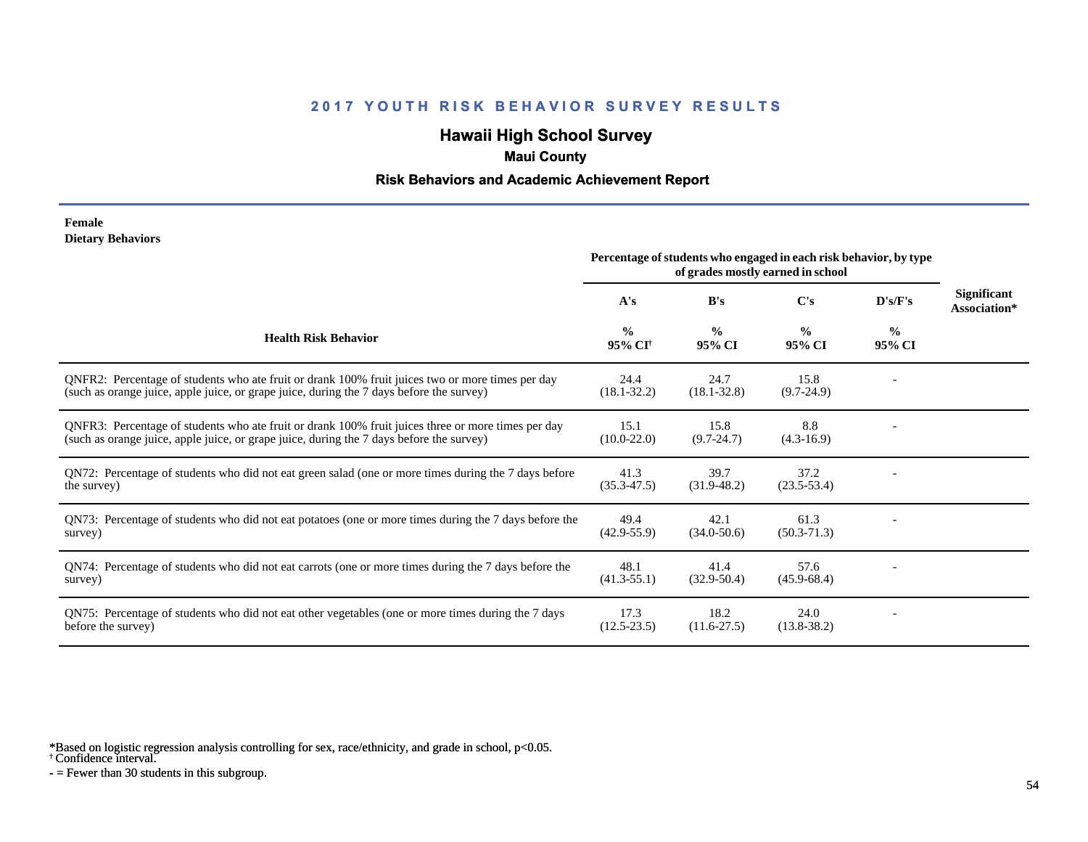# **Hawaii High School Survey**

## **Maui County**

### **Risk Behaviors and Academic Achievement Report**

#### **Female Dietary Behaviors**

|                                                                                                                                                                                                | Percentage of students who engaged in each risk behavior, by type<br>of grades mostly earned in school |                         |                         |                         |                                    |
|------------------------------------------------------------------------------------------------------------------------------------------------------------------------------------------------|--------------------------------------------------------------------------------------------------------|-------------------------|-------------------------|-------------------------|------------------------------------|
|                                                                                                                                                                                                | A's                                                                                                    | B's                     | C's                     | D's/F's                 | <b>Significant</b><br>Association* |
| <b>Health Risk Behavior</b>                                                                                                                                                                    | $\frac{0}{0}$<br>95% CI <sup>+</sup>                                                                   | $\frac{0}{0}$<br>95% CI | $\frac{0}{0}$<br>95% CI | $\frac{6}{9}$<br>95% CI |                                    |
| ONFR2: Percentage of students who ate fruit or drank 100% fruit juices two or more times per day<br>(such as orange juice, apple juice, or grape juice, during the 7 days before the survey)   | 24.4<br>$(18.1 - 32.2)$                                                                                | 24.7<br>$(18.1 - 32.8)$ | 15.8<br>$(9.7-24.9)$    |                         |                                    |
| QNFR3: Percentage of students who ate fruit or drank 100% fruit juices three or more times per day<br>(such as orange juice, apple juice, or grape juice, during the 7 days before the survey) | 15.1<br>$(10.0 - 22.0)$                                                                                | 15.8<br>$(9.7 - 24.7)$  | 8.8<br>$(4.3-16.9)$     |                         |                                    |
| QN72: Percentage of students who did not eat green salad (one or more times during the 7 days before<br>the survey)                                                                            | 41.3<br>$(35.3 - 47.5)$                                                                                | 39.7<br>$(31.9 - 48.2)$ | 37.2<br>$(23.5 - 53.4)$ |                         |                                    |
| QN73: Percentage of students who did not eat potatoes (one or more times during the 7 days before the<br>survey)                                                                               | 49.4<br>$(42.9 - 55.9)$                                                                                | 42.1<br>$(34.0 - 50.6)$ | 61.3<br>$(50.3 - 71.3)$ |                         |                                    |
| QN74: Percentage of students who did not eat carrots (one or more times during the 7 days before the<br>survey)                                                                                | 48.1<br>$(41.3 - 55.1)$                                                                                | 41.4<br>$(32.9 - 50.4)$ | 57.6<br>$(45.9 - 68.4)$ |                         |                                    |
| QN75: Percentage of students who did not eat other vegetables (one or more times during the 7 days<br>before the survey)                                                                       | 17.3<br>$(12.5 - 23.5)$                                                                                | 18.2<br>$(11.6 - 27.5)$ | 24.0<br>$(13.8 - 38.2)$ |                         |                                    |

\*Based on logistic regression analysis controlling for sex, race/ethnicity, and grade in school, p<0.05.

† Confidence interval.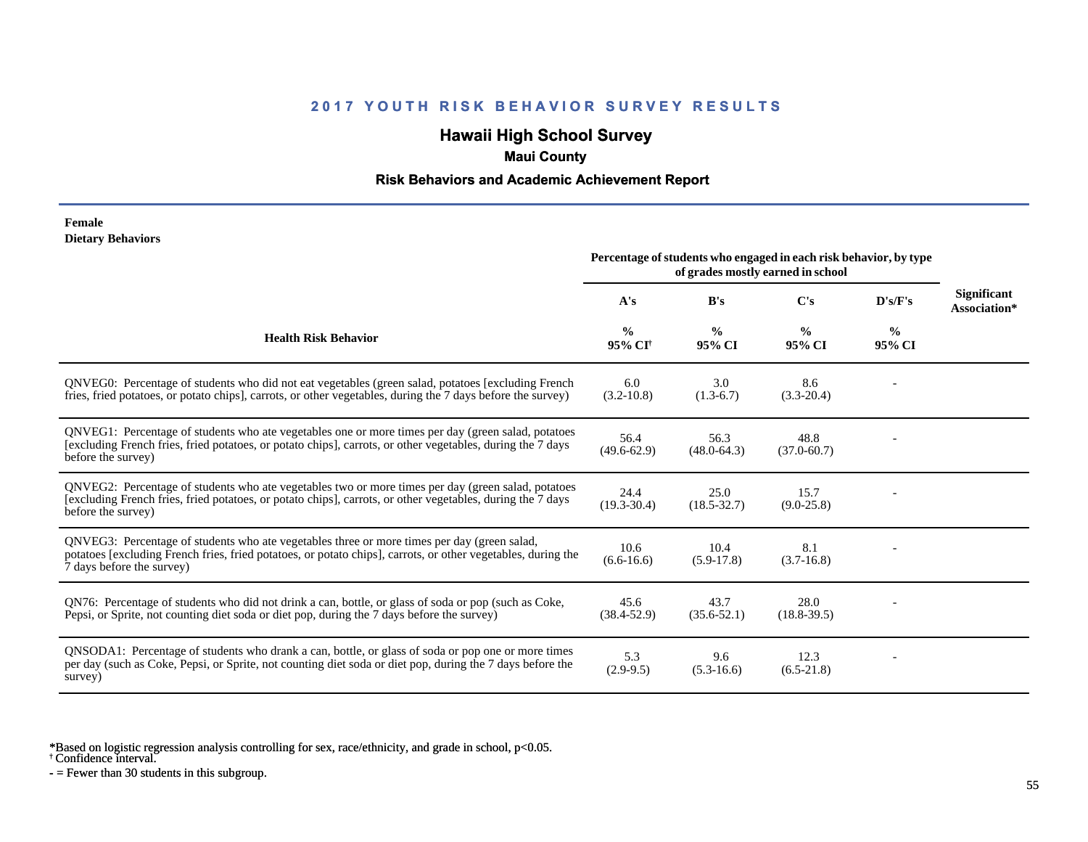# **Hawaii High School Survey**

## **Maui County**

### **Risk Behaviors and Academic Achievement Report**

#### **Female Dietary Behaviors**

|                                                                                                                                                                                                                                          | Percentage of students who engaged in each risk behavior, by type<br>of grades mostly earned in school |                         |                         |                |                                    |
|------------------------------------------------------------------------------------------------------------------------------------------------------------------------------------------------------------------------------------------|--------------------------------------------------------------------------------------------------------|-------------------------|-------------------------|----------------|------------------------------------|
|                                                                                                                                                                                                                                          | A's                                                                                                    | B's                     | C's                     | D's/F's        | <b>Significant</b><br>Association* |
| <b>Health Risk Behavior</b>                                                                                                                                                                                                              | $\%$<br>95% CI <sup>+</sup>                                                                            | $\frac{0}{0}$<br>95% CI | $\frac{0}{0}$<br>95% CI | $\%$<br>95% CI |                                    |
| QNVEG0: Percentage of students who did not eat vegetables (green salad, potatoes [excluding French<br>fries, fried potatoes, or potato chips], carrots, or other vegetables, during the 7 days before the survey)                        | 6.0<br>$(3.2 - 10.8)$                                                                                  | 3.0<br>$(1.3-6.7)$      | 8.6<br>$(3.3-20.4)$     |                |                                    |
| QNVEG1: Percentage of students who ate vegetables one or more times per day (green salad, potatoes<br>[excluding French fries, fried potatoes, or potato chips], carrots, or other vegetables, during the 7 days<br>before the survey)   | 56.4<br>$(49.6 - 62.9)$                                                                                | 56.3<br>$(48.0 - 64.3)$ | 48.8<br>$(37.0 - 60.7)$ |                |                                    |
| QNVEG2: Percentage of students who ate vegetables two or more times per day (green salad, potatoes<br>[excluding French fries, fried potatoes, or potato chips], carrots, or other vegetables, during the 7 days<br>before the survey)   | 24.4<br>$(19.3 - 30.4)$                                                                                | 25.0<br>$(18.5 - 32.7)$ | 15.7<br>$(9.0-25.8)$    |                |                                    |
| QNVEG3: Percentage of students who ate vegetables three or more times per day (green salad,<br>potatoes [excluding French fries, fried potatoes, or potato chips], carrots, or other vegetables, during the<br>7 days before the survey) | 10.6<br>$(6.6 - 16.6)$                                                                                 | 10.4<br>$(5.9-17.8)$    | 8.1<br>$(3.7-16.8)$     |                |                                    |
| QN76: Percentage of students who did not drink a can, bottle, or glass of soda or pop (such as Coke,<br>Pepsi, or Sprite, not counting diet soda or diet pop, during the 7 days before the survey)                                       | 45.6<br>$(38.4 - 52.9)$                                                                                | 43.7<br>$(35.6 - 52.1)$ | 28.0<br>$(18.8 - 39.5)$ |                |                                    |
| QNSODA1: Percentage of students who drank a can, bottle, or glass of soda or pop one or more times<br>per day (such as Coke, Pepsi, or Sprite, not counting diet soda or diet pop, during the 7 days before the<br>survey)               | 5.3<br>$(2.9-9.5)$                                                                                     | 9.6<br>$(5.3-16.6)$     | 12.3<br>$(6.5-21.8)$    |                |                                    |

\*Based on logistic regression analysis controlling for sex, race/ethnicity, and grade in school, p<0.05.

† Confidence interval.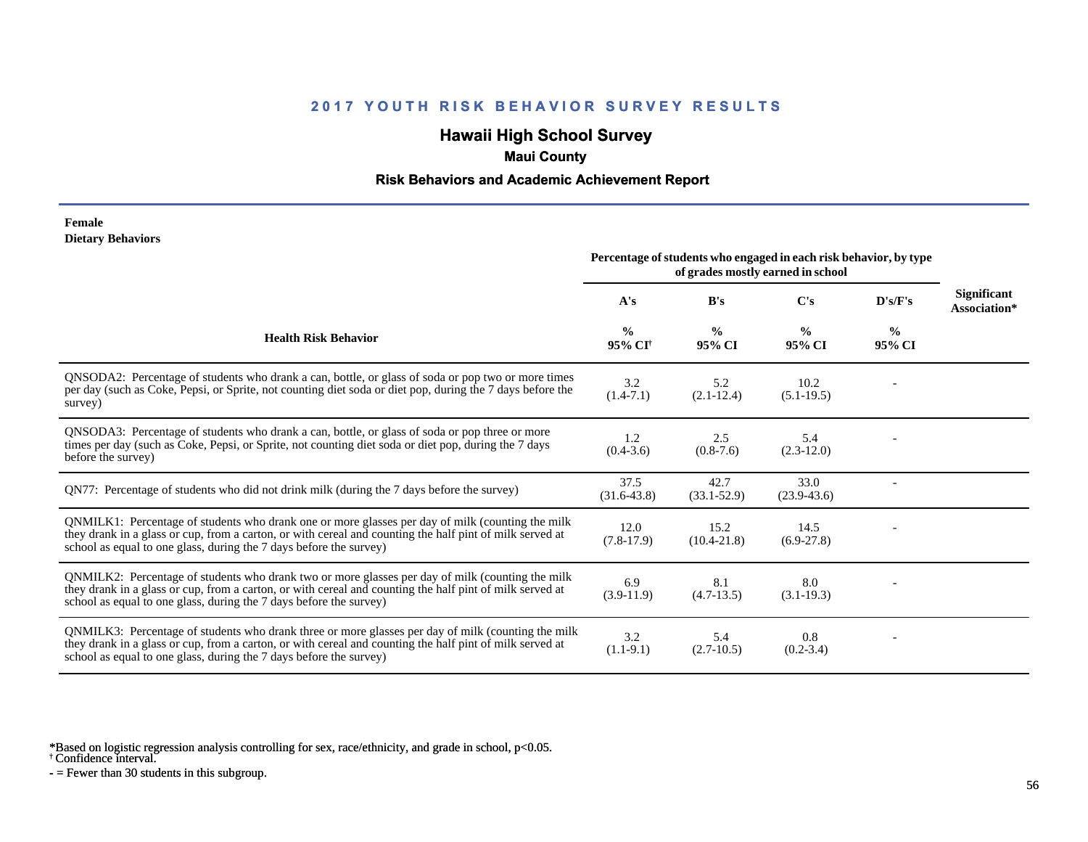# **Hawaii High School Survey**

## **Maui County**

### **Risk Behaviors and Academic Achievement Report**

#### **Female Dietary Behaviors**

|                                                                                                                                                                                                                                                                                      | Percentage of students who engaged in each risk behavior, by type<br>of grades mostly earned in school |                         |                         |                         |                             |
|--------------------------------------------------------------------------------------------------------------------------------------------------------------------------------------------------------------------------------------------------------------------------------------|--------------------------------------------------------------------------------------------------------|-------------------------|-------------------------|-------------------------|-----------------------------|
|                                                                                                                                                                                                                                                                                      | A's                                                                                                    | B's                     | $\bf C's$               | D's/F's                 | Significant<br>Association* |
| <b>Health Risk Behavior</b>                                                                                                                                                                                                                                                          | $\frac{0}{0}$<br>95% CI <sup>+</sup>                                                                   | $\frac{6}{9}$<br>95% CI | $\%$<br>95% CI          | $\frac{0}{0}$<br>95% CI |                             |
| QNSODA2: Percentage of students who drank a can, bottle, or glass of soda or pop two or more times<br>per day (such as Coke, Pepsi, or Sprite, not counting diet soda or diet pop, during the 7 days before the<br>survey)                                                           | 3.2<br>$(1.4-7.1)$                                                                                     | 5.2<br>$(2.1-12.4)$     | 10.2<br>$(5.1-19.5)$    |                         |                             |
| QNSODA3: Percentage of students who drank a can, bottle, or glass of soda or pop three or more<br>times per day (such as Coke, Pepsi, or Sprite, not counting diet soda or diet pop, during the 7 days<br>before the survey)                                                         | 1.2<br>$(0.4-3.6)$                                                                                     | 2.5<br>$(0.8-7.6)$      | 5.4<br>$(2.3-12.0)$     |                         |                             |
| QN77: Percentage of students who did not drink milk (during the 7 days before the survey)                                                                                                                                                                                            | 37.5<br>$(31.6-43.8)$                                                                                  | 42.7<br>$(33.1 - 52.9)$ | 33.0<br>$(23.9 - 43.6)$ |                         |                             |
| QNMILK1: Percentage of students who drank one or more glasses per day of milk (counting the milk<br>they drank in a glass or cup, from a carton, or with cereal and counting the half pint of milk served at<br>school as equal to one glass, during the 7 days before the survey)   | 12.0<br>$(7.8-17.9)$                                                                                   | 15.2<br>$(10.4 - 21.8)$ | 14.5<br>$(6.9-27.8)$    |                         |                             |
| QNMILK2: Percentage of students who drank two or more glasses per day of milk (counting the milk<br>they drank in a glass or cup, from a carton, or with cereal and counting the half pint of milk served at<br>school as equal to one glass, during the 7 days before the survey)   | 6.9<br>$(3.9-11.9)$                                                                                    | 8.1<br>$(4.7-13.5)$     | 8.0<br>$(3.1-19.3)$     |                         |                             |
| QNMILK3: Percentage of students who drank three or more glasses per day of milk (counting the milk<br>they drank in a glass or cup, from a carton, or with cereal and counting the half pint of milk served at<br>school as equal to one glass, during the 7 days before the survey) | 3.2<br>$(1.1-9.1)$                                                                                     | 5.4<br>$(2.7-10.5)$     | 0.8<br>$(0.2 - 3.4)$    |                         |                             |

\*Based on logistic regression analysis controlling for sex, race/ethnicity, and grade in school, p<0.05.

† Confidence interval.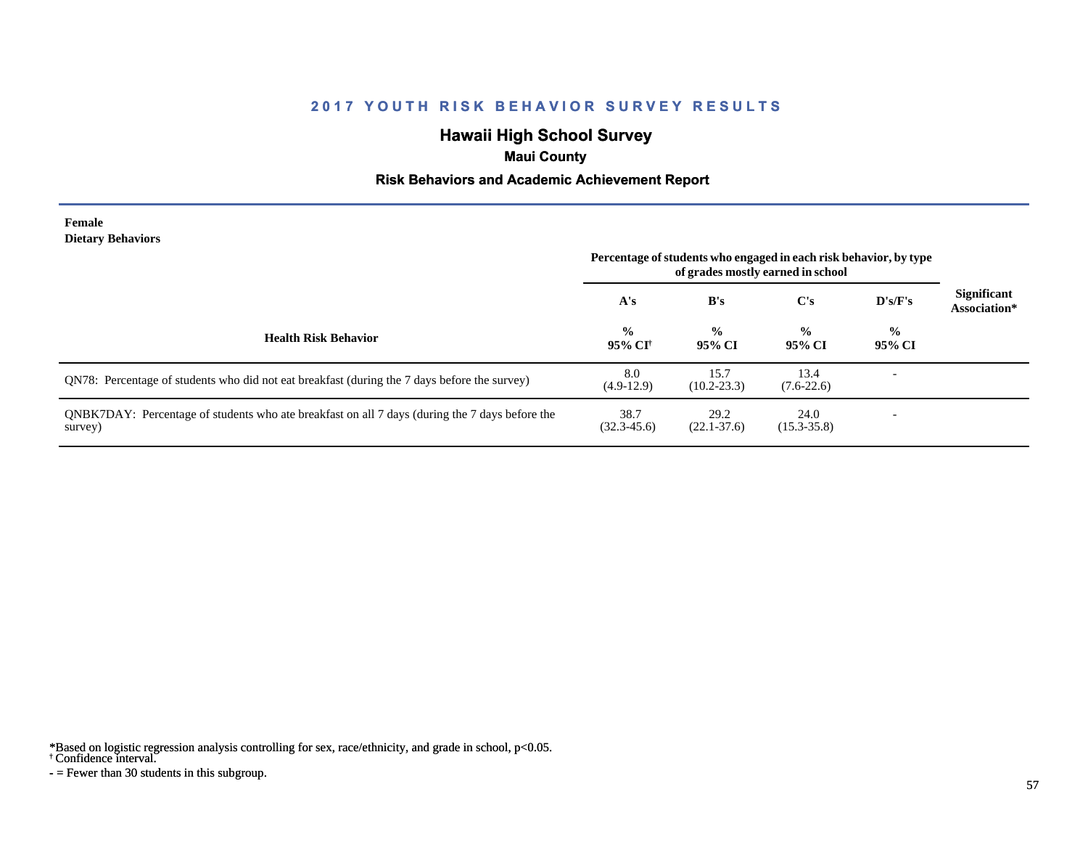# **Hawaii High School Survey**

## **Maui County**

### **Risk Behaviors and Academic Achievement Report**

#### **Female Dietary Behaviors**

|                                                                                                           | Percentage of students who engaged in each risk behavior, by type<br>of grades mostly earned in school |                         |                         |                         |                                    |
|-----------------------------------------------------------------------------------------------------------|--------------------------------------------------------------------------------------------------------|-------------------------|-------------------------|-------------------------|------------------------------------|
|                                                                                                           | A's                                                                                                    | B's                     | C's                     | D's/F's                 | <b>Significant</b><br>Association* |
| <b>Health Risk Behavior</b>                                                                               | $\frac{6}{10}$<br>95% CI†                                                                              | $\frac{0}{0}$<br>95% CI | $\frac{0}{0}$<br>95% CI | $\frac{6}{9}$<br>95% CI |                                    |
| QN78: Percentage of students who did not eat breakfast (during the 7 days before the survey)              | 8.0<br>$(4.9-12.9)$                                                                                    | 15.7<br>$(10.2 - 23.3)$ | 13.4<br>$(7.6-22.6)$    |                         |                                    |
| QNBK7DAY: Percentage of students who ate breakfast on all 7 days (during the 7 days before the<br>survey) | 38.7<br>$(32.3 - 45.6)$                                                                                | 29.2<br>$(22.1 - 37.6)$ | 24.0<br>$(15.3 - 35.8)$ |                         |                                    |

\*Based on logistic regression analysis controlling for sex, race/ethnicity, and grade in school, p<0.05.

#### † Confidence interval.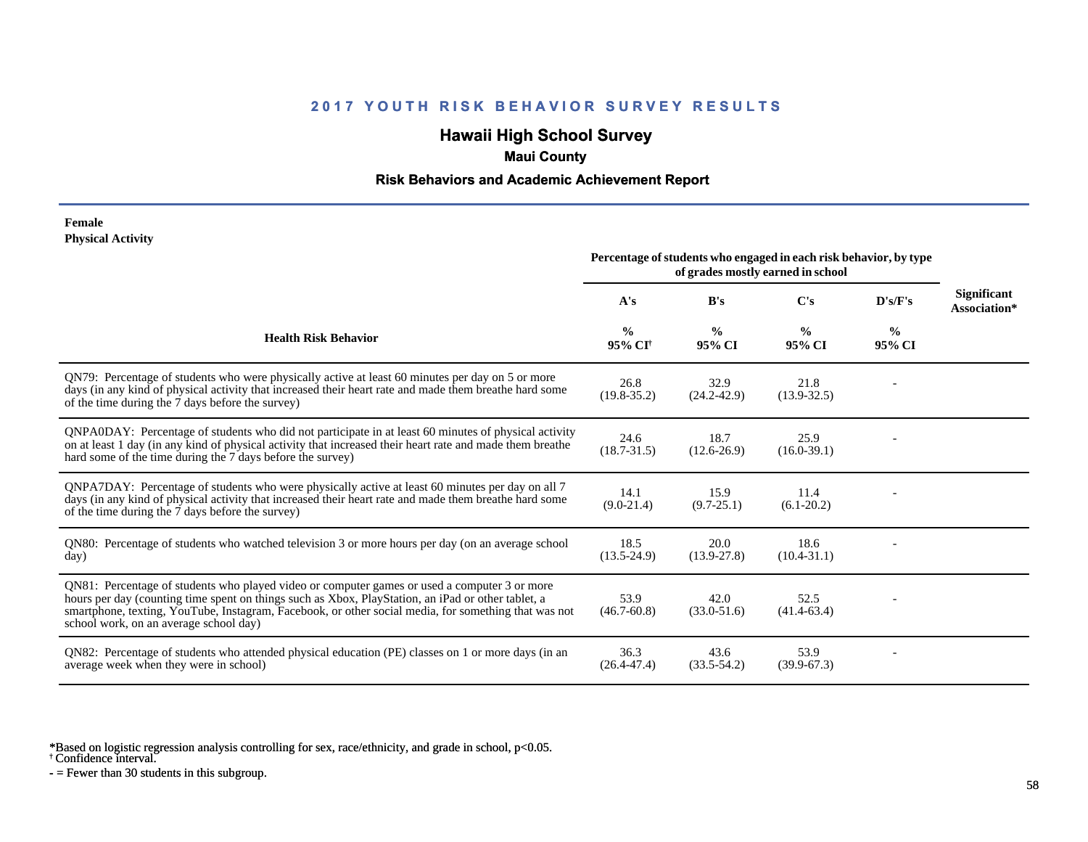# **Hawaii High School Survey**

## **Maui County**

### **Risk Behaviors and Academic Achievement Report**

#### **Female Physical Activity**

|                                                                                                                                                                                                                                                                                                                                                      | Percentage of students who engaged in each risk behavior, by type<br>of grades mostly earned in school |                         |                         |                |                                    |
|------------------------------------------------------------------------------------------------------------------------------------------------------------------------------------------------------------------------------------------------------------------------------------------------------------------------------------------------------|--------------------------------------------------------------------------------------------------------|-------------------------|-------------------------|----------------|------------------------------------|
|                                                                                                                                                                                                                                                                                                                                                      | A's                                                                                                    | B's                     | $\bf C's$               | D's/F's        | <b>Significant</b><br>Association* |
| <b>Health Risk Behavior</b>                                                                                                                                                                                                                                                                                                                          | $\frac{0}{0}$<br>95% CI†                                                                               | $\frac{0}{0}$<br>95% CI | $\frac{0}{0}$<br>95% CI | $\%$<br>95% CI |                                    |
| QN79: Percentage of students who were physically active at least 60 minutes per day on 5 or more<br>days (in any kind of physical activity that increased their heart rate and made them breathe hard some<br>of the time during the 7 days before the survey)                                                                                       | 26.8<br>$(19.8 - 35.2)$                                                                                | 32.9<br>$(24.2 - 42.9)$ | 21.8<br>$(13.9 - 32.5)$ |                |                                    |
| QNPA0DAY: Percentage of students who did not participate in at least 60 minutes of physical activity<br>on at least 1 day (in any kind of physical activity that increased their heart rate and made them breather<br>hard some of the time during the 7 days before the survey)                                                                     | 24.6<br>$(18.7 - 31.5)$                                                                                | 18.7<br>$(12.6 - 26.9)$ | 25.9<br>$(16.0 - 39.1)$ |                |                                    |
| QNPA7DAY: Percentage of students who were physically active at least 60 minutes per day on all 7<br>days (in any kind of physical activity that increased their heart rate and made them breathe hard some<br>of the time during the 7 days before the survey)                                                                                       | 14.1<br>$(9.0-21.4)$                                                                                   | 15.9<br>$(9.7 - 25.1)$  | 11.4<br>$(6.1-20.2)$    |                |                                    |
| QN80: Percentage of students who watched television 3 or more hours per day (on an average school<br>day)                                                                                                                                                                                                                                            | 18.5<br>$(13.5 - 24.9)$                                                                                | 20.0<br>$(13.9 - 27.8)$ | 18.6<br>$(10.4 - 31.1)$ |                |                                    |
| QN81: Percentage of students who played video or computer games or used a computer 3 or more<br>hours per day (counting time spent on things such as Xbox, PlayStation, an iPad or other tablet, a<br>smartphone, texting, YouTube, Instagram, Facebook, or other social media, for something that was not<br>school work, on an average school day) | 53.9<br>$(46.7 - 60.8)$                                                                                | 42.0<br>$(33.0 - 51.6)$ | 52.5<br>$(41.4-63.4)$   |                |                                    |
| QN82: Percentage of students who attended physical education (PE) classes on 1 or more days (in an<br>average week when they were in school)                                                                                                                                                                                                         | 36.3<br>$(26.4 - 47.4)$                                                                                | 43.6<br>$(33.5 - 54.2)$ | 53.9<br>$(39.9-67.3)$   |                |                                    |

\*Based on logistic regression analysis controlling for sex, race/ethnicity, and grade in school, p<0.05.

† Confidence interval.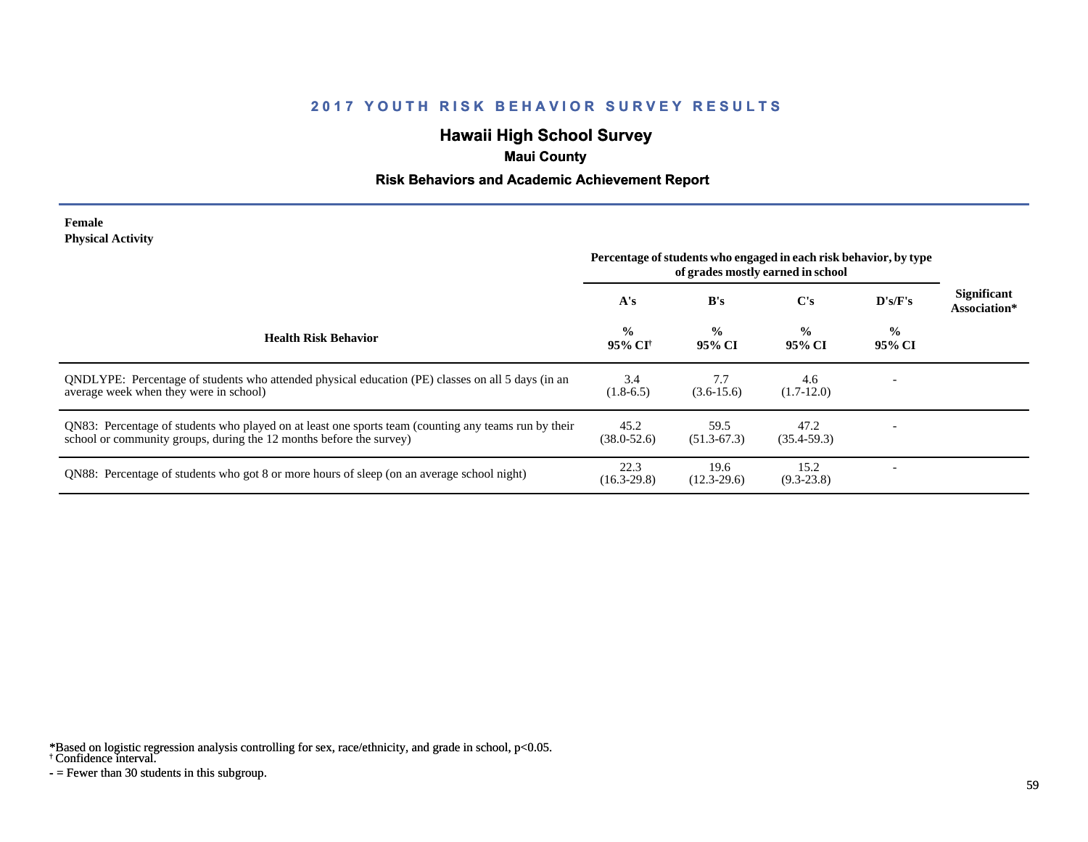# **Hawaii High School Survey**

## **Maui County**

### **Risk Behaviors and Academic Achievement Report**

#### **Female Physical Activity**

|                                                                                                                                                                             | Percentage of students who engaged in each risk behavior, by type |                         |                         |                          |                                    |
|-----------------------------------------------------------------------------------------------------------------------------------------------------------------------------|-------------------------------------------------------------------|-------------------------|-------------------------|--------------------------|------------------------------------|
|                                                                                                                                                                             | A's                                                               | B's                     | C's                     | D's/F's                  | <b>Significant</b><br>Association* |
| <b>Health Risk Behavior</b>                                                                                                                                                 | $\frac{0}{0}$<br>95% CF                                           | $\frac{0}{0}$<br>95% CI | $\frac{0}{0}$<br>95% CI | $\frac{0}{0}$<br>95% CI  |                                    |
| QNDLYPE: Percentage of students who attended physical education (PE) classes on all 5 days (in an<br>average week when they were in school)                                 | 3.4<br>$(1.8-6.5)$                                                | 7.7<br>$(3.6-15.6)$     | 4.6<br>$(1.7-12.0)$     |                          |                                    |
| QN83: Percentage of students who played on at least one sports team (counting any teams run by their<br>school or community groups, during the 12 months before the survey) | 45.2<br>$(38.0 - 52.6)$                                           | 59.5<br>$(51.3-67.3)$   | 47.2<br>$(35.4 - 59.3)$ | $\overline{\phantom{0}}$ |                                    |
| QN88: Percentage of students who got 8 or more hours of sleep (on an average school night)                                                                                  | 22.3<br>$(16.3 - 29.8)$                                           | 19.6<br>$(12.3-29.6)$   | 15.2<br>$(9.3 - 23.8)$  |                          |                                    |

\*Based on logistic regression analysis controlling for sex, race/ethnicity, and grade in school, p<0.05.

† Confidence interval.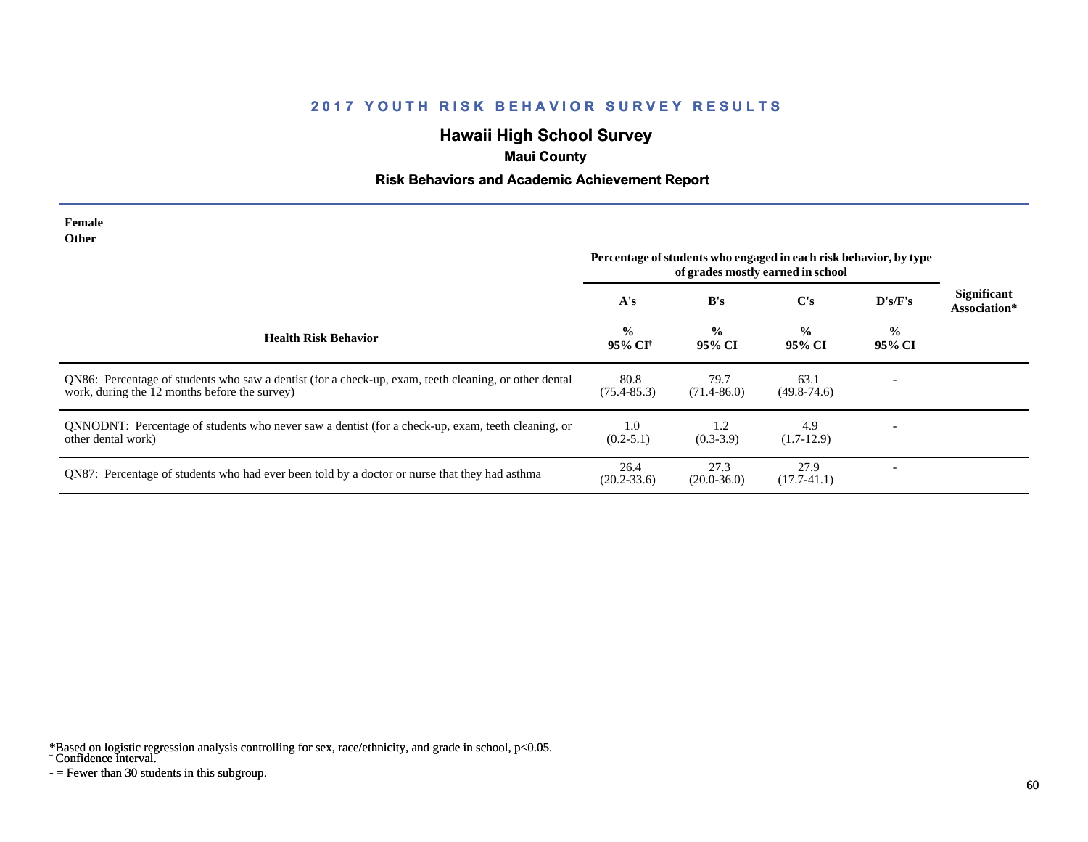# **Hawaii High School Survey**

## **Maui County**

### **Risk Behaviors and Academic Achievement Report**

| Female<br>Other                                                                                                                                        |                                                                                                        |                         |                         |                          |                             |
|--------------------------------------------------------------------------------------------------------------------------------------------------------|--------------------------------------------------------------------------------------------------------|-------------------------|-------------------------|--------------------------|-----------------------------|
|                                                                                                                                                        | Percentage of students who engaged in each risk behavior, by type<br>of grades mostly earned in school |                         |                         |                          |                             |
|                                                                                                                                                        | A's                                                                                                    | B's                     | $\bf C's$               | D's/F's                  | Significant<br>Association* |
| <b>Health Risk Behavior</b>                                                                                                                            | $\frac{0}{0}$<br>95% CI <sup>†</sup>                                                                   | $\frac{0}{0}$<br>95% CI | $\frac{0}{0}$<br>95% CI | $\frac{6}{10}$<br>95% CI |                             |
| QN86: Percentage of students who saw a dentist (for a check-up, exam, teeth cleaning, or other dental<br>work, during the 12 months before the survey) | 80.8<br>$(75.4 - 85.3)$                                                                                | 79.7<br>$(71.4 - 86.0)$ | 63.1<br>$(49.8 - 74.6)$ |                          |                             |
| QNNODNT: Percentage of students who never saw a dentist (for a check-up, exam, teeth cleaning, or<br>other dental work)                                | 1.0<br>$(0.2 - 5.1)$                                                                                   | 1.2<br>$(0.3-3.9)$      | 4.9<br>$(1.7-12.9)$     |                          |                             |
| QN87: Percentage of students who had ever been told by a doctor or nurse that they had asthma                                                          | 26.4<br>$(20.2 - 33.6)$                                                                                | 27.3<br>$(20.0 - 36.0)$ | 27.9<br>$(17.7-41.1)$   |                          |                             |

\*Based on logistic regression analysis controlling for sex, race/ethnicity, and grade in school, p<0.05.

† Confidence interval.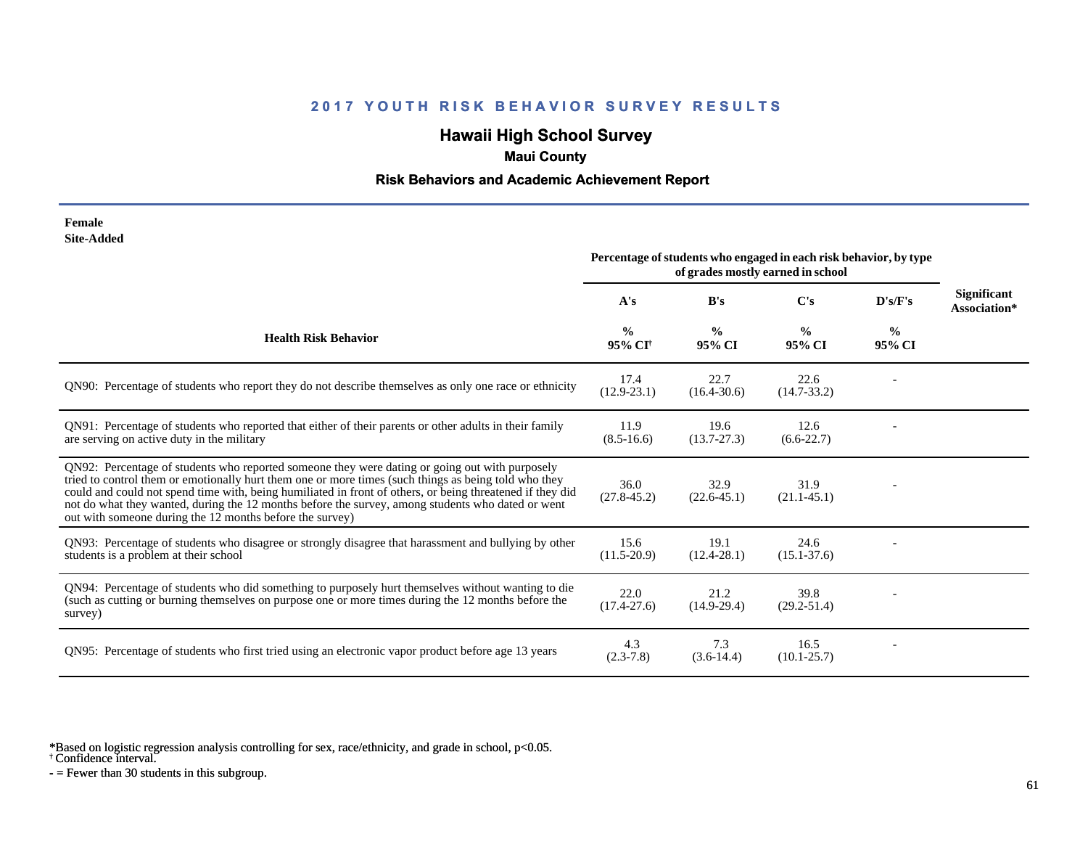# **Hawaii High School Survey**

## **Maui County**

### **Risk Behaviors and Academic Achievement Report**

| Female     |
|------------|
| Site-Added |

|                                                                                                                                                                                                                                                                                                                                                                                                                                                                                      | Percentage of students who engaged in each risk behavior, by type<br>of grades mostly earned in school |                         |                         |                |                             |
|--------------------------------------------------------------------------------------------------------------------------------------------------------------------------------------------------------------------------------------------------------------------------------------------------------------------------------------------------------------------------------------------------------------------------------------------------------------------------------------|--------------------------------------------------------------------------------------------------------|-------------------------|-------------------------|----------------|-----------------------------|
|                                                                                                                                                                                                                                                                                                                                                                                                                                                                                      | A's                                                                                                    | B's                     | C's                     | D's/F's        | Significant<br>Association* |
| <b>Health Risk Behavior</b>                                                                                                                                                                                                                                                                                                                                                                                                                                                          | $\frac{0}{0}$<br>95% CI <sup>†</sup>                                                                   | $\frac{0}{0}$<br>95% CI | $\frac{0}{0}$<br>95% CI | $\%$<br>95% CI |                             |
| QN90: Percentage of students who report they do not describe themselves as only one race or ethnicity                                                                                                                                                                                                                                                                                                                                                                                | 17.4<br>$(12.9 - 23.1)$                                                                                | 22.7<br>$(16.4 - 30.6)$ | 22.6<br>$(14.7 - 33.2)$ |                |                             |
| QN91: Percentage of students who reported that either of their parents or other adults in their family<br>are serving on active duty in the military                                                                                                                                                                                                                                                                                                                                 | 11.9<br>$(8.5 - 16.6)$                                                                                 | 19.6<br>$(13.7 - 27.3)$ | 12.6<br>$(6.6-22.7)$    |                |                             |
| QN92: Percentage of students who reported someone they were dating or going out with purposely<br>tried to control them or emotionally hurt them one or more times (such things as being told who they<br>could and could not spend time with, being humiliated in front of others, or being threatened if they did<br>not do what they wanted, during the 12 months before the survey, among students who dated or went<br>out with someone during the 12 months before the survey) | 36.0<br>$(27.8 - 45.2)$                                                                                | 32.9<br>$(22.6 - 45.1)$ | 31.9<br>$(21.1 - 45.1)$ |                |                             |
| QN93: Percentage of students who disagree or strongly disagree that harassment and bullying by other<br>students is a problem at their school                                                                                                                                                                                                                                                                                                                                        | 15.6<br>$(11.5 - 20.9)$                                                                                | 19.1<br>$(12.4 - 28.1)$ | 24.6<br>$(15.1 - 37.6)$ |                |                             |
| QN94: Percentage of students who did something to purposely hurt themselves without wanting to die<br>(such as cutting or burning themselves on purpose one or more times during the 12 months before the<br>survey)                                                                                                                                                                                                                                                                 | 22.0<br>$(17.4 - 27.6)$                                                                                | 21.2<br>$(14.9-29.4)$   | 39.8<br>$(29.2 - 51.4)$ |                |                             |
| QN95: Percentage of students who first tried using an electronic vapor product before age 13 years                                                                                                                                                                                                                                                                                                                                                                                   | 4.3<br>$(2.3 - 7.8)$                                                                                   | 7.3<br>$(3.6-14.4)$     | 16.5<br>$(10.1 - 25.7)$ |                |                             |

\*Based on logistic regression analysis controlling for sex, race/ethnicity, and grade in school, p<0.05.

† Confidence interval.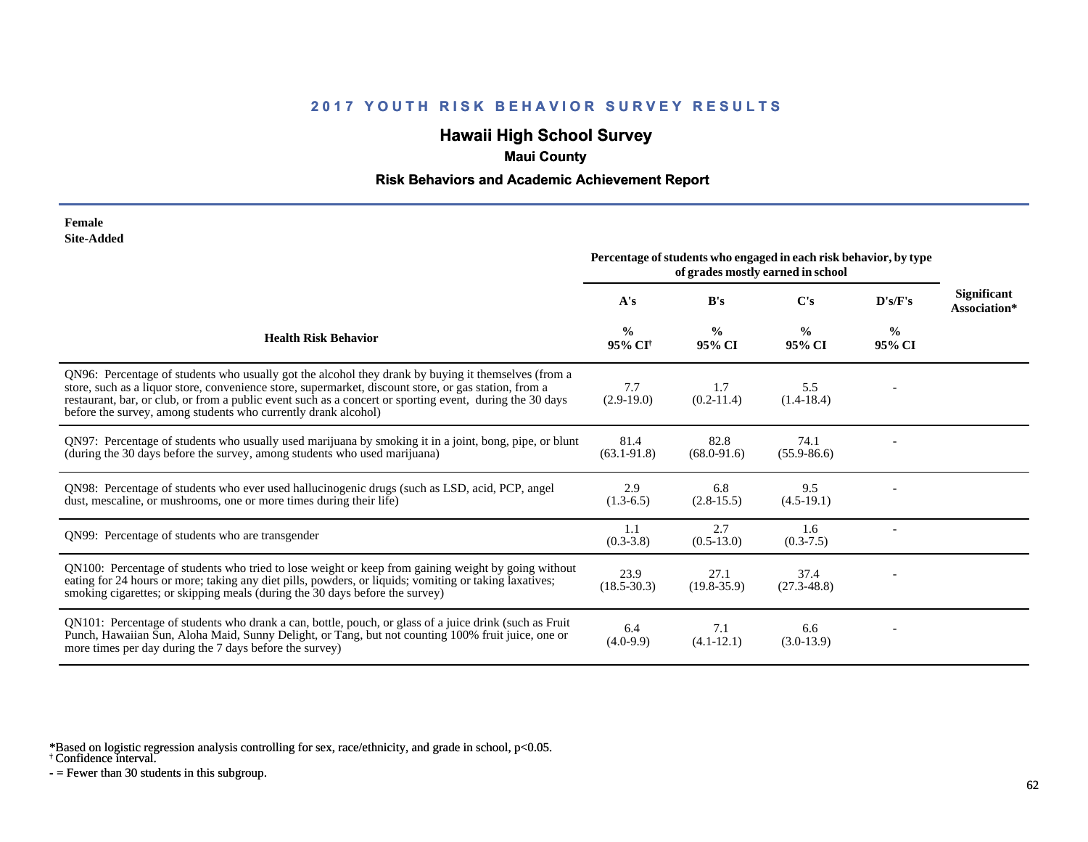# **Hawaii High School Survey**

## **Maui County**

### **Risk Behaviors and Academic Achievement Report**

#### **Female Site-Added**

|                                                                                                                                                                                                                                                                                                                                                                                            | Percentage of students who engaged in each risk behavior, by type<br>of grades mostly earned in school |                         |                         |                         |                                    |
|--------------------------------------------------------------------------------------------------------------------------------------------------------------------------------------------------------------------------------------------------------------------------------------------------------------------------------------------------------------------------------------------|--------------------------------------------------------------------------------------------------------|-------------------------|-------------------------|-------------------------|------------------------------------|
|                                                                                                                                                                                                                                                                                                                                                                                            | A's                                                                                                    | B's                     | C's                     | D's/F's                 | <b>Significant</b><br>Association* |
| <b>Health Risk Behavior</b>                                                                                                                                                                                                                                                                                                                                                                | $\frac{0}{0}$<br>95% CI <sup>+</sup>                                                                   | $\frac{0}{0}$<br>95% CI | $\frac{0}{0}$<br>95% CI | $\frac{6}{6}$<br>95% CI |                                    |
| QN96: Percentage of students who usually got the alcohol they drank by buying it themselves (from a<br>store, such as a liquor store, convenience store, supermarket, discount store, or gas station, from a<br>restaurant, bar, or club, or from a public event such as a concert or sporting event, during the 30 days<br>before the survey, among students who currently drank alcohol) | 7.7<br>$(2.9-19.0)$                                                                                    | 1.7<br>$(0.2-11.4)$     | 5.5<br>$(1.4-18.4)$     |                         |                                    |
| QN97: Percentage of students who usually used marijuana by smoking it in a joint, bong, pipe, or blunt<br>(during the 30 days before the survey, among students who used marijuana)                                                                                                                                                                                                        | 81.4<br>$(63.1 - 91.8)$                                                                                | 82.8<br>$(68.0 - 91.6)$ | 74.1<br>$(55.9 - 86.6)$ |                         |                                    |
| QN98: Percentage of students who ever used hallucinogenic drugs (such as LSD, acid, PCP, angel<br>dust, mescaline, or mushrooms, one or more times during their life)                                                                                                                                                                                                                      | 2.9<br>$(1.3-6.5)$                                                                                     | 6.8<br>$(2.8-15.5)$     | 9.5<br>$(4.5-19.1)$     |                         |                                    |
| QN99: Percentage of students who are transgender                                                                                                                                                                                                                                                                                                                                           | 1.1<br>$(0.3 - 3.8)$                                                                                   | 2.7<br>$(0.5-13.0)$     | 1.6<br>$(0.3-7.5)$      |                         |                                    |
| QN100: Percentage of students who tried to lose weight or keep from gaining weight by going without<br>eating for 24 hours or more; taking any diet pills, powders, or liquids; vomiting or taking laxatives;<br>smoking cigarettes; or skipping meals (during the 30 days before the survey)                                                                                              | 23.9<br>$(18.5 - 30.3)$                                                                                | 27.1<br>$(19.8-35.9)$   | 37.4<br>$(27.3 - 48.8)$ |                         |                                    |
| QN101: Percentage of students who drank a can, bottle, pouch, or glass of a juice drink (such as Fruit<br>Punch, Hawaiian Sun, Aloha Maid, Sunny Delight, or Tang, but not counting 100% fruit juice, one or<br>more times per day during the 7 days before the survey)                                                                                                                    | 6.4<br>$(4.0-9.9)$                                                                                     | 7.1<br>$(4.1 - 12.1)$   | 6.6<br>$(3.0-13.9)$     |                         |                                    |

\*Based on logistic regression analysis controlling for sex, race/ethnicity, and grade in school, p<0.05.

† Confidence interval.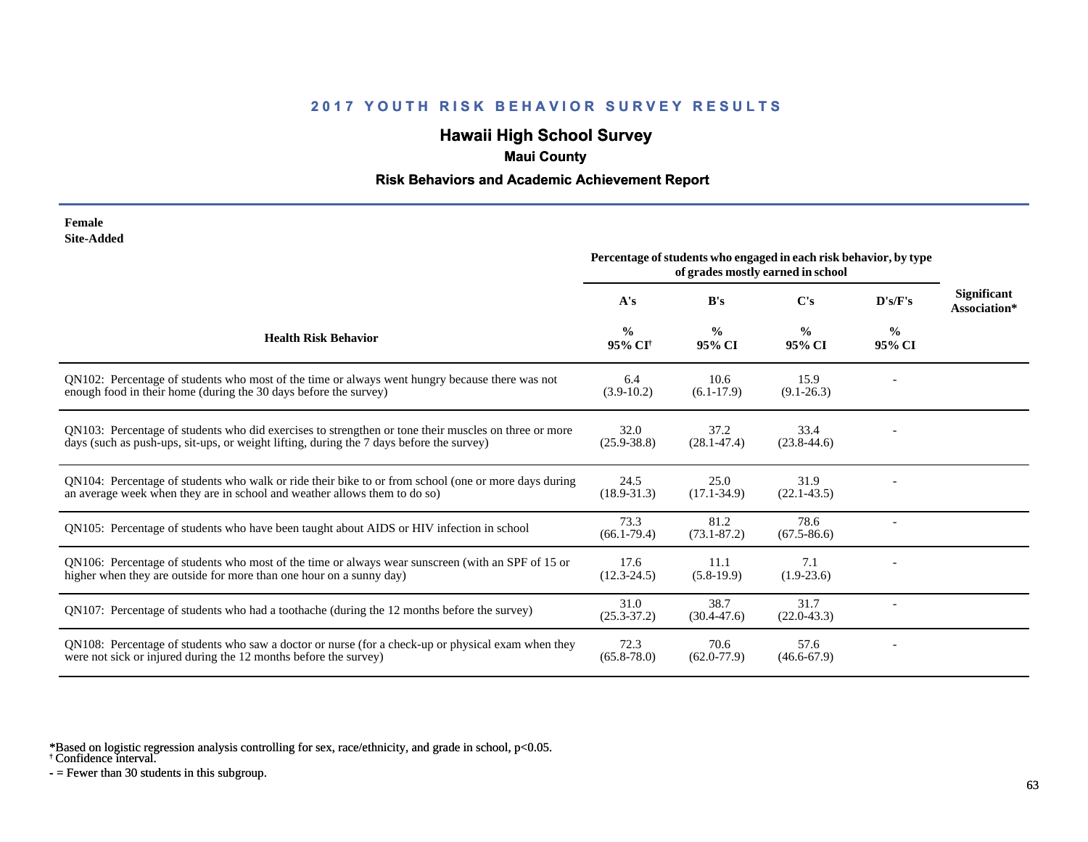# **Hawaii High School Survey**

## **Maui County**

### **Risk Behaviors and Academic Achievement Report**

| Female     |
|------------|
| Site-Added |

|                                                                                                                                                                                                  | Percentage of students who engaged in each risk behavior, by type<br>of grades mostly earned in school |                         |                         |                         |                                    |
|--------------------------------------------------------------------------------------------------------------------------------------------------------------------------------------------------|--------------------------------------------------------------------------------------------------------|-------------------------|-------------------------|-------------------------|------------------------------------|
|                                                                                                                                                                                                  | A's                                                                                                    | B's                     | $\bf C's$               | D's/F's                 | <b>Significant</b><br>Association* |
| <b>Health Risk Behavior</b>                                                                                                                                                                      | $\frac{0}{0}$<br>95% CI <sup>†</sup>                                                                   | $\frac{0}{0}$<br>95% CI | $\frac{0}{0}$<br>95% CI | $\frac{0}{0}$<br>95% CI |                                    |
| QN102: Percentage of students who most of the time or always went hungry because there was not<br>enough food in their home (during the 30 days before the survey)                               | 6.4<br>$(3.9-10.2)$                                                                                    | 10.6<br>$(6.1-17.9)$    | 15.9<br>$(9.1 - 26.3)$  |                         |                                    |
| QN103: Percentage of students who did exercises to strengthen or tone their muscles on three or more<br>days (such as push-ups, sit-ups, or weight lifting, during the 7 days before the survey) | 32.0<br>$(25.9 - 38.8)$                                                                                | 37.2<br>$(28.1 - 47.4)$ | 33.4<br>$(23.8-44.6)$   |                         |                                    |
| ON104: Percentage of students who walk or ride their bike to or from school (one or more days during<br>an average week when they are in school and weather allows them to do so)                | 24.5<br>$(18.9 - 31.3)$                                                                                | 25.0<br>$(17.1 - 34.9)$ | 31.9<br>$(22.1 - 43.5)$ |                         |                                    |
| QN105: Percentage of students who have been taught about AIDS or HIV infection in school                                                                                                         | 73.3<br>$(66.1 - 79.4)$                                                                                | 81.2<br>$(73.1 - 87.2)$ | 78.6<br>$(67.5 - 86.6)$ |                         |                                    |
| QN106: Percentage of students who most of the time or always wear sunscreen (with an SPF of 15 or<br>higher when they are outside for more than one hour on a sunny day)                         | 17.6<br>$(12.3 - 24.5)$                                                                                | 11.1<br>$(5.8-19.9)$    | 7.1<br>$(1.9-23.6)$     |                         |                                    |
| QN107: Percentage of students who had a toothache (during the 12 months before the survey)                                                                                                       | 31.0<br>$(25.3 - 37.2)$                                                                                | 38.7<br>$(30.4 - 47.6)$ | 31.7<br>$(22.0-43.3)$   |                         |                                    |
| QN108: Percentage of students who saw a doctor or nurse (for a check-up or physical exam when they<br>were not sick or injured during the 12 months before the survey)                           | 72.3<br>$(65.8 - 78.0)$                                                                                | 70.6<br>$(62.0 - 77.9)$ | 57.6<br>$(46.6 - 67.9)$ |                         |                                    |

\*Based on logistic regression analysis controlling for sex, race/ethnicity, and grade in school, p<0.05.

† Confidence interval.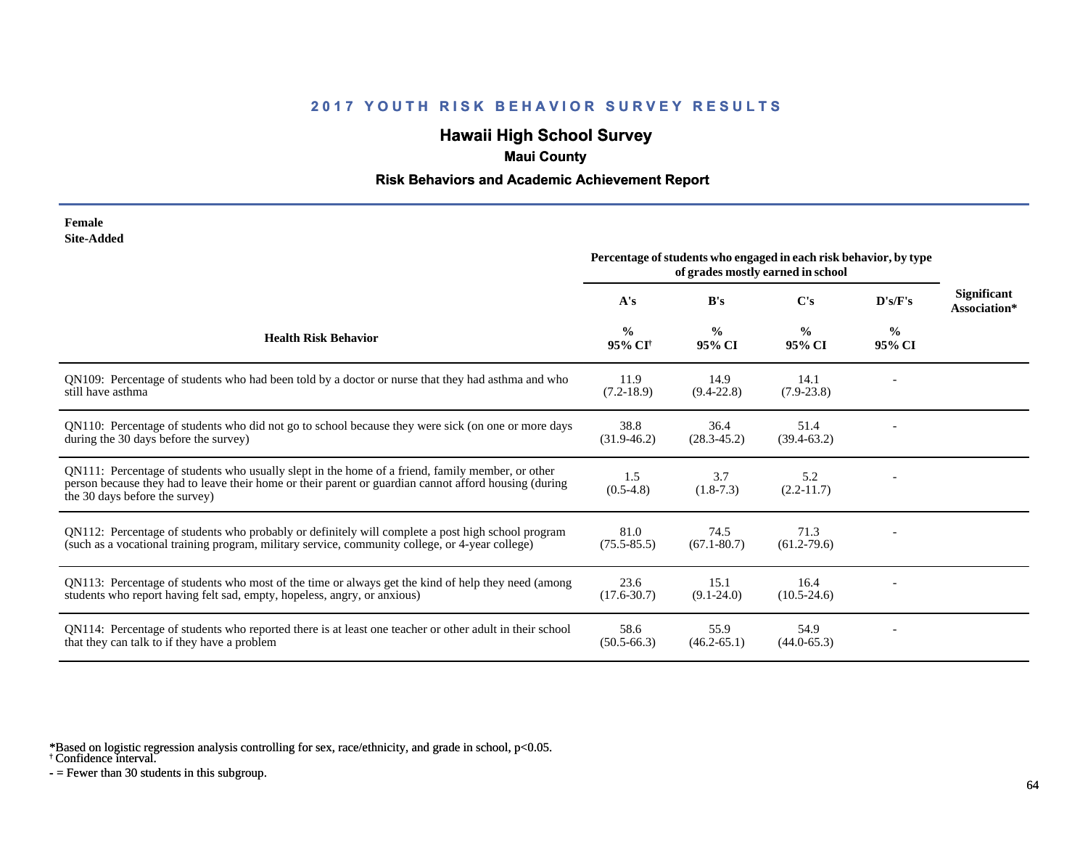# **Hawaii High School Survey**

## **Maui County**

### **Risk Behaviors and Academic Achievement Report**

| Female     |
|------------|
| Site-Added |

|                                                                                                                                                                                                                                             | Percentage of students who engaged in each risk behavior, by type<br>of grades mostly earned in school |                         |                         |                         |                                    |
|---------------------------------------------------------------------------------------------------------------------------------------------------------------------------------------------------------------------------------------------|--------------------------------------------------------------------------------------------------------|-------------------------|-------------------------|-------------------------|------------------------------------|
|                                                                                                                                                                                                                                             | A's                                                                                                    | B's                     | C's                     | D's/F's                 | <b>Significant</b><br>Association* |
| <b>Health Risk Behavior</b>                                                                                                                                                                                                                 | $\frac{0}{0}$<br>95% CI <sup>†</sup>                                                                   | $\frac{0}{0}$<br>95% CI | $\frac{0}{0}$<br>95% CI | $\frac{6}{9}$<br>95% CI |                                    |
| QN109: Percentage of students who had been told by a doctor or nurse that they had asthma and who<br>still have asthma                                                                                                                      | 11.9<br>$(7.2-18.9)$                                                                                   | 14.9<br>$(9.4 - 22.8)$  | 14.1<br>$(7.9-23.8)$    |                         |                                    |
| QN110: Percentage of students who did not go to school because they were sick (on one or more days<br>during the 30 days before the survey)                                                                                                 | 38.8<br>$(31.9-46.2)$                                                                                  | 36.4<br>$(28.3 - 45.2)$ | 51.4<br>$(39.4 - 63.2)$ |                         |                                    |
| QN111: Percentage of students who usually slept in the home of a friend, family member, or other<br>person because they had to leave their home or their parent or guardian cannot afford housing (during<br>the 30 days before the survey) | 1.5<br>$(0.5-4.8)$                                                                                     | 3.7<br>$(1.8-7.3)$      | 5.2<br>$(2.2 - 11.7)$   |                         |                                    |
| QN112: Percentage of students who probably or definitely will complete a post high school program<br>(such as a vocational training program, military service, community college, or 4-year college)                                        | 81.0<br>$(75.5 - 85.5)$                                                                                | 74.5<br>$(67.1 - 80.7)$ | 71.3<br>$(61.2 - 79.6)$ |                         |                                    |
| QN113: Percentage of students who most of the time or always get the kind of help they need (among<br>students who report having felt sad, empty, hopeless, angry, or anxious)                                                              | 23.6<br>$(17.6 - 30.7)$                                                                                | 15.1<br>$(9.1 - 24.0)$  | 16.4<br>$(10.5 - 24.6)$ |                         |                                    |
| QN114: Percentage of students who reported there is at least one teacher or other adult in their school<br>that they can talk to if they have a problem                                                                                     | 58.6<br>$(50.5 - 66.3)$                                                                                | 55.9<br>$(46.2 - 65.1)$ | 54.9<br>$(44.0 - 65.3)$ |                         |                                    |

\*Based on logistic regression analysis controlling for sex, race/ethnicity, and grade in school, p<0.05.

† Confidence interval.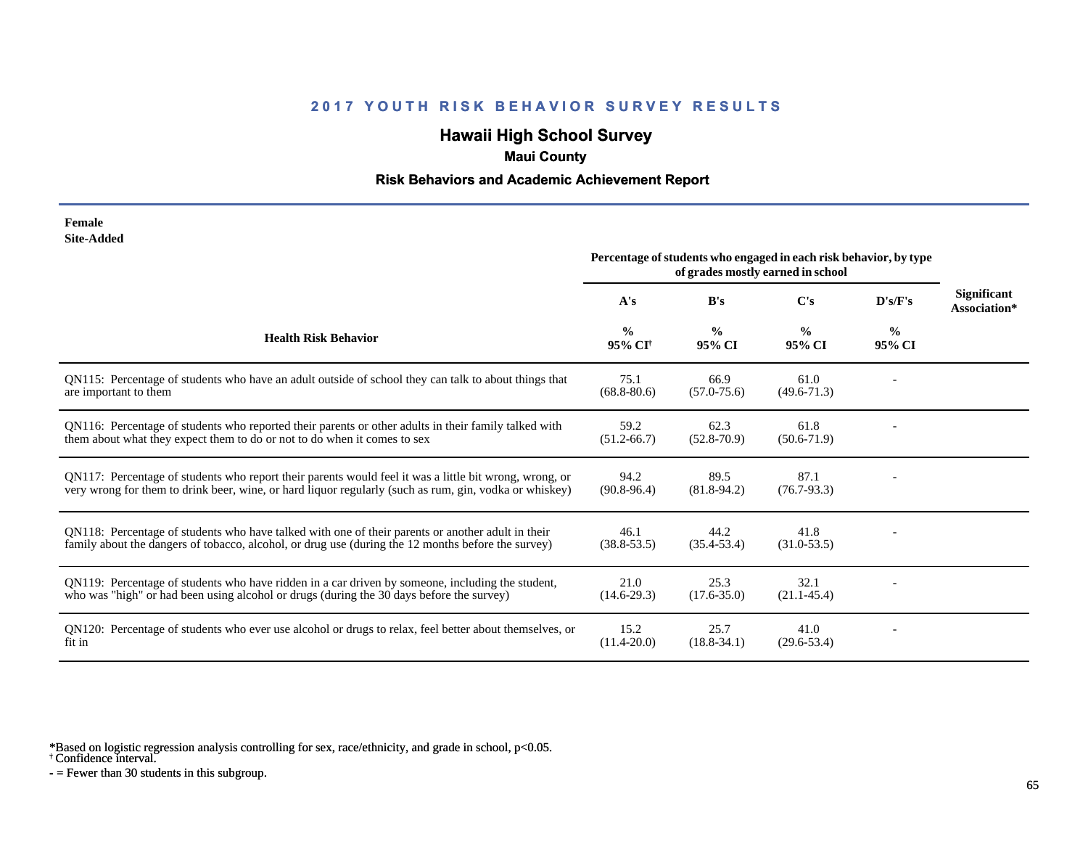# **Hawaii High School Survey**

## **Maui County**

### **Risk Behaviors and Academic Achievement Report**

#### **Female Site-Added**

|                                                                                                                                                                                                                  | Percentage of students who engaged in each risk behavior, by type<br>of grades mostly earned in school |                         |                         |                         |                                    |
|------------------------------------------------------------------------------------------------------------------------------------------------------------------------------------------------------------------|--------------------------------------------------------------------------------------------------------|-------------------------|-------------------------|-------------------------|------------------------------------|
|                                                                                                                                                                                                                  | A's                                                                                                    | B's                     | C's                     | D's/F's                 | <b>Significant</b><br>Association* |
| <b>Health Risk Behavior</b>                                                                                                                                                                                      | $\frac{0}{0}$<br>95% CI <sup>+</sup>                                                                   | $\frac{0}{0}$<br>95% CI | $\frac{0}{0}$<br>95% CI | $\frac{0}{0}$<br>95% CI |                                    |
| QN115: Percentage of students who have an adult outside of school they can talk to about things that<br>are important to them                                                                                    | 75.1<br>$(68.8 - 80.6)$                                                                                | 66.9<br>$(57.0 - 75.6)$ | 61.0<br>$(49.6 - 71.3)$ |                         |                                    |
| QN116: Percentage of students who reported their parents or other adults in their family talked with<br>them about what they expect them to do or not to do when it comes to sex                                 | 59.2<br>$(51.2 - 66.7)$                                                                                | 62.3<br>$(52.8 - 70.9)$ | 61.8<br>$(50.6 - 71.9)$ |                         |                                    |
| QN117: Percentage of students who report their parents would feel it was a little bit wrong, wrong, or<br>very wrong for them to drink beer, wine, or hard liquor regularly (such as rum, gin, vodka or whiskey) | 94.2<br>$(90.8 - 96.4)$                                                                                | 89.5<br>$(81.8-94.2)$   | 87.1<br>$(76.7 - 93.3)$ |                         |                                    |
| QN118: Percentage of students who have talked with one of their parents or another adult in their<br>family about the dangers of tobacco, alcohol, or drug use (during the 12 months before the survey)          | 46.1<br>$(38.8 - 53.5)$                                                                                | 44.2<br>$(35.4 - 53.4)$ | 41.8<br>$(31.0 - 53.5)$ |                         |                                    |
| QN119: Percentage of students who have ridden in a car driven by someone, including the student,<br>who was "high" or had been using alcohol or drugs (during the 30 days before the survey)                     | 21.0<br>$(14.6-29.3)$                                                                                  | 25.3<br>$(17.6 - 35.0)$ | 32.1<br>$(21.1 - 45.4)$ |                         |                                    |
| QN120: Percentage of students who ever use alcohol or drugs to relax, feel better about themselves, or<br>fit in                                                                                                 | 15.2<br>$(11.4 - 20.0)$                                                                                | 25.7<br>$(18.8 - 34.1)$ | 41.0<br>$(29.6 - 53.4)$ |                         |                                    |

\*Based on logistic regression analysis controlling for sex, race/ethnicity, and grade in school, p<0.05.

† Confidence interval.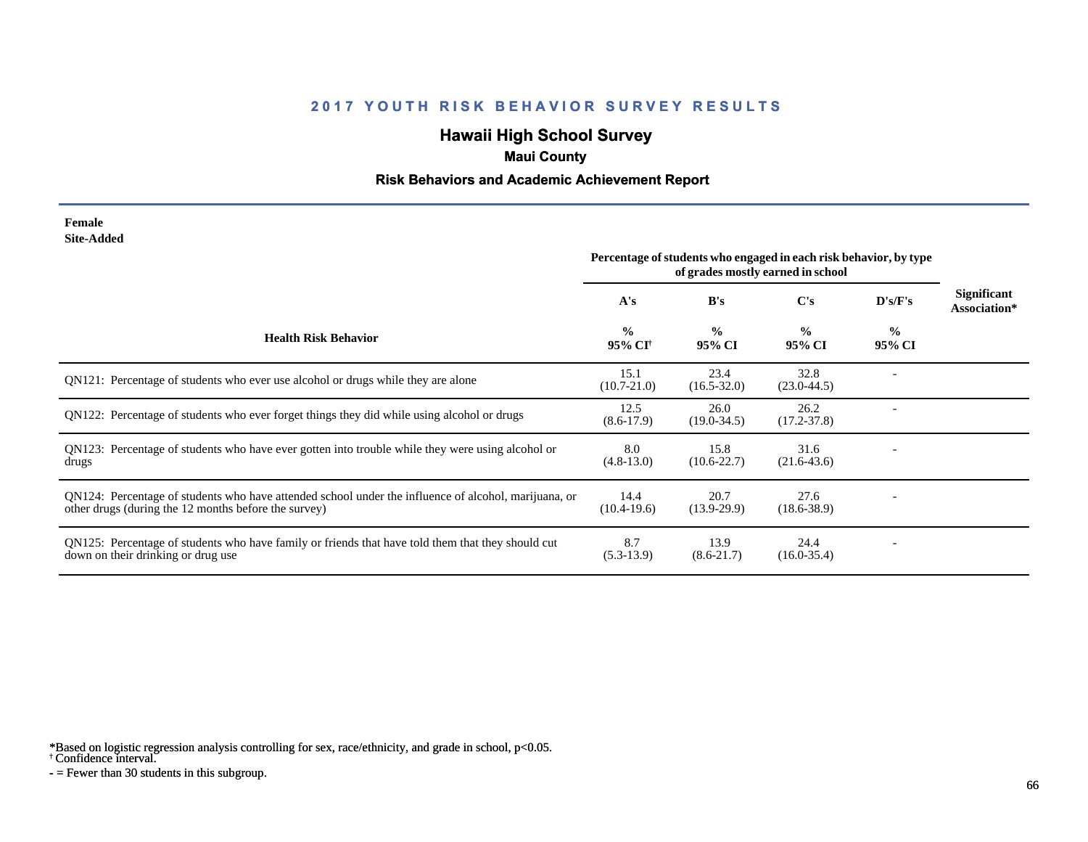# **Hawaii High School Survey**

## **Maui County**

### **Risk Behaviors and Academic Achievement Report**

#### **Female Site-Added**

|                                                                                                                                                              | Percentage of students who engaged in each risk behavior, by type<br>of grades mostly earned in school |                         |                         |                         |                                    |
|--------------------------------------------------------------------------------------------------------------------------------------------------------------|--------------------------------------------------------------------------------------------------------|-------------------------|-------------------------|-------------------------|------------------------------------|
|                                                                                                                                                              | A's                                                                                                    | B's                     | $\bf C's$               | D's/F's                 | <b>Significant</b><br>Association* |
| <b>Health Risk Behavior</b>                                                                                                                                  | $\frac{0}{0}$<br>95% CI <sup>†</sup>                                                                   | $\frac{0}{0}$<br>95% CI | $\frac{0}{0}$<br>95% CI | $\frac{6}{9}$<br>95% CI |                                    |
| QN121: Percentage of students who ever use alcohol or drugs while they are alone                                                                             | 15.1<br>$(10.7 - 21.0)$                                                                                | 23.4<br>$(16.5 - 32.0)$ | 32.8<br>$(23.0 - 44.5)$ |                         |                                    |
| QN122: Percentage of students who ever forget things they did while using alcohol or drugs                                                                   | 12.5<br>$(8.6-17.9)$                                                                                   | 26.0<br>$(19.0 - 34.5)$ | 26.2<br>$(17.2 - 37.8)$ |                         |                                    |
| QN123: Percentage of students who have ever gotten into trouble while they were using alcohol or<br>drugs                                                    | 8.0<br>$(4.8-13.0)$                                                                                    | 15.8<br>$(10.6 - 22.7)$ | 31.6<br>$(21.6-43.6)$   |                         |                                    |
| QN124: Percentage of students who have attended school under the influence of alcohol, marijuana, or<br>other drugs (during the 12 months before the survey) | 14.4<br>$(10.4-19.6)$                                                                                  | 20.7<br>$(13.9-29.9)$   | 27.6<br>$(18.6 - 38.9)$ |                         |                                    |
| QN125: Percentage of students who have family or friends that have told them that they should cut<br>down on their drinking or drug use                      | 8.7<br>$(5.3-13.9)$                                                                                    | 13.9<br>$(8.6-21.7)$    | 24.4<br>$(16.0 - 35.4)$ |                         |                                    |

\*Based on logistic regression analysis controlling for sex, race/ethnicity, and grade in school, p<0.05.

† Confidence interval.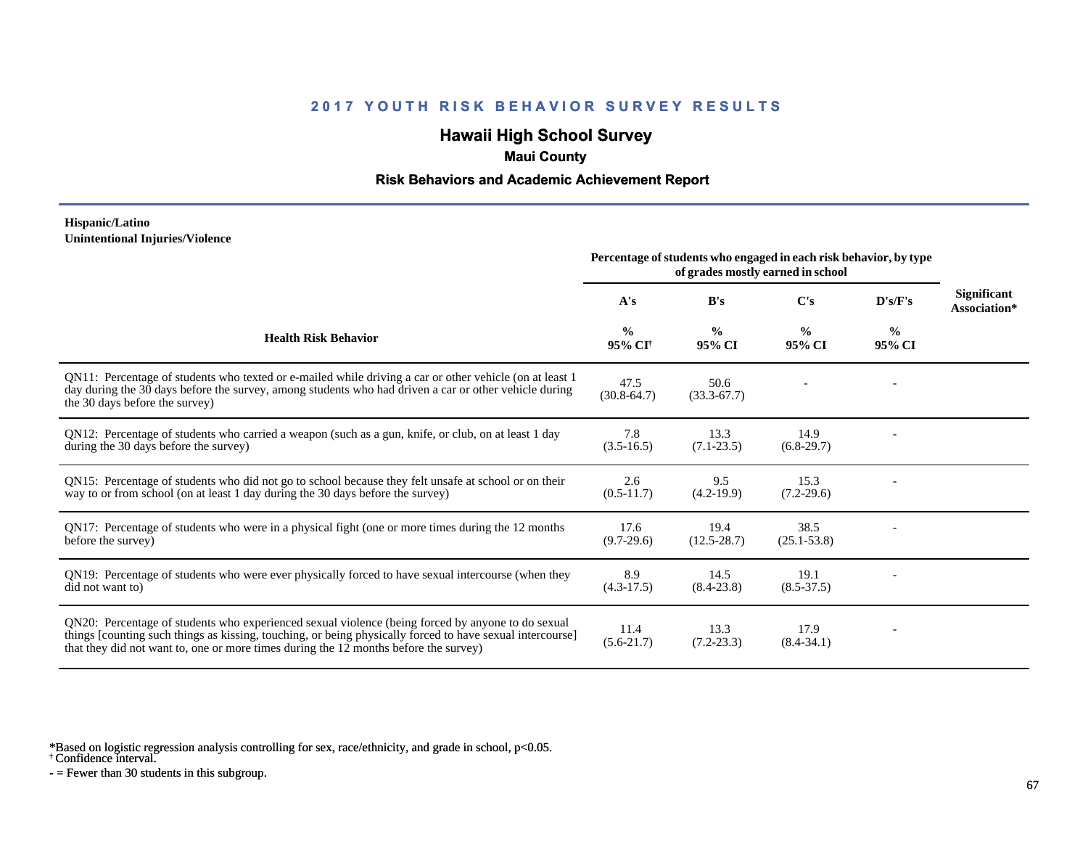# **Hawaii High School Survey**

## **Maui County**

### **Risk Behaviors and Academic Achievement Report**

#### **Hispanic/Latino Unintentional Injuries/Violence**

|                                                                                                                                                                                                                                                                                                        | Percentage of students who engaged in each risk behavior, by type<br>of grades mostly earned in school |                         |                         |                         |                                    |
|--------------------------------------------------------------------------------------------------------------------------------------------------------------------------------------------------------------------------------------------------------------------------------------------------------|--------------------------------------------------------------------------------------------------------|-------------------------|-------------------------|-------------------------|------------------------------------|
|                                                                                                                                                                                                                                                                                                        | A's                                                                                                    | B's                     | C's                     | D's/F's                 | <b>Significant</b><br>Association* |
| <b>Health Risk Behavior</b>                                                                                                                                                                                                                                                                            | $\frac{0}{0}$<br>95% CI <sup>†</sup>                                                                   | $\frac{0}{0}$<br>95% CI | $\frac{0}{0}$<br>95% CI | $\frac{0}{0}$<br>95% CI |                                    |
| QN11: Percentage of students who texted or e-mailed while driving a car or other vehicle (on at least 1)<br>day during the 30 days before the survey, among students who had driven a car or other vehicle during<br>the 30 days before the survey)                                                    | 47.5<br>$(30.8-64.7)$                                                                                  | 50.6<br>$(33.3 - 67.7)$ |                         |                         |                                    |
| QN12: Percentage of students who carried a weapon (such as a gun, knife, or club, on at least 1 day<br>during the 30 days before the survey)                                                                                                                                                           | 7.8<br>$(3.5-16.5)$                                                                                    | 13.3<br>$(7.1 - 23.5)$  | 14.9<br>$(6.8-29.7)$    |                         |                                    |
| QN15: Percentage of students who did not go to school because they felt unsafe at school or on their<br>way to or from school (on at least 1 day during the 30 days before the survey)                                                                                                                 | 2.6<br>$(0.5-11.7)$                                                                                    | 9.5<br>$(4.2-19.9)$     | 15.3<br>$(7.2-29.6)$    |                         |                                    |
| QN17: Percentage of students who were in a physical fight (one or more times during the 12 months<br>before the survey)                                                                                                                                                                                | 17.6<br>$(9.7-29.6)$                                                                                   | 19.4<br>$(12.5 - 28.7)$ | 38.5<br>$(25.1 - 53.8)$ |                         |                                    |
| QN19: Percentage of students who were ever physically forced to have sexual intercourse (when they<br>did not want to)                                                                                                                                                                                 | 8.9<br>$(4.3-17.5)$                                                                                    | 14.5<br>$(8.4 - 23.8)$  | 19.1<br>$(8.5 - 37.5)$  |                         |                                    |
| QN20: Percentage of students who experienced sexual violence (being forced by anyone to do sexual<br>things [counting such things as kissing, touching, or being physically forced to have sexual intercourse]<br>that they did not want to, one or more times during the 12 months before the survey) | 11.4<br>$(5.6-21.7)$                                                                                   | 13.3<br>$(7.2 - 23.3)$  | 17.9<br>$(8.4 - 34.1)$  |                         |                                    |

\*Based on logistic regression analysis controlling for sex, race/ethnicity, and grade in school, p<0.05.

† Confidence interval.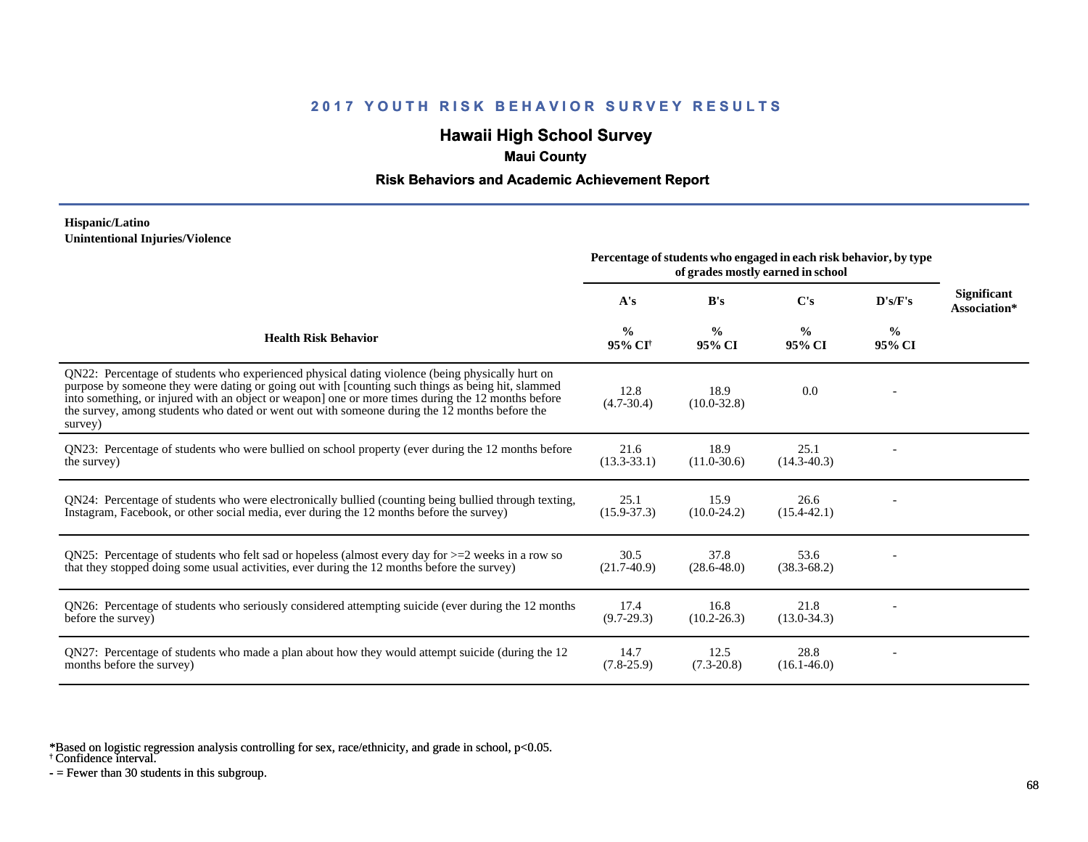# **Hawaii High School Survey**

## **Maui County**

### **Risk Behaviors and Academic Achievement Report**

#### **Hispanic/Latino Unintentional Injuries/Violence**

|                                                                                                                                                                                                                                                                                                                                                                                                                        | Percentage of students who engaged in each risk behavior, by type<br>of grades mostly earned in school |                         |                         |                         |                             |
|------------------------------------------------------------------------------------------------------------------------------------------------------------------------------------------------------------------------------------------------------------------------------------------------------------------------------------------------------------------------------------------------------------------------|--------------------------------------------------------------------------------------------------------|-------------------------|-------------------------|-------------------------|-----------------------------|
|                                                                                                                                                                                                                                                                                                                                                                                                                        | A's                                                                                                    | B's                     | $\bf C's$               | D's/F's                 | Significant<br>Association* |
| <b>Health Risk Behavior</b>                                                                                                                                                                                                                                                                                                                                                                                            | $\frac{0}{0}$<br>95% CI <sup>+</sup>                                                                   | $\frac{0}{0}$<br>95% CI | $\frac{0}{0}$<br>95% CI | $\frac{0}{0}$<br>95% CI |                             |
| QN22: Percentage of students who experienced physical dating violence (being physically hurt on<br>purpose by someone they were dating or going out with [counting such things as being hit, slammed<br>into something, or injured with an object or weapon] one or more times during the 12 months before<br>the survey, among students who dated or went out with someone during the 12 months before the<br>survey) | 12.8<br>$(4.7 - 30.4)$                                                                                 | 18.9<br>$(10.0 - 32.8)$ | 0.0                     |                         |                             |
| QN23: Percentage of students who were bullied on school property (ever during the 12 months before<br>the survey)                                                                                                                                                                                                                                                                                                      | 21.6<br>$(13.3 - 33.1)$                                                                                | 18.9<br>$(11.0 - 30.6)$ | 25.1<br>$(14.3 - 40.3)$ |                         |                             |
| QN24: Percentage of students who were electronically bullied (counting being bullied through texting,<br>Instagram, Facebook, or other social media, ever during the 12 months before the survey)                                                                                                                                                                                                                      | 25.1<br>$(15.9 - 37.3)$                                                                                | 15.9<br>$(10.0-24.2)$   | 26.6<br>$(15.4 - 42.1)$ |                         |                             |
| ON25: Percentage of students who felt sad or hopeless (almost every day for $>=$ 2 weeks in a row so<br>that they stopped doing some usual activities, ever during the 12 months before the survey)                                                                                                                                                                                                                    | 30.5<br>$(21.7-40.9)$                                                                                  | 37.8<br>$(28.6 - 48.0)$ | 53.6<br>$(38.3 - 68.2)$ |                         |                             |
| QN26: Percentage of students who seriously considered attempting suicide (ever during the 12 months<br>before the survey)                                                                                                                                                                                                                                                                                              | 17.4<br>$(9.7-29.3)$                                                                                   | 16.8<br>$(10.2 - 26.3)$ | 21.8<br>$(13.0 - 34.3)$ |                         |                             |
| QN27: Percentage of students who made a plan about how they would attempt suicide (during the 12<br>months before the survey)                                                                                                                                                                                                                                                                                          | 14.7<br>$(7.8-25.9)$                                                                                   | 12.5<br>$(7.3-20.8)$    | 28.8<br>$(16.1 - 46.0)$ |                         |                             |

\*Based on logistic regression analysis controlling for sex, race/ethnicity, and grade in school, p<0.05.

† Confidence interval.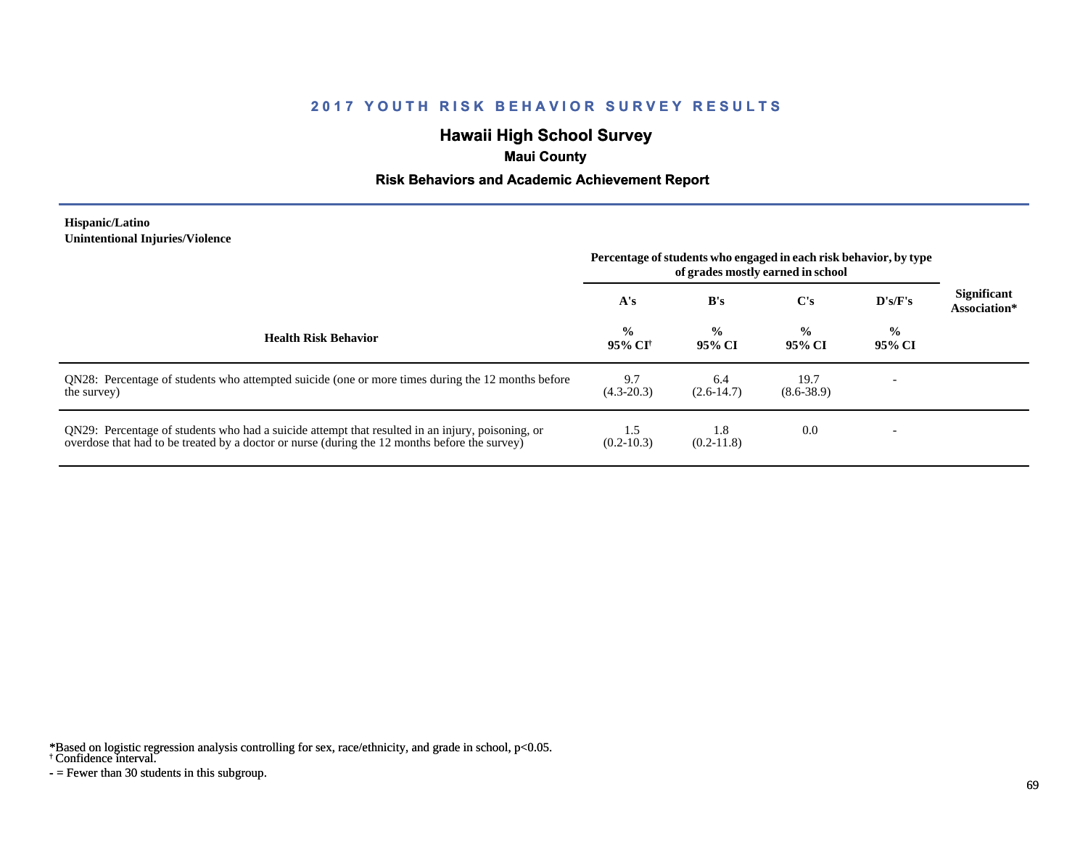# **Hawaii High School Survey**

## **Maui County**

### **Risk Behaviors and Academic Achievement Report**

#### **Hispanic/Latino Unintentional Injuries/Violence**

|                                                                                                                                                                                                   | Percentage of students who engaged in each risk behavior, by type<br>of grades mostly earned in school |                         |                         |                          |                                    |
|---------------------------------------------------------------------------------------------------------------------------------------------------------------------------------------------------|--------------------------------------------------------------------------------------------------------|-------------------------|-------------------------|--------------------------|------------------------------------|
|                                                                                                                                                                                                   | A's                                                                                                    | B's                     | $\bf C's$               | D's/F's                  | <b>Significant</b><br>Association* |
| <b>Health Risk Behavior</b>                                                                                                                                                                       | $\frac{0}{0}$<br>95% CI†                                                                               | $\frac{0}{0}$<br>95% CI | $\frac{0}{0}$<br>95% CI | $\frac{6}{10}$<br>95% CI |                                    |
| ON28: Percentage of students who attempted suicide (one or more times during the 12 months before<br>the survey)                                                                                  | 9.7<br>$(4.3 - 20.3)$                                                                                  | 6.4<br>$(2.6-14.7)$     | 19.7<br>$(8.6 - 38.9)$  |                          |                                    |
| QN29: Percentage of students who had a suicide attempt that resulted in an injury, poisoning, or<br>overdose that had to be treated by a doctor or nurse (during the 12 months before the survey) | 1.5<br>$(0.2-10.3)$                                                                                    | 1.8<br>$(0.2-11.8)$     | 0.0                     | $\overline{\phantom{0}}$ |                                    |

\*Based on logistic regression analysis controlling for sex, race/ethnicity, and grade in school, p<0.05.

#### † Confidence interval.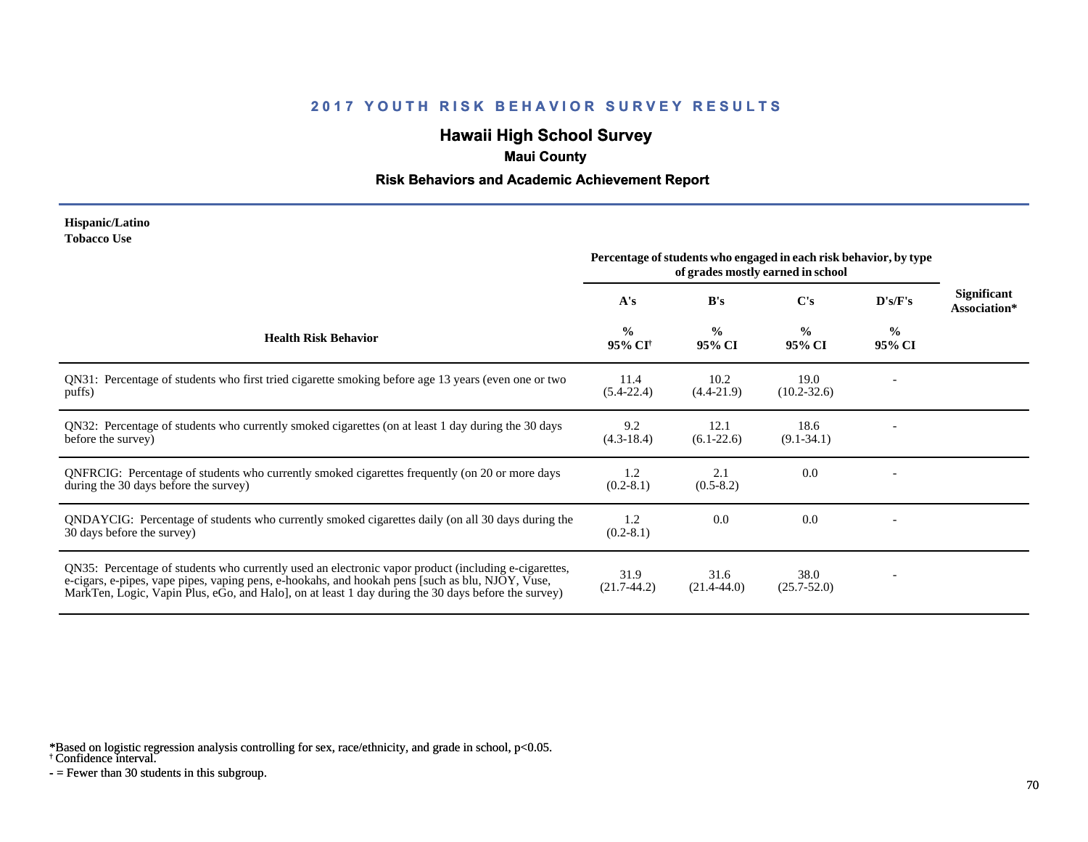# **Hawaii High School Survey**

## **Maui County**

### **Risk Behaviors and Academic Achievement Report**

#### **Hispanic/Latino Tobacco Use**

|                                                                                                                                                                                                                                                                                                                | Percentage of students who engaged in each risk behavior, by type<br>of grades mostly earned in school |                         |                         |                         |                                    |
|----------------------------------------------------------------------------------------------------------------------------------------------------------------------------------------------------------------------------------------------------------------------------------------------------------------|--------------------------------------------------------------------------------------------------------|-------------------------|-------------------------|-------------------------|------------------------------------|
|                                                                                                                                                                                                                                                                                                                | A's                                                                                                    | B's                     | C's                     | D's/F's                 | <b>Significant</b><br>Association* |
| <b>Health Risk Behavior</b>                                                                                                                                                                                                                                                                                    | $\frac{0}{0}$<br>95% CI <sup>+</sup>                                                                   | $\frac{0}{0}$<br>95% CI | $\frac{0}{0}$<br>95% CI | $\frac{0}{0}$<br>95% CI |                                    |
| QN31: Percentage of students who first tried cigarette smoking before age 13 years (even one or two<br>puffs)                                                                                                                                                                                                  | 11.4<br>$(5.4 - 22.4)$                                                                                 | 10.2<br>$(4.4-21.9)$    | 19.0<br>$(10.2 - 32.6)$ |                         |                                    |
| QN32: Percentage of students who currently smoked cigarettes (on at least 1 day during the 30 days<br>before the survey)                                                                                                                                                                                       | 9.2<br>$(4.3-18.4)$                                                                                    | 12.1<br>$(6.1-22.6)$    | 18.6<br>$(9.1 - 34.1)$  |                         |                                    |
| QNFRCIG: Percentage of students who currently smoked cigarettes frequently (on 20 or more days<br>during the 30 days before the survey)                                                                                                                                                                        | 1.2<br>$(0.2-8.1)$                                                                                     | 2.1<br>$(0.5-8.2)$      | 0.0                     |                         |                                    |
| QNDAYCIG: Percentage of students who currently smoked cigarettes daily (on all 30 days during the<br>30 days before the survey)                                                                                                                                                                                | 1.2<br>$(0.2-8.1)$                                                                                     | 0.0                     | 0.0                     |                         |                                    |
| QN35: Percentage of students who currently used an electronic vapor product (including e-cigarettes,<br>e-cigars, e-pipes, vape pipes, vaping pens, e-hookahs, and hookah pens [such as blu, NJOY, Vuse,<br>MarkTen, Logic, Vapin Plus, eGo, and Halo, on at least 1 day during the 30 days before the survey) | 31.9<br>$(21.7-44.2)$                                                                                  | 31.6<br>$(21.4 - 44.0)$ | 38.0<br>$(25.7 - 52.0)$ |                         |                                    |

\*Based on logistic regression analysis controlling for sex, race/ethnicity, and grade in school, p<0.05.

† Confidence interval.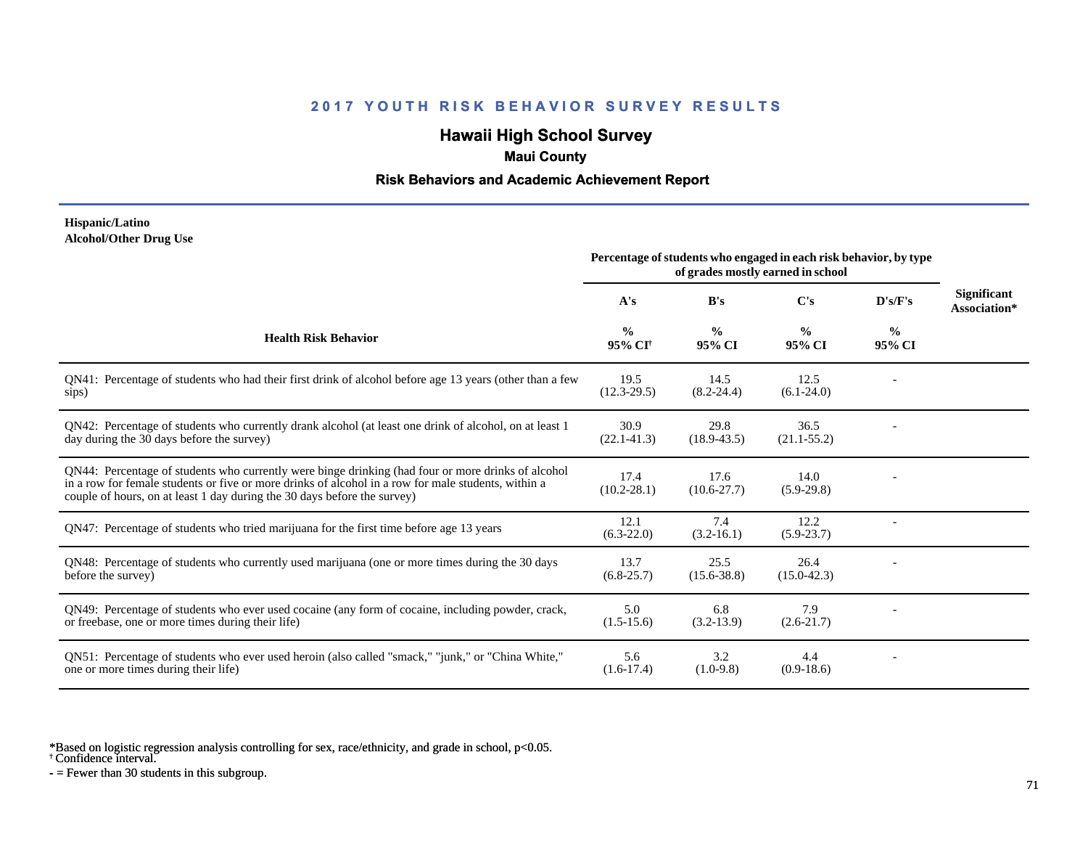# **Hawaii High School Survey**

## **Maui County**

### **Risk Behaviors and Academic Achievement Report**

### **Hispanic/Latino Alcohol/Other Drug Use**

|                                                                                                                                                                                                                                                                                       | Percentage of students who engaged in each risk behavior, by type<br>of grades mostly earned in school |                         |                         |                         |                             |
|---------------------------------------------------------------------------------------------------------------------------------------------------------------------------------------------------------------------------------------------------------------------------------------|--------------------------------------------------------------------------------------------------------|-------------------------|-------------------------|-------------------------|-----------------------------|
|                                                                                                                                                                                                                                                                                       | A's                                                                                                    | B's                     | C's                     | D's/F's                 | Significant<br>Association* |
| <b>Health Risk Behavior</b>                                                                                                                                                                                                                                                           | $\frac{6}{9}$<br>95% CI <sup>†</sup>                                                                   | $\frac{0}{0}$<br>95% CI | $\frac{0}{0}$<br>95% CI | $\frac{0}{0}$<br>95% CI |                             |
| QN41: Percentage of students who had their first drink of alcohol before age 13 years (other than a few<br>sips)                                                                                                                                                                      | 19.5<br>$(12.3-29.5)$                                                                                  | 14.5<br>$(8.2 - 24.4)$  | 12.5<br>$(6.1-24.0)$    |                         |                             |
| QN42: Percentage of students who currently drank alcohol (at least one drink of alcohol, on at least 1<br>day during the 30 days before the survey)                                                                                                                                   | 30.9<br>$(22.1 - 41.3)$                                                                                | 29.8<br>$(18.9 - 43.5)$ | 36.5<br>$(21.1 - 55.2)$ |                         |                             |
| QN44: Percentage of students who currently were binge drinking (had four or more drinks of alcohol<br>in a row for female students or five or more drinks of alcohol in a row for male students, within a<br>couple of hours, on at least 1 day during the 30 days before the survey) | 17.4<br>$(10.2 - 28.1)$                                                                                | 17.6<br>$(10.6 - 27.7)$ | 14.0<br>$(5.9-29.8)$    |                         |                             |
| QN47: Percentage of students who tried marijuana for the first time before age 13 years                                                                                                                                                                                               | 12.1<br>$(6.3-22.0)$                                                                                   | 7.4<br>$(3.2 - 16.1)$   | 12.2<br>$(5.9 - 23.7)$  |                         |                             |
| QN48: Percentage of students who currently used marijuana (one or more times during the 30 days<br>before the survey)                                                                                                                                                                 | 13.7<br>$(6.8-25.7)$                                                                                   | 25.5<br>$(15.6 - 38.8)$ | 26.4<br>$(15.0 - 42.3)$ |                         |                             |
| QN49: Percentage of students who ever used cocaine (any form of cocaine, including powder, crack,<br>or freebase, one or more times during their life)                                                                                                                                | 5.0<br>$(1.5-15.6)$                                                                                    | 6.8<br>$(3.2-13.9)$     | 7.9<br>$(2.6-21.7)$     |                         |                             |
| ON51: Percentage of students who ever used heroin (also called "smack," "junk," or "China White,"<br>one or more times during their life)                                                                                                                                             | 5.6<br>$(1.6-17.4)$                                                                                    | 3.2<br>$(1.0-9.8)$      | 4.4<br>$(0.9-18.6)$     |                         |                             |

\*Based on logistic regression analysis controlling for sex, race/ethnicity, and grade in school, p<0.05.

† Confidence interval.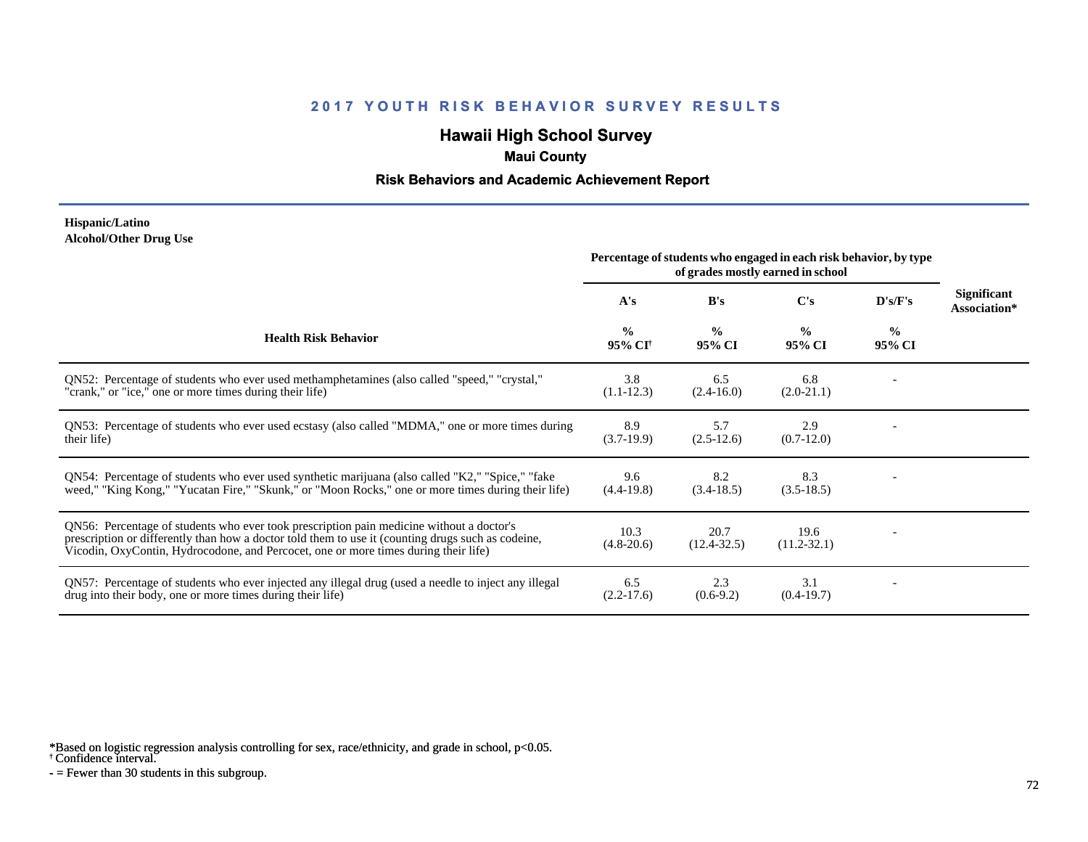# **Hawaii High School Survey**

## **Maui County**

### **Risk Behaviors and Academic Achievement Report**

### **Hispanic/Latino Alcohol/Other Drug Use**

|                                                                                                                                                                                                                                                                                       | Percentage of students who engaged in each risk behavior, by type<br>of grades mostly earned in school |                         |                         |                         |                             |
|---------------------------------------------------------------------------------------------------------------------------------------------------------------------------------------------------------------------------------------------------------------------------------------|--------------------------------------------------------------------------------------------------------|-------------------------|-------------------------|-------------------------|-----------------------------|
|                                                                                                                                                                                                                                                                                       | A's                                                                                                    | B's                     | $\bf C's$               | D's/F's                 | Significant<br>Association* |
| <b>Health Risk Behavior</b>                                                                                                                                                                                                                                                           | $\frac{0}{0}$<br>95% CI <sup>†</sup>                                                                   | $\frac{0}{0}$<br>95% CI | $\frac{0}{0}$<br>95% CI | $\frac{0}{0}$<br>95% CI |                             |
| ON52: Percentage of students who ever used methamphetamines (also called "speed," "crystal,"<br>"crank," or "ice," one or more times during their life)                                                                                                                               | 3.8<br>$(1.1-12.3)$                                                                                    | 6.5<br>$(2.4 - 16.0)$   | 6.8<br>$(2.0-21.1)$     |                         |                             |
| QN53: Percentage of students who ever used ecstasy (also called "MDMA," one or more times during<br>their life)                                                                                                                                                                       | 8.9<br>$(3.7-19.9)$                                                                                    | 5.7<br>$(2.5-12.6)$     | 2.9<br>$(0.7-12.0)$     |                         |                             |
| QN54: Percentage of students who ever used synthetic marijuana (also called "K2," "Spice," "fake<br>weed," "King Kong," "Yucatan Fire," "Skunk," or "Moon Rocks," one or more times during their life)                                                                                | 9.6<br>$(4.4-19.8)$                                                                                    | 8.2<br>$(3.4-18.5)$     | 8.3<br>$(3.5-18.5)$     |                         |                             |
| QN56: Percentage of students who ever took prescription pain medicine without a doctor's<br>prescription or differently than how a doctor told them to use it (counting drugs such as codeine,<br>Vicodin, OxyContin, Hydrocodone, and Percocet, one or more times during their life) | 10.3<br>$(4.8-20.6)$                                                                                   | 20.7<br>$(12.4 - 32.5)$ | 19.6<br>$(11.2 - 32.1)$ |                         |                             |
| QN57: Percentage of students who ever injected any illegal drug (used a needle to inject any illegal<br>drug into their body, one or more times during their life)                                                                                                                    | 6.5<br>$(2.2-17.6)$                                                                                    | 2.3<br>$(0.6-9.2)$      | 3.1<br>$(0.4-19.7)$     |                         |                             |

\*Based on logistic regression analysis controlling for sex, race/ethnicity, and grade in school, p<0.05.

† Confidence interval.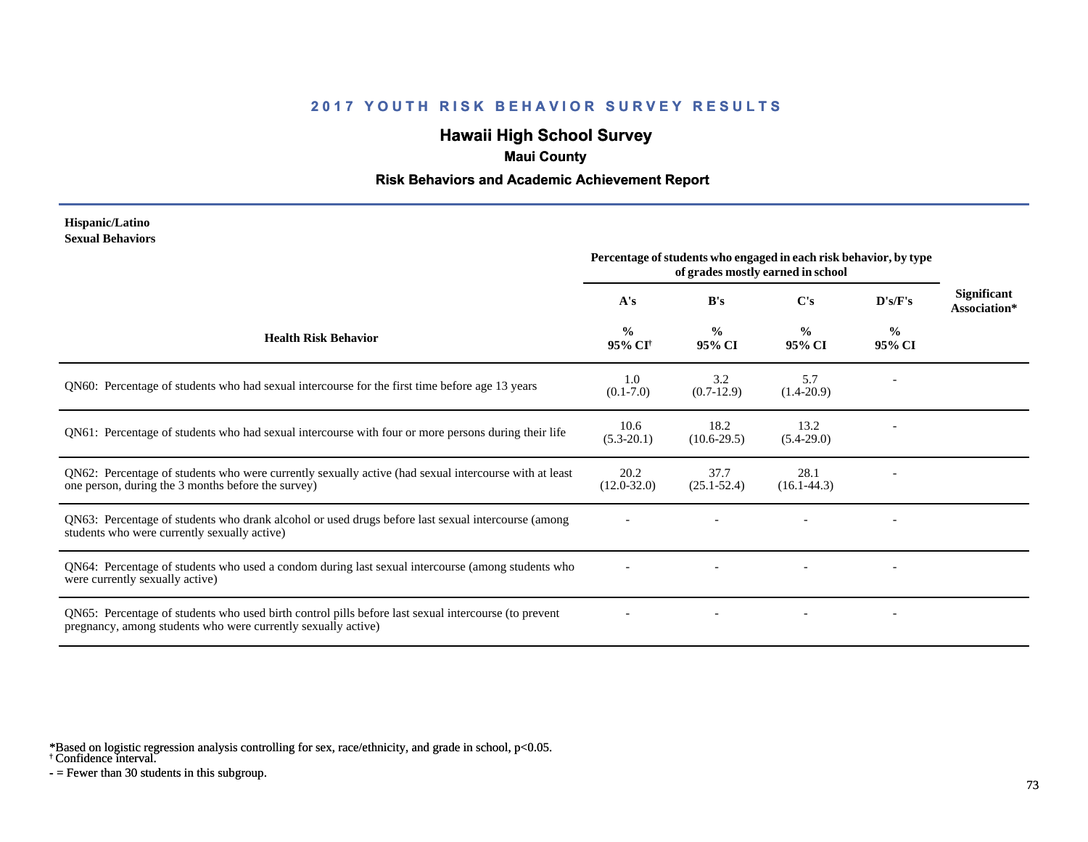# **Hawaii High School Survey**

### **Maui County**

### **Risk Behaviors and Academic Achievement Report**

#### **Hispanic/Latino Sexual Behaviors**

|                                                                                                                                                                       | Percentage of students who engaged in each risk behavior, by type<br>of grades mostly earned in school |                         |                         |                          |                                    |
|-----------------------------------------------------------------------------------------------------------------------------------------------------------------------|--------------------------------------------------------------------------------------------------------|-------------------------|-------------------------|--------------------------|------------------------------------|
|                                                                                                                                                                       | A's                                                                                                    | B's                     | C's                     | D's/F's                  | <b>Significant</b><br>Association* |
| <b>Health Risk Behavior</b>                                                                                                                                           | $\frac{0}{0}$<br>95% CI <sup>†</sup>                                                                   | $\frac{0}{0}$<br>95% CI | $\frac{0}{0}$<br>95% CI | $\frac{0}{0}$<br>95% CI  |                                    |
| QN60: Percentage of students who had sexual intercourse for the first time before age 13 years                                                                        | 1.0<br>$(0.1 - 7.0)$                                                                                   | 3.2<br>$(0.7-12.9)$     | 5.7<br>$(1.4-20.9)$     |                          |                                    |
| QN61: Percentage of students who had sexual intercourse with four or more persons during their life                                                                   | 10.6<br>$(5.3-20.1)$                                                                                   | 18.2<br>$(10.6-29.5)$   | 13.2<br>$(5.4-29.0)$    |                          |                                    |
| QN62: Percentage of students who were currently sexually active (had sexual intercourse with at least<br>one person, during the 3 months before the survey)           | 20.2<br>$(12.0 - 32.0)$                                                                                | 37.7<br>$(25.1 - 52.4)$ | 28.1<br>$(16.1 - 44.3)$ |                          |                                    |
| QN63: Percentage of students who drank alcohol or used drugs before last sexual intercourse (among<br>students who were currently sexually active)                    |                                                                                                        |                         |                         | $\overline{\phantom{a}}$ |                                    |
| QN64: Percentage of students who used a condom during last sexual intercourse (among students who<br>were currently sexually active)                                  |                                                                                                        |                         |                         |                          |                                    |
| QN65: Percentage of students who used birth control pills before last sexual intercourse (to prevent<br>pregnancy, among students who were currently sexually active) |                                                                                                        |                         |                         | $\overline{\phantom{a}}$ |                                    |

\*Based on logistic regression analysis controlling for sex, race/ethnicity, and grade in school, p<0.05.

† Confidence interval.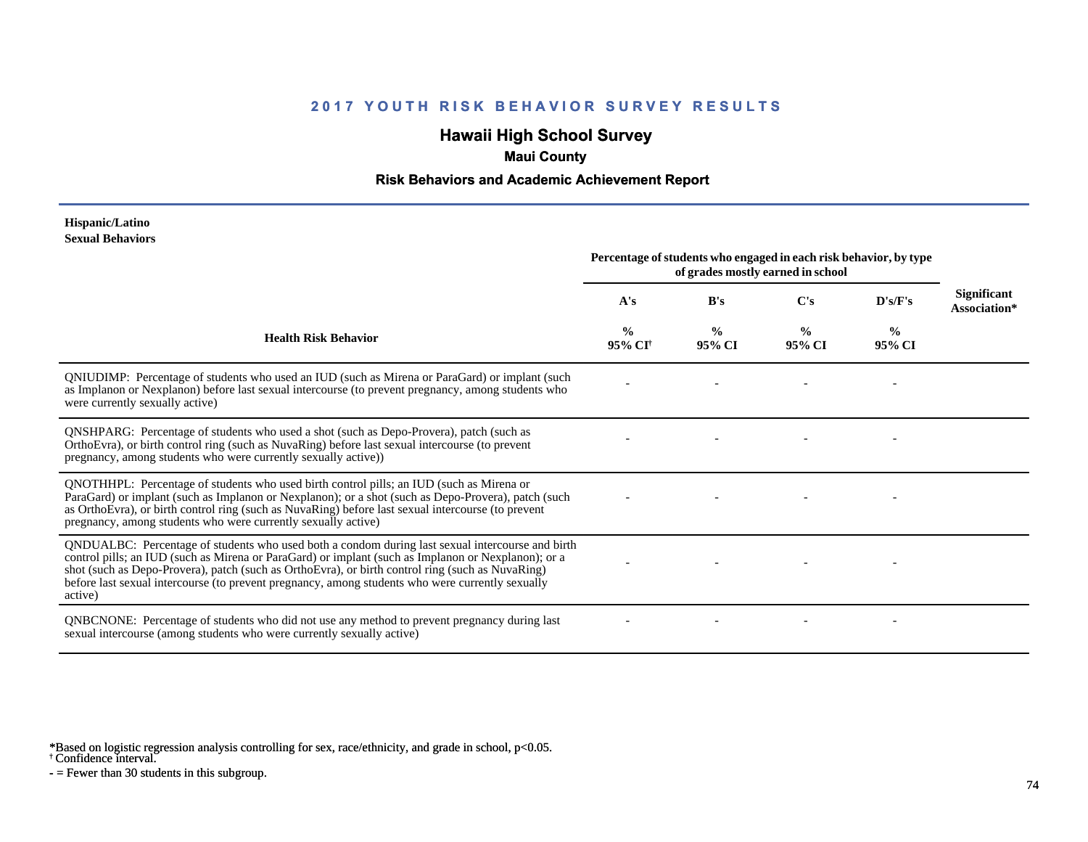# **Hawaii High School Survey**

### **Maui County**

### **Risk Behaviors and Academic Achievement Report**

#### **Hispanic/Latino Sexual Behaviors**

|                                                                                                                                                                                                                                                                                                                                                                                                                            | Percentage of students who engaged in each risk behavior, by type<br>of grades mostly earned in school |                         |                         |                         |                             |
|----------------------------------------------------------------------------------------------------------------------------------------------------------------------------------------------------------------------------------------------------------------------------------------------------------------------------------------------------------------------------------------------------------------------------|--------------------------------------------------------------------------------------------------------|-------------------------|-------------------------|-------------------------|-----------------------------|
|                                                                                                                                                                                                                                                                                                                                                                                                                            | A's                                                                                                    | B's                     | C's                     | D's/F's                 | Significant<br>Association* |
| <b>Health Risk Behavior</b>                                                                                                                                                                                                                                                                                                                                                                                                | $\frac{0}{0}$<br>95% CI                                                                                | $\frac{0}{0}$<br>95% CI | $\frac{0}{0}$<br>95% CI | $\frac{0}{0}$<br>95% CI |                             |
| QNIUDIMP: Percentage of students who used an IUD (such as Mirena or ParaGard) or implant (such<br>as Implanon or Nexplanon) before last sexual intercourse (to prevent pregnancy, among students who<br>were currently sexually active)                                                                                                                                                                                    |                                                                                                        |                         |                         |                         |                             |
| QNSHPARG: Percentage of students who used a shot (such as Depo-Provera), patch (such as<br>OrthoEvra), or birth control ring (such as NuvaRing) before last sexual intercourse (to prevent<br>pregnancy, among students who were currently sexually active))                                                                                                                                                               |                                                                                                        |                         |                         |                         |                             |
| QNOTHHPL: Percentage of students who used birth control pills; an IUD (such as Mirena or<br>ParaGard) or implant (such as Implanon or Nexplanon); or a shot (such as Depo-Provera), patch (such<br>as OrthoEvra), or birth control ring (such as NuvaRing) before last sexual intercourse (to prevent<br>pregnancy, among students who were currently sexually active)                                                     |                                                                                                        |                         |                         |                         |                             |
| QNDUALBC: Percentage of students who used both a condom during last sexual intercourse and birth<br>control pills; an IUD (such as Mirena or ParaGard) or implant (such as Implanon or Nexplanon); or a<br>shot (such as Depo-Provera), patch (such as OrthoEvra), or birth control ring (such as NuvaRing)<br>before last sexual intercourse (to prevent pregnancy, among students who were currently sexually<br>active) |                                                                                                        |                         |                         |                         |                             |
| QNBCNONE: Percentage of students who did not use any method to prevent pregnancy during last<br>sexual intercourse (among students who were currently sexually active)                                                                                                                                                                                                                                                     |                                                                                                        |                         |                         |                         |                             |

\*Based on logistic regression analysis controlling for sex, race/ethnicity, and grade in school, p<0.05.

† Confidence interval.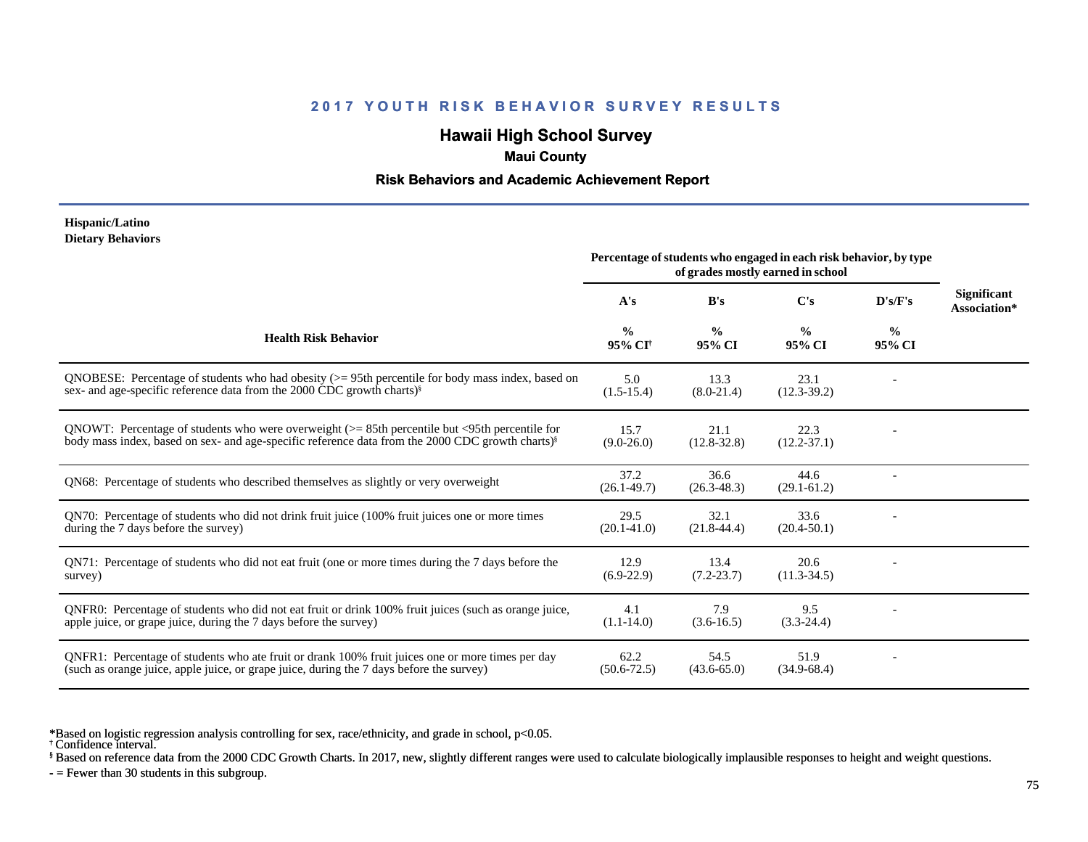# **Hawaii High School Survey**

### **Maui County**

### **Risk Behaviors and Academic Achievement Report**

#### **Hispanic/Latino Dietary Behaviors**

|                                                                                                                                                                                                                         | Percentage of students who engaged in each risk behavior, by type<br>of grades mostly earned in school |                         |                         |                         |                                    |
|-------------------------------------------------------------------------------------------------------------------------------------------------------------------------------------------------------------------------|--------------------------------------------------------------------------------------------------------|-------------------------|-------------------------|-------------------------|------------------------------------|
|                                                                                                                                                                                                                         | A's                                                                                                    | B's                     | $\bf C's$               | D's/F's                 | <b>Significant</b><br>Association* |
| <b>Health Risk Behavior</b>                                                                                                                                                                                             | $\frac{6}{6}$<br>95% CI <sup>†</sup>                                                                   | $\frac{0}{0}$<br>95% CI | $\frac{0}{0}$<br>95% CI | $\frac{6}{9}$<br>95% CI |                                    |
| QNOBESE: Percentage of students who had obesity $(>= 95$ th percentile for body mass index, based on<br>sex- and age-specific reference data from the 2000 CDC growth charts) <sup>§</sup>                              | 5.0<br>$(1.5-15.4)$                                                                                    | 13.3<br>$(8.0-21.4)$    | 23.1<br>$(12.3-39.2)$   |                         |                                    |
| QNOWT: Percentage of students who were overweight $(>= 85$ th percentile but $\leq$ 95th percentile for<br>body mass index, based on sex- and age-specific reference data from the 2000 CDC growth charts) <sup>§</sup> | 15.7<br>$(9.0 - 26.0)$                                                                                 | 21.1<br>$(12.8 - 32.8)$ | 22.3<br>$(12.2 - 37.1)$ |                         |                                    |
| QN68: Percentage of students who described themselves as slightly or very overweight                                                                                                                                    | 37.2<br>$(26.1 - 49.7)$                                                                                | 36.6<br>$(26.3 - 48.3)$ | 44.6<br>$(29.1 - 61.2)$ |                         |                                    |
| QN70: Percentage of students who did not drink fruit juice (100% fruit juices one or more times<br>during the 7 days before the survey)                                                                                 | 29.5<br>$(20.1 - 41.0)$                                                                                | 32.1<br>$(21.8-44.4)$   | 33.6<br>$(20.4 - 50.1)$ |                         |                                    |
| QN71: Percentage of students who did not eat fruit (one or more times during the 7 days before the<br>survey)                                                                                                           | 12.9<br>$(6.9-22.9)$                                                                                   | 13.4<br>$(7.2 - 23.7)$  | 20.6<br>$(11.3 - 34.5)$ |                         |                                    |
| QNFR0: Percentage of students who did not eat fruit or drink 100% fruit juices (such as orange juice,<br>apple juice, or grape juice, during the 7 days before the survey)                                              | 4.1<br>$(1.1 - 14.0)$                                                                                  | 7.9<br>$(3.6-16.5)$     | 9.5<br>$(3.3-24.4)$     |                         |                                    |
| QNFR1: Percentage of students who ate fruit or drank 100% fruit juices one or more times per day<br>(such as orange juice, apple juice, or grape juice, during the 7 days before the survey)                            | 62.2<br>$(50.6 - 72.5)$                                                                                | 54.5<br>$(43.6 - 65.0)$ | 51.9<br>$(34.9 - 68.4)$ |                         |                                    |

\*Based on logistic regression analysis controlling for sex, race/ethnicity, and grade in school, p<0.05.

† Confidence interval.

§ Based on reference data from the 2000 CDC Growth Charts. In 2017, new, slightly different ranges were used to calculate biologically implausible responses to height and weight questions.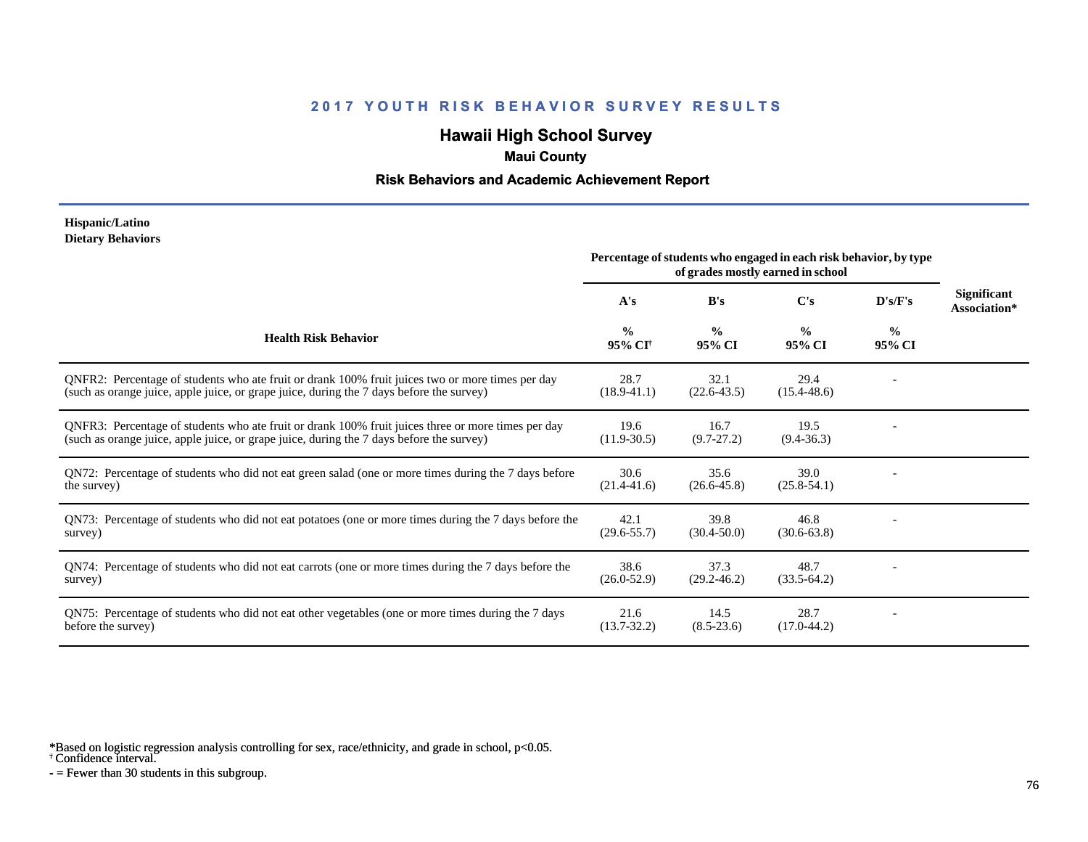# **Hawaii High School Survey**

### **Maui County**

### **Risk Behaviors and Academic Achievement Report**

#### **Hispanic/Latino Dietary Behaviors**

|                                                                                                                                                                                                | Percentage of students who engaged in each risk behavior, by type<br>of grades mostly earned in school |                         |                         |                         |                                    |
|------------------------------------------------------------------------------------------------------------------------------------------------------------------------------------------------|--------------------------------------------------------------------------------------------------------|-------------------------|-------------------------|-------------------------|------------------------------------|
|                                                                                                                                                                                                | A's                                                                                                    | B's                     | C's                     | D's/F's                 | <b>Significant</b><br>Association* |
| <b>Health Risk Behavior</b>                                                                                                                                                                    | $\frac{0}{0}$<br>95% CI <sup>†</sup>                                                                   | $\frac{0}{0}$<br>95% CI | $\frac{0}{0}$<br>95% CI | $\frac{0}{0}$<br>95% CI |                                    |
| QNFR2: Percentage of students who ate fruit or drank 100% fruit juices two or more times per day<br>(such as orange juice, apple juice, or grape juice, during the 7 days before the survey)   | 28.7<br>$(18.9 - 41.1)$                                                                                | 32.1<br>$(22.6 - 43.5)$ | 29.4<br>$(15.4 - 48.6)$ |                         |                                    |
| QNFR3: Percentage of students who ate fruit or drank 100% fruit juices three or more times per day<br>(such as orange juice, apple juice, or grape juice, during the 7 days before the survey) | 19.6<br>$(11.9 - 30.5)$                                                                                | 16.7<br>$(9.7-27.2)$    | 19.5<br>$(9.4 - 36.3)$  |                         |                                    |
| QN72: Percentage of students who did not eat green salad (one or more times during the 7 days before<br>the survey)                                                                            | 30.6<br>$(21.4 - 41.6)$                                                                                | 35.6<br>$(26.6 - 45.8)$ | 39.0<br>$(25.8 - 54.1)$ |                         |                                    |
| QN73: Percentage of students who did not eat potatoes (one or more times during the 7 days before the<br>survey)                                                                               | 42.1<br>$(29.6 - 55.7)$                                                                                | 39.8<br>$(30.4 - 50.0)$ | 46.8<br>$(30.6 - 63.8)$ |                         |                                    |
| QN74: Percentage of students who did not eat carrots (one or more times during the 7 days before the<br>survey)                                                                                | 38.6<br>$(26.0 - 52.9)$                                                                                | 37.3<br>$(29.2 - 46.2)$ | 48.7<br>$(33.5-64.2)$   |                         |                                    |
| QN75: Percentage of students who did not eat other vegetables (one or more times during the 7 days<br>before the survey)                                                                       | 21.6<br>$(13.7 - 32.2)$                                                                                | 14.5<br>$(8.5 - 23.6)$  | 28.7<br>$(17.0 - 44.2)$ |                         |                                    |

\*Based on logistic regression analysis controlling for sex, race/ethnicity, and grade in school, p<0.05.

† Confidence interval.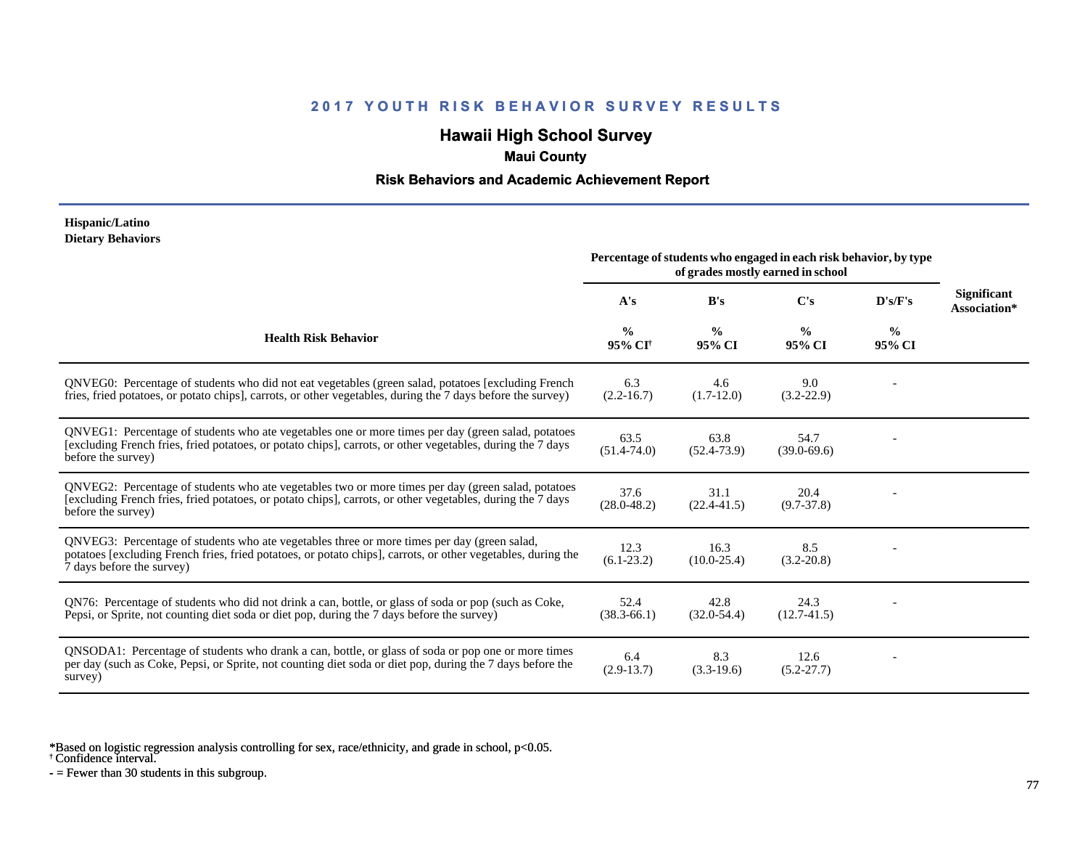# **Hawaii High School Survey**

### **Maui County**

### **Risk Behaviors and Academic Achievement Report**

#### **Hispanic/Latino Dietary Behaviors**

|                                                                                                                                                                                                                                          | Percentage of students who engaged in each risk behavior, by type<br>of grades mostly earned in school |                         |                         |                         |                                    |
|------------------------------------------------------------------------------------------------------------------------------------------------------------------------------------------------------------------------------------------|--------------------------------------------------------------------------------------------------------|-------------------------|-------------------------|-------------------------|------------------------------------|
|                                                                                                                                                                                                                                          | A's                                                                                                    | B's                     | C's                     | D's/F's                 | <b>Significant</b><br>Association* |
| <b>Health Risk Behavior</b>                                                                                                                                                                                                              | $\frac{0}{0}$<br>95% CI <sup>†</sup>                                                                   | $\frac{0}{0}$<br>95% CI | $\frac{0}{0}$<br>95% CI | $\frac{0}{0}$<br>95% CI |                                    |
| QNVEG0: Percentage of students who did not eat vegetables (green salad, potatoes [excluding French]<br>fries, fried potatoes, or potato chips], carrots, or other vegetables, during the 7 days before the survey)                       | 6.3<br>$(2.2 - 16.7)$                                                                                  | 4.6<br>$(1.7-12.0)$     | 9.0<br>$(3.2 - 22.9)$   |                         |                                    |
| QNVEG1: Percentage of students who ate vegetables one or more times per day (green salad, potatoes<br>[excluding French fries, fried potatoes, or potato chips], carrots, or other vegetables, during the 7 days<br>before the survey)   | 63.5<br>$(51.4 - 74.0)$                                                                                | 63.8<br>$(52.4 - 73.9)$ | 54.7<br>$(39.0 - 69.6)$ |                         |                                    |
| QNVEG2: Percentage of students who ate vegetables two or more times per day (green salad, potatoes<br>[excluding French fries, fried potatoes, or potato chips], carrots, or other vegetables, during the 7 days<br>before the survey)   | 37.6<br>$(28.0 - 48.2)$                                                                                | 31.1<br>$(22.4 - 41.5)$ | 20.4<br>$(9.7 - 37.8)$  |                         |                                    |
| QNVEG3: Percentage of students who ate vegetables three or more times per day (green salad,<br>potatoes [excluding French fries, fried potatoes, or potato chips], carrots, or other vegetables, during the<br>7 days before the survey) | 12.3<br>$(6.1-23.2)$                                                                                   | 16.3<br>$(10.0 - 25.4)$ | 8.5<br>$(3.2 - 20.8)$   |                         |                                    |
| QN76: Percentage of students who did not drink a can, bottle, or glass of soda or pop (such as Coke,<br>Pepsi, or Sprite, not counting diet soda or diet pop, during the 7 days before the survey)                                       | 52.4<br>$(38.3 - 66.1)$                                                                                | 42.8<br>$(32.0 - 54.4)$ | 24.3<br>$(12.7-41.5)$   |                         |                                    |
| QNSODA1: Percentage of students who drank a can, bottle, or glass of soda or pop one or more times<br>per day (such as Coke, Pepsi, or Sprite, not counting diet soda or diet pop, during the 7 days before the<br>survey)               | 6.4<br>$(2.9-13.7)$                                                                                    | 8.3<br>$(3.3-19.6)$     | 12.6<br>$(5.2 - 27.7)$  |                         |                                    |

\*Based on logistic regression analysis controlling for sex, race/ethnicity, and grade in school, p<0.05.

† Confidence interval.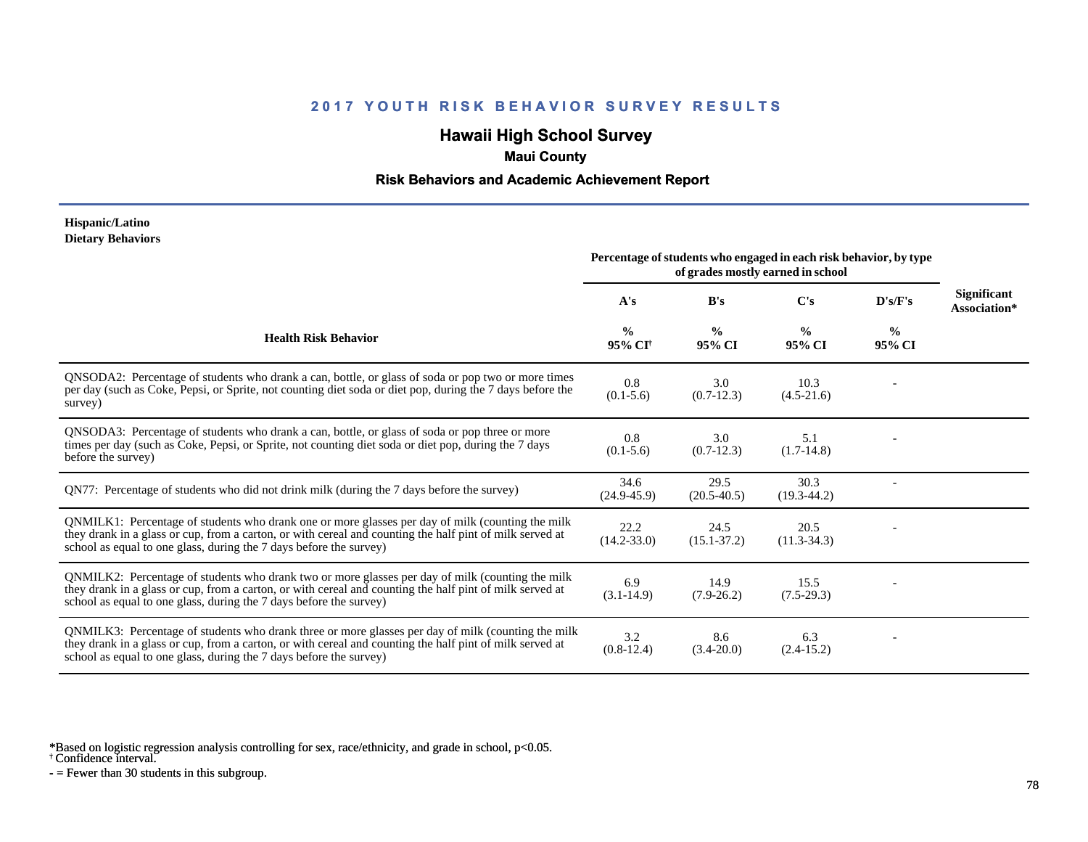# **Hawaii High School Survey**

### **Maui County**

### **Risk Behaviors and Academic Achievement Report**

#### **Hispanic/Latino Dietary Behaviors**

|                                                                                                                                                                                                                                                                                      | Percentage of students who engaged in each risk behavior, by type<br>of grades mostly earned in school |                         |                         |                         |                             |
|--------------------------------------------------------------------------------------------------------------------------------------------------------------------------------------------------------------------------------------------------------------------------------------|--------------------------------------------------------------------------------------------------------|-------------------------|-------------------------|-------------------------|-----------------------------|
|                                                                                                                                                                                                                                                                                      | A's                                                                                                    | B's                     | $\bf C's$               | D's/F's                 | Significant<br>Association* |
| <b>Health Risk Behavior</b>                                                                                                                                                                                                                                                          | $\frac{0}{0}$<br>95% CI <sup>+</sup>                                                                   | $\frac{6}{9}$<br>95% CI | $\frac{0}{0}$<br>95% CI | $\frac{0}{0}$<br>95% CI |                             |
| QNSODA2: Percentage of students who drank a can, bottle, or glass of soda or pop two or more times<br>per day (such as Coke, Pepsi, or Sprite, not counting diet soda or diet pop, during the 7 days before the<br>survey)                                                           | 0.8<br>$(0.1 - 5.6)$                                                                                   | 3.0<br>$(0.7-12.3)$     | 10.3<br>$(4.5-21.6)$    |                         |                             |
| QNSODA3: Percentage of students who drank a can, bottle, or glass of soda or pop three or more<br>times per day (such as Coke, Pepsi, or Sprite, not counting diet soda or diet pop, during the 7 days<br>before the survey)                                                         | 0.8<br>$(0.1 - 5.6)$                                                                                   | 3.0<br>$(0.7-12.3)$     | 5.1<br>$(1.7-14.8)$     |                         |                             |
| QN77: Percentage of students who did not drink milk (during the 7 days before the survey)                                                                                                                                                                                            | 34.6<br>$(24.9 - 45.9)$                                                                                | 29.5<br>$(20.5 - 40.5)$ | 30.3<br>$(19.3 - 44.2)$ |                         |                             |
| QNMILK1: Percentage of students who drank one or more glasses per day of milk (counting the milk<br>they drank in a glass or cup, from a carton, or with cereal and counting the half pint of milk served at<br>school as equal to one glass, during the 7 days before the survey)   | 22.2<br>$(14.2 - 33.0)$                                                                                | 24.5<br>$(15.1 - 37.2)$ | 20.5<br>$(11.3-34.3)$   |                         |                             |
| QNMILK2: Percentage of students who drank two or more glasses per day of milk (counting the milk<br>they drank in a glass or cup, from a carton, or with cereal and counting the half pint of milk served at<br>school as equal to one glass, during the 7 days before the survey)   | 6.9<br>$(3.1 - 14.9)$                                                                                  | 14.9<br>$(7.9-26.2)$    | 15.5<br>$(7.5-29.3)$    |                         |                             |
| QNMILK3: Percentage of students who drank three or more glasses per day of milk (counting the milk<br>they drank in a glass or cup, from a carton, or with cereal and counting the half pint of milk served at<br>school as equal to one glass, during the 7 days before the survey) | 3.2<br>$(0.8-12.4)$                                                                                    | 8.6<br>$(3.4 - 20.0)$   | 6.3<br>$(2.4-15.2)$     |                         |                             |

\*Based on logistic regression analysis controlling for sex, race/ethnicity, and grade in school, p<0.05.

† Confidence interval.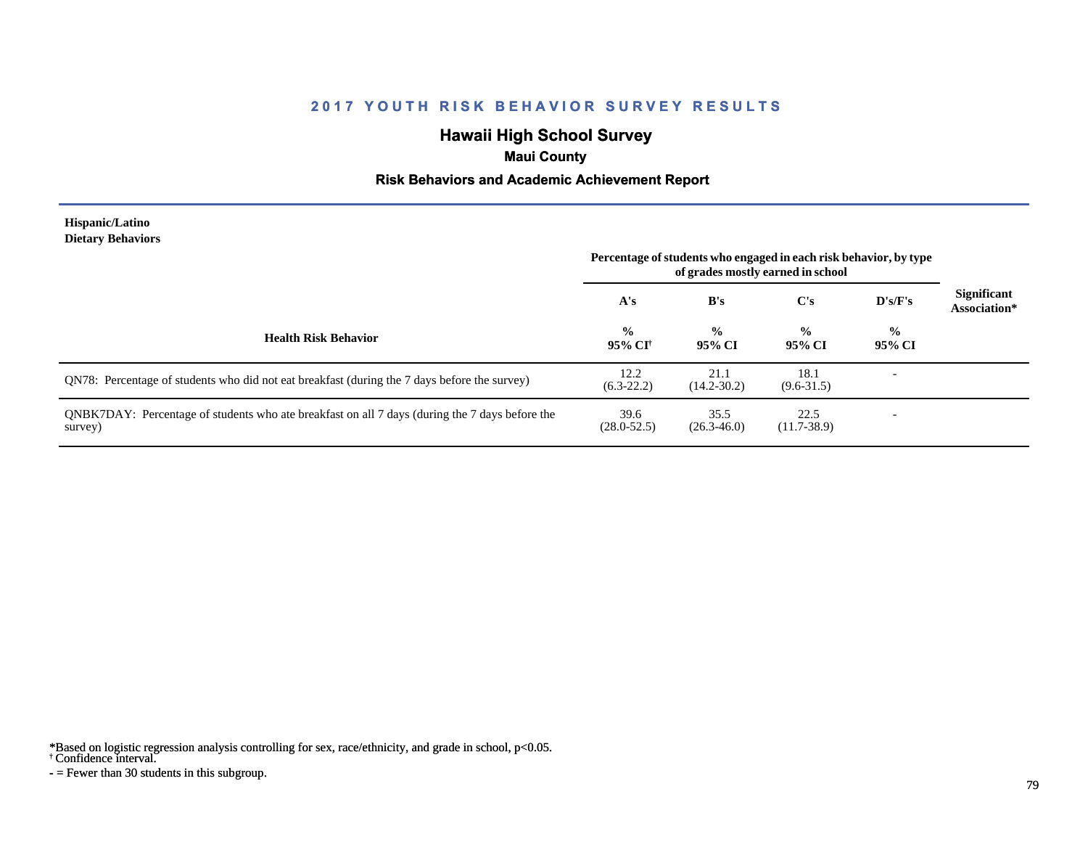# **Hawaii High School Survey**

## **Maui County**

### **Risk Behaviors and Academic Achievement Report**

#### **Hispanic/Latino Dietary Behaviors**

|                                                                                                           | Percentage of students who engaged in each risk behavior, by type<br>of grades mostly earned in school |                         |                         |                          |                                    |
|-----------------------------------------------------------------------------------------------------------|--------------------------------------------------------------------------------------------------------|-------------------------|-------------------------|--------------------------|------------------------------------|
|                                                                                                           | A's                                                                                                    | B's                     | $\bf C's$               | D's/F's                  | <b>Significant</b><br>Association* |
| <b>Health Risk Behavior</b>                                                                               | $\frac{6}{6}$<br>95% CI†                                                                               | $\frac{0}{0}$<br>95% CI | $\frac{0}{0}$<br>95% CI | $\frac{6}{6}$<br>95% CI  |                                    |
| QN78: Percentage of students who did not eat breakfast (during the 7 days before the survey)              | 12.2<br>$(6.3-22.2)$                                                                                   | 21.1<br>$(14.2 - 30.2)$ | 18.1<br>$(9.6 - 31.5)$  |                          |                                    |
| QNBK7DAY: Percentage of students who ate breakfast on all 7 days (during the 7 days before the<br>survey) | 39.6<br>$(28.0 - 52.5)$                                                                                | 35.5<br>$(26.3 - 46.0)$ | 22.5<br>$(11.7-38.9)$   | $\overline{\phantom{a}}$ |                                    |

\*Based on logistic regression analysis controlling for sex, race/ethnicity, and grade in school, p<0.05.

† Confidence interval.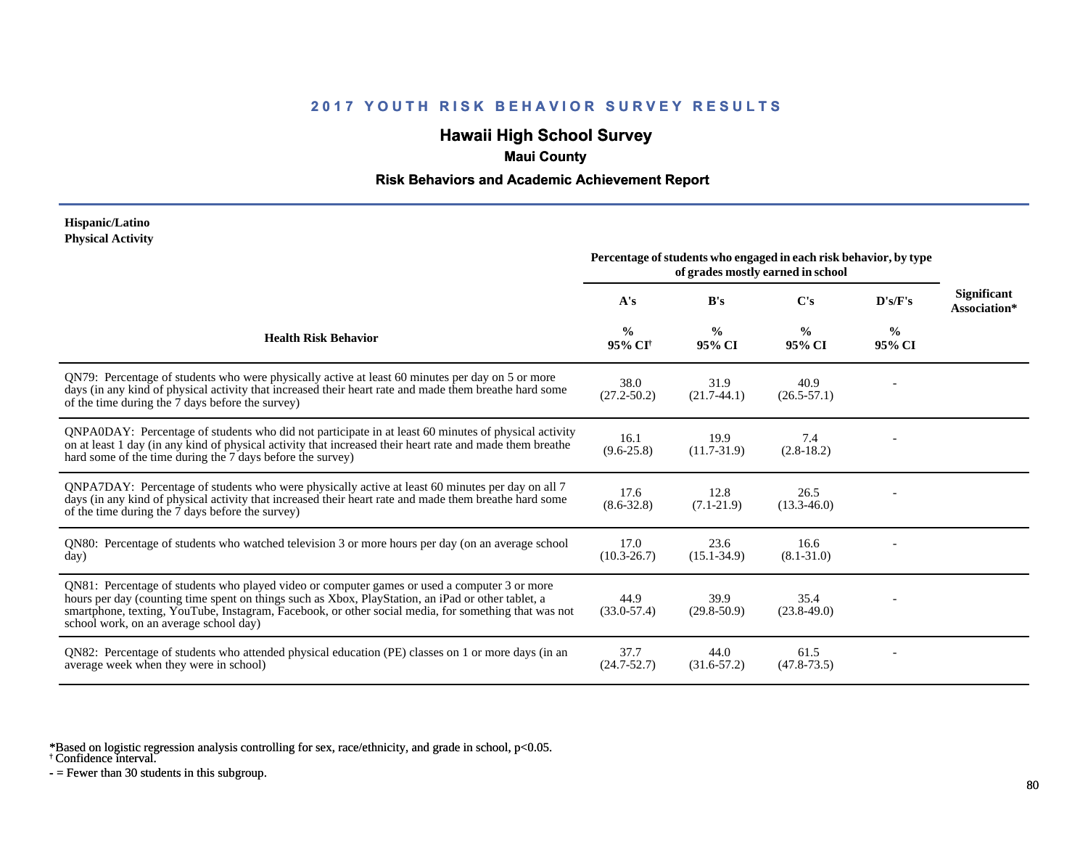# **Hawaii High School Survey**

### **Maui County**

### **Risk Behaviors and Academic Achievement Report**

#### **Hispanic/Latino Physical Activity**

|                                                                                                                                                                                                                                                                                                                                                      | Percentage of students who engaged in each risk behavior, by type<br>of grades mostly earned in school |                         |                         |                         |                                    |
|------------------------------------------------------------------------------------------------------------------------------------------------------------------------------------------------------------------------------------------------------------------------------------------------------------------------------------------------------|--------------------------------------------------------------------------------------------------------|-------------------------|-------------------------|-------------------------|------------------------------------|
|                                                                                                                                                                                                                                                                                                                                                      | A's                                                                                                    | B's                     | C's                     | $\bf{D's/F's}$          | <b>Significant</b><br>Association* |
| <b>Health Risk Behavior</b>                                                                                                                                                                                                                                                                                                                          | $\frac{0}{0}$<br>95% CI <sup>+</sup>                                                                   | $\frac{0}{0}$<br>95% CI | $\frac{0}{0}$<br>95% CI | $\frac{0}{0}$<br>95% CI |                                    |
| QN79: Percentage of students who were physically active at least 60 minutes per day on 5 or more<br>days (in any kind of physical activity that increased their heart rate and made them breathe hard some<br>of the time during the 7 days before the survey)                                                                                       | 38.0<br>$(27.2 - 50.2)$                                                                                | 31.9<br>$(21.7-44.1)$   | 40.9<br>$(26.5 - 57.1)$ |                         |                                    |
| QNPA0DAY: Percentage of students who did not participate in at least 60 minutes of physical activity<br>on at least 1 day (in any kind of physical activity that increased their heart rate and made them breathe<br>hard some of the time during the 7 days before the survey)                                                                      | 16.1<br>$(9.6 - 25.8)$                                                                                 | 19.9<br>$(11.7-31.9)$   | 7.4<br>$(2.8-18.2)$     |                         |                                    |
| QNPA7DAY: Percentage of students who were physically active at least 60 minutes per day on all 7<br>days (in any kind of physical activity that increased their heart rate and made them breathe hard some<br>of the time during the 7 days before the survey)                                                                                       | 17.6<br>$(8.6 - 32.8)$                                                                                 | 12.8<br>$(7.1 - 21.9)$  | 26.5<br>$(13.3 - 46.0)$ |                         |                                    |
| QN80: Percentage of students who watched television 3 or more hours per day (on an average school<br>day)                                                                                                                                                                                                                                            | 17.0<br>$(10.3 - 26.7)$                                                                                | 23.6<br>$(15.1 - 34.9)$ | 16.6<br>$(8.1 - 31.0)$  |                         |                                    |
| QN81: Percentage of students who played video or computer games or used a computer 3 or more<br>hours per day (counting time spent on things such as Xbox, PlayStation, an iPad or other tablet, a<br>smartphone, texting, YouTube, Instagram, Facebook, or other social media, for something that was not<br>school work, on an average school day) | 44.9<br>$(33.0 - 57.4)$                                                                                | 39.9<br>$(29.8 - 50.9)$ | 35.4<br>$(23.8-49.0)$   |                         |                                    |
| QN82: Percentage of students who attended physical education (PE) classes on 1 or more days (in an<br>average week when they were in school)                                                                                                                                                                                                         | 37.7<br>$(24.7 - 52.7)$                                                                                | 44.0<br>$(31.6 - 57.2)$ | 61.5<br>$(47.8 - 73.5)$ |                         |                                    |

\*Based on logistic regression analysis controlling for sex, race/ethnicity, and grade in school, p<0.05.

† Confidence interval.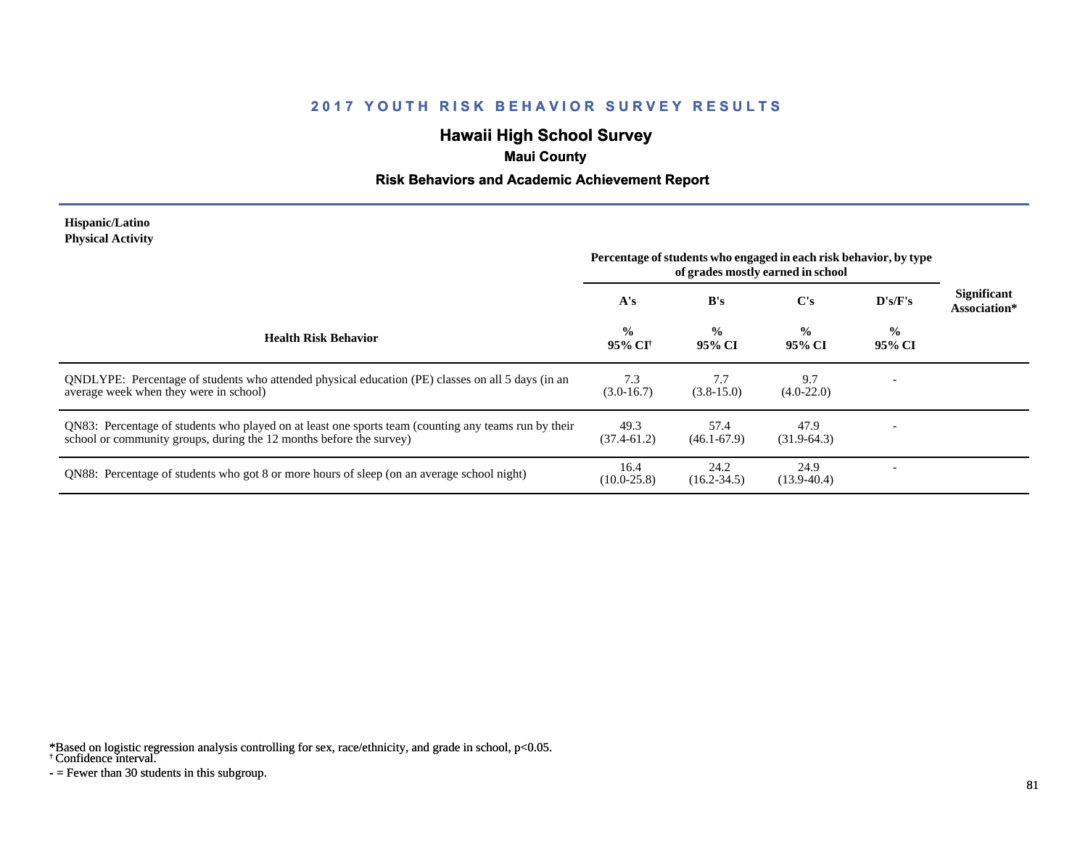# **Hawaii High School Survey**

### **Maui County**

### **Risk Behaviors and Academic Achievement Report**

#### **Hispanic/Latino Physical Activity**

|                                                                                                                                                                             | Percentage of students who engaged in each risk behavior, by type<br>of grades mostly earned in school |                         |                         |                         |                                    |
|-----------------------------------------------------------------------------------------------------------------------------------------------------------------------------|--------------------------------------------------------------------------------------------------------|-------------------------|-------------------------|-------------------------|------------------------------------|
|                                                                                                                                                                             | A's                                                                                                    | B's                     | C's                     | D's/F's                 | <b>Significant</b><br>Association* |
| <b>Health Risk Behavior</b>                                                                                                                                                 | $\frac{0}{0}$<br>95% CI†                                                                               | $\frac{0}{0}$<br>95% CI | $\frac{0}{0}$<br>95% CI | $\frac{0}{0}$<br>95% CI |                                    |
| ONDLYPE: Percentage of students who attended physical education (PE) classes on all 5 days (in an<br>average week when they were in school)                                 | 7.3<br>$(3.0-16.7)$                                                                                    | 7.7<br>$(3.8-15.0)$     | 9.7<br>$(4.0-22.0)$     |                         |                                    |
| QN83: Percentage of students who played on at least one sports team (counting any teams run by their<br>school or community groups, during the 12 months before the survey) | 49.3<br>$(37.4 - 61.2)$                                                                                | 57.4<br>$(46.1 - 67.9)$ | 47.9<br>$(31.9-64.3)$   |                         |                                    |
| QN88: Percentage of students who got 8 or more hours of sleep (on an average school night)                                                                                  | 16.4<br>$(10.0 - 25.8)$                                                                                | 24.2<br>$(16.2 - 34.5)$ | 24.9<br>$(13.9-40.4)$   |                         |                                    |

\*Based on logistic regression analysis controlling for sex, race/ethnicity, and grade in school, p<0.05.

† Confidence interval.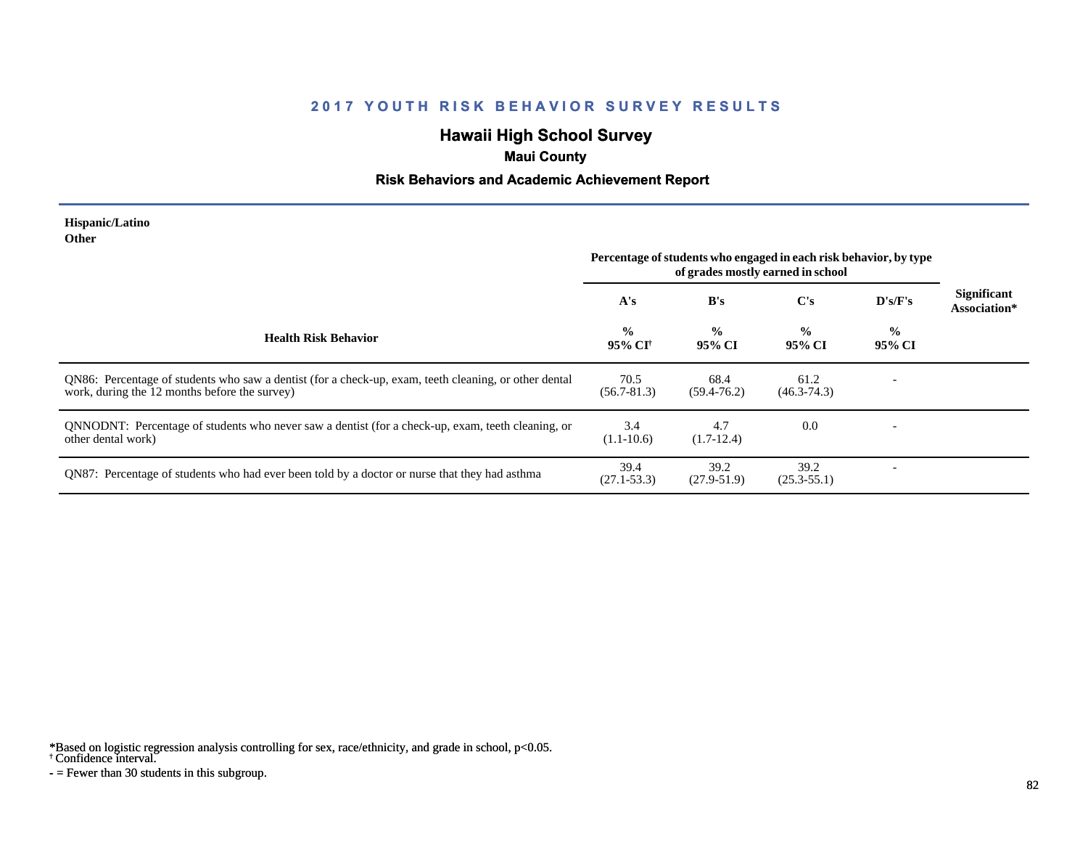# **Hawaii High School Survey**

## **Maui County**

### **Risk Behaviors and Academic Achievement Report**

#### **Hispanic/Latino Other**

|                                                                                                                                                        | Percentage of students who engaged in each risk behavior, by type<br>of grades mostly earned in school |                         |                         |                         |                             |
|--------------------------------------------------------------------------------------------------------------------------------------------------------|--------------------------------------------------------------------------------------------------------|-------------------------|-------------------------|-------------------------|-----------------------------|
|                                                                                                                                                        | A's                                                                                                    | B's                     | $\bf C's$               | D's/F's                 | Significant<br>Association* |
| <b>Health Risk Behavior</b>                                                                                                                            | $\frac{0}{0}$<br>95% CI†                                                                               | $\frac{0}{0}$<br>95% CI | $\frac{0}{0}$<br>95% CI | $\frac{0}{0}$<br>95% CI |                             |
| QN86: Percentage of students who saw a dentist (for a check-up, exam, teeth cleaning, or other dental<br>work, during the 12 months before the survey) | 70.5<br>$(56.7 - 81.3)$                                                                                | 68.4<br>$(59.4 - 76.2)$ | 61.2<br>$(46.3 - 74.3)$ |                         |                             |
| QNNODNT: Percentage of students who never saw a dentist (for a check-up, exam, teeth cleaning, or<br>other dental work)                                | 3.4<br>$(1.1-10.6)$                                                                                    | 4.7<br>$(1.7-12.4)$     | 0.0                     |                         |                             |
| QN87: Percentage of students who had ever been told by a doctor or nurse that they had asthma                                                          | 39.4<br>$(27.1 - 53.3)$                                                                                | 39.2<br>$(27.9 - 51.9)$ | 39.2<br>$(25.3 - 55.1)$ |                         |                             |

\*Based on logistic regression analysis controlling for sex, race/ethnicity, and grade in school, p<0.05.

† Confidence interval.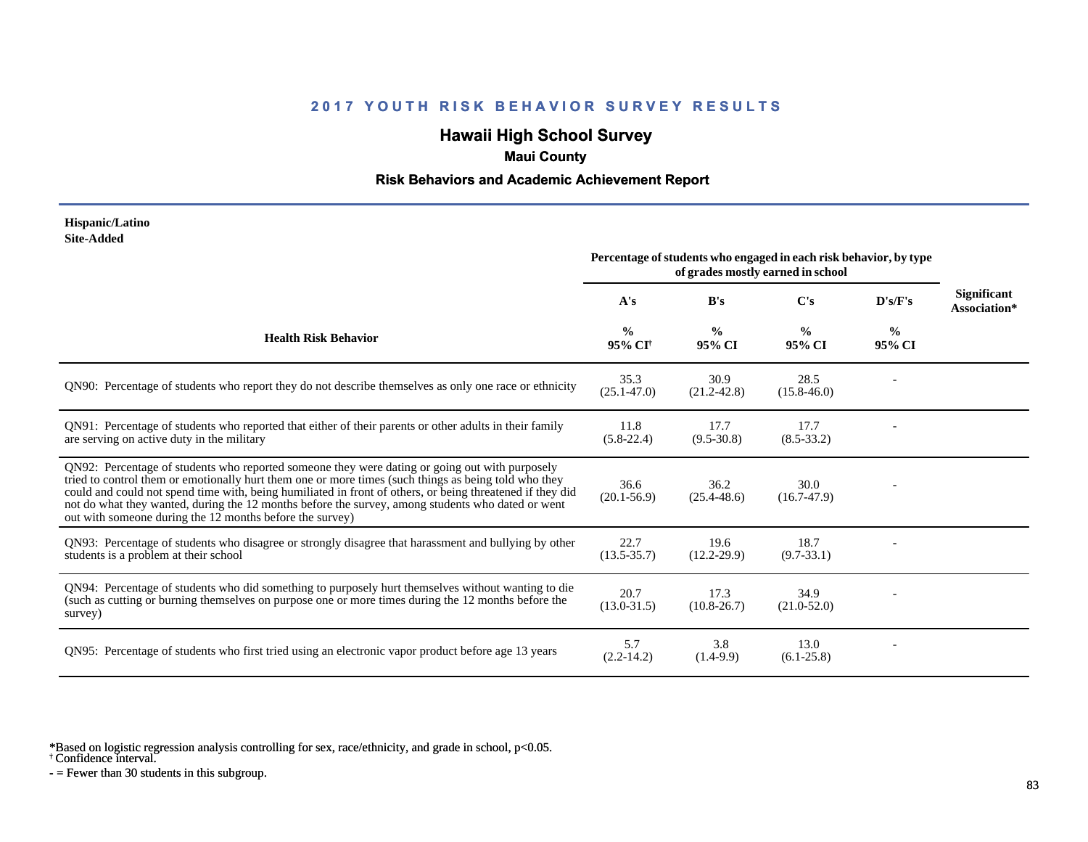# **Hawaii High School Survey**

### **Maui County**

### **Risk Behaviors and Academic Achievement Report**

#### **Hispanic/Latino Site-Added**

|                                                                                                                                                                                                                                                                                                                                                                                                                                                                                      | Percentage of students who engaged in each risk behavior, by type<br>of grades mostly earned in school |                         |                         |                         |                                    |
|--------------------------------------------------------------------------------------------------------------------------------------------------------------------------------------------------------------------------------------------------------------------------------------------------------------------------------------------------------------------------------------------------------------------------------------------------------------------------------------|--------------------------------------------------------------------------------------------------------|-------------------------|-------------------------|-------------------------|------------------------------------|
|                                                                                                                                                                                                                                                                                                                                                                                                                                                                                      | A's                                                                                                    | B's                     | C's                     | D's/F's                 | <b>Significant</b><br>Association* |
| <b>Health Risk Behavior</b>                                                                                                                                                                                                                                                                                                                                                                                                                                                          | $\frac{0}{0}$<br>95% CI <sup>†</sup>                                                                   | $\frac{0}{0}$<br>95% CI | $\frac{0}{0}$<br>95% CI | $\frac{0}{0}$<br>95% CI |                                    |
| QN90: Percentage of students who report they do not describe themselves as only one race or ethnicity                                                                                                                                                                                                                                                                                                                                                                                | 35.3<br>$(25.1 - 47.0)$                                                                                | 30.9<br>$(21.2 - 42.8)$ | 28.5<br>$(15.8 - 46.0)$ |                         |                                    |
| QN91: Percentage of students who reported that either of their parents or other adults in their family<br>are serving on active duty in the military                                                                                                                                                                                                                                                                                                                                 | 11.8<br>$(5.8-22.4)$                                                                                   | 17.7<br>$(9.5 - 30.8)$  | 17.7<br>$(8.5 - 33.2)$  |                         |                                    |
| QN92: Percentage of students who reported someone they were dating or going out with purposely<br>tried to control them or emotionally hurt them one or more times (such things as being told who they<br>could and could not spend time with, being humiliated in front of others, or being threatened if they did<br>not do what they wanted, during the 12 months before the survey, among students who dated or went<br>out with someone during the 12 months before the survey) | 36.6<br>$(20.1 - 56.9)$                                                                                | 36.2<br>$(25.4 - 48.6)$ | 30.0<br>$(16.7-47.9)$   |                         |                                    |
| QN93: Percentage of students who disagree or strongly disagree that harassment and bullying by other<br>students is a problem at their school                                                                                                                                                                                                                                                                                                                                        | 22.7<br>$(13.5 - 35.7)$                                                                                | 19.6<br>$(12.2 - 29.9)$ | 18.7<br>$(9.7 - 33.1)$  |                         |                                    |
| QN94: Percentage of students who did something to purposely hurt themselves without wanting to die<br>(such as cutting or burning themselves on purpose one or more times during the 12 months before the<br>survey)                                                                                                                                                                                                                                                                 | 20.7<br>$(13.0 - 31.5)$                                                                                | 17.3<br>$(10.8 - 26.7)$ | 34.9<br>$(21.0 - 52.0)$ |                         |                                    |
| QN95: Percentage of students who first tried using an electronic vapor product before age 13 years                                                                                                                                                                                                                                                                                                                                                                                   | 5.7<br>$(2.2 - 14.2)$                                                                                  | 3.8<br>$(1.4-9.9)$      | 13.0<br>$(6.1-25.8)$    |                         |                                    |

\*Based on logistic regression analysis controlling for sex, race/ethnicity, and grade in school, p<0.05.

† Confidence interval.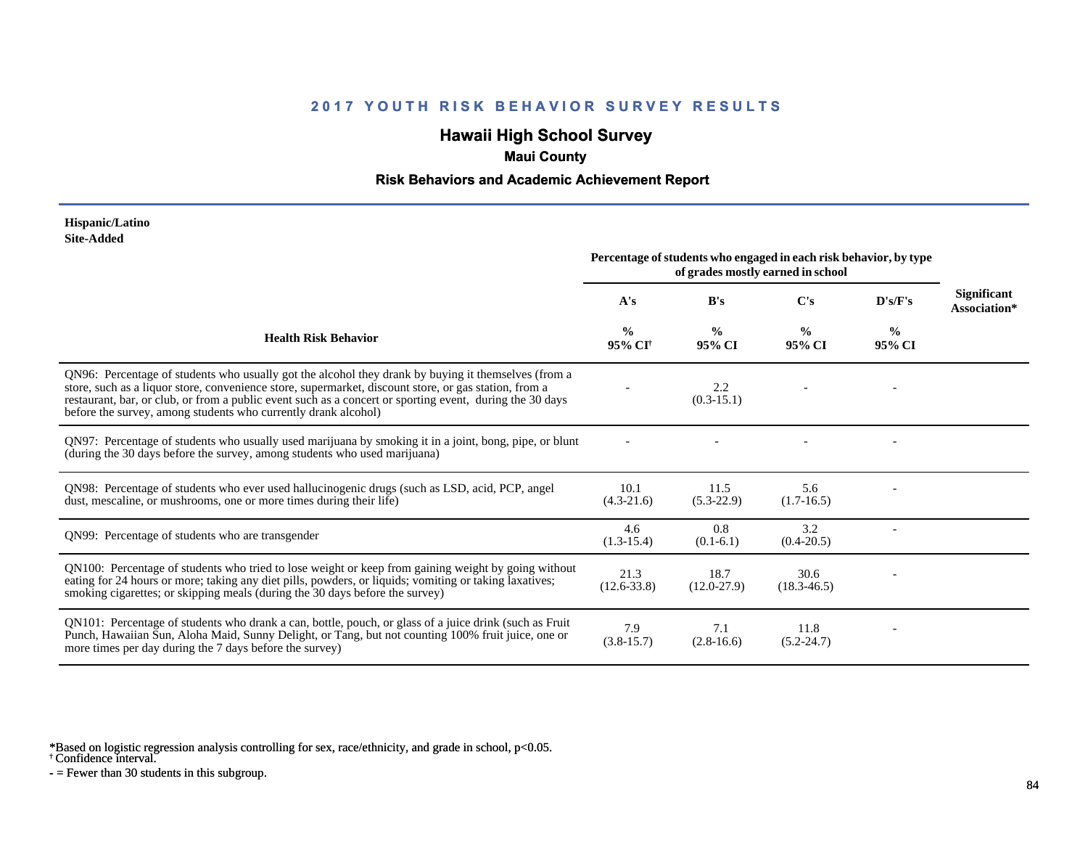# **Hawaii High School Survey**

### **Maui County**

### **Risk Behaviors and Academic Achievement Report**

#### **Hispanic/Latino Site-Added**

|                                                                                                                                                                                                                                                                                                                                                                                            | Percentage of students who engaged in each risk behavior, by type<br>of grades mostly earned in school |                         |                         |                         |                                    |
|--------------------------------------------------------------------------------------------------------------------------------------------------------------------------------------------------------------------------------------------------------------------------------------------------------------------------------------------------------------------------------------------|--------------------------------------------------------------------------------------------------------|-------------------------|-------------------------|-------------------------|------------------------------------|
|                                                                                                                                                                                                                                                                                                                                                                                            | A's                                                                                                    | B's                     | C's                     | D's/F's                 | <b>Significant</b><br>Association* |
| <b>Health Risk Behavior</b>                                                                                                                                                                                                                                                                                                                                                                | $\frac{0}{0}$<br>95% CI <sup>+</sup>                                                                   | $\frac{0}{0}$<br>95% CI | $\%$<br>95% CI          | $\frac{6}{9}$<br>95% CI |                                    |
| QN96: Percentage of students who usually got the alcohol they drank by buying it themselves (from a<br>store, such as a liquor store, convenience store, supermarket, discount store, or gas station, from a<br>restaurant, bar, or club, or from a public event such as a concert or sporting event, during the 30 days<br>before the survey, among students who currently drank alcohol) |                                                                                                        | 2.2<br>$(0.3-15.1)$     |                         |                         |                                    |
| QN97: Percentage of students who usually used marijuana by smoking it in a joint, bong, pipe, or blunt<br>(during the 30 days before the survey, among students who used marijuana)                                                                                                                                                                                                        |                                                                                                        |                         |                         |                         |                                    |
| QN98: Percentage of students who ever used hallucinogenic drugs (such as LSD, acid, PCP, angel<br>dust, mescaline, or mushrooms, one or more times during their life)                                                                                                                                                                                                                      | 10.1<br>$(4.3-21.6)$                                                                                   | 11.5<br>$(5.3-22.9)$    | 5.6<br>$(1.7-16.5)$     |                         |                                    |
| QN99: Percentage of students who are transgender                                                                                                                                                                                                                                                                                                                                           | 4.6<br>$(1.3-15.4)$                                                                                    | 0.8<br>$(0.1-6.1)$      | 3.2<br>$(0.4 - 20.5)$   |                         |                                    |
| QN100: Percentage of students who tried to lose weight or keep from gaining weight by going without<br>eating for 24 hours or more; taking any diet pills, powders, or liquids; vomiting or taking laxatives;<br>smoking cigarettes; or skipping meals (during the 30 days before the survey)                                                                                              | 21.3<br>$(12.6 - 33.8)$                                                                                | 18.7<br>$(12.0-27.9)$   | 30.6<br>$(18.3 - 46.5)$ |                         |                                    |
| QN101: Percentage of students who drank a can, bottle, pouch, or glass of a juice drink (such as Fruit<br>Punch, Hawaiian Sun, Aloha Maid, Sunny Delight, or Tang, but not counting 100% fruit juice, one or<br>more times per day during the 7 days before the survey)                                                                                                                    | 7.9<br>$(3.8-15.7)$                                                                                    | 7.1<br>$(2.8-16.6)$     | 11.8<br>$(5.2 - 24.7)$  |                         |                                    |

\*Based on logistic regression analysis controlling for sex, race/ethnicity, and grade in school, p<0.05.

† Confidence interval.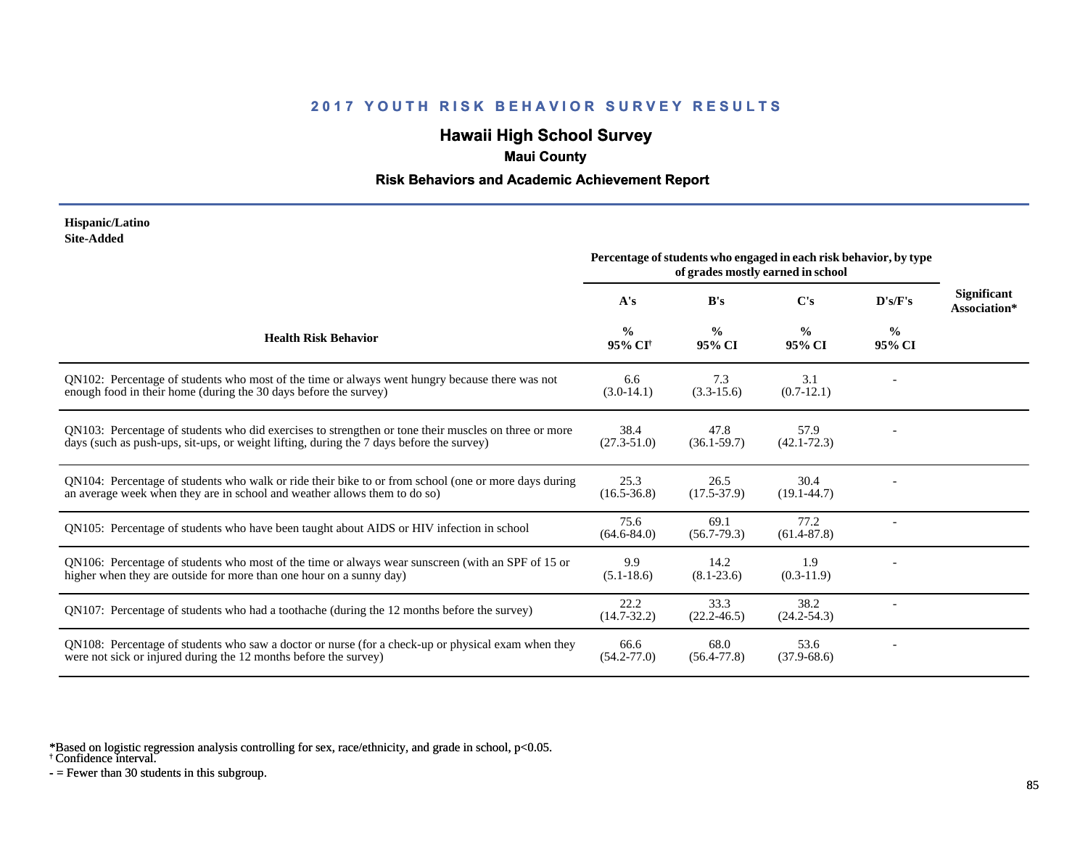# **Hawaii High School Survey**

### **Maui County**

### **Risk Behaviors and Academic Achievement Report**

#### **Hispanic/Latino Site-Added**

|                                                                                                                                                                                                  | Percentage of students who engaged in each risk behavior, by type<br>of grades mostly earned in school |                         |                         |                         |                                    |
|--------------------------------------------------------------------------------------------------------------------------------------------------------------------------------------------------|--------------------------------------------------------------------------------------------------------|-------------------------|-------------------------|-------------------------|------------------------------------|
|                                                                                                                                                                                                  | A's                                                                                                    | B's                     | $\bf C's$               | D's/F's                 | <b>Significant</b><br>Association* |
| <b>Health Risk Behavior</b>                                                                                                                                                                      | $\frac{0}{0}$<br>95% CI <sup>+</sup>                                                                   | $\frac{0}{0}$<br>95% CI | $\frac{0}{0}$<br>95% CI | $\frac{0}{0}$<br>95% CI |                                    |
| QN102: Percentage of students who most of the time or always went hungry because there was not<br>enough food in their home (during the 30 days before the survey)                               | 6.6<br>$(3.0-14.1)$                                                                                    | 7.3<br>$(3.3-15.6)$     | 3.1<br>$(0.7-12.1)$     |                         |                                    |
| QN103: Percentage of students who did exercises to strengthen or tone their muscles on three or more<br>days (such as push-ups, sit-ups, or weight lifting, during the 7 days before the survey) | 38.4<br>$(27.3 - 51.0)$                                                                                | 47.8<br>$(36.1 - 59.7)$ | 57.9<br>$(42.1 - 72.3)$ |                         |                                    |
| QN104: Percentage of students who walk or ride their bike to or from school (one or more days during<br>an average week when they are in school and weather allows them to do so)                | 25.3<br>$(16.5 - 36.8)$                                                                                | 26.5<br>$(17.5 - 37.9)$ | 30.4<br>$(19.1 - 44.7)$ |                         |                                    |
| QN105: Percentage of students who have been taught about AIDS or HIV infection in school                                                                                                         | 75.6<br>$(64.6 - 84.0)$                                                                                | 69.1<br>$(56.7 - 79.3)$ | 77.2<br>$(61.4 - 87.8)$ |                         |                                    |
| QN106: Percentage of students who most of the time or always wear sunscreen (with an SPF of 15 or<br>higher when they are outside for more than one hour on a sunny day)                         | 9.9<br>$(5.1 - 18.6)$                                                                                  | 14.2<br>$(8.1 - 23.6)$  | 1.9<br>$(0.3-11.9)$     |                         |                                    |
| QN107: Percentage of students who had a toothache (during the 12 months before the survey)                                                                                                       | 22.2<br>$(14.7 - 32.2)$                                                                                | 33.3<br>$(22.2 - 46.5)$ | 38.2<br>$(24.2 - 54.3)$ |                         |                                    |
| QN108: Percentage of students who saw a doctor or nurse (for a check-up or physical exam when they<br>were not sick or injured during the 12 months before the survey)                           | 66.6<br>$(54.2 - 77.0)$                                                                                | 68.0<br>$(56.4 - 77.8)$ | 53.6<br>$(37.9 - 68.6)$ |                         |                                    |

\*Based on logistic regression analysis controlling for sex, race/ethnicity, and grade in school, p<0.05.

† Confidence interval.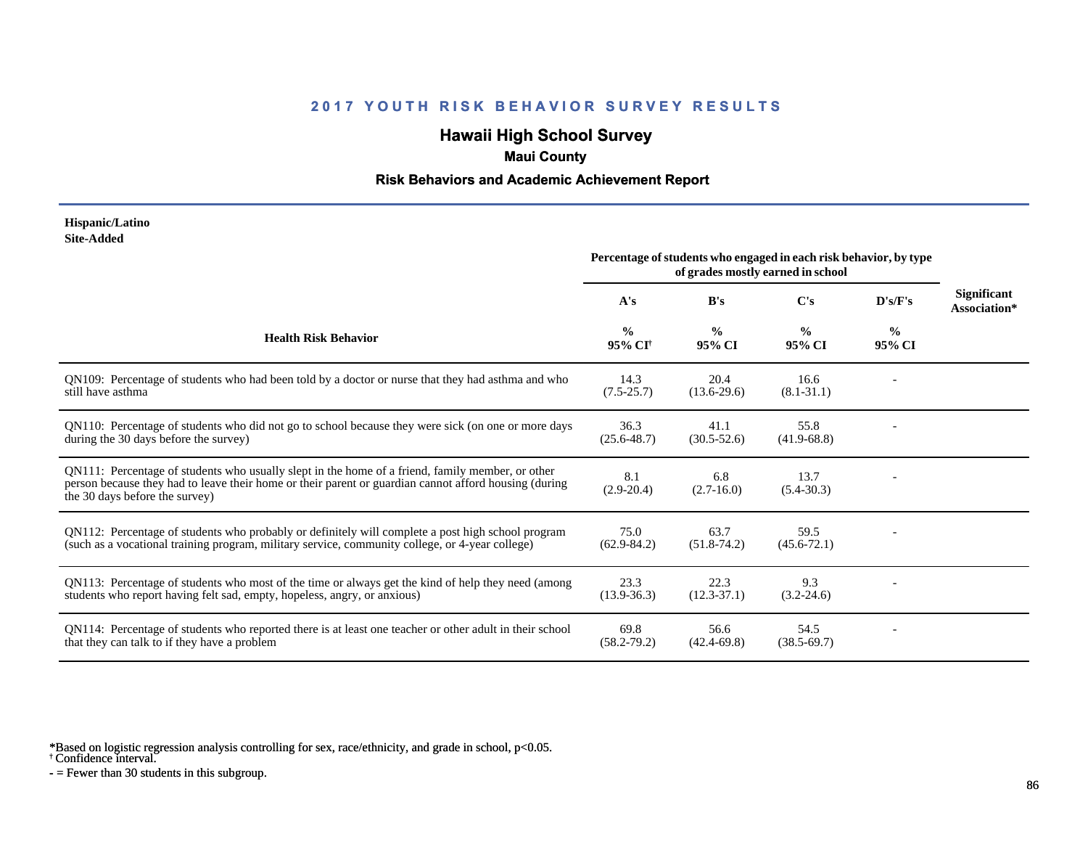# **Hawaii High School Survey**

### **Maui County**

### **Risk Behaviors and Academic Achievement Report**

#### **Hispanic/Latino Site-Added**

|                                                                                                                                                                                                                                             |                                      | Percentage of students who engaged in each risk behavior, by type<br>of grades mostly earned in school |                         |                         |                             |
|---------------------------------------------------------------------------------------------------------------------------------------------------------------------------------------------------------------------------------------------|--------------------------------------|--------------------------------------------------------------------------------------------------------|-------------------------|-------------------------|-----------------------------|
|                                                                                                                                                                                                                                             | A's                                  | B's                                                                                                    | $\bf C's$               | D's/F's                 | Significant<br>Association* |
| <b>Health Risk Behavior</b>                                                                                                                                                                                                                 | $\frac{0}{0}$<br>95% CI <sup>†</sup> | $\frac{0}{0}$<br>95% CI                                                                                | $\frac{0}{0}$<br>95% CI | $\frac{0}{0}$<br>95% CI |                             |
| QN109: Percentage of students who had been told by a doctor or nurse that they had asthma and who<br>still have asthma                                                                                                                      | 14.3<br>$(7.5-25.7)$                 | 20.4<br>$(13.6-29.6)$                                                                                  | 16.6<br>$(8.1 - 31.1)$  |                         |                             |
| QN110: Percentage of students who did not go to school because they were sick (on one or more days<br>during the 30 days before the survey)                                                                                                 | 36.3<br>$(25.6 - 48.7)$              | 41.1<br>$(30.5 - 52.6)$                                                                                | 55.8<br>$(41.9-68.8)$   |                         |                             |
| QN111: Percentage of students who usually slept in the home of a friend, family member, or other<br>person because they had to leave their home or their parent or guardian cannot afford housing (during<br>the 30 days before the survey) | 8.1<br>$(2.9 - 20.4)$                | 6.8<br>$(2.7-16.0)$                                                                                    | 13.7<br>$(5.4 - 30.3)$  |                         |                             |
| QN112: Percentage of students who probably or definitely will complete a post high school program<br>(such as a vocational training program, military service, community college, or 4-year college)                                        | 75.0<br>$(62.9 - 84.2)$              | 63.7<br>$(51.8-74.2)$                                                                                  | 59.5<br>$(45.6 - 72.1)$ |                         |                             |
| QN113: Percentage of students who most of the time or always get the kind of help they need (among<br>students who report having felt sad, empty, hopeless, angry, or anxious)                                                              | 23.3<br>$(13.9 - 36.3)$              | 22.3<br>$(12.3 - 37.1)$                                                                                | 9.3<br>$(3.2 - 24.6)$   |                         |                             |
| QN114: Percentage of students who reported there is at least one teacher or other adult in their school<br>that they can talk to if they have a problem                                                                                     | 69.8<br>$(58.2 - 79.2)$              | 56.6<br>$(42.4 - 69.8)$                                                                                | 54.5<br>$(38.5 - 69.7)$ |                         |                             |

\*Based on logistic regression analysis controlling for sex, race/ethnicity, and grade in school, p<0.05.

† Confidence interval.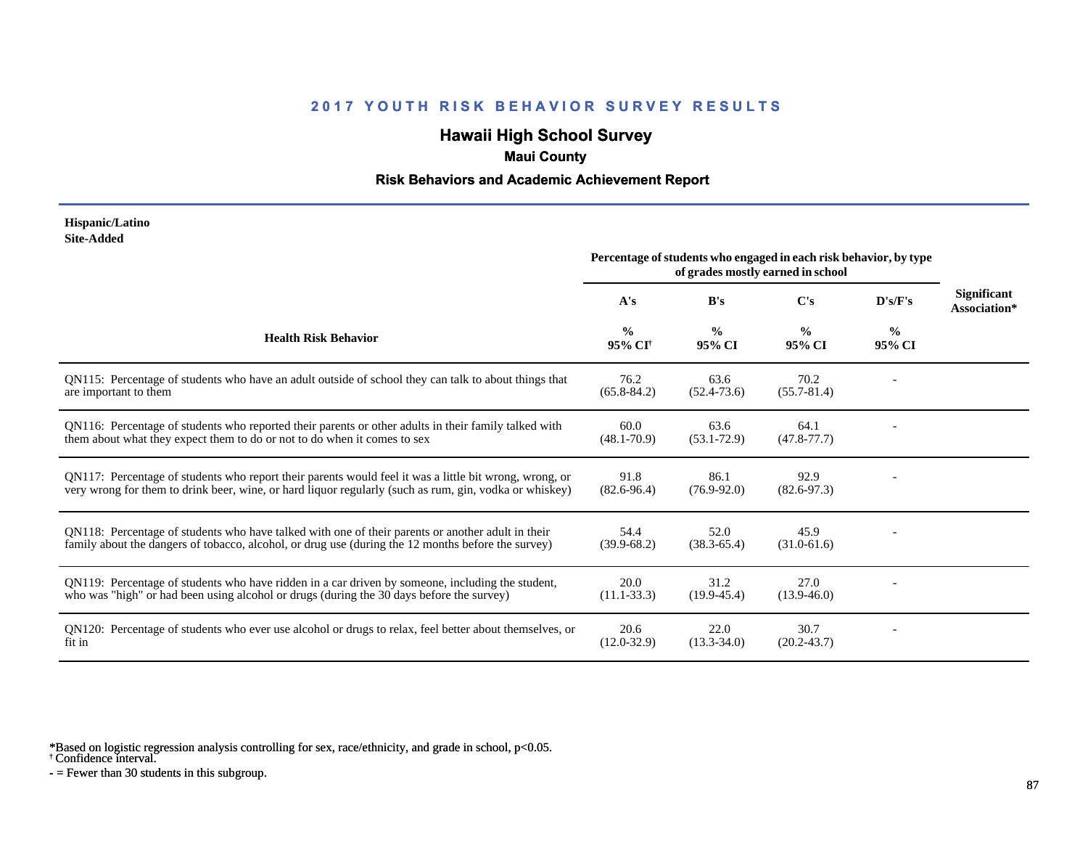# **Hawaii High School Survey**

### **Maui County**

### **Risk Behaviors and Academic Achievement Report**

#### **Hispanic/Latino Site-Added**

|                                                                                                                                                                                                                  | Percentage of students who engaged in each risk behavior, by type<br>of grades mostly earned in school |                         |                         |                         |                                    |
|------------------------------------------------------------------------------------------------------------------------------------------------------------------------------------------------------------------|--------------------------------------------------------------------------------------------------------|-------------------------|-------------------------|-------------------------|------------------------------------|
|                                                                                                                                                                                                                  | A's                                                                                                    | B's                     | C's                     | D's/F's                 | <b>Significant</b><br>Association* |
| <b>Health Risk Behavior</b>                                                                                                                                                                                      | $\frac{0}{0}$<br>95% CI <sup>†</sup>                                                                   | $\frac{0}{0}$<br>95% CI | $\frac{0}{0}$<br>95% CI | $\frac{6}{9}$<br>95% CI |                                    |
| QN115: Percentage of students who have an adult outside of school they can talk to about things that<br>are important to them                                                                                    | 76.2<br>$(65.8 - 84.2)$                                                                                | 63.6<br>$(52.4 - 73.6)$ | 70.2<br>$(55.7 - 81.4)$ |                         |                                    |
| QN116: Percentage of students who reported their parents or other adults in their family talked with<br>them about what they expect them to do or not to do when it comes to sex                                 | 60.0<br>$(48.1 - 70.9)$                                                                                | 63.6<br>$(53.1 - 72.9)$ | 64.1<br>$(47.8 - 77.7)$ |                         |                                    |
| QN117: Percentage of students who report their parents would feel it was a little bit wrong, wrong, or<br>very wrong for them to drink beer, wine, or hard liquor regularly (such as rum, gin, vodka or whiskey) | 91.8<br>$(82.6 - 96.4)$                                                                                | 86.1<br>$(76.9 - 92.0)$ | 92.9<br>$(82.6 - 97.3)$ |                         |                                    |
| QN118: Percentage of students who have talked with one of their parents or another adult in their<br>family about the dangers of tobacco, alcohol, or drug use (during the 12 months before the survey)          | 54.4<br>$(39.9-68.2)$                                                                                  | 52.0<br>$(38.3 - 65.4)$ | 45.9<br>$(31.0-61.6)$   |                         |                                    |
| QN119: Percentage of students who have ridden in a car driven by someone, including the student,<br>who was "high" or had been using alcohol or drugs (during the 30 days before the survey)                     | 20.0<br>$(11.1 - 33.3)$                                                                                | 31.2<br>$(19.9 - 45.4)$ | 27.0<br>$(13.9 - 46.0)$ |                         |                                    |
| QN120: Percentage of students who ever use alcohol or drugs to relax, feel better about themselves, or<br>fit in                                                                                                 | 20.6<br>$(12.0 - 32.9)$                                                                                | 22.0<br>$(13.3 - 34.0)$ | 30.7<br>$(20.2 - 43.7)$ |                         |                                    |

\*Based on logistic regression analysis controlling for sex, race/ethnicity, and grade in school, p<0.05.

† Confidence interval.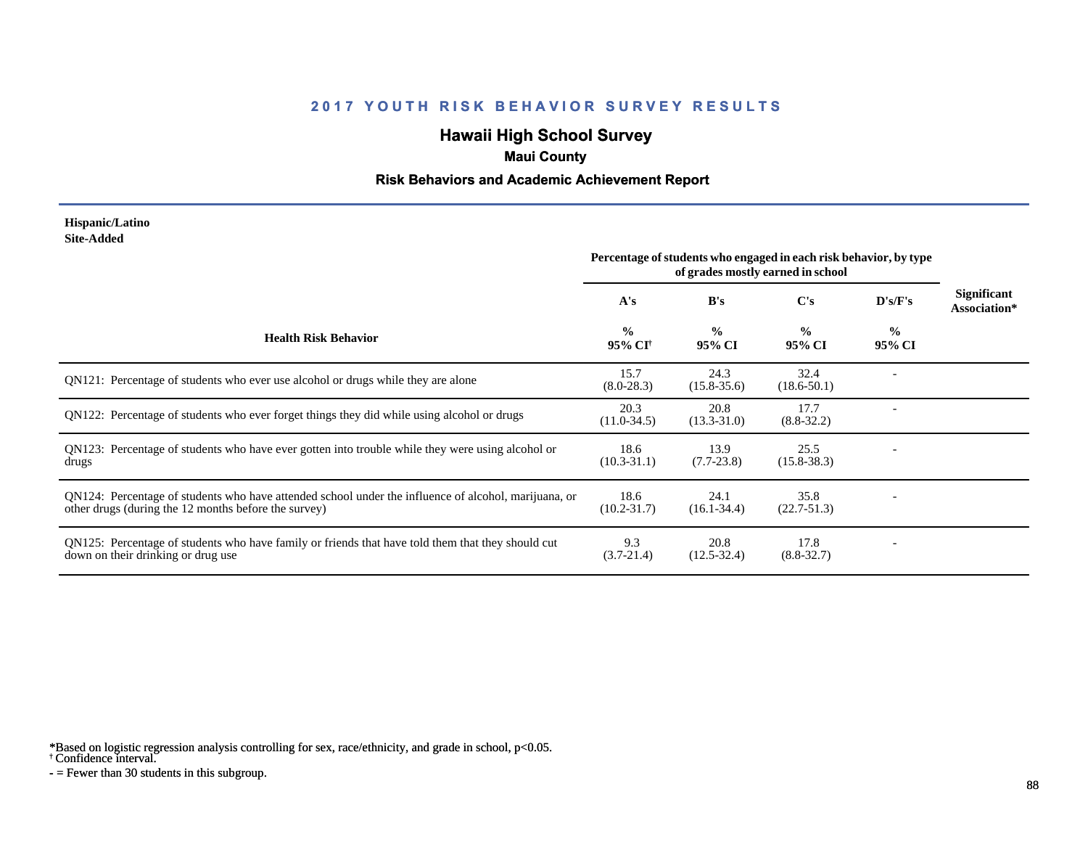# **Hawaii High School Survey**

### **Maui County**

### **Risk Behaviors and Academic Achievement Report**

#### **Hispanic/Latino Site-Added**

|                                                                                                                                                              | Percentage of students who engaged in each risk behavior, by type<br>of grades mostly earned in school |                         |                         |                         |                             |
|--------------------------------------------------------------------------------------------------------------------------------------------------------------|--------------------------------------------------------------------------------------------------------|-------------------------|-------------------------|-------------------------|-----------------------------|
|                                                                                                                                                              | A's                                                                                                    | B's                     | C's                     | D's/F's                 | Significant<br>Association* |
| <b>Health Risk Behavior</b>                                                                                                                                  | $\frac{0}{0}$<br>95% CI <sup>†</sup>                                                                   | $\frac{0}{0}$<br>95% CI | $\frac{0}{0}$<br>95% CI | $\frac{6}{9}$<br>95% CI |                             |
| QN121: Percentage of students who ever use alcohol or drugs while they are alone                                                                             | 15.7<br>$(8.0-28.3)$                                                                                   | 24.3<br>$(15.8 - 35.6)$ | 32.4<br>$(18.6 - 50.1)$ |                         |                             |
| QN122: Percentage of students who ever forget things they did while using alcohol or drugs                                                                   | 20.3<br>$(11.0-34.5)$                                                                                  | 20.8<br>$(13.3 - 31.0)$ | 17.7<br>$(8.8 - 32.2)$  |                         |                             |
| QN123: Percentage of students who have ever gotten into trouble while they were using alcohol or<br>drugs                                                    | 18.6<br>$(10.3 - 31.1)$                                                                                | 13.9<br>$(7.7-23.8)$    | 25.5<br>$(15.8 - 38.3)$ |                         |                             |
| QN124: Percentage of students who have attended school under the influence of alcohol, marijuana, or<br>other drugs (during the 12 months before the survey) | 18.6<br>$(10.2 - 31.7)$                                                                                | 24.1<br>$(16.1 - 34.4)$ | 35.8<br>$(22.7-51.3)$   |                         |                             |
| QN125: Percentage of students who have family or friends that have told them that they should cut<br>down on their drinking or drug use                      | 9.3<br>$(3.7 - 21.4)$                                                                                  | 20.8<br>$(12.5 - 32.4)$ | 17.8<br>$(8.8 - 32.7)$  |                         |                             |

\*Based on logistic regression analysis controlling for sex, race/ethnicity, and grade in school, p<0.05.

† Confidence interval.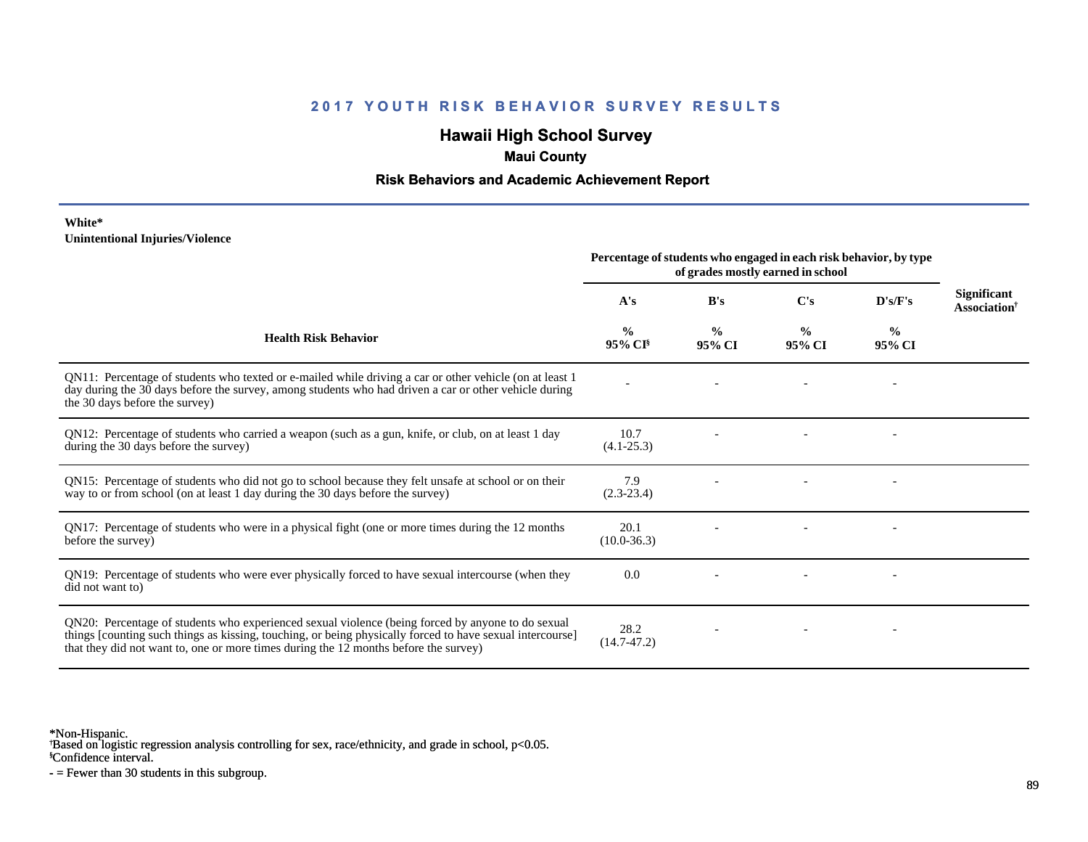# **Hawaii High School Survey**

### **Maui County**

### **Risk Behaviors and Academic Achievement Report**

#### **White\* Unintentional Injuries/Violence**

|                                                                                                                                                                                                                                                                                                        | Percentage of students who engaged in each risk behavior, by type<br>of grades mostly earned in school |                         |                         |                          |                                                |
|--------------------------------------------------------------------------------------------------------------------------------------------------------------------------------------------------------------------------------------------------------------------------------------------------------|--------------------------------------------------------------------------------------------------------|-------------------------|-------------------------|--------------------------|------------------------------------------------|
|                                                                                                                                                                                                                                                                                                        | A's                                                                                                    | B's                     | $\bf C's$               | D's/F's                  | Significant<br><b>Association</b> <sup>†</sup> |
| <b>Health Risk Behavior</b>                                                                                                                                                                                                                                                                            | $\frac{0}{0}$<br>95% CI <sup>§</sup>                                                                   | $\frac{0}{0}$<br>95% CI | $\frac{0}{0}$<br>95% CI | $\frac{6}{9}$<br>95% CI  |                                                |
| QN11: Percentage of students who texted or e-mailed while driving a car or other vehicle (on at least 1)<br>day during the 30 days before the survey, among students who had driven a car or other vehicle during<br>the 30 days before the survey)                                                    |                                                                                                        |                         |                         | $\overline{\phantom{a}}$ |                                                |
| QN12: Percentage of students who carried a weapon (such as a gun, knife, or club, on at least 1 day<br>during the 30 days before the survey)                                                                                                                                                           | 10.7<br>$(4.1 - 25.3)$                                                                                 |                         |                         |                          |                                                |
| QN15: Percentage of students who did not go to school because they felt unsafe at school or on their<br>way to or from school (on at least 1 day during the 30 days before the survey)                                                                                                                 | 7.9<br>$(2.3-23.4)$                                                                                    |                         |                         |                          |                                                |
| QN17: Percentage of students who were in a physical fight (one or more times during the 12 months<br>before the survey)                                                                                                                                                                                | 20.1<br>$(10.0 - 36.3)$                                                                                |                         |                         |                          |                                                |
| QN19: Percentage of students who were ever physically forced to have sexual intercourse (when they<br>did not want to)                                                                                                                                                                                 | 0.0                                                                                                    |                         |                         |                          |                                                |
| QN20: Percentage of students who experienced sexual violence (being forced by anyone to do sexual<br>things [counting such things as kissing, touching, or being physically forced to have sexual intercourse]<br>that they did not want to, one or more times during the 12 months before the survey) | 28.2<br>$(14.7 - 47.2)$                                                                                |                         |                         |                          |                                                |

\*Non-Hispanic.

† Based on logistic regression analysis controlling for sex, race/ethnicity, and grade in school, p<0.05.

§Confidence interval.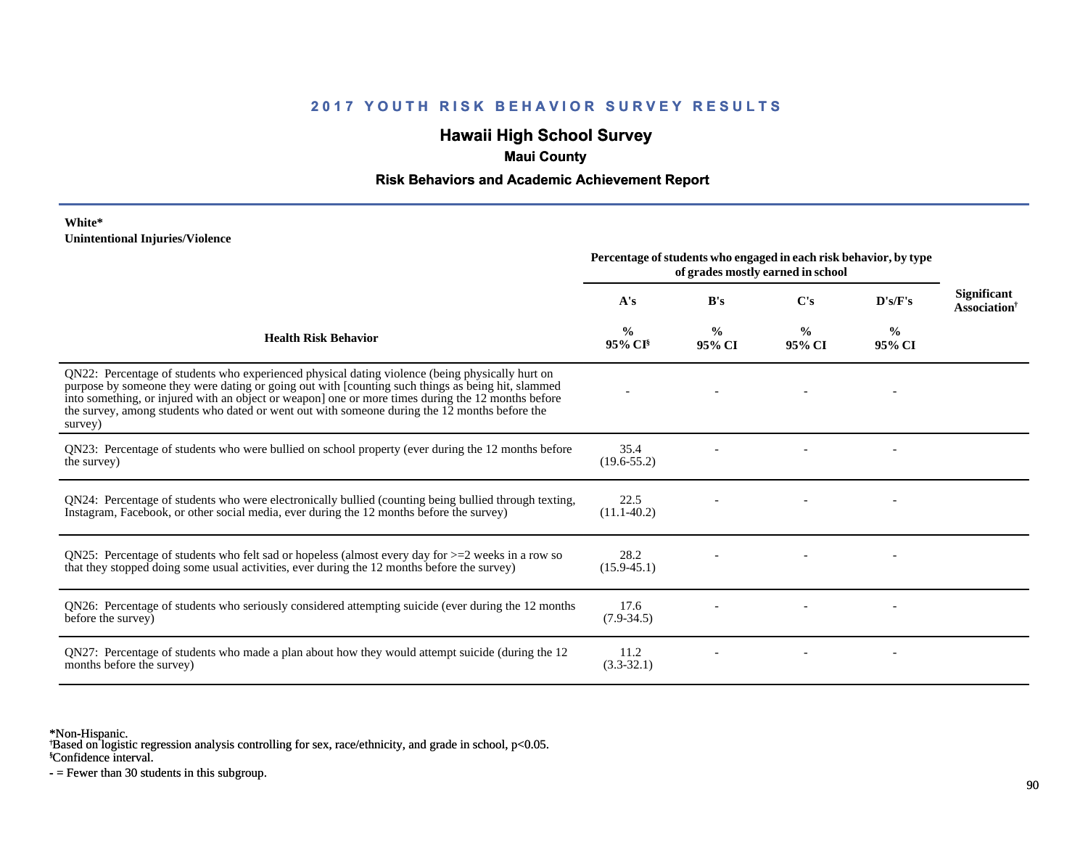# **Hawaii High School Survey**

## **Maui County**

### **Risk Behaviors and Academic Achievement Report**

#### **White\* Unintentional Injuries/Violence**

|                                                                                                                                                                                                                                                                                                                                                                                                                        | Percentage of students who engaged in each risk behavior, by type<br>of grades mostly earned in school |                         |                         |                         |                                                       |
|------------------------------------------------------------------------------------------------------------------------------------------------------------------------------------------------------------------------------------------------------------------------------------------------------------------------------------------------------------------------------------------------------------------------|--------------------------------------------------------------------------------------------------------|-------------------------|-------------------------|-------------------------|-------------------------------------------------------|
|                                                                                                                                                                                                                                                                                                                                                                                                                        | A's                                                                                                    | B's                     | $\bf C's$               | D's/F's                 | <b>Significant</b><br><b>Association</b> <sup>†</sup> |
| <b>Health Risk Behavior</b>                                                                                                                                                                                                                                                                                                                                                                                            | %<br>$95\%$ CI <sup>§</sup>                                                                            | $\frac{0}{0}$<br>95% CI | $\frac{0}{0}$<br>95% CI | $\frac{0}{0}$<br>95% CI |                                                       |
| QN22: Percentage of students who experienced physical dating violence (being physically hurt on<br>purpose by someone they were dating or going out with [counting such things as being hit, slammed<br>into something, or injured with an object or weapon] one or more times during the 12 months before<br>the survey, among students who dated or went out with someone during the 12 months before the<br>survey) |                                                                                                        |                         |                         |                         |                                                       |
| QN23: Percentage of students who were bullied on school property (ever during the 12 months before<br>the survey)                                                                                                                                                                                                                                                                                                      | 35.4<br>$(19.6 - 55.2)$                                                                                |                         |                         |                         |                                                       |
| QN24: Percentage of students who were electronically bullied (counting being bullied through texting,<br>Instagram, Facebook, or other social media, ever during the 12 months before the survey)                                                                                                                                                                                                                      | 22.5<br>$(11.1-40.2)$                                                                                  |                         |                         |                         |                                                       |
| QN25: Percentage of students who felt sad or hopeless (almost every day for $>=$ 2 weeks in a row so<br>that they stopped doing some usual activities, ever during the 12 months before the survey)                                                                                                                                                                                                                    | 28.2<br>$(15.9 - 45.1)$                                                                                |                         |                         |                         |                                                       |
| QN26: Percentage of students who seriously considered attempting suicide (ever during the 12 months<br>before the survey)                                                                                                                                                                                                                                                                                              | 17.6<br>$(7.9 - 34.5)$                                                                                 |                         |                         |                         |                                                       |
| QN27: Percentage of students who made a plan about how they would attempt suicide (during the 12<br>months before the survey)                                                                                                                                                                                                                                                                                          | 11.2<br>$(3.3-32.1)$                                                                                   |                         |                         |                         |                                                       |

\*Non-Hispanic.

† Based on logistic regression analysis controlling for sex, race/ethnicity, and grade in school, p<0.05.

§Confidence interval.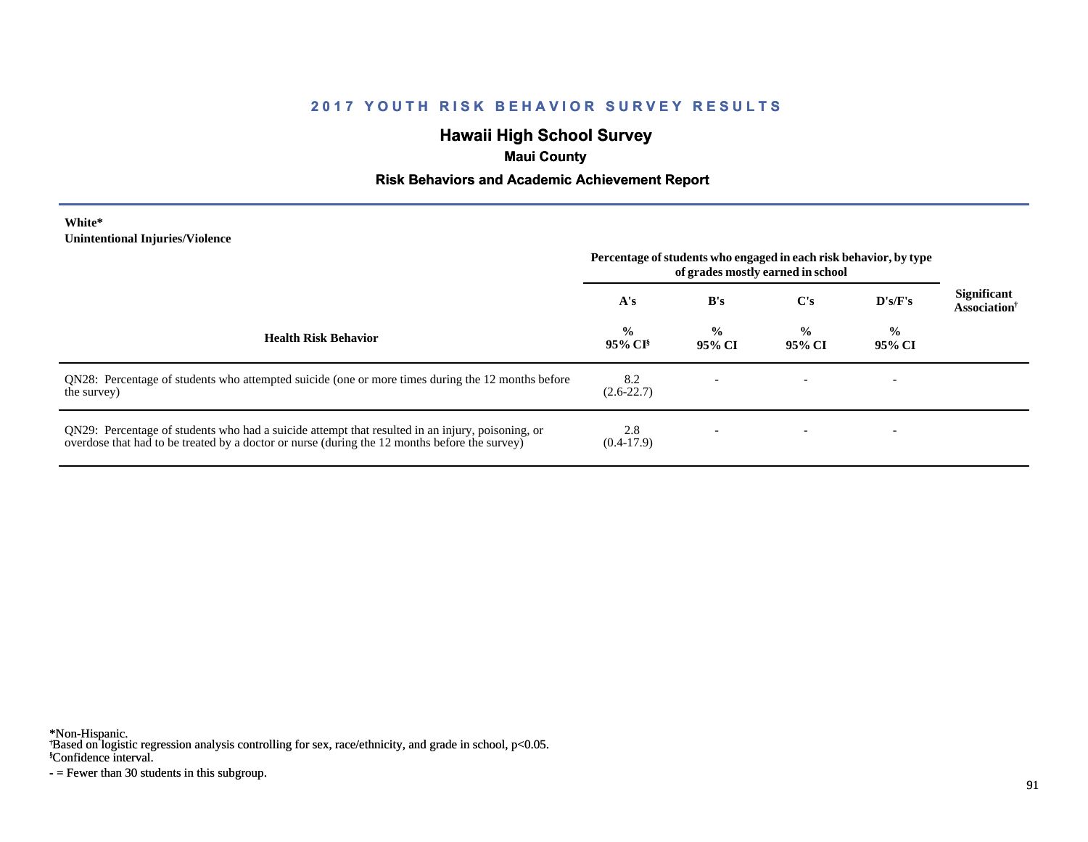# **Hawaii High School Survey**

## **Maui County**

### **Risk Behaviors and Academic Achievement Report**

#### **White\* Unintentional Injuries/Violence**

|                                                                                                                                                                                                   | Percentage of students who engaged in each risk behavior, by type<br>of grades mostly earned in school |                         |                         |                         |                                                |
|---------------------------------------------------------------------------------------------------------------------------------------------------------------------------------------------------|--------------------------------------------------------------------------------------------------------|-------------------------|-------------------------|-------------------------|------------------------------------------------|
|                                                                                                                                                                                                   | A's                                                                                                    | B's                     | C's                     | D's/F's                 | <b>Significant</b><br>Association <sup>†</sup> |
| <b>Health Risk Behavior</b>                                                                                                                                                                       | $\frac{0}{0}$<br>$95\%$ CI <sup>§</sup>                                                                | $\frac{0}{0}$<br>95% CI | $\frac{6}{9}$<br>95% CI | $\frac{0}{0}$<br>95% CI |                                                |
| QN28: Percentage of students who attempted suicide (one or more times during the 12 months before<br>the survey)                                                                                  | 8.2<br>$(2.6 - 22.7)$                                                                                  |                         |                         |                         |                                                |
| QN29: Percentage of students who had a suicide attempt that resulted in an injury, poisoning, or<br>overdose that had to be treated by a doctor or nurse (during the 12 months before the survey) | 2.8<br>$(0.4-17.9)$                                                                                    |                         |                         |                         |                                                |

\*Non-Hispanic.

† Based on logistic regression analysis controlling for sex, race/ethnicity, and grade in school, p<0.05.

§Confidence interval.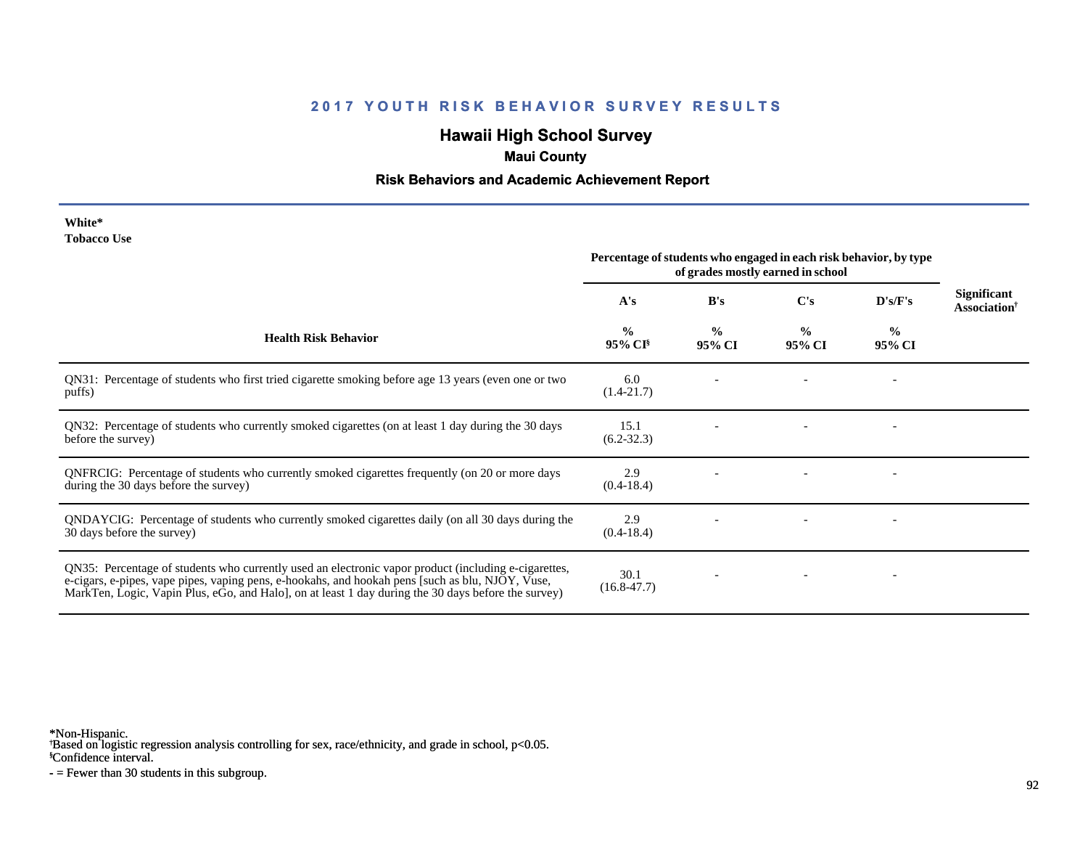# **Hawaii High School Survey**

### **Maui County**

### **Risk Behaviors and Academic Achievement Report**

| White*             |  |
|--------------------|--|
| <b>Tobacco Use</b> |  |

|                                                                                                                                                                                                                                                                                                                 | Percentage of students who engaged in each risk behavior, by type<br>of grades mostly earned in school |                         |                         |                         |                                                       |
|-----------------------------------------------------------------------------------------------------------------------------------------------------------------------------------------------------------------------------------------------------------------------------------------------------------------|--------------------------------------------------------------------------------------------------------|-------------------------|-------------------------|-------------------------|-------------------------------------------------------|
|                                                                                                                                                                                                                                                                                                                 | A's                                                                                                    | B's                     | $\bf C's$               | D's/F's                 | <b>Significant</b><br><b>Association</b> <sup>†</sup> |
| <b>Health Risk Behavior</b>                                                                                                                                                                                                                                                                                     | $\frac{0}{0}$<br>$95\%$ CI <sup>§</sup>                                                                | $\frac{0}{0}$<br>95% CI | $\frac{0}{0}$<br>95% CI | $\frac{0}{0}$<br>95% CI |                                                       |
| QN31: Percentage of students who first tried cigarette smoking before age 13 years (even one or two<br>puffs)                                                                                                                                                                                                   | 6.0<br>$(1.4-21.7)$                                                                                    |                         |                         |                         |                                                       |
| QN32: Percentage of students who currently smoked cigarettes (on at least 1 day during the 30 days<br>before the survey)                                                                                                                                                                                        | 15.1<br>$(6.2 - 32.3)$                                                                                 |                         |                         |                         |                                                       |
| QNFRCIG: Percentage of students who currently smoked cigarettes frequently (on 20 or more days<br>during the 30 days before the survey)                                                                                                                                                                         | 2.9<br>$(0.4-18.4)$                                                                                    |                         |                         |                         |                                                       |
| QNDAYCIG: Percentage of students who currently smoked cigarettes daily (on all 30 days during the<br>30 days before the survey)                                                                                                                                                                                 | 2.9<br>$(0.4-18.4)$                                                                                    |                         |                         |                         |                                                       |
| QN35: Percentage of students who currently used an electronic vapor product (including e-cigarettes,<br>e-cigars, e-pipes, vape pipes, vaping pens, e-hookahs, and hookah pens [such as blu, NJOY, Vuse,<br>MarkTen, Logic, Vapin Plus, eGo, and Halo], on at least 1 day during the 30 days before the survey) | 30.1<br>$(16.8 - 47.7)$                                                                                |                         |                         |                         |                                                       |

\*Non-Hispanic.

† Based on logistic regression analysis controlling for sex, race/ethnicity, and grade in school, p<0.05.

§Confidence interval.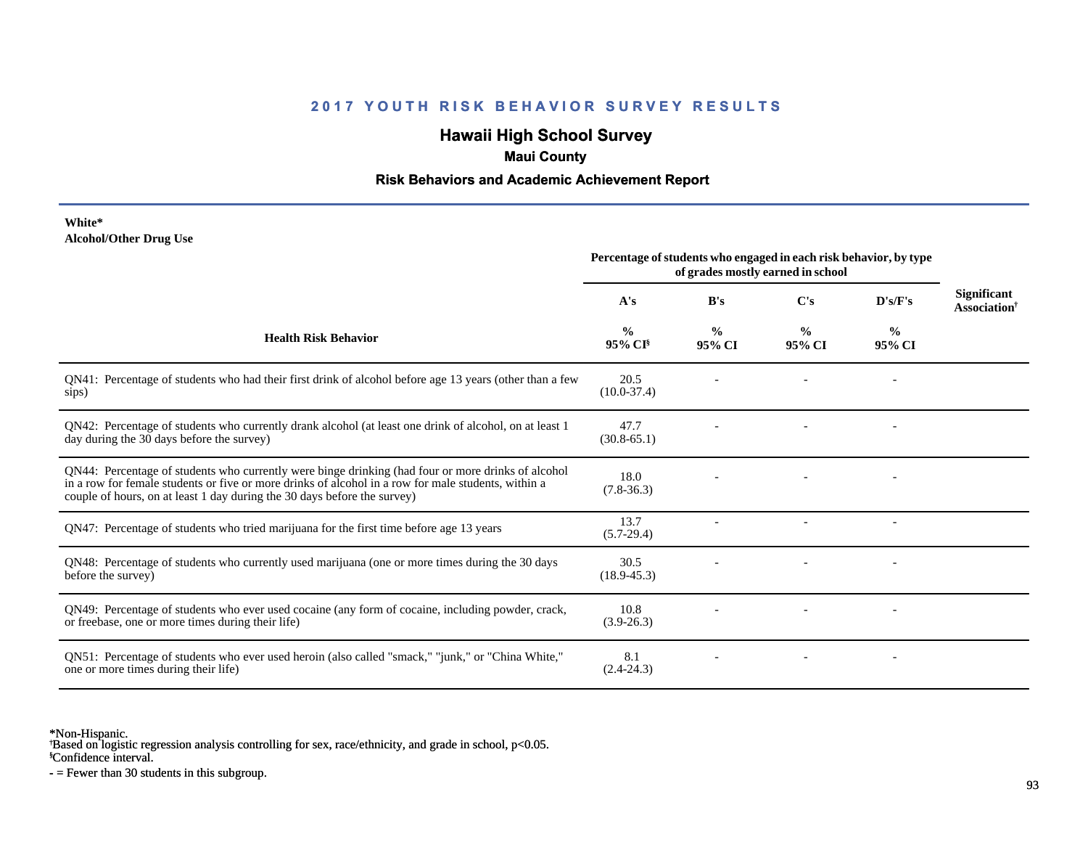# **Hawaii High School Survey**

## **Maui County**

### **Risk Behaviors and Academic Achievement Report**

#### **White\* Alcohol/Other Drug Use**

| Percentage of students who engaged in each risk behavior, by type<br>of grades mostly earned in school |                                                                                                         |                         |                          |                                                       |
|--------------------------------------------------------------------------------------------------------|---------------------------------------------------------------------------------------------------------|-------------------------|--------------------------|-------------------------------------------------------|
| A's                                                                                                    | B's                                                                                                     | C's                     | D's/F's                  | <b>Significant</b><br><b>Association</b> <sup>†</sup> |
| $\frac{0}{0}$<br>$95\%$ CI <sup>§</sup>                                                                | $\frac{0}{0}$<br>95% CI                                                                                 | $\frac{0}{0}$<br>95% CI | $\frac{6}{9}$<br>95% CI  |                                                       |
| 20.5<br>$(10.0-37.4)$                                                                                  |                                                                                                         |                         |                          |                                                       |
| 47.7<br>$(30.8 - 65.1)$                                                                                |                                                                                                         |                         |                          |                                                       |
| 18.0<br>$(7.8 - 36.3)$                                                                                 |                                                                                                         |                         |                          |                                                       |
| 13.7<br>$(5.7-29.4)$                                                                                   |                                                                                                         |                         | $\overline{\phantom{a}}$ |                                                       |
| 30.5<br>$(18.9 - 45.3)$                                                                                |                                                                                                         |                         |                          |                                                       |
| 10.8<br>$(3.9-26.3)$                                                                                   |                                                                                                         |                         |                          |                                                       |
| 8.1<br>$(2.4 - 24.3)$                                                                                  |                                                                                                         |                         |                          |                                                       |
|                                                                                                        | QN41: Percentage of students who had their first drink of alcohol before age 13 years (other than a few |                         |                          |                                                       |

\*Non-Hispanic.

† Based on logistic regression analysis controlling for sex, race/ethnicity, and grade in school, p<0.05.

§Confidence interval.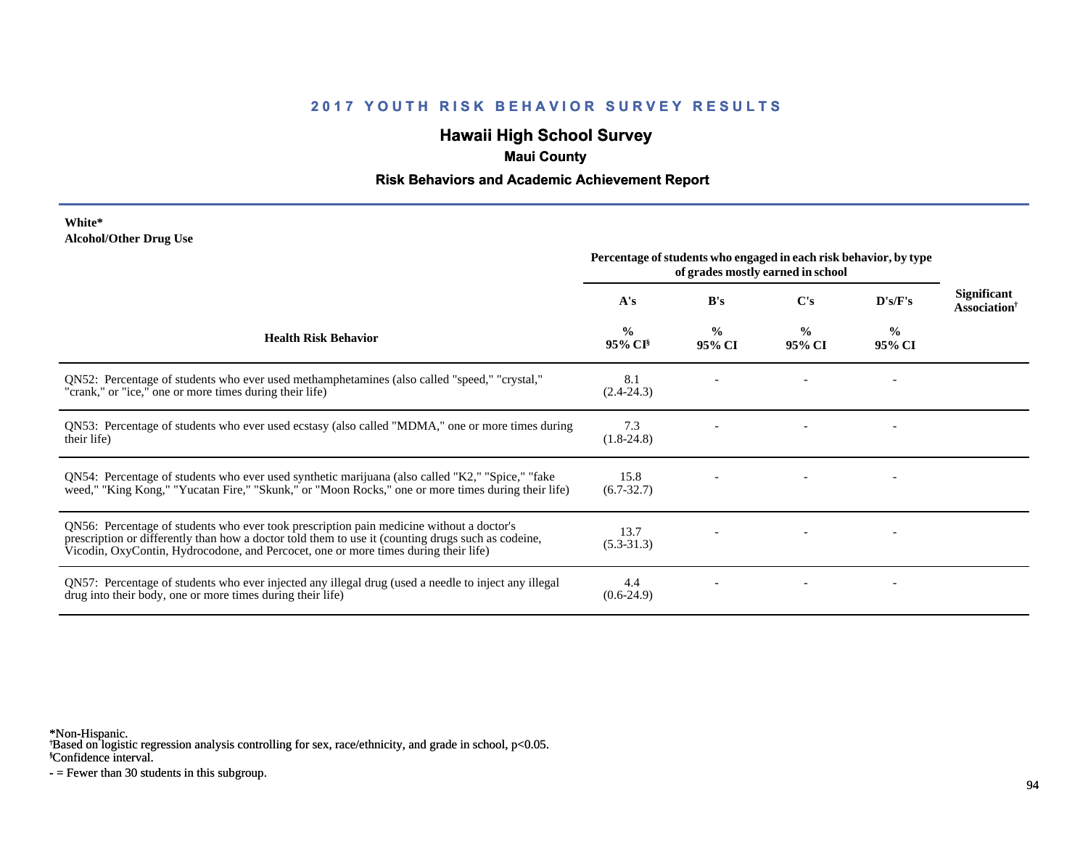# **Hawaii High School Survey**

## **Maui County**

### **Risk Behaviors and Academic Achievement Report**

#### **White\* Alcohol/Other Drug Use**

|                                                                                                                                                                                                                                                                                       | Percentage of students who engaged in each risk behavior, by type<br>of grades mostly earned in school |                         |                         |                         |                                                       |
|---------------------------------------------------------------------------------------------------------------------------------------------------------------------------------------------------------------------------------------------------------------------------------------|--------------------------------------------------------------------------------------------------------|-------------------------|-------------------------|-------------------------|-------------------------------------------------------|
|                                                                                                                                                                                                                                                                                       | A's                                                                                                    | B's                     | $\bf C's$               | D's/F's                 | <b>Significant</b><br><b>Association</b> <sup>†</sup> |
| <b>Health Risk Behavior</b>                                                                                                                                                                                                                                                           | $\frac{6}{9}$<br>95% CI <sup>§</sup>                                                                   | $\frac{0}{0}$<br>95% CI | $\frac{0}{0}$<br>95% CI | $\frac{0}{0}$<br>95% CI |                                                       |
| QN52: Percentage of students who ever used methamphetamines (also called "speed," "crystal,"<br>"crank," or "ice," one or more times during their life)                                                                                                                               | 8.1<br>$(2.4 - 24.3)$                                                                                  |                         |                         |                         |                                                       |
| QN53: Percentage of students who ever used ecstasy (also called "MDMA," one or more times during<br>their life)                                                                                                                                                                       | 7.3<br>$(1.8-24.8)$                                                                                    |                         |                         |                         |                                                       |
| QN54: Percentage of students who ever used synthetic marijuana (also called "K2," "Spice," "fake<br>weed," "King Kong," "Yucatan Fire," "Skunk," or "Moon Rocks," one or more times during their life)                                                                                | 15.8<br>$(6.7 - 32.7)$                                                                                 |                         |                         |                         |                                                       |
| QN56: Percentage of students who ever took prescription pain medicine without a doctor's<br>prescription or differently than how a doctor told them to use it (counting drugs such as codeine,<br>Vicodin, OxyContin, Hydrocodone, and Percocet, one or more times during their life) | 13.7<br>$(5.3 - 31.3)$                                                                                 |                         |                         |                         |                                                       |
| QN57: Percentage of students who ever injected any illegal drug (used a needle to inject any illegal<br>drug into their body, one or more times during their life)                                                                                                                    | 4.4<br>$(0.6-24.9)$                                                                                    |                         |                         |                         |                                                       |

\*Non-Hispanic.

† Based on logistic regression analysis controlling for sex, race/ethnicity, and grade in school, p<0.05.

§Confidence interval.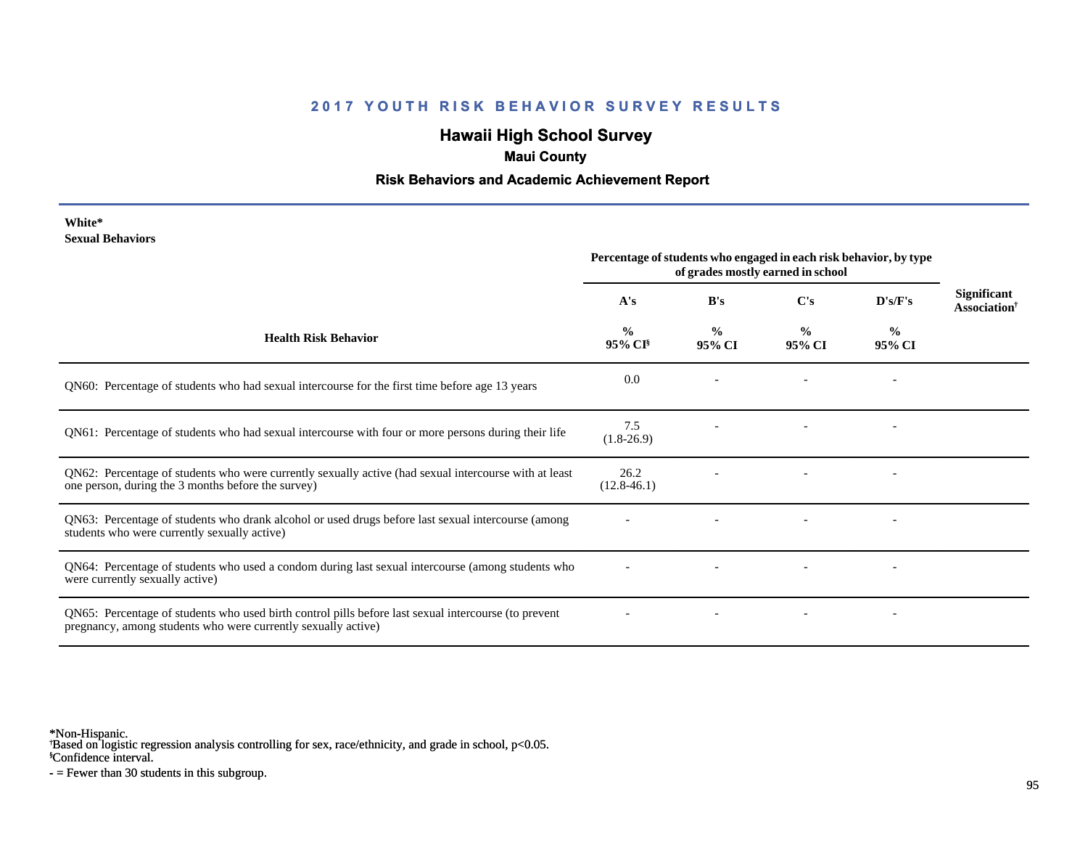# **Hawaii High School Survey**

### **Maui County**

### **Risk Behaviors and Academic Achievement Report**

| White*                  |
|-------------------------|
| <b>Sexual Behaviors</b> |

|                                                                                                                                                                       | Percentage of students who engaged in each risk behavior, by type<br>of grades mostly earned in school |                         |                         |                          |                                            |
|-----------------------------------------------------------------------------------------------------------------------------------------------------------------------|--------------------------------------------------------------------------------------------------------|-------------------------|-------------------------|--------------------------|--------------------------------------------|
|                                                                                                                                                                       | A's                                                                                                    | B's                     | C's                     | $\bf{D's/F's}$           | <b>Significant</b><br><b>Association</b> † |
| <b>Health Risk Behavior</b>                                                                                                                                           | $\frac{0}{0}$<br>$95\%$ CI <sup>§</sup>                                                                | $\frac{0}{0}$<br>95% CI | $\frac{0}{0}$<br>95% CI | $\frac{0}{0}$<br>95% CI  |                                            |
| QN60: Percentage of students who had sexual intercourse for the first time before age 13 years                                                                        | 0.0                                                                                                    |                         |                         |                          |                                            |
| QN61: Percentage of students who had sexual intercourse with four or more persons during their life                                                                   | 7.5<br>$(1.8-26.9)$                                                                                    |                         |                         |                          |                                            |
| QN62: Percentage of students who were currently sexually active (had sexual intercourse with at least<br>one person, during the 3 months before the survey)           | 26.2<br>$(12.8-46.1)$                                                                                  |                         |                         |                          |                                            |
| QN63: Percentage of students who drank alcohol or used drugs before last sexual intercourse (among<br>students who were currently sexually active)                    |                                                                                                        |                         |                         |                          |                                            |
| QN64: Percentage of students who used a condom during last sexual intercourse (among students who<br>were currently sexually active)                                  |                                                                                                        |                         |                         |                          |                                            |
| QN65: Percentage of students who used birth control pills before last sexual intercourse (to prevent<br>pregnancy, among students who were currently sexually active) |                                                                                                        |                         |                         | $\overline{\phantom{a}}$ |                                            |

\*Non-Hispanic.

† Based on logistic regression analysis controlling for sex, race/ethnicity, and grade in school, p<0.05.

§Confidence interval.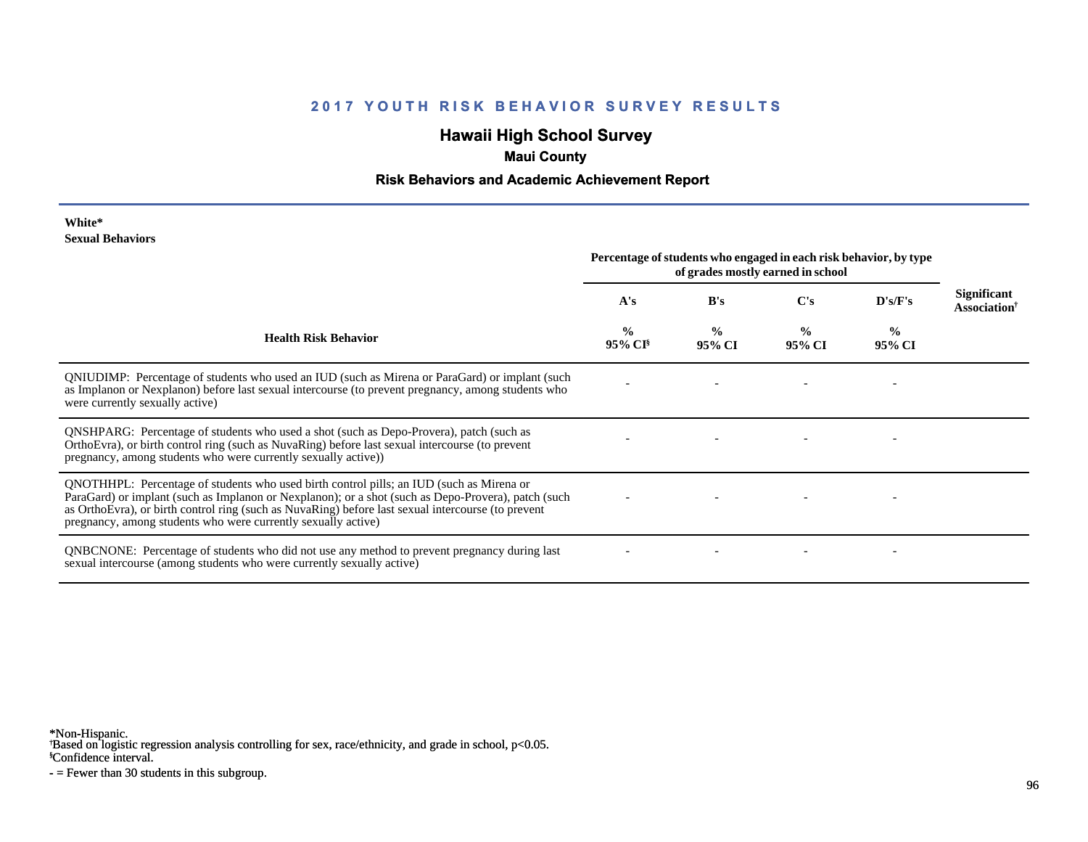# **Hawaii High School Survey**

### **Maui County**

### **Risk Behaviors and Academic Achievement Report**

#### **White\* Sexual Behaviors**

|                                                                                                                                                                                                                                                                                                                                                                        | Percentage of students who engaged in each risk behavior, by type<br>of grades mostly earned in school |                         |                         |                         |                                                |
|------------------------------------------------------------------------------------------------------------------------------------------------------------------------------------------------------------------------------------------------------------------------------------------------------------------------------------------------------------------------|--------------------------------------------------------------------------------------------------------|-------------------------|-------------------------|-------------------------|------------------------------------------------|
|                                                                                                                                                                                                                                                                                                                                                                        | A's                                                                                                    | B's                     | $\bf C's$               | D's/F's                 | <b>Significant</b><br>Association <sup>†</sup> |
| <b>Health Risk Behavior</b>                                                                                                                                                                                                                                                                                                                                            | $\frac{0}{0}$<br>95% CI <sup>§</sup>                                                                   | $\frac{0}{0}$<br>95% CI | $\frac{0}{0}$<br>95% CI | $\frac{0}{0}$<br>95% CI |                                                |
| QNIUDIMP: Percentage of students who used an IUD (such as Mirena or ParaGard) or implant (such<br>as Implanon or Nexplanon) before last sexual intercourse (to prevent pregnancy, among students who<br>were currently sexually active)                                                                                                                                |                                                                                                        |                         |                         |                         |                                                |
| <b>QNSHPARG:</b> Percentage of students who used a shot (such as Depo-Provera), patch (such as<br>OrthoEvra), or birth control ring (such as NuvaRing) before last sexual intercourse (to prevent<br>pregnancy, among students who were currently sexually active))                                                                                                    |                                                                                                        |                         |                         |                         |                                                |
| QNOTHHPL: Percentage of students who used birth control pills; an IUD (such as Mirena or<br>ParaGard) or implant (such as Implanon or Nexplanon); or a shot (such as Depo-Provera), patch (such<br>as OrthoEvra), or birth control ring (such as NuvaRing) before last sexual intercourse (to prevent<br>pregnancy, among students who were currently sexually active) |                                                                                                        |                         |                         |                         |                                                |
| <b>QNBCNONE:</b> Percentage of students who did not use any method to prevent pregnancy during last<br>sexual intercourse (among students who were currently sexually active)                                                                                                                                                                                          |                                                                                                        |                         |                         |                         |                                                |

\*Non-Hispanic.

† Based on logistic regression analysis controlling for sex, race/ethnicity, and grade in school, p<0.05.

§Confidence interval.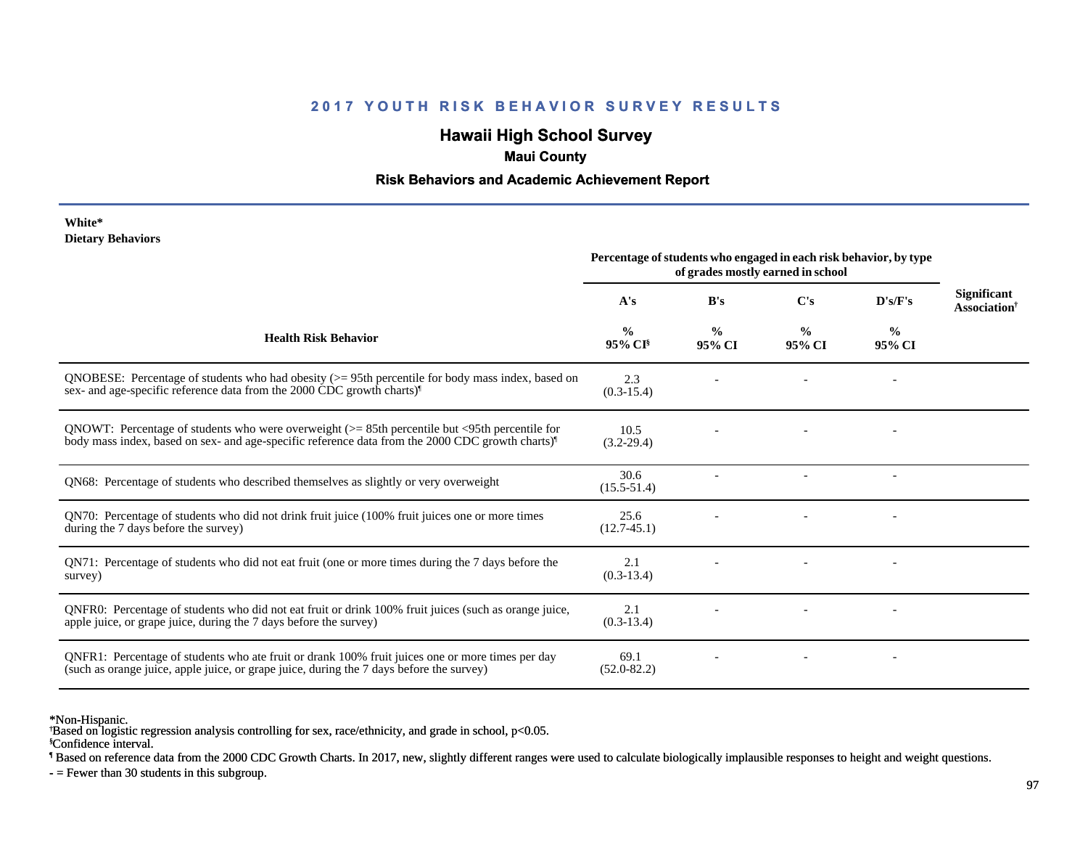# **Hawaii High School Survey**

### **Maui County**

### **Risk Behaviors and Academic Achievement Report**

#### **White\* Dietary Behaviors**

|                                                                                                                                                                                                                   | Percentage of students who engaged in each risk behavior, by type<br>of grades mostly earned in school |                         |                         |                          |                                                |
|-------------------------------------------------------------------------------------------------------------------------------------------------------------------------------------------------------------------|--------------------------------------------------------------------------------------------------------|-------------------------|-------------------------|--------------------------|------------------------------------------------|
|                                                                                                                                                                                                                   | A's                                                                                                    | B's                     | $\bf C's$               | D's/F's                  | <b>Significant</b><br>Association <sup>†</sup> |
| <b>Health Risk Behavior</b>                                                                                                                                                                                       | %<br>95% CI <sup>§</sup>                                                                               | $\frac{0}{0}$<br>95% CI | $\frac{0}{0}$<br>95% CI | $\frac{0}{0}$<br>95% CI  |                                                |
| QNOBESE: Percentage of students who had obesity $(>= 95$ th percentile for body mass index, based on<br>sex- and age-specific reference data from the 2000 CDC growth charts) <sup>1</sup>                        | 2.3<br>$(0.3-15.4)$                                                                                    |                         |                         |                          |                                                |
| QNOWT: Percentage of students who were overweight $(>= 85$ th percentile but <95th percentile for<br>body mass index, based on sex- and age-specific reference data from the 2000 CDC growth charts) <sup>1</sup> | 10.5<br>$(3.2 - 29.4)$                                                                                 |                         |                         |                          |                                                |
| QN68: Percentage of students who described themselves as slightly or very overweight                                                                                                                              | 30.6<br>$(15.5 - 51.4)$                                                                                |                         |                         | $\overline{\phantom{a}}$ |                                                |
| QN70: Percentage of students who did not drink fruit juice (100% fruit juices one or more times<br>during the 7 days before the survey)                                                                           | 25.6<br>$(12.7-45.1)$                                                                                  |                         |                         |                          |                                                |
| QN71: Percentage of students who did not eat fruit (one or more times during the 7 days before the<br>survey)                                                                                                     | 2.1<br>$(0.3-13.4)$                                                                                    |                         |                         |                          |                                                |
| ONFR0: Percentage of students who did not eat fruit or drink 100% fruit juices (such as orange juice,<br>apple juice, or grape juice, during the 7 days before the survey)                                        | 2.1<br>$(0.3-13.4)$                                                                                    |                         |                         |                          |                                                |
| QNFR1: Percentage of students who ate fruit or drank 100% fruit juices one or more times per day<br>(such as orange juice, apple juice, or grape juice, during the 7 days before the survey)                      | 69.1<br>$(52.0 - 82.2)$                                                                                |                         |                         |                          |                                                |

\*Non-Hispanic.

§Confidence interval. † Based on logistic regression analysis controlling for sex, race/ethnicity, and grade in school, p<0.05.

¶ Based on reference data from the 2000 CDC Growth Charts. In 2017, new, slightly different ranges were used to calculate biologically implausible responses to height and weight questions.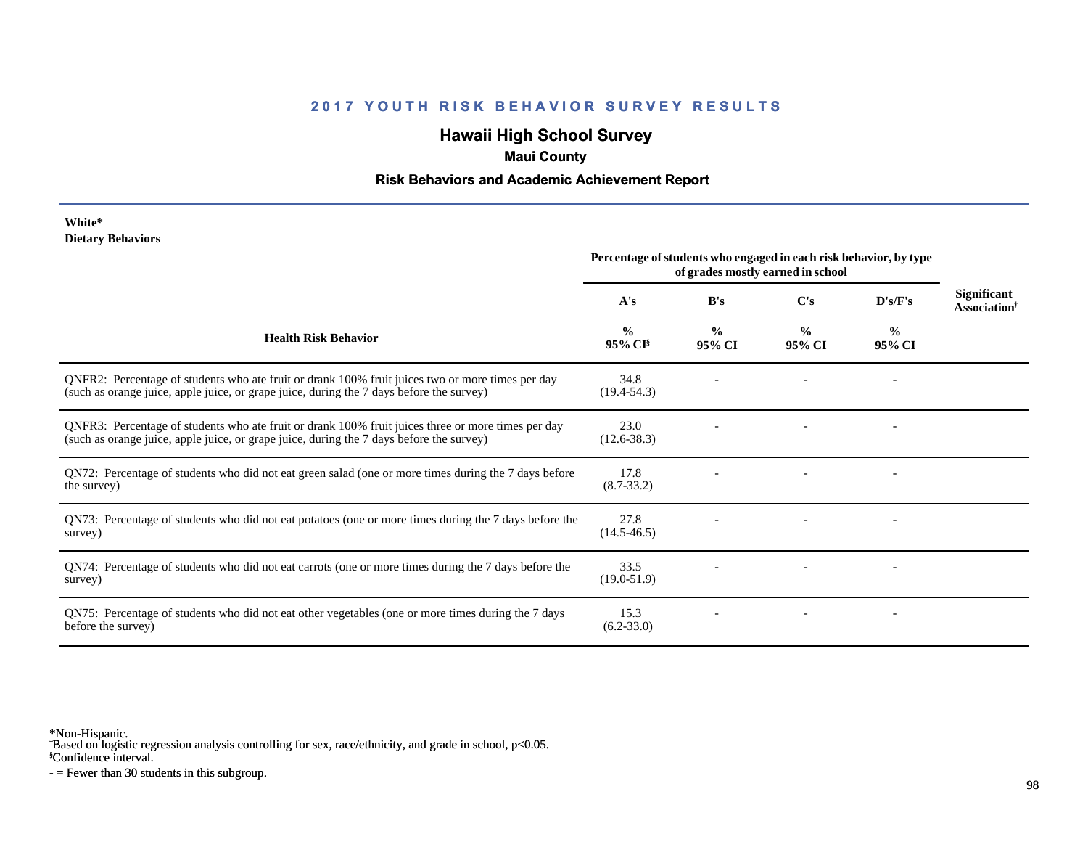# **Hawaii High School Survey**

## **Maui County**

### **Risk Behaviors and Academic Achievement Report**

#### **White\* Dietary Behaviors**

|                                                                                                                                                                                                | Percentage of students who engaged in each risk behavior, by type<br>of grades mostly earned in school |                         |                         |                          |                                                       |
|------------------------------------------------------------------------------------------------------------------------------------------------------------------------------------------------|--------------------------------------------------------------------------------------------------------|-------------------------|-------------------------|--------------------------|-------------------------------------------------------|
|                                                                                                                                                                                                | A's                                                                                                    | B's                     | C's                     | D's/F's                  | <b>Significant</b><br><b>Association</b> <sup>†</sup> |
| <b>Health Risk Behavior</b>                                                                                                                                                                    | $\frac{0}{0}$<br>$95\%$ CI <sup>§</sup>                                                                | $\frac{0}{0}$<br>95% CI | $\frac{0}{0}$<br>95% CI | $\frac{6}{10}$<br>95% CI |                                                       |
| QNFR2: Percentage of students who ate fruit or drank 100% fruit juices two or more times per day<br>(such as orange juice, apple juice, or grape juice, during the 7 days before the survey)   | 34.8<br>$(19.4 - 54.3)$                                                                                |                         |                         |                          |                                                       |
| QNFR3: Percentage of students who ate fruit or drank 100% fruit juices three or more times per day<br>(such as orange juice, apple juice, or grape juice, during the 7 days before the survey) | 23.0<br>$(12.6 - 38.3)$                                                                                |                         |                         |                          |                                                       |
| QN72: Percentage of students who did not eat green salad (one or more times during the 7 days before<br>the survey)                                                                            | 17.8<br>$(8.7 - 33.2)$                                                                                 |                         |                         |                          |                                                       |
| QN73: Percentage of students who did not eat potatoes (one or more times during the 7 days before the<br>survey)                                                                               | 27.8<br>$(14.5 - 46.5)$                                                                                |                         |                         |                          |                                                       |
| QN74: Percentage of students who did not eat carrots (one or more times during the 7 days before the<br>survey)                                                                                | 33.5<br>$(19.0 - 51.9)$                                                                                |                         |                         |                          |                                                       |
| QN75: Percentage of students who did not eat other vegetables (one or more times during the 7 days<br>before the survey)                                                                       | 15.3<br>$(6.2 - 33.0)$                                                                                 |                         |                         |                          |                                                       |

\*Non-Hispanic.

† Based on logistic regression analysis controlling for sex, race/ethnicity, and grade in school, p<0.05.

§Confidence interval.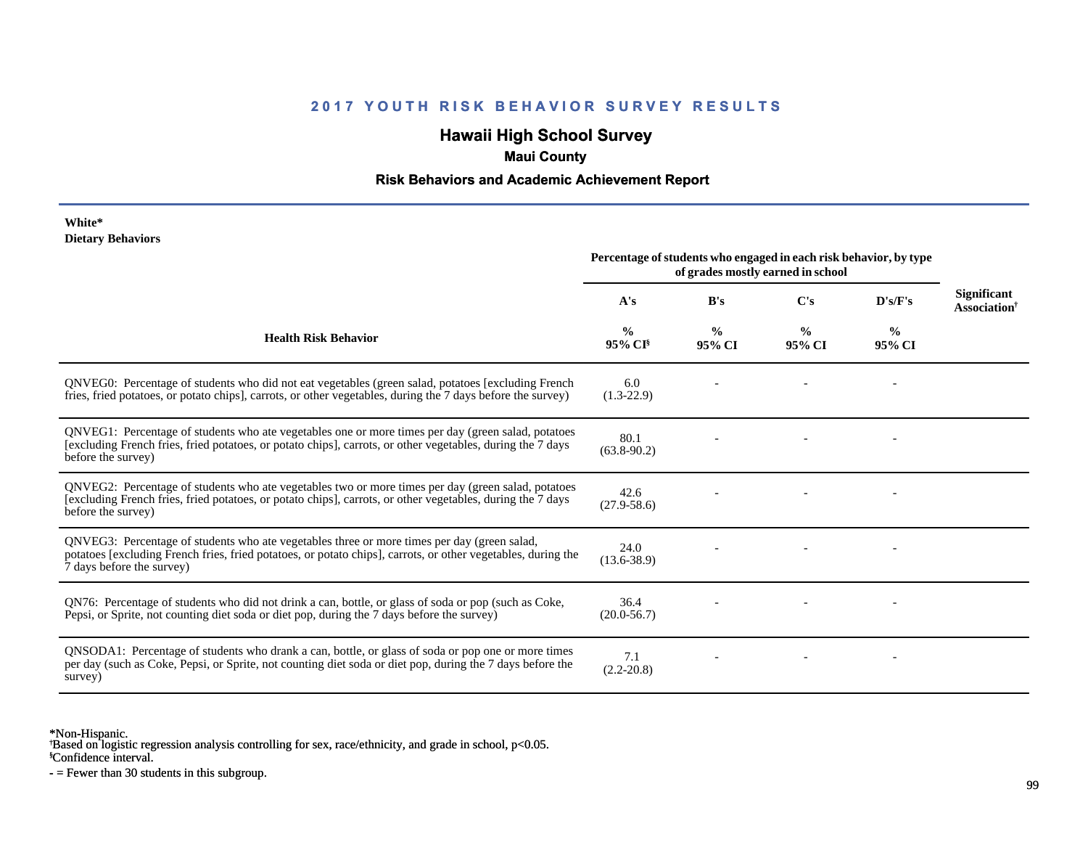# **Hawaii High School Survey**

## **Maui County**

### **Risk Behaviors and Academic Achievement Report**

#### **White\* Dietary Behaviors**

|                                                                                                                                                                                                                                          | Percentage of students who engaged in each risk behavior, by type<br>of grades mostly earned in school |                         |                         |                         |                                         |
|------------------------------------------------------------------------------------------------------------------------------------------------------------------------------------------------------------------------------------------|--------------------------------------------------------------------------------------------------------|-------------------------|-------------------------|-------------------------|-----------------------------------------|
|                                                                                                                                                                                                                                          | A's                                                                                                    | B's                     | $\bf C's$               | D's/F's                 | Significant<br>Association <sup>†</sup> |
| <b>Health Risk Behavior</b>                                                                                                                                                                                                              | $\frac{6}{6}$<br>$95\%$ CI <sup>§</sup>                                                                | $\frac{0}{0}$<br>95% CI | $\frac{0}{0}$<br>95% CI | $\frac{0}{0}$<br>95% CI |                                         |
| ONVEG0: Percentage of students who did not eat vegetables (green salad, potatoes [excluding French<br>fries, fried potatoes, or potato chips], carrots, or other vegetables, during the 7 days before the survey)                        | 6.0<br>$(1.3-22.9)$                                                                                    |                         |                         |                         |                                         |
| QNVEG1: Percentage of students who ate vegetables one or more times per day (green salad, potatoes<br>[excluding French fries, fried potatoes, or potato chips], carrots, or other vegetables, during the 7 days<br>before the survey)   | 80.1<br>$(63.8-90.2)$                                                                                  |                         |                         |                         |                                         |
| QNVEG2: Percentage of students who ate vegetables two or more times per day (green salad, potatoes<br>[excluding French fries, fried potatoes, or potato chips], carrots, or other vegetables, during the 7 days<br>before the survey)   | 42.6<br>$(27.9 - 58.6)$                                                                                |                         |                         |                         |                                         |
| QNVEG3: Percentage of students who ate vegetables three or more times per day (green salad,<br>potatoes [excluding French fries, fried potatoes, or potato chips], carrots, or other vegetables, during the<br>7 days before the survey) | 24.0<br>$(13.6 - 38.9)$                                                                                |                         |                         |                         |                                         |
| QN76: Percentage of students who did not drink a can, bottle, or glass of soda or pop (such as Coke,<br>Pepsi, or Sprite, not counting diet soda or diet pop, during the 7 days before the survey)                                       | 36.4<br>$(20.0 - 56.7)$                                                                                |                         |                         |                         |                                         |
| QNSODA1: Percentage of students who drank a can, bottle, or glass of soda or pop one or more times<br>per day (such as Coke, Pepsi, or Sprite, not counting diet soda or diet pop, during the 7 days before the<br>survey)               | 7.1<br>$(2.2 - 20.8)$                                                                                  |                         |                         |                         |                                         |

\*Non-Hispanic.

† Based on logistic regression analysis controlling for sex, race/ethnicity, and grade in school, p<0.05.

§Confidence interval.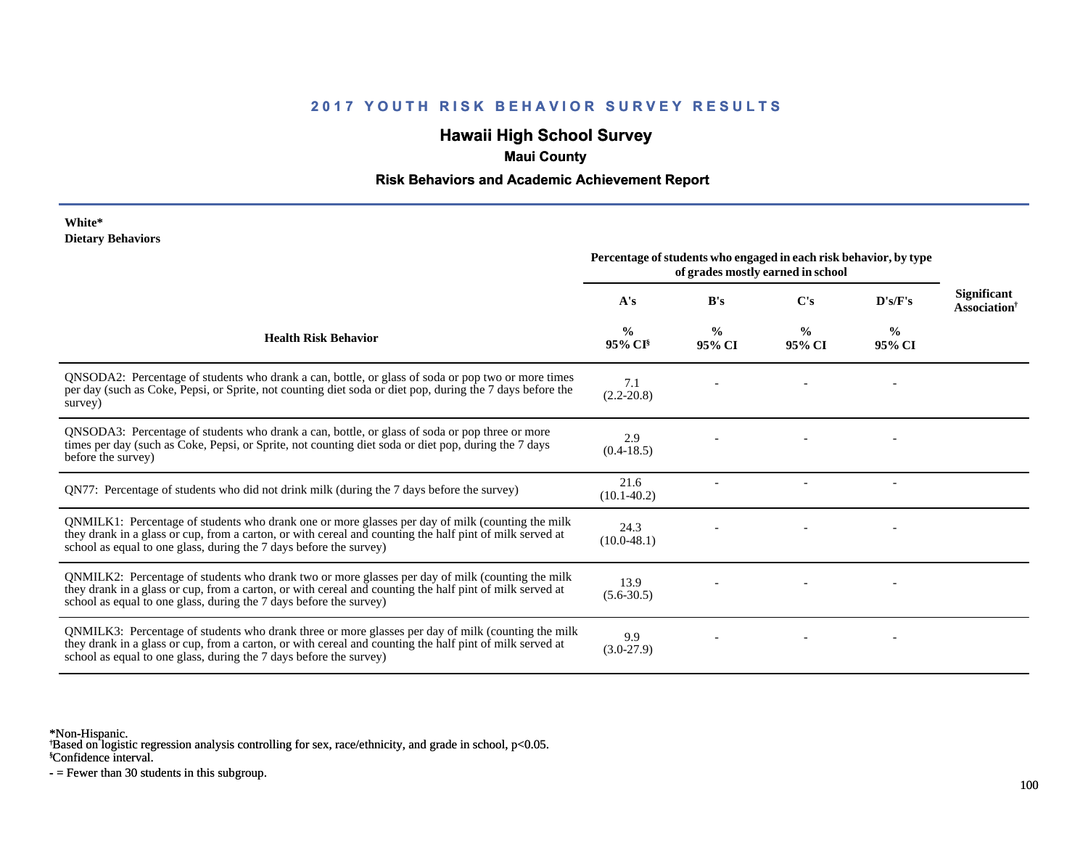# **Hawaii High School Survey**

### **Maui County**

### **Risk Behaviors and Academic Achievement Report**

#### **White\* Dietary Behaviors**

|                                                                                                                                                                                                                                                                                      | Percentage of students who engaged in each risk behavior, by type<br>of grades mostly earned in school |                         |                         |                         |                                                |
|--------------------------------------------------------------------------------------------------------------------------------------------------------------------------------------------------------------------------------------------------------------------------------------|--------------------------------------------------------------------------------------------------------|-------------------------|-------------------------|-------------------------|------------------------------------------------|
|                                                                                                                                                                                                                                                                                      | A's                                                                                                    | B's                     | $\bf C's$               | D's/F's                 | Significant<br><b>Association</b> <sup>†</sup> |
| <b>Health Risk Behavior</b>                                                                                                                                                                                                                                                          | $\frac{0}{0}$<br>95% CI                                                                                | $\frac{0}{0}$<br>95% CI | $\frac{0}{0}$<br>95% CI | $\frac{0}{0}$<br>95% CI |                                                |
| QNSODA2: Percentage of students who drank a can, bottle, or glass of soda or pop two or more times<br>per day (such as Coke, Pepsi, or Sprite, not counting diet soda or diet pop, during the 7 days before the<br>survey)                                                           | 7.1<br>$(2.2 - 20.8)$                                                                                  |                         |                         |                         |                                                |
| QNSODA3: Percentage of students who drank a can, bottle, or glass of soda or pop three or more<br>times per day (such as Coke, Pepsi, or Sprite, not counting diet soda or diet pop, during the 7 days<br>before the survey)                                                         | 2.9<br>$(0.4-18.5)$                                                                                    |                         |                         |                         |                                                |
| QN77: Percentage of students who did not drink milk (during the 7 days before the survey)                                                                                                                                                                                            | 21.6<br>$(10.1 - 40.2)$                                                                                |                         |                         |                         |                                                |
| QNMILK1: Percentage of students who drank one or more glasses per day of milk (counting the milk<br>they drank in a glass or cup, from a carton, or with cereal and counting the half pint of milk served at<br>school as equal to one glass, during the 7 days before the survey)   | 24.3<br>$(10.0-48.1)$                                                                                  |                         |                         |                         |                                                |
| QNMILK2: Percentage of students who drank two or more glasses per day of milk (counting the milk<br>they drank in a glass or cup, from a carton, or with cereal and counting the half pint of milk served at<br>school as equal to one glass, during the 7 days before the survey)   | 13.9<br>$(5.6 - 30.5)$                                                                                 |                         |                         |                         |                                                |
| QNMILK3: Percentage of students who drank three or more glasses per day of milk (counting the milk<br>they drank in a glass or cup, from a carton, or with cereal and counting the half pint of milk served at<br>school as equal to one glass, during the 7 days before the survey) | 9.9<br>$(3.0-27.9)$                                                                                    |                         |                         |                         |                                                |

\*Non-Hispanic.

† Based on logistic regression analysis controlling for sex, race/ethnicity, and grade in school, p<0.05.

§Confidence interval.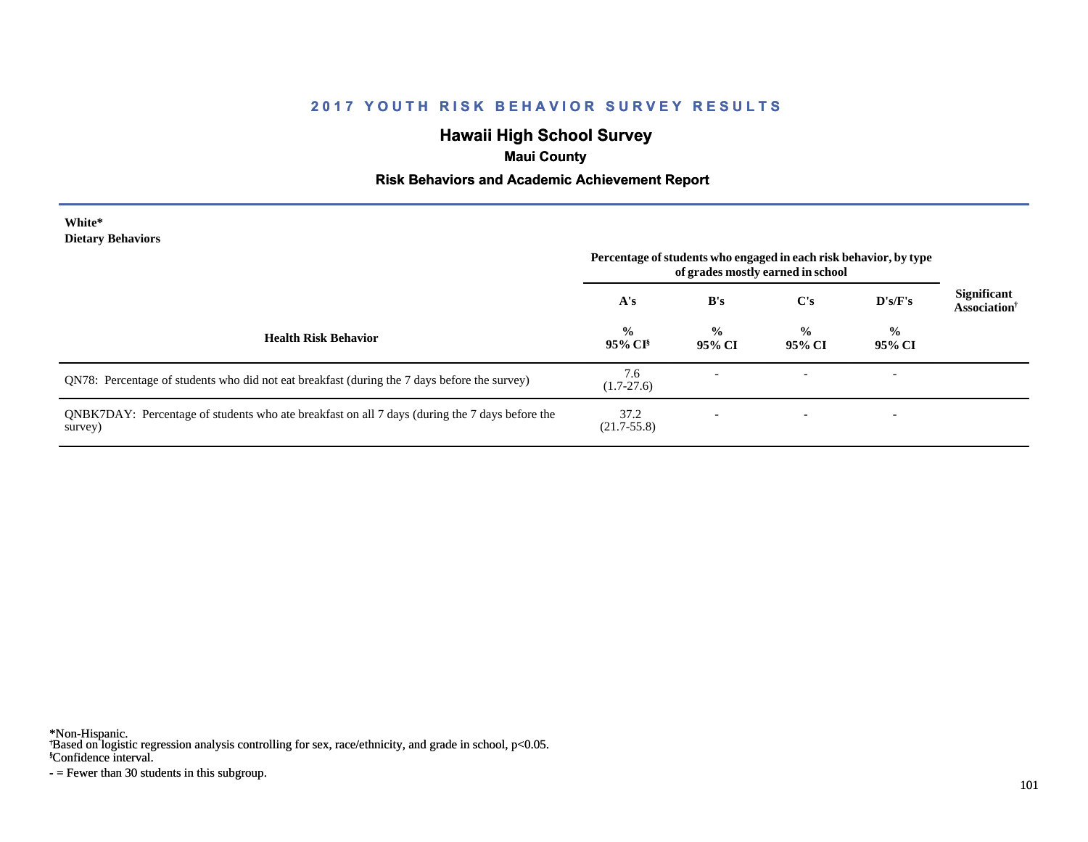# **Hawaii High School Survey**

## **Maui County**

### **Risk Behaviors and Academic Achievement Report**

#### **White\* Dietary Behaviors**

|                                                                                                           | Percentage of students who engaged in each risk behavior, by type<br>of grades mostly earned in school |                         |                         |                          |                                                |
|-----------------------------------------------------------------------------------------------------------|--------------------------------------------------------------------------------------------------------|-------------------------|-------------------------|--------------------------|------------------------------------------------|
|                                                                                                           | A's                                                                                                    | B's                     | C's                     | D's/F's                  | <b>Significant</b><br>Association <sup>†</sup> |
| <b>Health Risk Behavior</b>                                                                               | $\frac{0}{0}$<br>$95\%$ CI <sup>§</sup>                                                                | $\frac{6}{9}$<br>95% CI | $\frac{0}{0}$<br>95% CI | $\frac{0}{0}$<br>95% CI  |                                                |
| QN78: Percentage of students who did not eat breakfast (during the 7 days before the survey)              | 7.6<br>$(1.7 - 27.6)$                                                                                  |                         |                         | $\overline{\phantom{0}}$ |                                                |
| QNBK7DAY: Percentage of students who ate breakfast on all 7 days (during the 7 days before the<br>survey) | 37.2<br>$(21.7 - 55.8)$                                                                                |                         |                         | $\overline{\phantom{0}}$ |                                                |

\*Non-Hispanic.

† Based on logistic regression analysis controlling for sex, race/ethnicity, and grade in school, p<0.05.

§Confidence interval.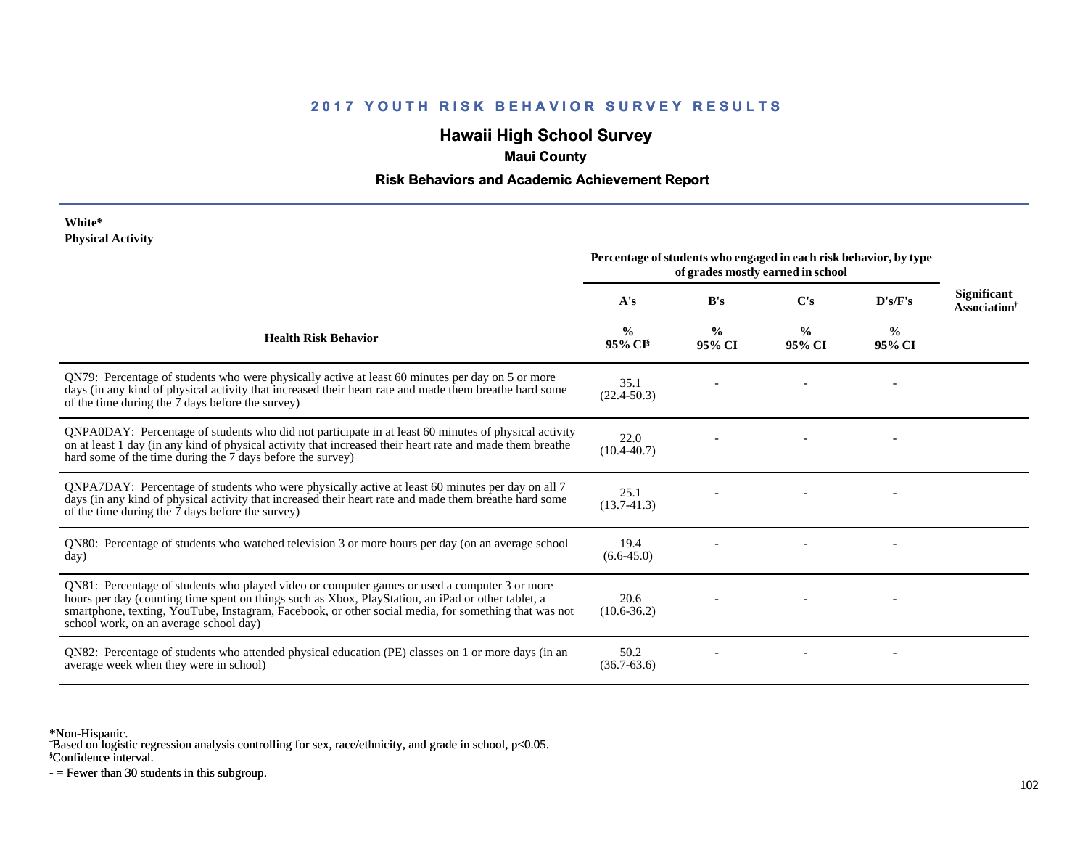# **Hawaii High School Survey**

### **Maui County**

### **Risk Behaviors and Academic Achievement Report**

#### **White\* Physical Activity**

|                                                                                                                                                                                                                                                                                                                                                      | Percentage of students who engaged in each risk behavior, by type<br>of grades mostly earned in school |                         |                         |                         |                                                |
|------------------------------------------------------------------------------------------------------------------------------------------------------------------------------------------------------------------------------------------------------------------------------------------------------------------------------------------------------|--------------------------------------------------------------------------------------------------------|-------------------------|-------------------------|-------------------------|------------------------------------------------|
|                                                                                                                                                                                                                                                                                                                                                      | A's                                                                                                    | B's                     | C's                     | D's/F's                 | <b>Significant</b><br>Association <sup>†</sup> |
| <b>Health Risk Behavior</b>                                                                                                                                                                                                                                                                                                                          | $\frac{0}{0}$<br>$95\%$ CI <sup>§</sup>                                                                | $\frac{0}{0}$<br>95% CI | $\frac{0}{0}$<br>95% CI | $\frac{6}{9}$<br>95% CI |                                                |
| QN79: Percentage of students who were physically active at least 60 minutes per day on 5 or more<br>days (in any kind of physical activity that increased their heart rate and made them breathe hard some<br>of the time during the 7 days before the survey)                                                                                       | 35.1<br>$(22.4 - 50.3)$                                                                                |                         |                         |                         |                                                |
| QNPA0DAY: Percentage of students who did not participate in at least 60 minutes of physical activity<br>on at least 1 day (in any kind of physical activity that increased their heart rate and made them breathe<br>hard some of the time during the 7 days before the survey)                                                                      | 22.0<br>$(10.4 - 40.7)$                                                                                |                         |                         |                         |                                                |
| QNPA7DAY: Percentage of students who were physically active at least 60 minutes per day on all 7<br>days (in any kind of physical activity that increased their heart rate and made them breathe hard some<br>of the time during the 7 days before the survey)                                                                                       | 25.1<br>$(13.7 - 41.3)$                                                                                |                         |                         |                         |                                                |
| QN80: Percentage of students who watched television 3 or more hours per day (on an average school<br>day)                                                                                                                                                                                                                                            | 19.4<br>$(6.6-45.0)$                                                                                   |                         |                         |                         |                                                |
| QN81: Percentage of students who played video or computer games or used a computer 3 or more<br>hours per day (counting time spent on things such as Xbox, PlayStation, an iPad or other tablet, a<br>smartphone, texting, YouTube, Instagram, Facebook, or other social media, for something that was not<br>school work, on an average school day) | 20.6<br>$(10.6 - 36.2)$                                                                                |                         |                         |                         |                                                |
| QN82: Percentage of students who attended physical education (PE) classes on 1 or more days (in an<br>average week when they were in school)                                                                                                                                                                                                         | 50.2<br>$(36.7 - 63.6)$                                                                                |                         |                         |                         |                                                |

\*Non-Hispanic.

† Based on logistic regression analysis controlling for sex, race/ethnicity, and grade in school, p<0.05.

§Confidence interval.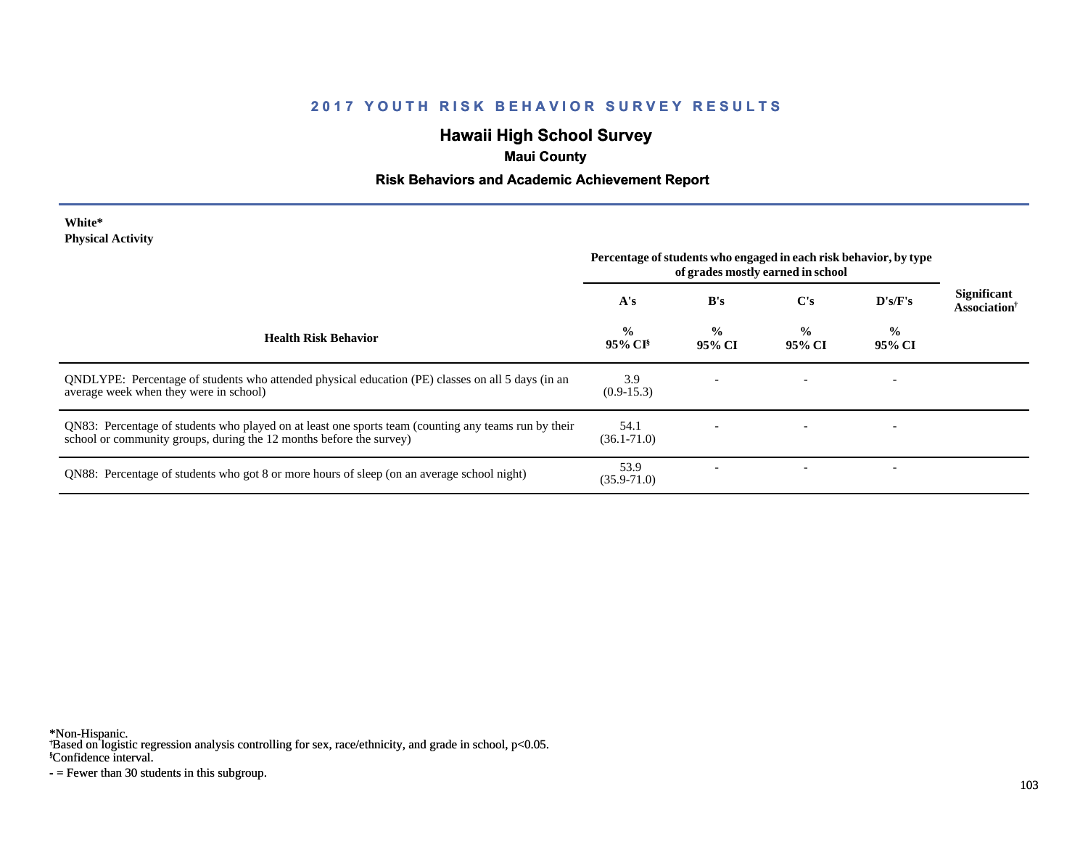# **Hawaii High School Survey**

## **Maui County**

### **Risk Behaviors and Academic Achievement Report**

#### **White\* Physical Activity**

|                                                                                                                                                                             | Percentage of students who engaged in each risk behavior, by type<br>of grades mostly earned in school |                         |                         |                         |                                                |
|-----------------------------------------------------------------------------------------------------------------------------------------------------------------------------|--------------------------------------------------------------------------------------------------------|-------------------------|-------------------------|-------------------------|------------------------------------------------|
|                                                                                                                                                                             | A's                                                                                                    | B's                     | $\bf C's$               | $\bf{D's/F's}$          | <b>Significant</b><br>Association <sup>†</sup> |
| <b>Health Risk Behavior</b>                                                                                                                                                 | $\frac{0}{0}$<br>$95\%$ CI <sup>§</sup>                                                                | $\frac{0}{0}$<br>95% CI | $\frac{0}{0}$<br>95% CI | $\frac{0}{0}$<br>95% CI |                                                |
| QNDLYPE: Percentage of students who attended physical education (PE) classes on all 5 days (in an<br>average week when they were in school)                                 | 3.9<br>$(0.9-15.3)$                                                                                    |                         |                         |                         |                                                |
| QN83: Percentage of students who played on at least one sports team (counting any teams run by their<br>school or community groups, during the 12 months before the survey) | 54.1<br>$(36.1 - 71.0)$                                                                                |                         |                         |                         |                                                |
| QN88: Percentage of students who got 8 or more hours of sleep (on an average school night)                                                                                  | 53.9<br>$(35.9 - 71.0)$                                                                                |                         |                         |                         |                                                |

\*Non-Hispanic.

† Based on logistic regression analysis controlling for sex, race/ethnicity, and grade in school, p<0.05.

§Confidence interval.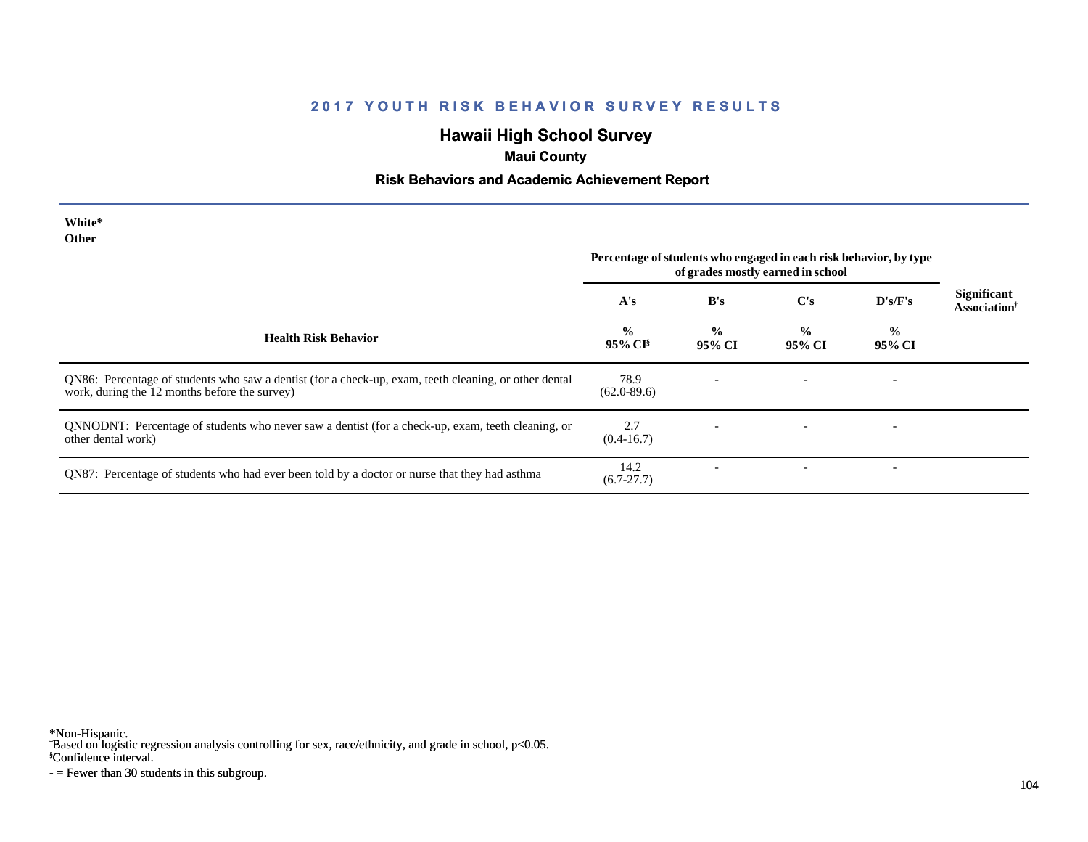# **Hawaii High School Survey**

## **Maui County**

### **Risk Behaviors and Academic Achievement Report**

| White*<br>Other                                                                                                                                        | Percentage of students who engaged in each risk behavior, by type<br>of grades mostly earned in school |                         |                         |                          |                                                |
|--------------------------------------------------------------------------------------------------------------------------------------------------------|--------------------------------------------------------------------------------------------------------|-------------------------|-------------------------|--------------------------|------------------------------------------------|
|                                                                                                                                                        | A's                                                                                                    | B's                     | C's                     | D's/F's                  | <b>Significant</b><br>Association <sup>†</sup> |
| <b>Health Risk Behavior</b>                                                                                                                            | $\frac{0}{0}$<br>95% CI <sup>§</sup>                                                                   | $\frac{0}{0}$<br>95% CI | $\frac{0}{0}$<br>95% CI | $\frac{0}{0}$<br>95% CI  |                                                |
| QN86: Percentage of students who saw a dentist (for a check-up, exam, teeth cleaning, or other dental<br>work, during the 12 months before the survey) | 78.9<br>$(62.0 - 89.6)$                                                                                |                         |                         | $\overline{\phantom{a}}$ |                                                |
| QNNODNT: Percentage of students who never saw a dentist (for a check-up, exam, teeth cleaning, or<br>other dental work)                                | 2.7<br>$(0.4-16.7)$                                                                                    |                         |                         |                          |                                                |
| QN87: Percentage of students who had ever been told by a doctor or nurse that they had asthma                                                          | 14.2<br>$(6.7-27.7)$                                                                                   |                         |                         | $\overline{\phantom{a}}$ |                                                |

\*Non-Hispanic.

† Based on logistic regression analysis controlling for sex, race/ethnicity, and grade in school, p<0.05.

§Confidence interval.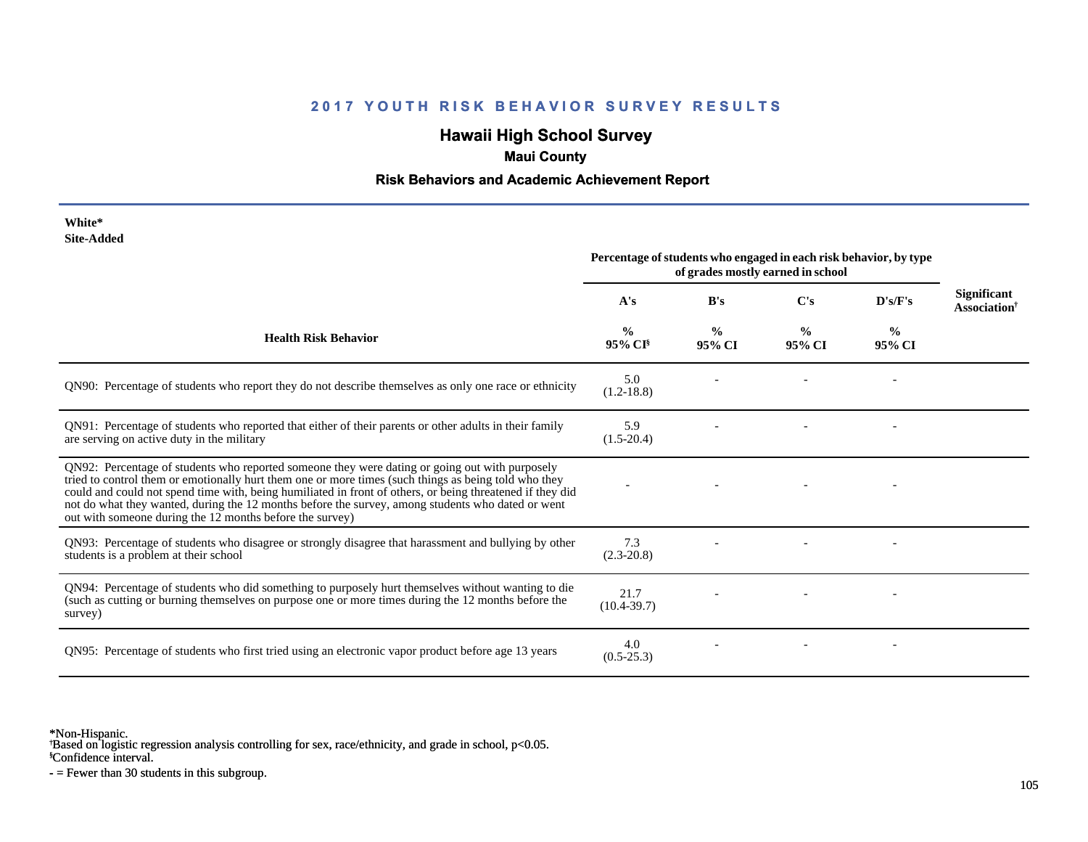# **Hawaii High School Survey**

## **Maui County**

### **Risk Behaviors and Academic Achievement Report**

| White*<br><b>Site-Added</b>                                                                                                                                                                                                                                                                                                                                                                                                                                                          | Percentage of students who engaged in each risk behavior, by type<br>of grades mostly earned in school |                         |                         |                         |                                          |
|--------------------------------------------------------------------------------------------------------------------------------------------------------------------------------------------------------------------------------------------------------------------------------------------------------------------------------------------------------------------------------------------------------------------------------------------------------------------------------------|--------------------------------------------------------------------------------------------------------|-------------------------|-------------------------|-------------------------|------------------------------------------|
|                                                                                                                                                                                                                                                                                                                                                                                                                                                                                      | A's                                                                                                    | B's                     | C's                     | D's/F's                 | <b>Significant</b><br><b>Association</b> |
| <b>Health Risk Behavior</b>                                                                                                                                                                                                                                                                                                                                                                                                                                                          | $\frac{0}{0}$<br>95% CI <sup>§</sup>                                                                   | $\frac{0}{0}$<br>95% CI | $\frac{6}{9}$<br>95% CI | $\frac{6}{9}$<br>95% CI |                                          |
| QN90: Percentage of students who report they do not describe themselves as only one race or ethnicity                                                                                                                                                                                                                                                                                                                                                                                | 5.0<br>$(1.2 - 18.8)$                                                                                  |                         |                         |                         |                                          |
| QN91: Percentage of students who reported that either of their parents or other adults in their family<br>are serving on active duty in the military                                                                                                                                                                                                                                                                                                                                 | 5.9<br>$(1.5-20.4)$                                                                                    |                         |                         |                         |                                          |
| QN92: Percentage of students who reported someone they were dating or going out with purposely<br>tried to control them or emotionally hurt them one or more times (such things as being told who they<br>could and could not spend time with, being humiliated in front of others, or being threatened if they did<br>not do what they wanted, during the 12 months before the survey, among students who dated or went<br>out with someone during the 12 months before the survey) |                                                                                                        |                         |                         |                         |                                          |
| QN93: Percentage of students who disagree or strongly disagree that harassment and bullying by other<br>students is a problem at their school                                                                                                                                                                                                                                                                                                                                        | 7.3<br>$(2.3 - 20.8)$                                                                                  |                         |                         |                         |                                          |
| QN94: Percentage of students who did something to purposely hurt themselves without wanting to die<br>(such as cutting or burning themselves on purpose one or more times during the 12 months before the<br>survey)                                                                                                                                                                                                                                                                 | 21.7<br>$(10.4 - 39.7)$                                                                                |                         |                         |                         |                                          |
| QN95: Percentage of students who first tried using an electronic vapor product before age 13 years                                                                                                                                                                                                                                                                                                                                                                                   | 4.0<br>$(0.5-25.3)$                                                                                    |                         |                         |                         |                                          |

\*Non-Hispanic.

† Based on logistic regression analysis controlling for sex, race/ethnicity, and grade in school, p<0.05.

§Confidence interval.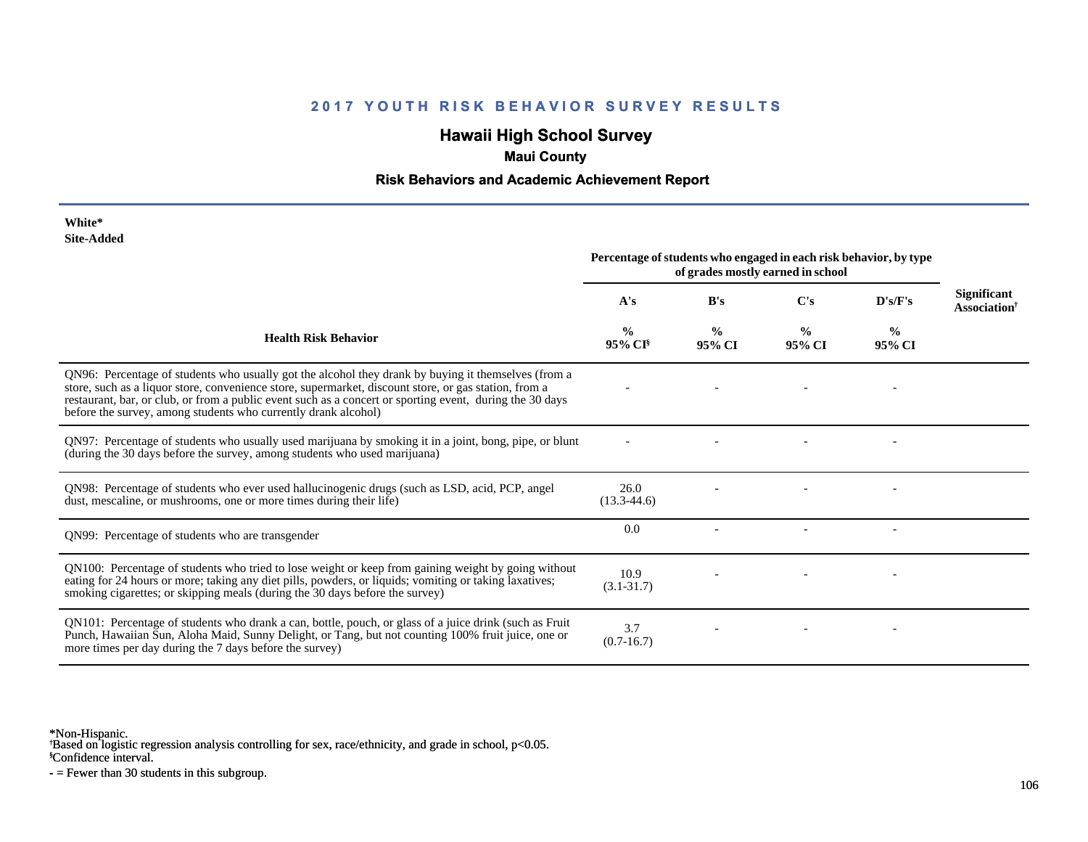# **Hawaii High School Survey**

## **Maui County**

### **Risk Behaviors and Academic Achievement Report**

| White*     |
|------------|
| Site-Added |

|                                                                                                                                                                                                                                                                                                                                                                                            | Percentage of students who engaged in each risk behavior, by type<br>of grades mostly earned in school |                         |                         |                         |                                                |
|--------------------------------------------------------------------------------------------------------------------------------------------------------------------------------------------------------------------------------------------------------------------------------------------------------------------------------------------------------------------------------------------|--------------------------------------------------------------------------------------------------------|-------------------------|-------------------------|-------------------------|------------------------------------------------|
|                                                                                                                                                                                                                                                                                                                                                                                            | A's                                                                                                    | B's                     | C's                     | D's/F's                 | <b>Significant</b><br>Association <sup>†</sup> |
| <b>Health Risk Behavior</b>                                                                                                                                                                                                                                                                                                                                                                | %<br>95% CI <sup>§</sup>                                                                               | $\frac{0}{0}$<br>95% CI | $\frac{0}{0}$<br>95% CI | $\frac{6}{9}$<br>95% CI |                                                |
| QN96: Percentage of students who usually got the alcohol they drank by buying it themselves (from a<br>store, such as a liquor store, convenience store, supermarket, discount store, or gas station, from a<br>restaurant, bar, or club, or from a public event such as a concert or sporting event, during the 30 days<br>before the survey, among students who currently drank alcohol) |                                                                                                        |                         |                         |                         |                                                |
| QN97: Percentage of students who usually used marijuana by smoking it in a joint, bong, pipe, or blunt<br>(during the 30 days before the survey, among students who used marijuana)                                                                                                                                                                                                        |                                                                                                        |                         |                         |                         |                                                |
| QN98: Percentage of students who ever used hallucinogenic drugs (such as LSD, acid, PCP, angel<br>dust, mescaline, or mushrooms, one or more times during their life)                                                                                                                                                                                                                      | 26.0<br>$(13.3-44.6)$                                                                                  |                         |                         |                         |                                                |
| QN99: Percentage of students who are transgender                                                                                                                                                                                                                                                                                                                                           | 0.0                                                                                                    |                         |                         |                         |                                                |
| QN100: Percentage of students who tried to lose weight or keep from gaining weight by going without<br>eating for 24 hours or more; taking any diet pills, powders, or liquids; vomiting or taking laxatives;<br>smoking cigarettes; or skipping meals (during the 30 days before the survey)                                                                                              | 10.9<br>$(3.1 - 31.7)$                                                                                 |                         |                         |                         |                                                |
| QN101: Percentage of students who drank a can, bottle, pouch, or glass of a juice drink (such as Fruit<br>Punch, Hawaiian Sun, Aloha Maid, Sunny Delight, or Tang, but not counting 100% fruit juice, one or<br>more times per day during the 7 days before the survey)                                                                                                                    | 3.7<br>$(0.7-16.7)$                                                                                    |                         |                         |                         |                                                |

\*Non-Hispanic.

† Based on logistic regression analysis controlling for sex, race/ethnicity, and grade in school, p<0.05.

§Confidence interval.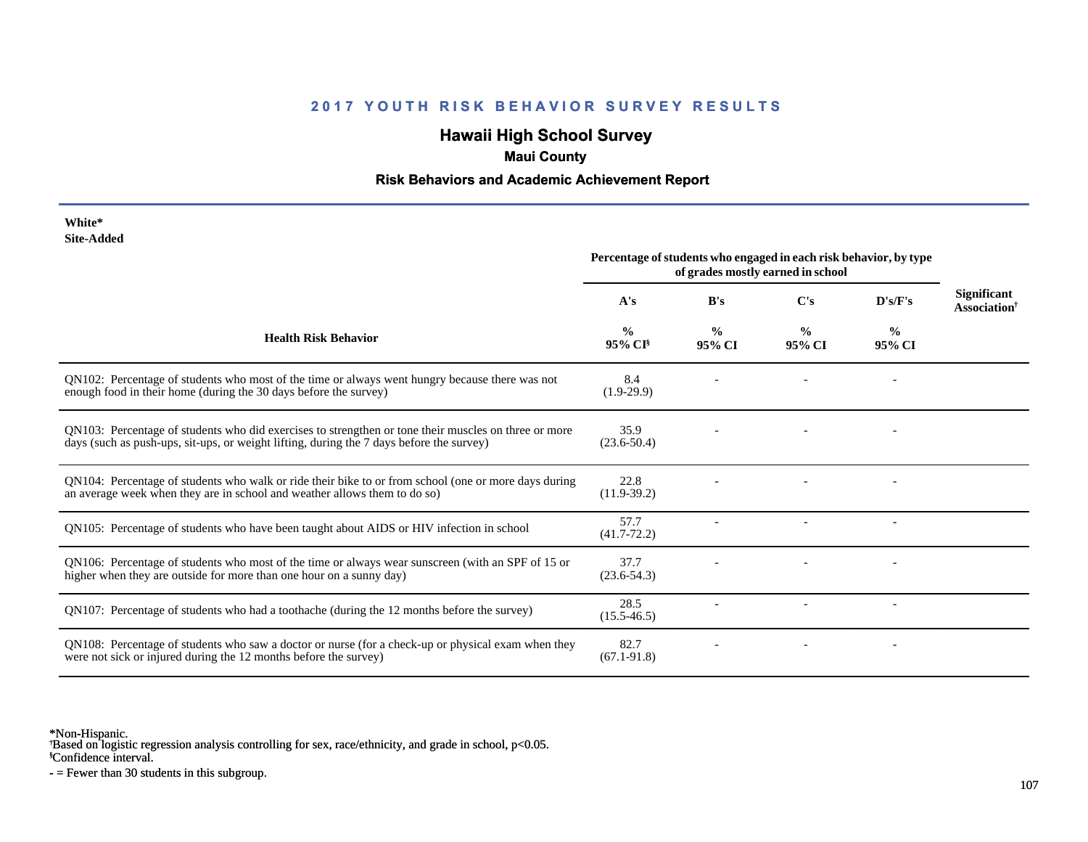# **Hawaii High School Survey**

## **Maui County**

### **Risk Behaviors and Academic Achievement Report**

| White*     |
|------------|
| Site-Added |

|                                                                                                                                                                                                  | Percentage of students who engaged in each risk behavior, by type<br>of grades mostly earned in school |                         |                         |                         |                                                |
|--------------------------------------------------------------------------------------------------------------------------------------------------------------------------------------------------|--------------------------------------------------------------------------------------------------------|-------------------------|-------------------------|-------------------------|------------------------------------------------|
|                                                                                                                                                                                                  | A's                                                                                                    | B's                     | C's                     | D's/F's                 | <b>Significant</b><br>Association <sup>†</sup> |
| <b>Health Risk Behavior</b>                                                                                                                                                                      | %<br>95% CI <sup>§</sup>                                                                               | $\frac{0}{0}$<br>95% CI | $\frac{0}{0}$<br>95% CI | $\frac{0}{0}$<br>95% CI |                                                |
| QN102: Percentage of students who most of the time or always went hungry because there was not<br>enough food in their home (during the 30 days before the survey)                               | 8.4<br>$(1.9-29.9)$                                                                                    |                         |                         |                         |                                                |
| QN103: Percentage of students who did exercises to strengthen or tone their muscles on three or more<br>days (such as push-ups, sit-ups, or weight lifting, during the 7 days before the survey) | 35.9<br>$(23.6 - 50.4)$                                                                                |                         |                         |                         |                                                |
| QN104: Percentage of students who walk or ride their bike to or from school (one or more days during<br>an average week when they are in school and weather allows them to do so)                | 22.8<br>$(11.9-39.2)$                                                                                  |                         |                         |                         |                                                |
| QN105: Percentage of students who have been taught about AIDS or HIV infection in school                                                                                                         | 57.7<br>$(41.7 - 72.2)$                                                                                |                         |                         |                         |                                                |
| QN106: Percentage of students who most of the time or always wear sunscreen (with an SPF of 15 or<br>higher when they are outside for more than one hour on a sunny day)                         | 37.7<br>$(23.6 - 54.3)$                                                                                |                         |                         |                         |                                                |
| QN107: Percentage of students who had a toothache (during the 12 months before the survey)                                                                                                       | 28.5<br>$(15.5 - 46.5)$                                                                                |                         |                         |                         |                                                |
| QN108: Percentage of students who saw a doctor or nurse (for a check-up or physical exam when they<br>were not sick or injured during the 12 months before the survey)                           | 82.7<br>$(67.1 - 91.8)$                                                                                |                         |                         |                         |                                                |

\*Non-Hispanic.

† Based on logistic regression analysis controlling for sex, race/ethnicity, and grade in school, p<0.05.

§Confidence interval.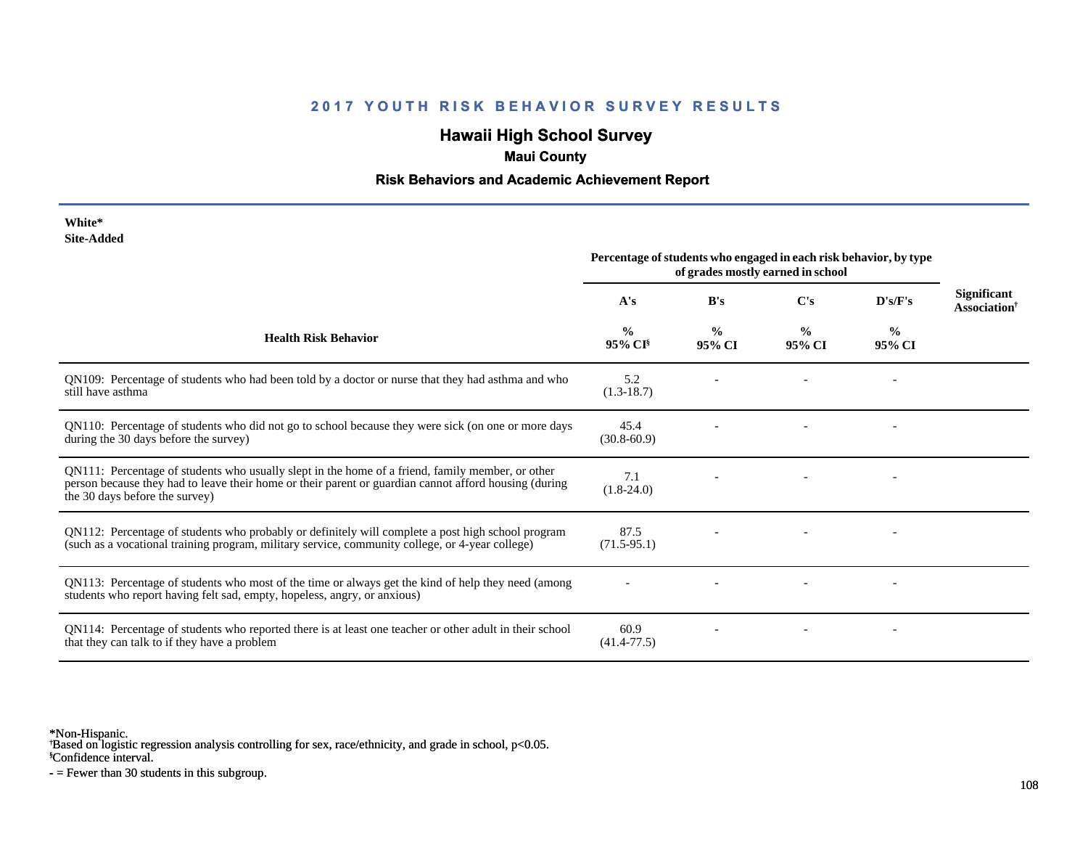# **Hawaii High School Survey**

### **Maui County**

### **Risk Behaviors and Academic Achievement Report**

| White*     |
|------------|
| Site-Added |

| Site-Augeu                                                                                                                                                                                                                                  | Percentage of students who engaged in each risk behavior, by type<br>of grades mostly earned in school |                         |                         |                         |                                         |
|---------------------------------------------------------------------------------------------------------------------------------------------------------------------------------------------------------------------------------------------|--------------------------------------------------------------------------------------------------------|-------------------------|-------------------------|-------------------------|-----------------------------------------|
|                                                                                                                                                                                                                                             | A's                                                                                                    | B's                     | $\bf C's$               | D's/F's                 | Significant<br>Association <sup>†</sup> |
| <b>Health Risk Behavior</b>                                                                                                                                                                                                                 | $\frac{0}{0}$<br>$95\%$ CI <sup>§</sup>                                                                | $\frac{0}{0}$<br>95% CI | $\frac{0}{0}$<br>95% CI | $\frac{0}{0}$<br>95% CI |                                         |
| QN109: Percentage of students who had been told by a doctor or nurse that they had asthma and who<br>still have asthma                                                                                                                      | 5.2<br>$(1.3-18.7)$                                                                                    |                         |                         |                         |                                         |
| QN110: Percentage of students who did not go to school because they were sick (on one or more days<br>during the 30 days before the survey)                                                                                                 | 45.4<br>$(30.8 - 60.9)$                                                                                |                         |                         |                         |                                         |
| QN111: Percentage of students who usually slept in the home of a friend, family member, or other<br>person because they had to leave their home or their parent or guardian cannot afford housing (during<br>the 30 days before the survey) | 7.1<br>$(1.8-24.0)$                                                                                    |                         |                         |                         |                                         |
| QN112: Percentage of students who probably or definitely will complete a post high school program<br>(such as a vocational training program, military service, community college, or 4-year college)                                        | 87.5<br>$(71.5-95.1)$                                                                                  |                         |                         |                         |                                         |
| QN113: Percentage of students who most of the time or always get the kind of help they need (among<br>students who report having felt sad, empty, hopeless, angry, or anxious)                                                              |                                                                                                        |                         |                         |                         |                                         |
| QN114: Percentage of students who reported there is at least one teacher or other adult in their school<br>that they can talk to if they have a problem                                                                                     | 60.9<br>$(41.4 - 77.5)$                                                                                |                         |                         |                         |                                         |

\*Non-Hispanic.

† Based on logistic regression analysis controlling for sex, race/ethnicity, and grade in school, p<0.05.

§Confidence interval.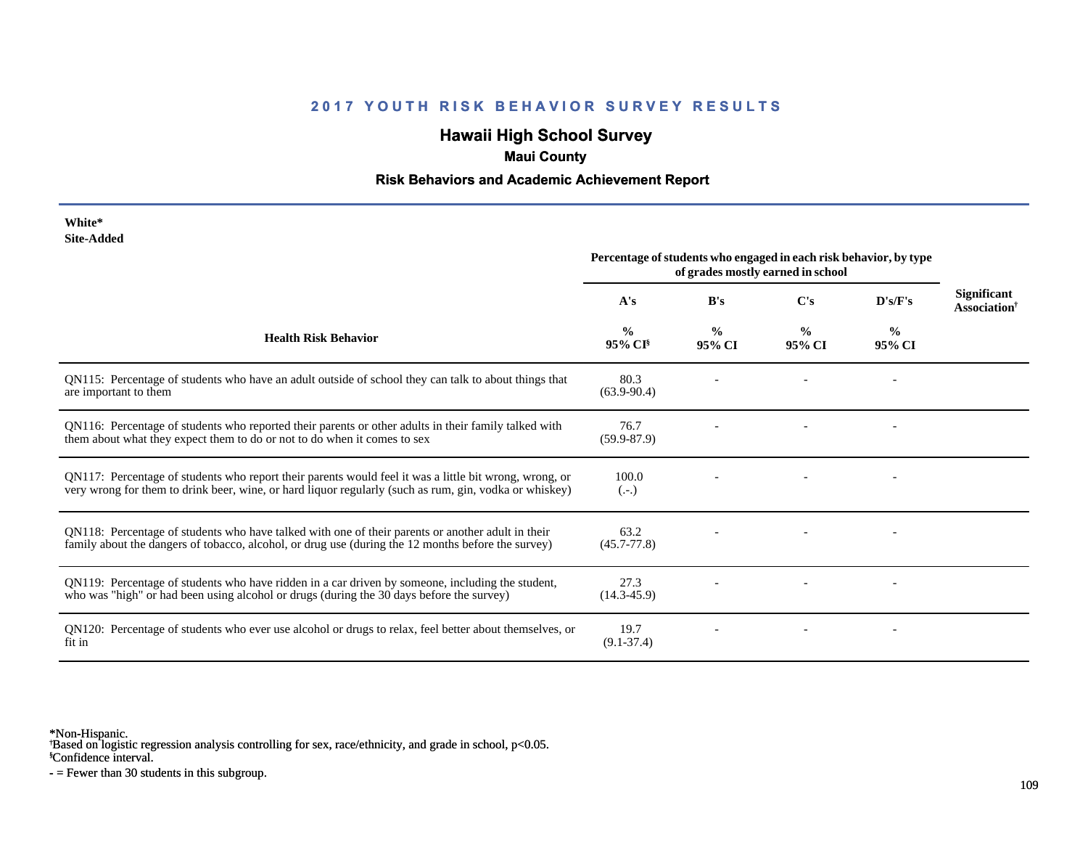### **2017 YOUTH RISK BEHAVIOR SURVEY RESULTS**

# **Hawaii High School Survey**

## **Maui County**

### **Risk Behaviors and Academic Achievement Report**

| White*     |
|------------|
| Site-Added |

|                                                                                                                                                                                                                  | Percentage of students who engaged in each risk behavior, by type<br>of grades mostly earned in school |                         |                         |                         |                                                |
|------------------------------------------------------------------------------------------------------------------------------------------------------------------------------------------------------------------|--------------------------------------------------------------------------------------------------------|-------------------------|-------------------------|-------------------------|------------------------------------------------|
|                                                                                                                                                                                                                  | A's                                                                                                    | B's                     | C's                     | D's/F's                 | <b>Significant</b><br>Association <sup>†</sup> |
| <b>Health Risk Behavior</b>                                                                                                                                                                                      | $\frac{6}{9}$<br>$95\%$ CI <sup>§</sup>                                                                | $\frac{0}{0}$<br>95% CI | $\frac{0}{0}$<br>95% CI | $\frac{0}{0}$<br>95% CI |                                                |
| QN115: Percentage of students who have an adult outside of school they can talk to about things that<br>are important to them                                                                                    | 80.3<br>$(63.9 - 90.4)$                                                                                |                         |                         |                         |                                                |
| QN116: Percentage of students who reported their parents or other adults in their family talked with<br>them about what they expect them to do or not to do when it comes to sex                                 | 76.7<br>$(59.9 - 87.9)$                                                                                |                         |                         |                         |                                                |
| QN117: Percentage of students who report their parents would feel it was a little bit wrong, wrong, or<br>very wrong for them to drink beer, wine, or hard liquor regularly (such as rum, gin, vodka or whiskey) | 100.0<br>$(.-.)$                                                                                       |                         |                         |                         |                                                |
| QN118: Percentage of students who have talked with one of their parents or another adult in their<br>family about the dangers of tobacco, alcohol, or drug use (during the 12 months before the survey)          | 63.2<br>$(45.7 - 77.8)$                                                                                |                         |                         |                         |                                                |
| QN119: Percentage of students who have ridden in a car driven by someone, including the student,<br>who was "high" or had been using alcohol or drugs (during the 30 days before the survey)                     | 27.3<br>$(14.3 - 45.9)$                                                                                |                         |                         |                         |                                                |
| QN120: Percentage of students who ever use alcohol or drugs to relax, feel better about themselves, or<br>fit in                                                                                                 | 19.7<br>$(9.1 - 37.4)$                                                                                 |                         |                         |                         |                                                |

\*Non-Hispanic.

† Based on logistic regression analysis controlling for sex, race/ethnicity, and grade in school, p<0.05.

§Confidence interval.

- = Fewer than 30 students in this subgroup.